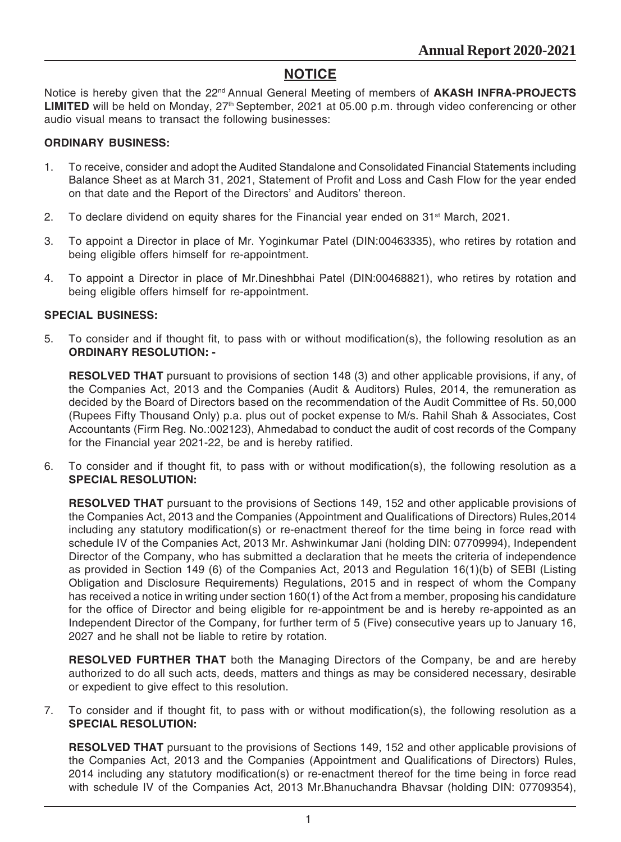# **NOTICE**

Notice is hereby given that the 22<sup>nd</sup> Annual General Meeting of members of **AKASH INFRA-PROJECTS** LIMITED will be held on Monday, 27<sup>th</sup> September, 2021 at 05.00 p.m. through video conferencing or other audio visual means to transact the following businesses:

#### **ORDINARY BUSINESS:**

- 1. To receive, consider and adopt the Audited Standalone and Consolidated Financial Statements including Balance Sheet as at March 31, 2021, Statement of Profit and Loss and Cash Flow for the year ended on that date and the Report of the Directors' and Auditors' thereon.
- 2. To declare dividend on equity shares for the Financial year ended on  $31<sup>st</sup>$  March, 2021.
- 3. To appoint a Director in place of Mr. Yoginkumar Patel (DIN:00463335), who retires by rotation and being eligible offers himself for re-appointment.
- 4. To appoint a Director in place of Mr.Dineshbhai Patel (DIN:00468821), who retires by rotation and being eligible offers himself for re-appointment.

#### **SPECIAL BUSINESS:**

5. To consider and if thought fit, to pass with or without modification(s), the following resolution as an **ORDINARY RESOLUTION: -**

**RESOLVED THAT** pursuant to provisions of section 148 (3) and other applicable provisions, if any, of the Companies Act, 2013 and the Companies (Audit & Auditors) Rules, 2014, the remuneration as decided by the Board of Directors based on the recommendation of the Audit Committee of Rs. 50,000 (Rupees Fifty Thousand Only) p.a. plus out of pocket expense to M/s. Rahil Shah & Associates, Cost Accountants (Firm Reg. No.:002123), Ahmedabad to conduct the audit of cost records of the Company for the Financial year 2021-22, be and is hereby ratified.

6. To consider and if thought fit, to pass with or without modification(s), the following resolution as a **SPECIAL RESOLUTION:**

**RESOLVED THAT** pursuant to the provisions of Sections 149, 152 and other applicable provisions of the Companies Act, 2013 and the Companies (Appointment and Qualifications of Directors) Rules,2014 including any statutory modification(s) or re-enactment thereof for the time being in force read with schedule IV of the Companies Act, 2013 Mr. Ashwinkumar Jani (holding DIN: 07709994), Independent Director of the Company, who has submitted a declaration that he meets the criteria of independence as provided in Section 149 (6) of the Companies Act, 2013 and Regulation 16(1)(b) of SEBI (Listing Obligation and Disclosure Requirements) Regulations, 2015 and in respect of whom the Company has received a notice in writing under section 160(1) of the Act from a member, proposing his candidature for the office of Director and being eligible for re-appointment be and is hereby re-appointed as an Independent Director of the Company, for further term of 5 (Five) consecutive years up to January 16, 2027 and he shall not be liable to retire by rotation.

**RESOLVED FURTHER THAT** both the Managing Directors of the Company, be and are hereby authorized to do all such acts, deeds, matters and things as may be considered necessary, desirable or expedient to give effect to this resolution.

7. To consider and if thought fit, to pass with or without modification(s), the following resolution as a **SPECIAL RESOLUTION:**

**RESOLVED THAT** pursuant to the provisions of Sections 149, 152 and other applicable provisions of the Companies Act, 2013 and the Companies (Appointment and Qualifications of Directors) Rules, 2014 including any statutory modification(s) or re-enactment thereof for the time being in force read with schedule IV of the Companies Act, 2013 Mr.Bhanuchandra Bhavsar (holding DIN: 07709354),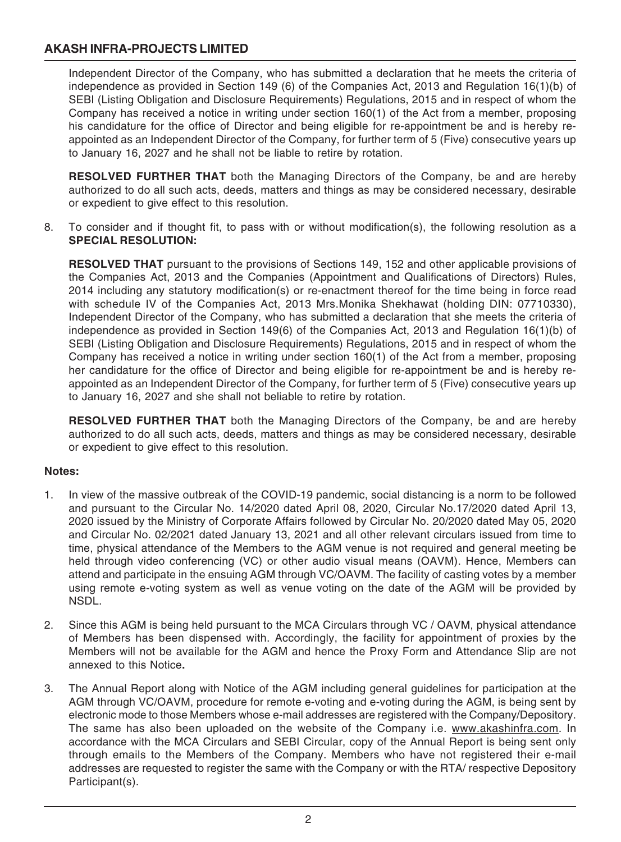Independent Director of the Company, who has submitted a declaration that he meets the criteria of independence as provided in Section 149 (6) of the Companies Act, 2013 and Regulation 16(1)(b) of SEBI (Listing Obligation and Disclosure Requirements) Regulations, 2015 and in respect of whom the Company has received a notice in writing under section 160(1) of the Act from a member, proposing his candidature for the office of Director and being eligible for re-appointment be and is hereby reappointed as an Independent Director of the Company, for further term of 5 (Five) consecutive years up to January 16, 2027 and he shall not be liable to retire by rotation.

**RESOLVED FURTHER THAT** both the Managing Directors of the Company, be and are hereby authorized to do all such acts, deeds, matters and things as may be considered necessary, desirable or expedient to give effect to this resolution.

8. To consider and if thought fit, to pass with or without modification(s), the following resolution as a **SPECIAL RESOLUTION:**

**RESOLVED THAT** pursuant to the provisions of Sections 149, 152 and other applicable provisions of the Companies Act, 2013 and the Companies (Appointment and Qualifications of Directors) Rules, 2014 including any statutory modification(s) or re-enactment thereof for the time being in force read with schedule IV of the Companies Act, 2013 Mrs.Monika Shekhawat (holding DIN: 07710330), Independent Director of the Company, who has submitted a declaration that she meets the criteria of independence as provided in Section 149(6) of the Companies Act, 2013 and Regulation 16(1)(b) of SEBI (Listing Obligation and Disclosure Requirements) Regulations, 2015 and in respect of whom the Company has received a notice in writing under section 160(1) of the Act from a member, proposing her candidature for the office of Director and being eligible for re-appointment be and is hereby reappointed as an Independent Director of the Company, for further term of 5 (Five) consecutive years up to January 16, 2027 and she shall not beliable to retire by rotation.

**RESOLVED FURTHER THAT** both the Managing Directors of the Company, be and are hereby authorized to do all such acts, deeds, matters and things as may be considered necessary, desirable or expedient to give effect to this resolution.

## **Notes:**

- 1. In view of the massive outbreak of the COVID-19 pandemic, social distancing is a norm to be followed and pursuant to the Circular No. 14/2020 dated April 08, 2020, Circular No.17/2020 dated April 13, 2020 issued by the Ministry of Corporate Affairs followed by Circular No. 20/2020 dated May 05, 2020 and Circular No. 02/2021 dated January 13, 2021 and all other relevant circulars issued from time to time, physical attendance of the Members to the AGM venue is not required and general meeting be held through video conferencing (VC) or other audio visual means (OAVM). Hence, Members can attend and participate in the ensuing AGM through VC/OAVM. The facility of casting votes by a member using remote e-voting system as well as venue voting on the date of the AGM will be provided by NSDL.
- 2. Since this AGM is being held pursuant to the MCA Circulars through VC / OAVM, physical attendance of Members has been dispensed with. Accordingly, the facility for appointment of proxies by the Members will not be available for the AGM and hence the Proxy Form and Attendance Slip are not annexed to this Notice**.**
- 3. The Annual Report along with Notice of the AGM including general guidelines for participation at the AGM through VC/OAVM, procedure for remote e-voting and e-voting during the AGM, is being sent by electronic mode to those Members whose e-mail addresses are registered with the Company/Depository. The same has also been uploaded on the website of the Company i.e. www.akashinfra.com. In accordance with the MCA Circulars and SEBI Circular, copy of the Annual Report is being sent only through emails to the Members of the Company. Members who have not registered their e-mail addresses are requested to register the same with the Company or with the RTA/ respective Depository Participant(s).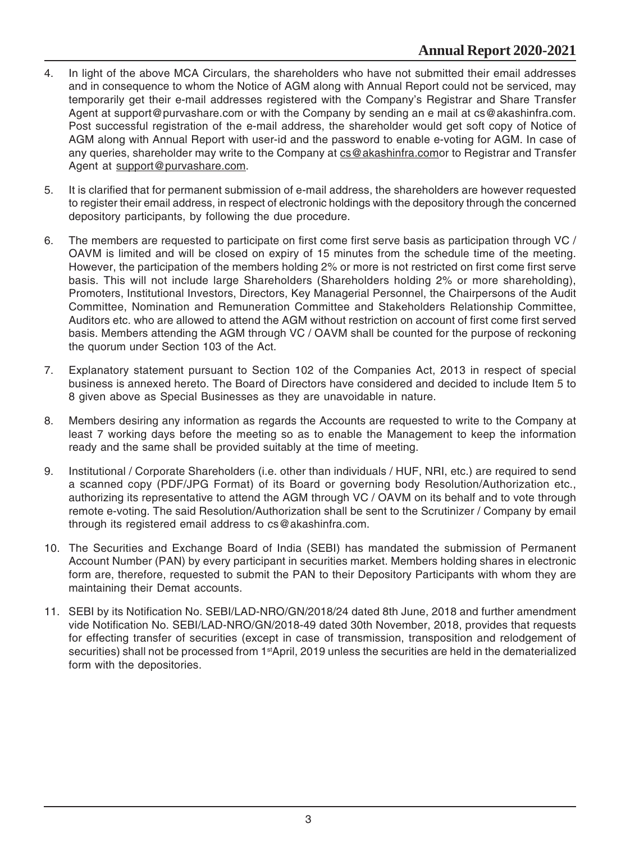- 4. In light of the above MCA Circulars, the shareholders who have not submitted their email addresses and in consequence to whom the Notice of AGM along with Annual Report could not be serviced, may temporarily get their e-mail addresses registered with the Company's Registrar and Share Transfer Agent at support@purvashare.com or with the Company by sending an e mail at cs@akashinfra.com. Post successful registration of the e-mail address, the shareholder would get soft copy of Notice of AGM along with Annual Report with user-id and the password to enable e-voting for AGM. In case of any queries, shareholder may write to the Company at cs@akashinfra.comor to Registrar and Transfer Agent at support@purvashare.com.
- 5. It is clarified that for permanent submission of e-mail address, the shareholders are however requested to register their email address, in respect of electronic holdings with the depository through the concerned depository participants, by following the due procedure.
- 6. The members are requested to participate on first come first serve basis as participation through VC / OAVM is limited and will be closed on expiry of 15 minutes from the schedule time of the meeting. However, the participation of the members holding 2% or more is not restricted on first come first serve basis. This will not include large Shareholders (Shareholders holding 2% or more shareholding), Promoters, Institutional Investors, Directors, Key Managerial Personnel, the Chairpersons of the Audit Committee, Nomination and Remuneration Committee and Stakeholders Relationship Committee, Auditors etc. who are allowed to attend the AGM without restriction on account of first come first served basis. Members attending the AGM through VC / OAVM shall be counted for the purpose of reckoning the quorum under Section 103 of the Act.
- 7. Explanatory statement pursuant to Section 102 of the Companies Act, 2013 in respect of special business is annexed hereto. The Board of Directors have considered and decided to include Item 5 to 8 given above as Special Businesses as they are unavoidable in nature.
- 8. Members desiring any information as regards the Accounts are requested to write to the Company at least 7 working days before the meeting so as to enable the Management to keep the information ready and the same shall be provided suitably at the time of meeting.
- 9. Institutional / Corporate Shareholders (i.e. other than individuals / HUF, NRI, etc.) are required to send a scanned copy (PDF/JPG Format) of its Board or governing body Resolution/Authorization etc., authorizing its representative to attend the AGM through VC / OAVM on its behalf and to vote through remote e-voting. The said Resolution/Authorization shall be sent to the Scrutinizer / Company by email through its registered email address to cs@akashinfra.com.
- 10. The Securities and Exchange Board of India (SEBI) has mandated the submission of Permanent Account Number (PAN) by every participant in securities market. Members holding shares in electronic form are, therefore, requested to submit the PAN to their Depository Participants with whom they are maintaining their Demat accounts.
- 11. SEBI by its Notification No. SEBI/LAD-NRO/GN/2018/24 dated 8th June, 2018 and further amendment vide Notification No. SEBI/LAD-NRO/GN/2018-49 dated 30th November, 2018, provides that requests for effecting transfer of securities (except in case of transmission, transposition and relodgement of securities) shall not be processed from 1<sup>st</sup>April, 2019 unless the securities are held in the dematerialized form with the depositories.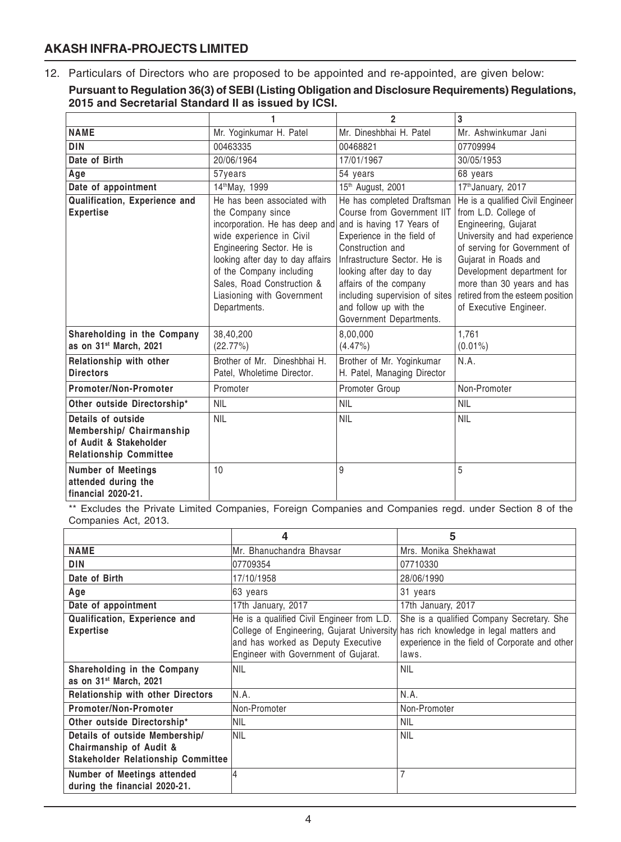12. Particulars of Directors who are proposed to be appointed and re-appointed, are given below:

#### **Pursuant to Regulation 36(3) of SEBI (Listing Obligation and Disclosure Requirements) Regulations, 2015 and Secretarial Standard II as issued by ICSI.**

|                                                                                                           | 1                                                                                                                                                                                                                                                                                                                 | $\overline{2}$                                                                                                                                                                                                                                                                          | 3                                                                                                                                                                                                                                                                                                   |  |
|-----------------------------------------------------------------------------------------------------------|-------------------------------------------------------------------------------------------------------------------------------------------------------------------------------------------------------------------------------------------------------------------------------------------------------------------|-----------------------------------------------------------------------------------------------------------------------------------------------------------------------------------------------------------------------------------------------------------------------------------------|-----------------------------------------------------------------------------------------------------------------------------------------------------------------------------------------------------------------------------------------------------------------------------------------------------|--|
| <b>NAME</b>                                                                                               | Mr. Yoginkumar H. Patel                                                                                                                                                                                                                                                                                           | Mr. Dineshbhai H. Patel                                                                                                                                                                                                                                                                 | Mr. Ashwinkumar Jani                                                                                                                                                                                                                                                                                |  |
| <b>DIN</b>                                                                                                | 00463335                                                                                                                                                                                                                                                                                                          | 00468821                                                                                                                                                                                                                                                                                | 07709994                                                                                                                                                                                                                                                                                            |  |
| Date of Birth                                                                                             | 20/06/1964                                                                                                                                                                                                                                                                                                        | 17/01/1967                                                                                                                                                                                                                                                                              | 30/05/1953                                                                                                                                                                                                                                                                                          |  |
| Age                                                                                                       | 57years                                                                                                                                                                                                                                                                                                           | 54 years                                                                                                                                                                                                                                                                                | 68 years                                                                                                                                                                                                                                                                                            |  |
| Date of appointment                                                                                       | 14 <sup>th</sup> May, 1999                                                                                                                                                                                                                                                                                        | 15th August, 2001                                                                                                                                                                                                                                                                       | 17th January, 2017                                                                                                                                                                                                                                                                                  |  |
| Qualification, Experience and<br><b>Expertise</b>                                                         | He has been associated with<br>the Company since<br>incorporation. He has deep and and is having 17 Years of<br>wide experience in Civil<br>Engineering Sector. He is<br>looking after day to day affairs<br>of the Company including<br>Sales, Road Construction &<br>Liasioning with Government<br>Departments. | He has completed Draftsman<br>Course from Government IIT<br>Experience in the field of<br>Construction and<br>Infrastructure Sector. He is<br>looking after day to day<br>affairs of the company<br>including supervision of sites<br>and follow up with the<br>Government Departments. | He is a qualified Civil Engineer<br>from L.D. College of<br>Engineering, Gujarat<br>University and had experience<br>of serving for Government of<br>Gujarat in Roads and<br>Development department for<br>more than 30 years and has<br>retired from the esteem position<br>of Executive Engineer. |  |
| Shareholding in the Company<br>as on 31 <sup>st</sup> March, 2021                                         | 38,40,200<br>(22.77%)                                                                                                                                                                                                                                                                                             | 8.00.000<br>$(4.47\%)$                                                                                                                                                                                                                                                                  | 1.761<br>$(0.01\%)$                                                                                                                                                                                                                                                                                 |  |
| Relationship with other<br><b>Directors</b>                                                               | Brother of Mr. Dineshbhai H.<br>Patel, Wholetime Director.                                                                                                                                                                                                                                                        | Brother of Mr. Yoginkumar<br>H. Patel, Managing Director                                                                                                                                                                                                                                | N.A.                                                                                                                                                                                                                                                                                                |  |
| Promoter/Non-Promoter                                                                                     | Promoter                                                                                                                                                                                                                                                                                                          | Promoter Group                                                                                                                                                                                                                                                                          | Non-Promoter                                                                                                                                                                                                                                                                                        |  |
| Other outside Directorship*                                                                               | <b>NIL</b>                                                                                                                                                                                                                                                                                                        | <b>NIL</b>                                                                                                                                                                                                                                                                              | <b>NIL</b>                                                                                                                                                                                                                                                                                          |  |
| Details of outside<br>Membership/ Chairmanship<br>of Audit & Stakeholder<br><b>Relationship Committee</b> | <b>NIL</b>                                                                                                                                                                                                                                                                                                        | <b>NIL</b>                                                                                                                                                                                                                                                                              | <b>NIL</b>                                                                                                                                                                                                                                                                                          |  |
| <b>Number of Meetings</b><br>attended during the<br>financial 2020-21.                                    | 10                                                                                                                                                                                                                                                                                                                | 9                                                                                                                                                                                                                                                                                       | 5                                                                                                                                                                                                                                                                                                   |  |

\*\* Excludes the Private Limited Companies, Foreign Companies and Companies regd. under Section 8 of the Companies Act, 2013.

|                                                                                                        | 4                                                                                                                                                                                                              | 5                                                                                                    |
|--------------------------------------------------------------------------------------------------------|----------------------------------------------------------------------------------------------------------------------------------------------------------------------------------------------------------------|------------------------------------------------------------------------------------------------------|
| <b>NAME</b>                                                                                            | Mr. Bhanuchandra Bhaysar                                                                                                                                                                                       | Mrs. Monika Shekhawat                                                                                |
| <b>DIN</b>                                                                                             | 07709354                                                                                                                                                                                                       | 07710330                                                                                             |
| Date of Birth                                                                                          | 17/10/1958                                                                                                                                                                                                     | 28/06/1990                                                                                           |
| Age                                                                                                    | 63 years                                                                                                                                                                                                       | 31 years                                                                                             |
| Date of appointment                                                                                    | 17th January, 2017                                                                                                                                                                                             | 17th January, 2017                                                                                   |
| Qualification, Experience and<br><b>Expertise</b>                                                      | He is a qualified Civil Engineer from L.D.<br>College of Engineering, Gujarat University has rich knowledge in legal matters and<br>and has worked as Deputy Executive<br>Engineer with Government of Gujarat. | She is a qualified Company Secretary. She<br>experience in the field of Corporate and other<br>laws. |
| Shareholding in the Company<br>as on 31 <sup>st</sup> March, 2021                                      | Inil                                                                                                                                                                                                           | <b>NIL</b>                                                                                           |
| <b>Relationship with other Directors</b>                                                               | N.A.                                                                                                                                                                                                           | N.A.                                                                                                 |
| Promoter/Non-Promoter                                                                                  | Non-Promoter                                                                                                                                                                                                   | Non-Promoter                                                                                         |
| Other outside Directorship*                                                                            | <b>NIL</b>                                                                                                                                                                                                     | <b>NIL</b>                                                                                           |
| Details of outside Membership/<br>Chairmanship of Audit &<br><b>Stakeholder Relationship Committee</b> | <b>NIL</b>                                                                                                                                                                                                     | <b>NIL</b>                                                                                           |
| Number of Meetings attended<br>during the financial 2020-21.                                           | $\overline{4}$                                                                                                                                                                                                 |                                                                                                      |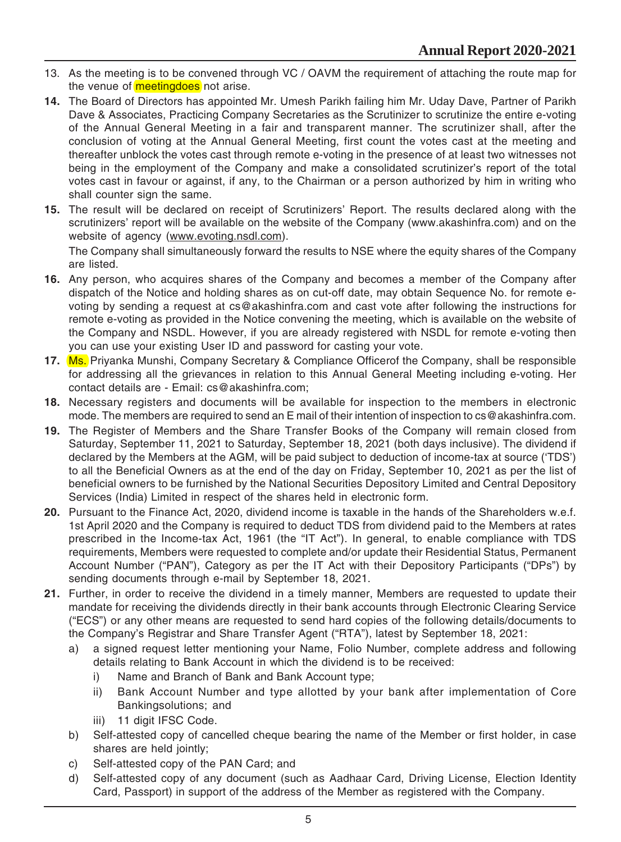- 13. As the meeting is to be convened through VC / OAVM the requirement of attaching the route map for the venue of **meetingdoes** not arise.
- **14.** The Board of Directors has appointed Mr. Umesh Parikh failing him Mr. Uday Dave, Partner of Parikh Dave & Associates, Practicing Company Secretaries as the Scrutinizer to scrutinize the entire e-voting of the Annual General Meeting in a fair and transparent manner. The scrutinizer shall, after the conclusion of voting at the Annual General Meeting, first count the votes cast at the meeting and thereafter unblock the votes cast through remote e-voting in the presence of at least two witnesses not being in the employment of the Company and make a consolidated scrutinizer's report of the total votes cast in favour or against, if any, to the Chairman or a person authorized by him in writing who shall counter sign the same.
- **15.** The result will be declared on receipt of Scrutinizers' Report. The results declared along with the scrutinizers' report will be available on the website of the Company (www.akashinfra.com) and on the website of agency (www.evoting.nsdl.com).

The Company shall simultaneously forward the results to NSE where the equity shares of the Company are listed.

- **16.** Any person, who acquires shares of the Company and becomes a member of the Company after dispatch of the Notice and holding shares as on cut-off date, may obtain Sequence No. for remote evoting by sending a request at cs@akashinfra.com and cast vote after following the instructions for remote e-voting as provided in the Notice convening the meeting, which is available on the website of the Company and NSDL. However, if you are already registered with NSDL for remote e-voting then you can use your existing User ID and password for casting your vote.
- **17.** Ms. Priyanka Munshi, Company Secretary & Compliance Officerof the Company, shall be responsible for addressing all the grievances in relation to this Annual General Meeting including e-voting. Her contact details are - Email: cs@akashinfra.com;
- **18.** Necessary registers and documents will be available for inspection to the members in electronic mode. The members are required to send an E mail of their intention of inspection to cs@akashinfra.com.
- **19.** The Register of Members and the Share Transfer Books of the Company will remain closed from Saturday, September 11, 2021 to Saturday, September 18, 2021 (both days inclusive). The dividend if declared by the Members at the AGM, will be paid subject to deduction of income-tax at source ('TDS') to all the Beneficial Owners as at the end of the day on Friday, September 10, 2021 as per the list of beneficial owners to be furnished by the National Securities Depository Limited and Central Depository Services (India) Limited in respect of the shares held in electronic form.
- **20.** Pursuant to the Finance Act, 2020, dividend income is taxable in the hands of the Shareholders w.e.f. 1st April 2020 and the Company is required to deduct TDS from dividend paid to the Members at rates prescribed in the Income-tax Act, 1961 (the "IT Act"). In general, to enable compliance with TDS requirements, Members were requested to complete and/or update their Residential Status, Permanent Account Number ("PAN"), Category as per the IT Act with their Depository Participants ("DPs") by sending documents through e-mail by September 18, 2021.
- **21.** Further, in order to receive the dividend in a timely manner, Members are requested to update their mandate for receiving the dividends directly in their bank accounts through Electronic Clearing Service ("ECS") or any other means are requested to send hard copies of the following details/documents to the Company's Registrar and Share Transfer Agent ("RTA"), latest by September 18, 2021:
	- a) a signed request letter mentioning your Name, Folio Number, complete address and following details relating to Bank Account in which the dividend is to be received:
		- i) Name and Branch of Bank and Bank Account type;
		- ii) Bank Account Number and type allotted by your bank after implementation of Core Bankingsolutions; and
		- iii) 11 digit IFSC Code.
	- b) Self-attested copy of cancelled cheque bearing the name of the Member or first holder, in case shares are held jointly;
	- c) Self-attested copy of the PAN Card; and
	- d) Self-attested copy of any document (such as Aadhaar Card, Driving License, Election Identity Card, Passport) in support of the address of the Member as registered with the Company.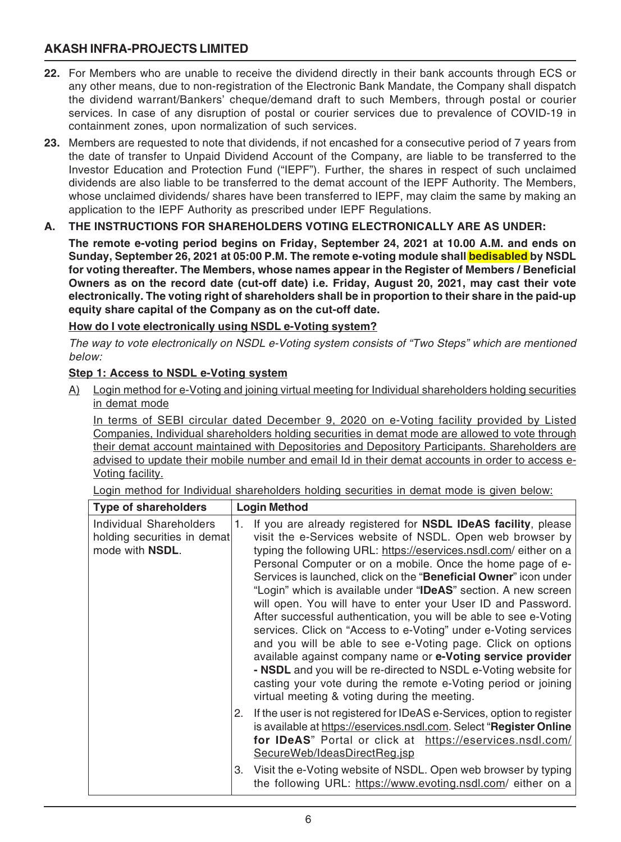- **22.** For Members who are unable to receive the dividend directly in their bank accounts through ECS or any other means, due to non-registration of the Electronic Bank Mandate, the Company shall dispatch the dividend warrant/Bankers' cheque/demand draft to such Members, through postal or courier services. In case of any disruption of postal or courier services due to prevalence of COVID-19 in containment zones, upon normalization of such services.
- **23.** Members are requested to note that dividends, if not encashed for a consecutive period of 7 years from the date of transfer to Unpaid Dividend Account of the Company, are liable to be transferred to the Investor Education and Protection Fund ("IEPF"). Further, the shares in respect of such unclaimed dividends are also liable to be transferred to the demat account of the IEPF Authority. The Members, whose unclaimed dividends/ shares have been transferred to IEPF, may claim the same by making an application to the IEPF Authority as prescribed under IEPF Regulations.
- **A. THE INSTRUCTIONS FOR SHAREHOLDERS VOTING ELECTRONICALLY ARE AS UNDER:**

**The remote e-voting period begins on Friday, September 24, 2021 at 10.00 A.M. and ends on Sunday, September 26, 2021 at 05:00 P.M. The remote e-voting module shall bedisabled by NSDL for voting thereafter. The Members, whose names appear in the Register of Members / Beneficial Owners as on the record date (cut-off date) i.e. Friday, August 20, 2021, may cast their vote electronically. The voting right of shareholders shall be in proportion to their share in the paid-up equity share capital of the Company as on the cut-off date.**

#### **How do I vote electronically using NSDL e-Voting system?**

The way to vote electronically on NSDL e-Voting system consists of "Two Steps" which are mentioned below:

#### **Step 1: Access to NSDL e-Voting system**

A) Login method for e-Voting and joining virtual meeting for Individual shareholders holding securities in demat mode

In terms of SEBI circular dated December 9, 2020 on e-Voting facility provided by Listed Companies, Individual shareholders holding securities in demat mode are allowed to vote through their demat account maintained with Depositories and Depository Participants. Shareholders are advised to update their mobile number and email Id in their demat accounts in order to access e-Voting facility.

Login method for Individual shareholders holding securities in demat mode is given below:

| <b>Type of shareholders</b>                                                       | <b>Login Method</b>                                                                                                                                                                                                                                                                                                                                                                                                                                                                                                                                                                                                                                                                                                                                                                                                                                                                                                                  |
|-----------------------------------------------------------------------------------|--------------------------------------------------------------------------------------------------------------------------------------------------------------------------------------------------------------------------------------------------------------------------------------------------------------------------------------------------------------------------------------------------------------------------------------------------------------------------------------------------------------------------------------------------------------------------------------------------------------------------------------------------------------------------------------------------------------------------------------------------------------------------------------------------------------------------------------------------------------------------------------------------------------------------------------|
| Individual Shareholders<br>holding securities in demat<br>mode with <b>NSDL</b> . | If you are already registered for NSDL IDeAS facility, please<br>1.<br>visit the e-Services website of NSDL. Open web browser by<br>typing the following URL: https://eservices.nsdl.com/ either on a<br>Personal Computer or on a mobile. Once the home page of e-<br>Services is launched, click on the "Beneficial Owner" icon under<br>"Login" which is available under "IDeAS" section. A new screen<br>will open. You will have to enter your User ID and Password.<br>After successful authentication, you will be able to see e-Voting<br>services. Click on "Access to e-Voting" under e-Voting services<br>and you will be able to see e-Voting page. Click on options<br>available against company name or e-Voting service provider<br>- NSDL and you will be re-directed to NSDL e-Voting website for<br>casting your vote during the remote e-Voting period or joining<br>virtual meeting & voting during the meeting. |
|                                                                                   | If the user is not registered for IDeAS e-Services, option to register<br>2.<br>is available at https://eservices.nsdl.com. Select "Register Online"<br>for IDeAS" Portal or click at https://eservices.nsdl.com/<br>SecureWeb/IdeasDirectReg.jsp                                                                                                                                                                                                                                                                                                                                                                                                                                                                                                                                                                                                                                                                                    |
|                                                                                   | Visit the e-Voting website of NSDL. Open web browser by typing<br>3.<br>the following URL: https://www.evoting.nsdl.com/ either on a                                                                                                                                                                                                                                                                                                                                                                                                                                                                                                                                                                                                                                                                                                                                                                                                 |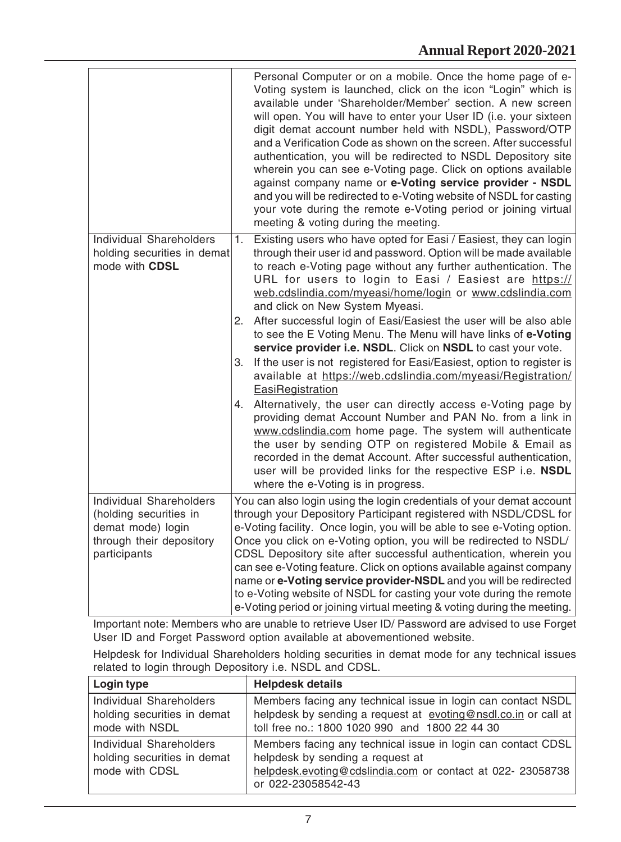|                                                                                                                           | Personal Computer or on a mobile. Once the home page of e-<br>Voting system is launched, click on the icon "Login" which is<br>available under 'Shareholder/Member' section. A new screen<br>will open. You will have to enter your User ID (i.e. your sixteen<br>digit demat account number held with NSDL), Password/OTP<br>and a Verification Code as shown on the screen. After successful<br>authentication, you will be redirected to NSDL Depository site<br>wherein you can see e-Voting page. Click on options available<br>against company name or e-Voting service provider - NSDL<br>and you will be redirected to e-Voting website of NSDL for casting<br>your vote during the remote e-Voting period or joining virtual<br>meeting & voting during the meeting.                                                                                                                                                                                                                                                                                                                                                                                                         |
|---------------------------------------------------------------------------------------------------------------------------|---------------------------------------------------------------------------------------------------------------------------------------------------------------------------------------------------------------------------------------------------------------------------------------------------------------------------------------------------------------------------------------------------------------------------------------------------------------------------------------------------------------------------------------------------------------------------------------------------------------------------------------------------------------------------------------------------------------------------------------------------------------------------------------------------------------------------------------------------------------------------------------------------------------------------------------------------------------------------------------------------------------------------------------------------------------------------------------------------------------------------------------------------------------------------------------|
| <b>Individual Shareholders</b><br>holding securities in demat<br>mode with CDSL                                           | Existing users who have opted for Easi / Easiest, they can login<br>1.<br>through their user id and password. Option will be made available<br>to reach e-Voting page without any further authentication. The<br>URL for users to login to Easi / Easiest are https://<br>web.cdslindia.com/myeasi/home/login or www.cdslindia.com<br>and click on New System Myeasi.<br>After successful login of Easi/Easiest the user will be also able<br>2.<br>to see the E Voting Menu. The Menu will have links of e-Voting<br>service provider i.e. NSDL. Click on NSDL to cast your vote.<br>If the user is not registered for Easi/Easiest, option to register is<br>3.<br>available at https://web.cdslindia.com/myeasi/Registration/<br>EasiRegistration<br>4. Alternatively, the user can directly access e-Voting page by<br>providing demat Account Number and PAN No. from a link in<br>www.cdslindia.com home page. The system will authenticate<br>the user by sending OTP on registered Mobile & Email as<br>recorded in the demat Account. After successful authentication,<br>user will be provided links for the respective ESP i.e. NSDL<br>where the e-Voting is in progress. |
| <b>Individual Shareholders</b><br>(holding securities in<br>demat mode) login<br>through their depository<br>participants | You can also login using the login credentials of your demat account<br>through your Depository Participant registered with NSDL/CDSL for<br>e-Voting facility. Once login, you will be able to see e-Voting option.<br>Once you click on e-Voting option, you will be redirected to NSDL/<br>CDSL Depository site after successful authentication, wherein you<br>can see e-Voting feature. Click on options available against company<br>name or e-Voting service provider-NSDL and you will be redirected<br>to e-Voting website of NSDL for casting your vote during the remote<br>e-Voting period or joining virtual meeting & voting during the meeting.                                                                                                                                                                                                                                                                                                                                                                                                                                                                                                                        |

Important note: Members who are unable to retrieve User ID/ Password are advised to use Forget User ID and Forget Password option available at abovementioned website.

Helpdesk for Individual Shareholders holding securities in demat mode for any technical issues related to login through Depository i.e. NSDL and CDSL.

| Login type                                                               | <b>Helpdesk details</b>                                                                                                                                                              |
|--------------------------------------------------------------------------|--------------------------------------------------------------------------------------------------------------------------------------------------------------------------------------|
| Individual Shareholders<br>holding securities in demat<br>mode with NSDL | Members facing any technical issue in login can contact NSDL<br>helpdesk by sending a request at evoting@nsdl.co.in or call at<br>toll free no.: 1800 1020 990 and 1800 22 44 30     |
| Individual Shareholders<br>holding securities in demat<br>mode with CDSL | Members facing any technical issue in login can contact CDSL<br>helpdesk by sending a request at<br>helpdesk.evoting@cdslindia.com or contact at 022- 23058738<br>or 022-23058542-43 |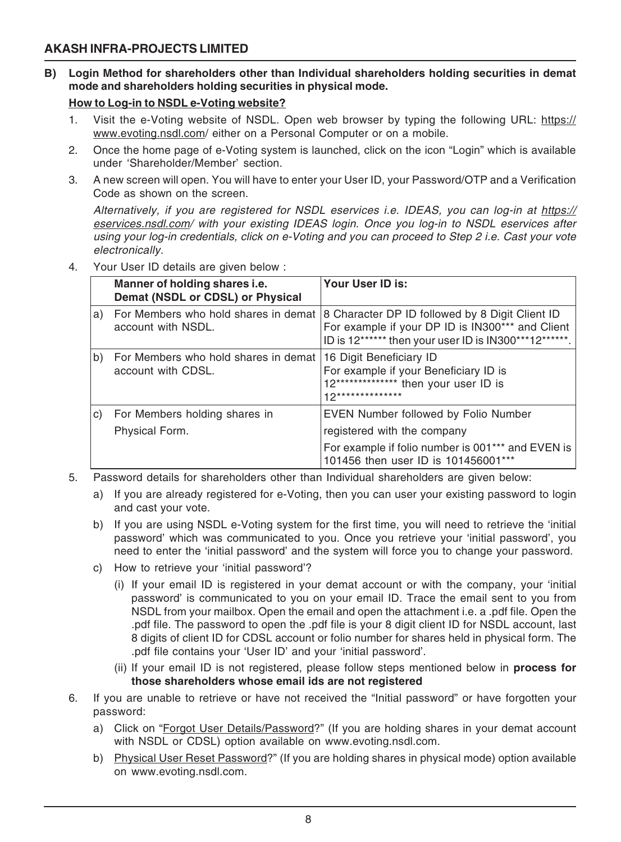**B) Login Method for shareholders other than Individual shareholders holding securities in demat mode and shareholders holding securities in physical mode.**

# **How to Log-in to NSDL e-Voting website?**

- 1. Visit the e-Voting website of NSDL. Open web browser by typing the following URL: https:// www.evoting.nsdl.com/ either on a Personal Computer or on a mobile.
- 2. Once the home page of e-Voting system is launched, click on the icon "Login" which is available under 'Shareholder/Member' section.
- 3. A new screen will open. You will have to enter your User ID, your Password/OTP and a Verification Code as shown on the screen.

Alternatively, if you are registered for NSDL eservices i.e. IDEAS, you can log-in at https:// eservices.nsdl.com/ with your existing IDEAS login. Once you log-in to NSDL eservices after using your log-in credentials, click on e-Voting and you can proceed to Step 2 i.e. Cast your vote electronically.

4. Your User ID details are given below :

|    | Manner of holding shares i.e.<br>Demat (NSDL or CDSL) or Physical | Your User ID is:                                                                                                                                             |
|----|-------------------------------------------------------------------|--------------------------------------------------------------------------------------------------------------------------------------------------------------|
| a) | For Members who hold shares in demat<br>account with NSDL.        | 8 Character DP ID followed by 8 Digit Client ID<br>For example if your DP ID is IN300*** and Client<br>ID is 12****** then your user ID is IN300***12******. |
| b) | For Members who hold shares in demat<br>account with CDSL.        | 16 Digit Beneficiary ID<br>For example if your Beneficiary ID is<br>12*************** then your user ID is<br>$12****************$                           |
| C) | For Members holding shares in<br>Physical Form.                   | <b>EVEN Number followed by Folio Number</b><br>registered with the company                                                                                   |
|    |                                                                   | For example if folio number is 001*** and EVEN is<br>101456 then user ID is 101456001***                                                                     |

- 5. Password details for shareholders other than Individual shareholders are given below:
	- a) If you are already registered for e-Voting, then you can user your existing password to login and cast your vote.
	- b) If you are using NSDL e-Voting system for the first time, you will need to retrieve the 'initial password' which was communicated to you. Once you retrieve your 'initial password', you need to enter the 'initial password' and the system will force you to change your password.
	- c) How to retrieve your 'initial password'?
		- (i) If your email ID is registered in your demat account or with the company, your 'initial password' is communicated to you on your email ID. Trace the email sent to you from NSDL from your mailbox. Open the email and open the attachment i.e. a .pdf file. Open the .pdf file. The password to open the .pdf file is your 8 digit client ID for NSDL account, last 8 digits of client ID for CDSL account or folio number for shares held in physical form. The .pdf file contains your 'User ID' and your 'initial password'.
		- (ii) If your email ID is not registered, please follow steps mentioned below in **process for those shareholders whose email ids are not registered**
- 6. If you are unable to retrieve or have not received the "Initial password" or have forgotten your password:
	- a) Click on "Forgot User Details/Password?" (If you are holding shares in your demat account with NSDL or CDSL) option available on www.evoting.nsdl.com.
	- b) Physical User Reset Password?" (If you are holding shares in physical mode) option available on www.evoting.nsdl.com.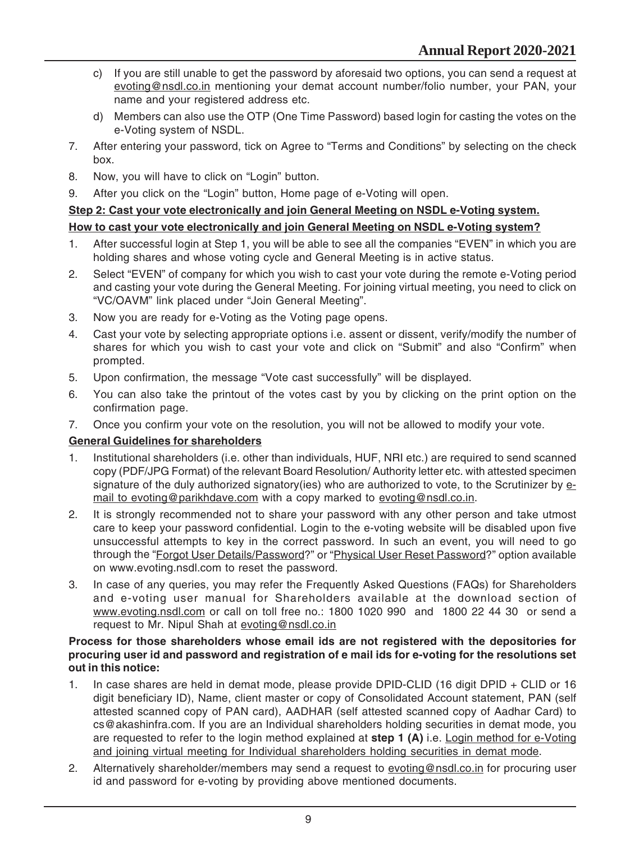- c) If you are still unable to get the password by aforesaid two options, you can send a request at evoting@nsdl.co.in mentioning your demat account number/folio number, your PAN, your name and your registered address etc.
- d) Members can also use the OTP (One Time Password) based login for casting the votes on the e-Voting system of NSDL.
- 7. After entering your password, tick on Agree to "Terms and Conditions" by selecting on the check box.
- 8. Now, you will have to click on "Login" button.
- 9. After you click on the "Login" button, Home page of e-Voting will open.

# **Step 2: Cast your vote electronically and join General Meeting on NSDL e-Voting system. How to cast your vote electronically and join General Meeting on NSDL e-Voting system?**

- 1. After successful login at Step 1, you will be able to see all the companies "EVEN" in which you are holding shares and whose voting cycle and General Meeting is in active status.
- 2. Select "EVEN" of company for which you wish to cast your vote during the remote e-Voting period and casting your vote during the General Meeting. For joining virtual meeting, you need to click on "VC/OAVM" link placed under "Join General Meeting".
- 3. Now you are ready for e-Voting as the Voting page opens.
- 4. Cast your vote by selecting appropriate options i.e. assent or dissent, verify/modify the number of shares for which you wish to cast your vote and click on "Submit" and also "Confirm" when prompted.
- 5. Upon confirmation, the message "Vote cast successfully" will be displayed.
- 6. You can also take the printout of the votes cast by you by clicking on the print option on the confirmation page.
- 7. Once you confirm your vote on the resolution, you will not be allowed to modify your vote.

# **General Guidelines for shareholders**

- 1. Institutional shareholders (i.e. other than individuals, HUF, NRI etc.) are required to send scanned copy (PDF/JPG Format) of the relevant Board Resolution/ Authority letter etc. with attested specimen signature of the duly authorized signatory(ies) who are authorized to vote, to the Scrutinizer by email to evoting@parikhdave.com with a copy marked to evoting@nsdl.co.in.
- 2. It is strongly recommended not to share your password with any other person and take utmost care to keep your password confidential. Login to the e-voting website will be disabled upon five unsuccessful attempts to key in the correct password. In such an event, you will need to go through the "Forgot User Details/Password?" or "Physical User Reset Password?" option available on www.evoting.nsdl.com to reset the password.
- 3. In case of any queries, you may refer the Frequently Asked Questions (FAQs) for Shareholders and e-voting user manual for Shareholders available at the download section of www.evoting.nsdl.com or call on toll free no.: 1800 1020 990 and 1800 22 44 30 or send a request to Mr. Nipul Shah at evoting@nsdl.co.in

#### **Process for those shareholders whose email ids are not registered with the depositories for procuring user id and password and registration of e mail ids for e-voting for the resolutions set out in this notice:**

- 1. In case shares are held in demat mode, please provide DPID-CLID (16 digit DPID + CLID or 16 digit beneficiary ID), Name, client master or copy of Consolidated Account statement, PAN (self attested scanned copy of PAN card), AADHAR (self attested scanned copy of Aadhar Card) to cs@akashinfra.com. If you are an Individual shareholders holding securities in demat mode, you are requested to refer to the login method explained at **step 1 (A)** i.e. Login method for e-Voting and joining virtual meeting for Individual shareholders holding securities in demat mode.
- 2. Alternatively shareholder/members may send a request to evoting@nsdl.co.in for procuring user id and password for e-voting by providing above mentioned documents.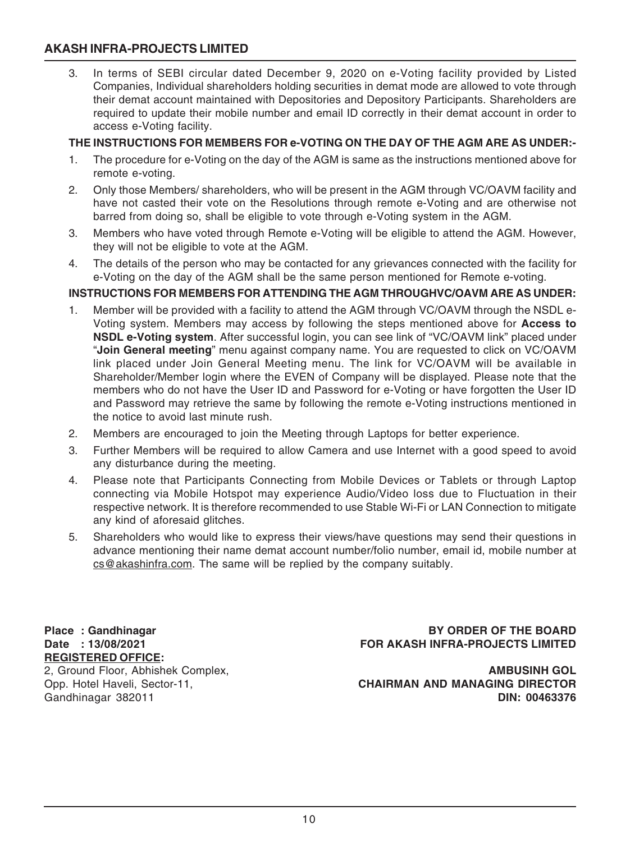3. In terms of SEBI circular dated December 9, 2020 on e-Voting facility provided by Listed Companies, Individual shareholders holding securities in demat mode are allowed to vote through their demat account maintained with Depositories and Depository Participants. Shareholders are required to update their mobile number and email ID correctly in their demat account in order to access e-Voting facility.

# **THE INSTRUCTIONS FOR MEMBERS FOR e-VOTING ON THE DAY OF THE AGM ARE AS UNDER:-**

- 1. The procedure for e-Voting on the day of the AGM is same as the instructions mentioned above for remote e-voting.
- 2. Only those Members/ shareholders, who will be present in the AGM through VC/OAVM facility and have not casted their vote on the Resolutions through remote e-Voting and are otherwise not barred from doing so, shall be eligible to vote through e-Voting system in the AGM.
- 3. Members who have voted through Remote e-Voting will be eligible to attend the AGM. However, they will not be eligible to vote at the AGM.
- 4. The details of the person who may be contacted for any grievances connected with the facility for e-Voting on the day of the AGM shall be the same person mentioned for Remote e-voting.

# **INSTRUCTIONS FOR MEMBERS FOR ATTENDING THE AGM THROUGHVC/OAVM ARE AS UNDER:**

- 1. Member will be provided with a facility to attend the AGM through VC/OAVM through the NSDL e-Voting system. Members may access by following the steps mentioned above for **Access to NSDL e-Voting system**. After successful login, you can see link of "VC/OAVM link" placed under "**Join General meeting**" menu against company name. You are requested to click on VC/OAVM link placed under Join General Meeting menu. The link for VC/OAVM will be available in Shareholder/Member login where the EVEN of Company will be displayed. Please note that the members who do not have the User ID and Password for e-Voting or have forgotten the User ID and Password may retrieve the same by following the remote e-Voting instructions mentioned in the notice to avoid last minute rush.
- 2. Members are encouraged to join the Meeting through Laptops for better experience.
- 3. Further Members will be required to allow Camera and use Internet with a good speed to avoid any disturbance during the meeting.
- 4. Please note that Participants Connecting from Mobile Devices or Tablets or through Laptop connecting via Mobile Hotspot may experience Audio/Video loss due to Fluctuation in their respective network. It is therefore recommended to use Stable Wi-Fi or LAN Connection to mitigate any kind of aforesaid glitches.
- 5. Shareholders who would like to express their views/have questions may send their questions in advance mentioning their name demat account number/folio number, email id, mobile number at cs@akashinfra.com. The same will be replied by the company suitably.

**REGISTERED OFFICE:**

**Place : Gandhinagar BY ORDER OF THE BOARD FOR AKASH INFRA-PROJECTS LIMITED** 

2, Ground Floor, Abhishek Complex, **AMBUSINH GOL**<br>
2, Ground Floor, Abhishek Complex, **AMBUSING DIRECTOR**<br> **CHAIRMAN AND MANAGING DIRECTOR CHAIRMAN AND MANAGING DIRECTOR** Gandhinagar 382011 **DIN: 00463376**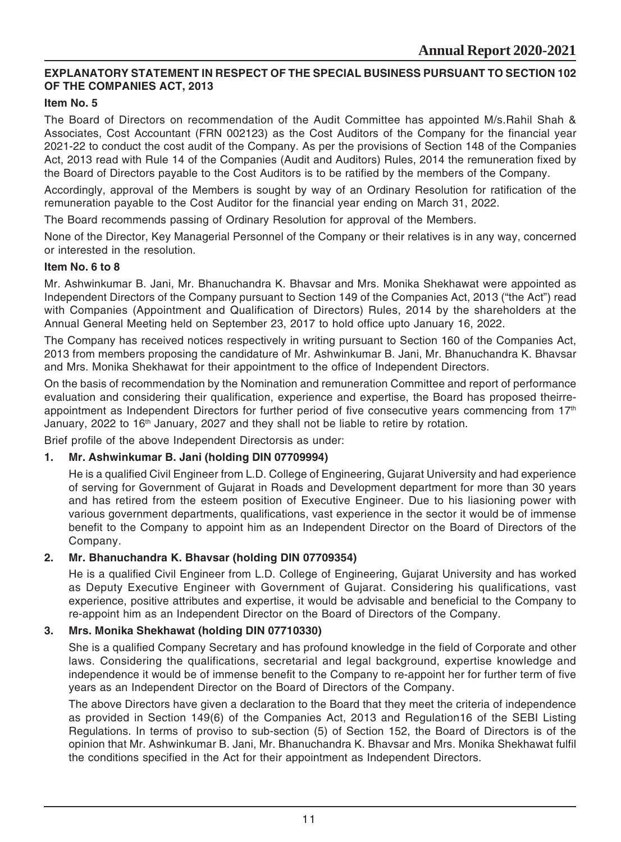# **EXPLANATORY STATEMENT IN RESPECT OF THE SPECIAL BUSINESS PURSUANT TO SECTION 102 OF THE COMPANIES ACT, 2013**

# **Item No. 5**

The Board of Directors on recommendation of the Audit Committee has appointed M/s.Rahil Shah & Associates, Cost Accountant (FRN 002123) as the Cost Auditors of the Company for the financial year 2021-22 to conduct the cost audit of the Company. As per the provisions of Section 148 of the Companies Act, 2013 read with Rule 14 of the Companies (Audit and Auditors) Rules, 2014 the remuneration fixed by the Board of Directors payable to the Cost Auditors is to be ratified by the members of the Company.

Accordingly, approval of the Members is sought by way of an Ordinary Resolution for ratification of the remuneration payable to the Cost Auditor for the financial year ending on March 31, 2022.

The Board recommends passing of Ordinary Resolution for approval of the Members.

None of the Director, Key Managerial Personnel of the Company or their relatives is in any way, concerned or interested in the resolution.

#### **Item No. 6 to 8**

Mr. Ashwinkumar B. Jani, Mr. Bhanuchandra K. Bhavsar and Mrs. Monika Shekhawat were appointed as Independent Directors of the Company pursuant to Section 149 of the Companies Act, 2013 ("the Act") read with Companies (Appointment and Qualification of Directors) Rules, 2014 by the shareholders at the Annual General Meeting held on September 23, 2017 to hold office upto January 16, 2022.

The Company has received notices respectively in writing pursuant to Section 160 of the Companies Act, 2013 from members proposing the candidature of Mr. Ashwinkumar B. Jani, Mr. Bhanuchandra K. Bhavsar and Mrs. Monika Shekhawat for their appointment to the office of Independent Directors.

On the basis of recommendation by the Nomination and remuneration Committee and report of performance evaluation and considering their qualification, experience and expertise, the Board has proposed theirreappointment as Independent Directors for further period of five consecutive years commencing from  $17<sup>th</sup>$ January, 2022 to 16<sup>th</sup> January, 2027 and they shall not be liable to retire by rotation.

Brief profile of the above Independent Directorsis as under:

## **1. Mr. Ashwinkumar B. Jani (holding DIN 07709994)**

He is a qualified Civil Engineer from L.D. College of Engineering, Gujarat University and had experience of serving for Government of Gujarat in Roads and Development department for more than 30 years and has retired from the esteem position of Executive Engineer. Due to his liasioning power with various government departments, qualifications, vast experience in the sector it would be of immense benefit to the Company to appoint him as an Independent Director on the Board of Directors of the Company.

## **2. Mr. Bhanuchandra K. Bhavsar (holding DIN 07709354)**

He is a qualified Civil Engineer from L.D. College of Engineering, Gujarat University and has worked as Deputy Executive Engineer with Government of Gujarat. Considering his qualifications, vast experience, positive attributes and expertise, it would be advisable and beneficial to the Company to re-appoint him as an Independent Director on the Board of Directors of the Company.

## **3. Mrs. Monika Shekhawat (holding DIN 07710330)**

She is a qualified Company Secretary and has profound knowledge in the field of Corporate and other laws. Considering the qualifications, secretarial and legal background, expertise knowledge and independence it would be of immense benefit to the Company to re-appoint her for further term of five years as an Independent Director on the Board of Directors of the Company.

The above Directors have given a declaration to the Board that they meet the criteria of independence as provided in Section 149(6) of the Companies Act, 2013 and Regulation16 of the SEBI Listing Regulations. In terms of proviso to sub-section (5) of Section 152, the Board of Directors is of the opinion that Mr. Ashwinkumar B. Jani, Mr. Bhanuchandra K. Bhavsar and Mrs. Monika Shekhawat fulfil the conditions specified in the Act for their appointment as Independent Directors.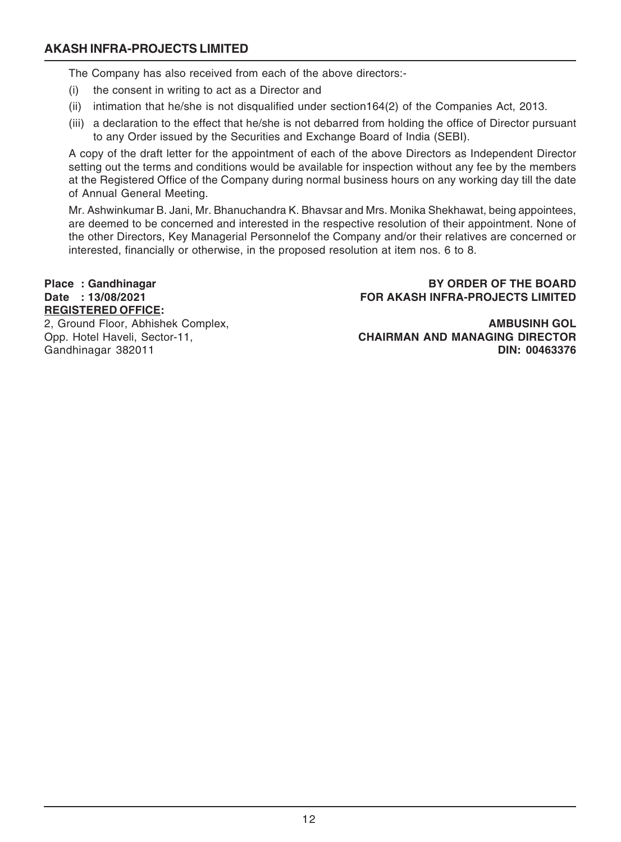The Company has also received from each of the above directors:-

- (i) the consent in writing to act as a Director and
- (ii) intimation that he/she is not disqualified under section164(2) of the Companies Act, 2013.
- (iii) a declaration to the effect that he/she is not debarred from holding the office of Director pursuant to any Order issued by the Securities and Exchange Board of India (SEBI).

A copy of the draft letter for the appointment of each of the above Directors as Independent Director setting out the terms and conditions would be available for inspection without any fee by the members at the Registered Office of the Company during normal business hours on any working day till the date of Annual General Meeting.

Mr. Ashwinkumar B. Jani, Mr. Bhanuchandra K. Bhavsar and Mrs. Monika Shekhawat, being appointees, are deemed to be concerned and interested in the respective resolution of their appointment. None of the other Directors, Key Managerial Personnelof the Company and/or their relatives are concerned or interested, financially or otherwise, in the proposed resolution at item nos. 6 to 8.

# **REGISTERED OFFICE:**

#### **Place : Gandhinagar BY ORDER OF THE BOARD Date : 13/08/2021 FOR AKASH INFRA-PROJECTS LIMITED**

2, Ground Floor, Abhishek Complex, **AMBUSINH GOL AMBUSINH GOL** Opp. Hotel Haveli, Sector-11, **CHAIRMAN AND MANAGING DIRECTOR** Gandhinagar 382011 **DIN: 00463376**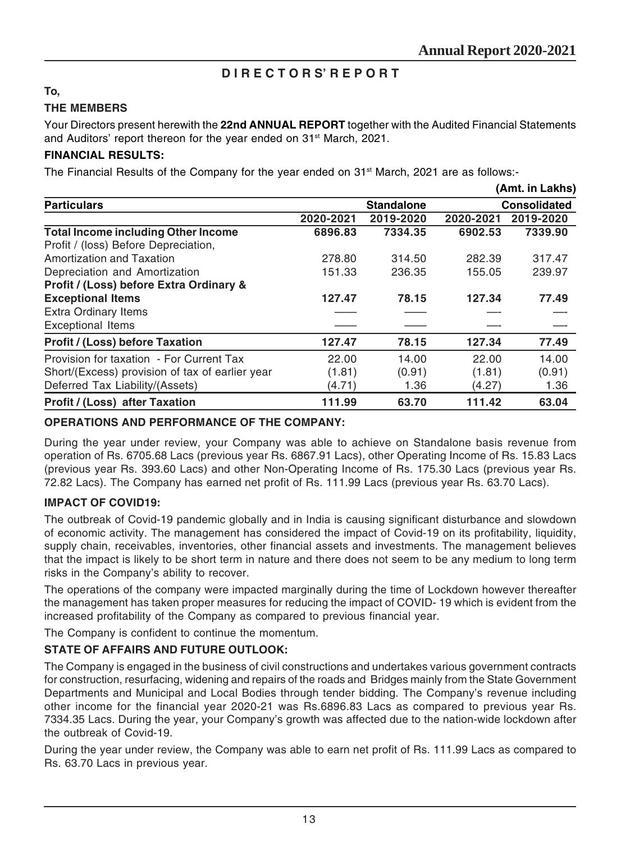# **D I R E C T O R S' R E P O R T**

# **To,**

# **THE MEMBERS**

Your Directors present herewith the **22nd ANNUAL REPORT** together with the Audited Financial Statements and Auditors' report thereon for the year ended on 31<sup>st</sup> March, 2021.

## **FINANCIAL RESULTS:**

The Financial Results of the Company for the year ended on 31<sup>st</sup> March, 2021 are as follows:-

|                                                 |           |                   |           | (Amt. in Lakhs)     |  |  |
|-------------------------------------------------|-----------|-------------------|-----------|---------------------|--|--|
| <b>Particulars</b>                              |           | <b>Standalone</b> |           | <b>Consolidated</b> |  |  |
|                                                 | 2020-2021 | 2019-2020         | 2020-2021 | 2019-2020           |  |  |
| <b>Total Income including Other Income</b>      | 6896.83   | 7334.35           | 6902.53   | 7339.90             |  |  |
| Profit / (loss) Before Depreciation,            |           |                   |           |                     |  |  |
| Amortization and Taxation                       | 278.80    | 314.50            | 282.39    | 317.47              |  |  |
| Depreciation and Amortization                   | 151.33    | 236.35            | 155.05    | 239.97              |  |  |
| Profit / (Loss) before Extra Ordinary &         |           |                   |           |                     |  |  |
| <b>Exceptional Items</b>                        | 127.47    | 78.15             | 127.34    | 77.49               |  |  |
| <b>Extra Ordinary Items</b>                     |           |                   |           |                     |  |  |
| <b>Exceptional Items</b>                        |           |                   |           |                     |  |  |
| <b>Profit / (Loss) before Taxation</b>          | 127.47    | 78.15             | 127.34    | 77.49               |  |  |
| Provision for taxation - For Current Tax        | 22.00     | 14.00             | 22.00     | 14.00               |  |  |
| Short/(Excess) provision of tax of earlier year | (1.81)    | (0.91)            | (1.81)    | (0.91)              |  |  |
| Deferred Tax Liability/(Assets)                 | (4.71)    | 1.36              | (4.27)    | 1.36                |  |  |
| <b>Profit / (Loss) after Taxation</b>           | 111.99    | 63.70             | 111.42    | 63.04               |  |  |

## **OPERATIONS AND PERFORMANCE OF THE COMPANY:**

During the year under review, your Company was able to achieve on Standalone basis revenue from operation of Rs. 6705.68 Lacs (previous year Rs. 6867.91 Lacs), other Operating Income of Rs. 15.83 Lacs (previous year Rs. 393.60 Lacs) and other Non-Operating Income of Rs. 175.30 Lacs (previous year Rs. 72.82 Lacs). The Company has earned net profit of Rs. 111.99 Lacs (previous year Rs. 63.70 Lacs).

## **IMPACT OF COVID19:**

The outbreak of Covid-19 pandemic globally and in India is causing significant disturbance and slowdown of economic activity. The management has considered the impact of Covid-19 on its profitability, liquidity, supply chain, receivables, inventories, other financial assets and investments. The management believes that the impact is likely to be short term in nature and there does not seem to be any medium to long term risks in the Company's ability to recover.

The operations of the company were impacted marginally during the time of Lockdown however thereafter the management has taken proper measures for reducing the impact of COVID- 19 which is evident from the increased profitability of the Company as compared to previous financial year.

The Company is confident to continue the momentum.

# **STATE OF AFFAIRS AND FUTURE OUTLOOK:**

The Company is engaged in the business of civil constructions and undertakes various government contracts for construction, resurfacing, widening and repairs of the roads and Bridges mainly from the State Government Departments and Municipal and Local Bodies through tender bidding. The Company's revenue including other income for the financial year 2020-21 was Rs.6896.83 Lacs as compared to previous year Rs. 7334.35 Lacs. During the year, your Company's growth was affected due to the nation-wide lockdown after the outbreak of Covid-19.

During the year under review, the Company was able to earn net profit of Rs. 111.99 Lacs as compared to Rs. 63.70 Lacs in previous year.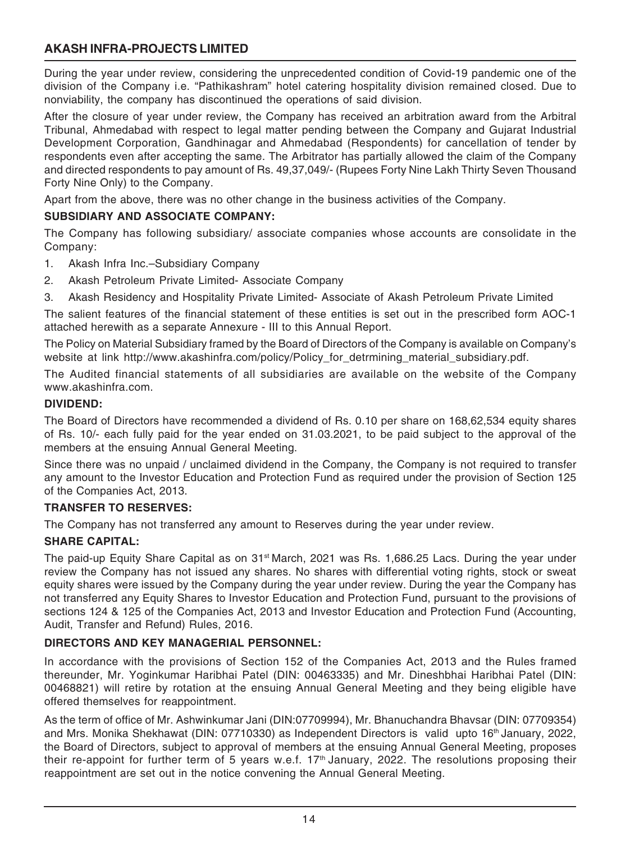During the year under review, considering the unprecedented condition of Covid-19 pandemic one of the division of the Company i.e. "Pathikashram" hotel catering hospitality division remained closed. Due to nonviability, the company has discontinued the operations of said division.

After the closure of year under review, the Company has received an arbitration award from the Arbitral Tribunal, Ahmedabad with respect to legal matter pending between the Company and Gujarat Industrial Development Corporation, Gandhinagar and Ahmedabad (Respondents) for cancellation of tender by respondents even after accepting the same. The Arbitrator has partially allowed the claim of the Company and directed respondents to pay amount of Rs. 49,37,049/- (Rupees Forty Nine Lakh Thirty Seven Thousand Forty Nine Only) to the Company.

Apart from the above, there was no other change in the business activities of the Company.

## **SUBSIDIARY AND ASSOCIATE COMPANY:**

The Company has following subsidiary/ associate companies whose accounts are consolidate in the Company:

- 1. Akash Infra Inc.–Subsidiary Company
- 2. Akash Petroleum Private Limited- Associate Company
- 3. Akash Residency and Hospitality Private Limited- Associate of Akash Petroleum Private Limited

The salient features of the financial statement of these entities is set out in the prescribed form AOC-1 attached herewith as a separate Annexure - III to this Annual Report.

The Policy on Material Subsidiary framed by the Board of Directors of the Company is available on Company's website at link http://www.akashinfra.com/policy/Policy\_for\_detrmining\_material\_subsidiary.pdf.

The Audited financial statements of all subsidiaries are available on the website of the Company www.akashinfra.com.

#### **DIVIDEND:**

The Board of Directors have recommended a dividend of Rs. 0.10 per share on 168,62,534 equity shares of Rs. 10/- each fully paid for the year ended on 31.03.2021, to be paid subject to the approval of the members at the ensuing Annual General Meeting.

Since there was no unpaid / unclaimed dividend in the Company, the Company is not required to transfer any amount to the Investor Education and Protection Fund as required under the provision of Section 125 of the Companies Act, 2013.

#### **TRANSFER TO RESERVES:**

The Company has not transferred any amount to Reserves during the year under review.

## **SHARE CAPITAL:**

The paid-up Equity Share Capital as on  $31<sup>st</sup>$  March, 2021 was Rs. 1,686.25 Lacs. During the year under review the Company has not issued any shares. No shares with differential voting rights, stock or sweat equity shares were issued by the Company during the year under review. During the year the Company has not transferred any Equity Shares to Investor Education and Protection Fund, pursuant to the provisions of sections 124 & 125 of the Companies Act, 2013 and Investor Education and Protection Fund (Accounting, Audit, Transfer and Refund) Rules, 2016.

## **DIRECTORS AND KEY MANAGERIAL PERSONNEL:**

In accordance with the provisions of Section 152 of the Companies Act, 2013 and the Rules framed thereunder, Mr. Yoginkumar Haribhai Patel (DIN: 00463335) and Mr. Dineshbhai Haribhai Patel (DIN: 00468821) will retire by rotation at the ensuing Annual General Meeting and they being eligible have offered themselves for reappointment.

As the term of office of Mr. Ashwinkumar Jani (DIN:07709994), Mr. Bhanuchandra Bhavsar (DIN: 07709354) and Mrs. Monika Shekhawat (DIN: 07710330) as Independent Directors is valid upto 16<sup>th</sup> January, 2022, the Board of Directors, subject to approval of members at the ensuing Annual General Meeting, proposes their re-appoint for further term of 5 years w.e.f. 17<sup>th</sup> January, 2022. The resolutions proposing their reappointment are set out in the notice convening the Annual General Meeting.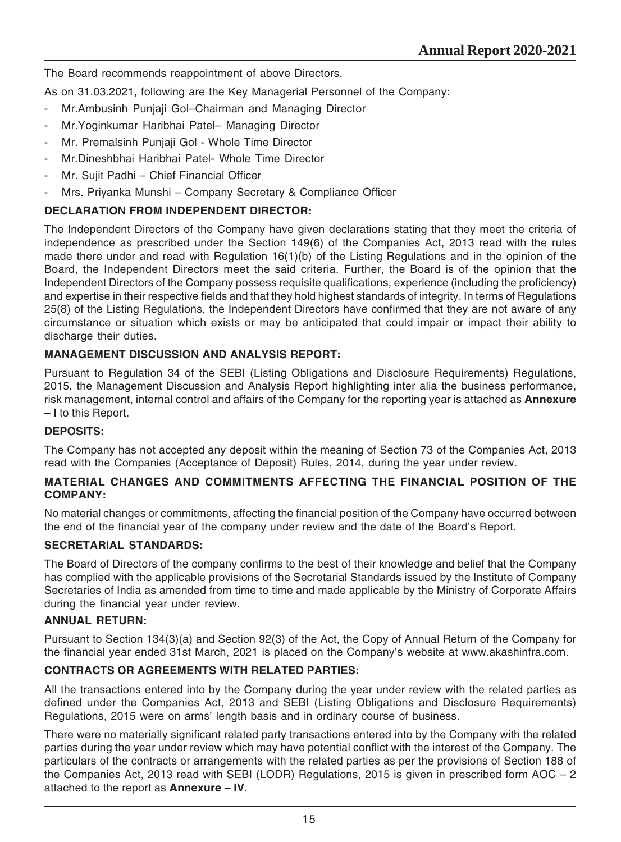The Board recommends reappointment of above Directors.

As on 31.03.2021, following are the Key Managerial Personnel of the Company:

- Mr.Ambusinh Punjaji Gol–Chairman and Managing Director
- Mr.Yoginkumar Haribhai Patel- Managing Director
- Mr. Premalsinh Punjaji Gol Whole Time Director
- Mr.Dineshbhai Haribhai Patel- Whole Time Director
- Mr. Sujit Padhi Chief Financial Officer
- Mrs. Priyanka Munshi Company Secretary & Compliance Officer

# **DECLARATION FROM INDEPENDENT DIRECTOR:**

The Independent Directors of the Company have given declarations stating that they meet the criteria of independence as prescribed under the Section 149(6) of the Companies Act, 2013 read with the rules made there under and read with Regulation 16(1)(b) of the Listing Regulations and in the opinion of the Board, the Independent Directors meet the said criteria. Further, the Board is of the opinion that the Independent Directors of the Company possess requisite qualifications, experience (including the proficiency) and expertise in their respective fields and that they hold highest standards of integrity. In terms of Regulations 25(8) of the Listing Regulations, the Independent Directors have confirmed that they are not aware of any circumstance or situation which exists or may be anticipated that could impair or impact their ability to discharge their duties.

# **MANAGEMENT DISCUSSION AND ANALYSIS REPORT:**

Pursuant to Regulation 34 of the SEBI (Listing Obligations and Disclosure Requirements) Regulations, 2015, the Management Discussion and Analysis Report highlighting inter alia the business performance, risk management, internal control and affairs of the Company for the reporting year is attached as **Annexure – I** to this Report.

## **DEPOSITS:**

The Company has not accepted any deposit within the meaning of Section 73 of the Companies Act, 2013 read with the Companies (Acceptance of Deposit) Rules, 2014, during the year under review.

#### **MATERIAL CHANGES AND COMMITMENTS AFFECTING THE FINANCIAL POSITION OF THE COMPANY:**

No material changes or commitments, affecting the financial position of the Company have occurred between the end of the financial year of the company under review and the date of the Board's Report.

# **SECRETARIAL STANDARDS:**

The Board of Directors of the company confirms to the best of their knowledge and belief that the Company has complied with the applicable provisions of the Secretarial Standards issued by the Institute of Company Secretaries of India as amended from time to time and made applicable by the Ministry of Corporate Affairs during the financial year under review.

## **ANNUAL RETURN:**

Pursuant to Section 134(3)(a) and Section 92(3) of the Act, the Copy of Annual Return of the Company for the financial year ended 31st March, 2021 is placed on the Company's website at www.akashinfra.com.

## **CONTRACTS OR AGREEMENTS WITH RELATED PARTIES:**

All the transactions entered into by the Company during the year under review with the related parties as defined under the Companies Act, 2013 and SEBI (Listing Obligations and Disclosure Requirements) Regulations, 2015 were on arms' length basis and in ordinary course of business.

There were no materially significant related party transactions entered into by the Company with the related parties during the year under review which may have potential conflict with the interest of the Company. The particulars of the contracts or arrangements with the related parties as per the provisions of Section 188 of the Companies Act, 2013 read with SEBI (LODR) Regulations, 2015 is given in prescribed form AOC – 2 attached to the report as **Annexure – IV**.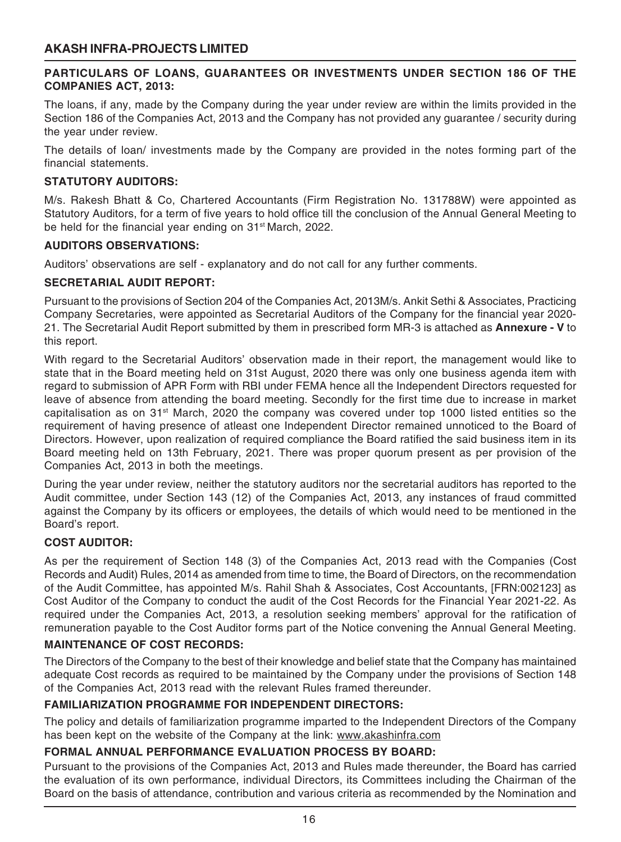## **PARTICULARS OF LOANS, GUARANTEES OR INVESTMENTS UNDER SECTION 186 OF THE COMPANIES ACT, 2013:**

The loans, if any, made by the Company during the year under review are within the limits provided in the Section 186 of the Companies Act, 2013 and the Company has not provided any guarantee / security during the year under review.

The details of loan/ investments made by the Company are provided in the notes forming part of the financial statements.

## **STATUTORY AUDITORS:**

M/s. Rakesh Bhatt & Co, Chartered Accountants (Firm Registration No. 131788W) were appointed as Statutory Auditors, for a term of five years to hold office till the conclusion of the Annual General Meeting to be held for the financial year ending on 31<sup>st</sup> March, 2022.

#### **AUDITORS OBSERVATIONS:**

Auditors' observations are self - explanatory and do not call for any further comments.

#### **SECRETARIAL AUDIT REPORT:**

Pursuant to the provisions of Section 204 of the Companies Act, 2013M/s. Ankit Sethi & Associates, Practicing Company Secretaries, were appointed as Secretarial Auditors of the Company for the financial year 2020- 21. The Secretarial Audit Report submitted by them in prescribed form MR-3 is attached as **Annexure - V** to this report.

With regard to the Secretarial Auditors' observation made in their report, the management would like to state that in the Board meeting held on 31st August, 2020 there was only one business agenda item with regard to submission of APR Form with RBI under FEMA hence all the Independent Directors requested for leave of absence from attending the board meeting. Secondly for the first time due to increase in market capitalisation as on 31st March, 2020 the company was covered under top 1000 listed entities so the requirement of having presence of atleast one Independent Director remained unnoticed to the Board of Directors. However, upon realization of required compliance the Board ratified the said business item in its Board meeting held on 13th February, 2021. There was proper quorum present as per provision of the Companies Act, 2013 in both the meetings.

During the year under review, neither the statutory auditors nor the secretarial auditors has reported to the Audit committee, under Section 143 (12) of the Companies Act, 2013, any instances of fraud committed against the Company by its officers or employees, the details of which would need to be mentioned in the Board's report.

#### **COST AUDITOR:**

As per the requirement of Section 148 (3) of the Companies Act, 2013 read with the Companies (Cost Records and Audit) Rules, 2014 as amended from time to time, the Board of Directors, on the recommendation of the Audit Committee, has appointed M/s. Rahil Shah & Associates, Cost Accountants, [FRN:002123] as Cost Auditor of the Company to conduct the audit of the Cost Records for the Financial Year 2021-22. As required under the Companies Act, 2013, a resolution seeking members' approval for the ratification of remuneration payable to the Cost Auditor forms part of the Notice convening the Annual General Meeting.

#### **MAINTENANCE OF COST RECORDS:**

The Directors of the Company to the best of their knowledge and belief state that the Company has maintained adequate Cost records as required to be maintained by the Company under the provisions of Section 148 of the Companies Act, 2013 read with the relevant Rules framed thereunder.

## **FAMILIARIZATION PROGRAMME FOR INDEPENDENT DIRECTORS:**

The policy and details of familiarization programme imparted to the Independent Directors of the Company has been kept on the website of the Company at the link: www.akashinfra.com

# **FORMAL ANNUAL PERFORMANCE EVALUATION PROCESS BY BOARD:**

Pursuant to the provisions of the Companies Act, 2013 and Rules made thereunder, the Board has carried the evaluation of its own performance, individual Directors, its Committees including the Chairman of the Board on the basis of attendance, contribution and various criteria as recommended by the Nomination and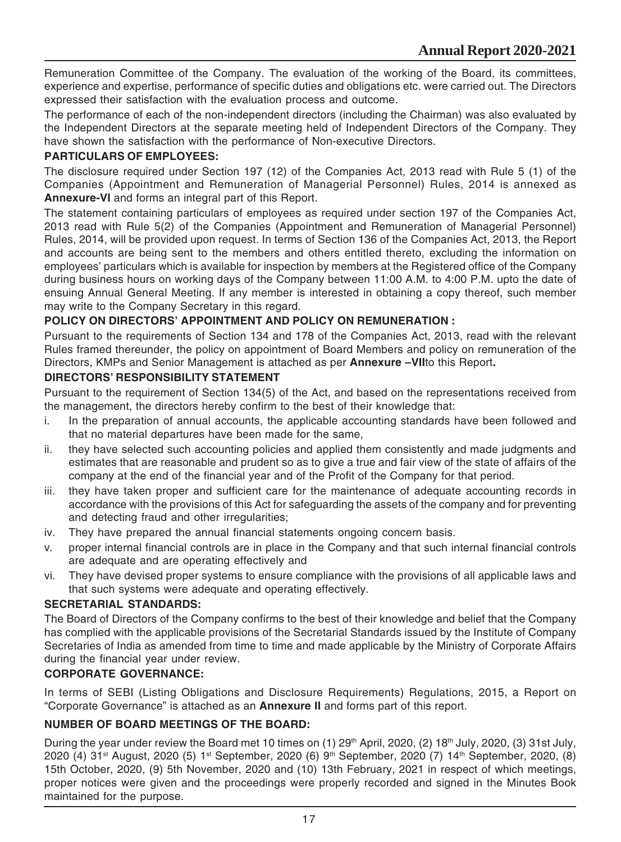Remuneration Committee of the Company. The evaluation of the working of the Board, its committees, experience and expertise, performance of specific duties and obligations etc. were carried out. The Directors expressed their satisfaction with the evaluation process and outcome.

The performance of each of the non-independent directors (including the Chairman) was also evaluated by the Independent Directors at the separate meeting held of Independent Directors of the Company. They have shown the satisfaction with the performance of Non-executive Directors.

## **PARTICULARS OF EMPLOYEES:**

The disclosure required under Section 197 (12) of the Companies Act, 2013 read with Rule 5 (1) of the Companies (Appointment and Remuneration of Managerial Personnel) Rules, 2014 is annexed as **Annexure-VI** and forms an integral part of this Report.

The statement containing particulars of employees as required under section 197 of the Companies Act, 2013 read with Rule 5(2) of the Companies (Appointment and Remuneration of Managerial Personnel) Rules, 2014, will be provided upon request. In terms of Section 136 of the Companies Act, 2013, the Report and accounts are being sent to the members and others entitled thereto, excluding the information on employees' particulars which is available for inspection by members at the Registered office of the Company during business hours on working days of the Company between 11:00 A.M. to 4:00 P.M. upto the date of ensuing Annual General Meeting. If any member is interested in obtaining a copy thereof, such member may write to the Company Secretary in this regard.

## **POLICY ON DIRECTORS' APPOINTMENT AND POLICY ON REMUNERATION :**

Pursuant to the requirements of Section 134 and 178 of the Companies Act, 2013, read with the relevant Rules framed thereunder, the policy on appointment of Board Members and policy on remuneration of the Directors, KMPs and Senior Management is attached as per **Annexure –VII**to this Report**.**

#### **DIRECTORS' RESPONSIBILITY STATEMENT**

Pursuant to the requirement of Section 134(5) of the Act, and based on the representations received from the management, the directors hereby confirm to the best of their knowledge that:

- i. In the preparation of annual accounts, the applicable accounting standards have been followed and that no material departures have been made for the same,
- ii. they have selected such accounting policies and applied them consistently and made judgments and estimates that are reasonable and prudent so as to give a true and fair view of the state of affairs of the company at the end of the financial year and of the Profit of the Company for that period.
- iii. they have taken proper and sufficient care for the maintenance of adequate accounting records in accordance with the provisions of this Act for safeguarding the assets of the company and for preventing and detecting fraud and other irregularities;
- iv. They have prepared the annual financial statements ongoing concern basis.
- v. proper internal financial controls are in place in the Company and that such internal financial controls are adequate and are operating effectively and
- vi. They have devised proper systems to ensure compliance with the provisions of all applicable laws and that such systems were adequate and operating effectively.

#### **SECRETARIAL STANDARDS:**

The Board of Directors of the Company confirms to the best of their knowledge and belief that the Company has complied with the applicable provisions of the Secretarial Standards issued by the Institute of Company Secretaries of India as amended from time to time and made applicable by the Ministry of Corporate Affairs during the financial year under review.

#### **CORPORATE GOVERNANCE:**

In terms of SEBI (Listing Obligations and Disclosure Requirements) Regulations, 2015, a Report on "Corporate Governance" is attached as an **Annexure II** and forms part of this report.

## **NUMBER OF BOARD MEETINGS OF THE BOARD:**

During the year under review the Board met 10 times on (1) 29th April, 2020, (2) 18th July, 2020, (3) 31st July, 2020 (4) 31<sup>st</sup> August, 2020 (5) 1<sup>st</sup> September, 2020 (6) 9<sup>th</sup> September, 2020 (7) 14<sup>th</sup> September, 2020, (8) 15th October, 2020, (9) 5th November, 2020 and (10) 13th February, 2021 in respect of which meetings, proper notices were given and the proceedings were properly recorded and signed in the Minutes Book maintained for the purpose.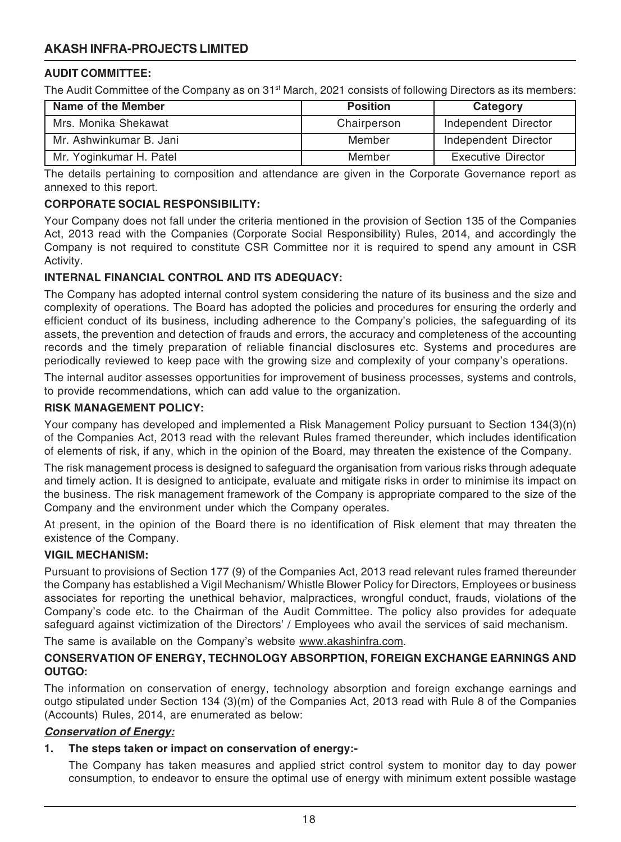# **AUDIT COMMITTEE:**

The Audit Committee of the Company as on 31<sup>st</sup> March, 2021 consists of following Directors as its members:

| Name of the Member      | <b>Position</b> | Category             |
|-------------------------|-----------------|----------------------|
| Mrs. Monika Shekawat    | Chairperson     | Independent Director |
| Mr. Ashwinkumar B. Jani | Member          | Independent Director |
| Mr. Yoginkumar H. Patel | Member          | Executive Director   |

The details pertaining to composition and attendance are given in the Corporate Governance report as annexed to this report.

# **CORPORATE SOCIAL RESPONSIBILITY:**

Your Company does not fall under the criteria mentioned in the provision of Section 135 of the Companies Act, 2013 read with the Companies (Corporate Social Responsibility) Rules, 2014, and accordingly the Company is not required to constitute CSR Committee nor it is required to spend any amount in CSR Activity.

# **INTERNAL FINANCIAL CONTROL AND ITS ADEQUACY:**

The Company has adopted internal control system considering the nature of its business and the size and complexity of operations. The Board has adopted the policies and procedures for ensuring the orderly and efficient conduct of its business, including adherence to the Company's policies, the safeguarding of its assets, the prevention and detection of frauds and errors, the accuracy and completeness of the accounting records and the timely preparation of reliable financial disclosures etc. Systems and procedures are periodically reviewed to keep pace with the growing size and complexity of your company's operations.

The internal auditor assesses opportunities for improvement of business processes, systems and controls, to provide recommendations, which can add value to the organization.

## **RISK MANAGEMENT POLICY:**

Your company has developed and implemented a Risk Management Policy pursuant to Section 134(3)(n) of the Companies Act, 2013 read with the relevant Rules framed thereunder, which includes identification of elements of risk, if any, which in the opinion of the Board, may threaten the existence of the Company.

The risk management process is designed to safeguard the organisation from various risks through adequate and timely action. It is designed to anticipate, evaluate and mitigate risks in order to minimise its impact on the business. The risk management framework of the Company is appropriate compared to the size of the Company and the environment under which the Company operates.

At present, in the opinion of the Board there is no identification of Risk element that may threaten the existence of the Company.

## **VIGIL MECHANISM:**

Pursuant to provisions of Section 177 (9) of the Companies Act, 2013 read relevant rules framed thereunder the Company has established a Vigil Mechanism/ Whistle Blower Policy for Directors, Employees or business associates for reporting the unethical behavior, malpractices, wrongful conduct, frauds, violations of the Company's code etc. to the Chairman of the Audit Committee. The policy also provides for adequate safeguard against victimization of the Directors' / Employees who avail the services of said mechanism.

The same is available on the Company's website www.akashinfra.com.

## **CONSERVATION OF ENERGY, TECHNOLOGY ABSORPTION, FOREIGN EXCHANGE EARNINGS AND OUTGO:**

The information on conservation of energy, technology absorption and foreign exchange earnings and outgo stipulated under Section 134 (3)(m) of the Companies Act, 2013 read with Rule 8 of the Companies (Accounts) Rules, 2014, are enumerated as below:

## **Conservation of Energy:**

## **1. The steps taken or impact on conservation of energy:-**

The Company has taken measures and applied strict control system to monitor day to day power consumption, to endeavor to ensure the optimal use of energy with minimum extent possible wastage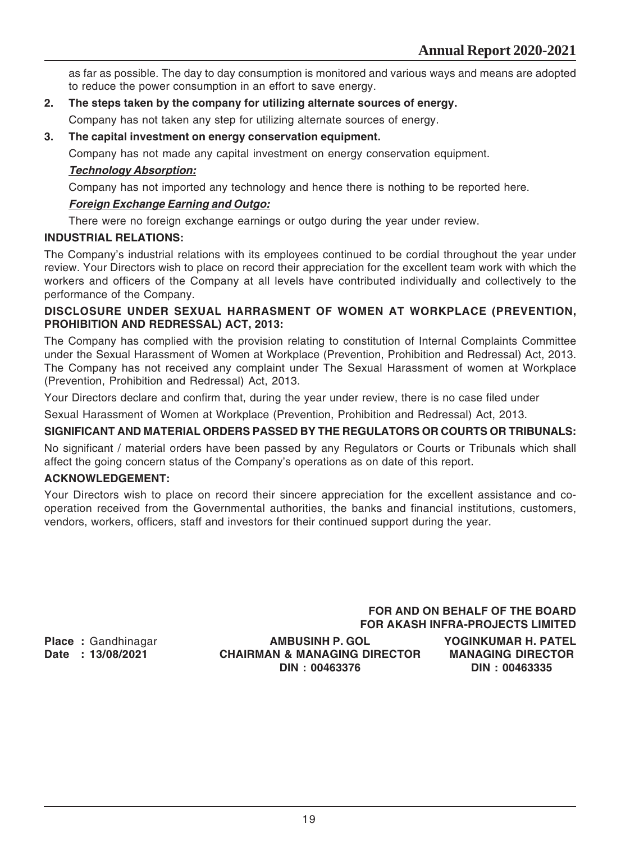as far as possible. The day to day consumption is monitored and various ways and means are adopted to reduce the power consumption in an effort to save energy.

**2. The steps taken by the company for utilizing alternate sources of energy.**

Company has not taken any step for utilizing alternate sources of energy.

**3. The capital investment on energy conservation equipment.**

Company has not made any capital investment on energy conservation equipment.

# **Technology Absorption:**

Company has not imported any technology and hence there is nothing to be reported here.

# **Foreign Exchange Earning and Outgo:**

There were no foreign exchange earnings or outgo during the year under review.

# **INDUSTRIAL RELATIONS:**

The Company's industrial relations with its employees continued to be cordial throughout the year under review. Your Directors wish to place on record their appreciation for the excellent team work with which the workers and officers of the Company at all levels have contributed individually and collectively to the performance of the Company.

# **DISCLOSURE UNDER SEXUAL HARRASMENT OF WOMEN AT WORKPLACE (PREVENTION, PROHIBITION AND REDRESSAL) ACT, 2013:**

The Company has complied with the provision relating to constitution of Internal Complaints Committee under the Sexual Harassment of Women at Workplace (Prevention, Prohibition and Redressal) Act, 2013. The Company has not received any complaint under The Sexual Harassment of women at Workplace (Prevention, Prohibition and Redressal) Act, 2013.

Your Directors declare and confirm that, during the year under review, there is no case filed under

Sexual Harassment of Women at Workplace (Prevention, Prohibition and Redressal) Act, 2013.

## **SIGNIFICANT AND MATERIAL ORDERS PASSED BY THE REGULATORS OR COURTS OR TRIBUNALS:**

No significant / material orders have been passed by any Regulators or Courts or Tribunals which shall affect the going concern status of the Company's operations as on date of this report.

## **ACKNOWLEDGEMENT:**

Your Directors wish to place on record their sincere appreciation for the excellent assistance and cooperation received from the Governmental authorities, the banks and financial institutions, customers, vendors, workers, officers, staff and investors for their continued support during the year.

**Place :** Gandhinagar **AMBUSINH P. GOL YOGINKUMAR H. PATEL Date : 13/08/2021 CHAIRMAN & MANAGING DIRECTOR MANAGING DIRECTOR DIN : 00463376 DIN : 00463335**

**FOR AND ON BEHALF OF THE BOARD FOR AKASH INFRA-PROJECTS LIMITED**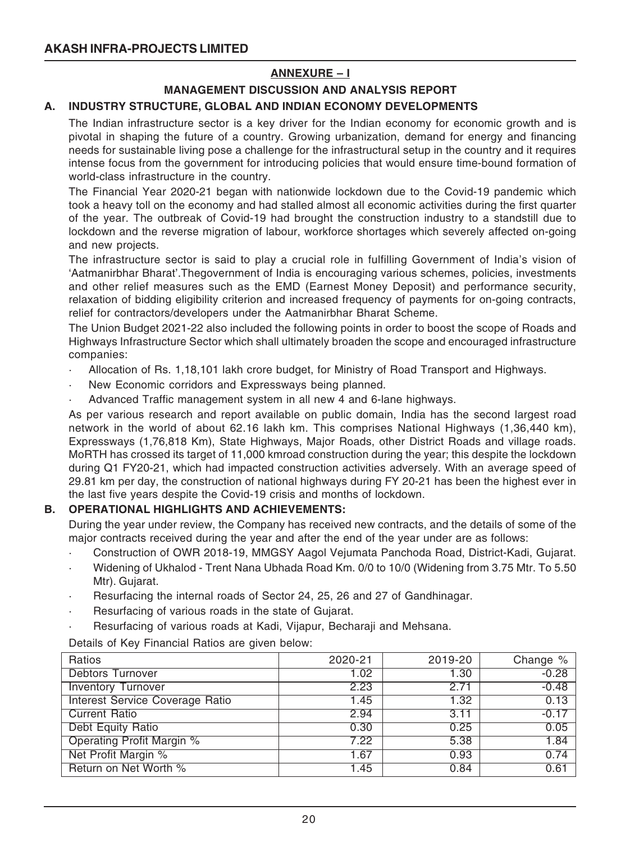# **ANNEXURE – I**

# **MANAGEMENT DISCUSSION AND ANALYSIS REPORT**

# **A. INDUSTRY STRUCTURE, GLOBAL AND INDIAN ECONOMY DEVELOPMENTS**

The Indian infrastructure sector is a key driver for the Indian economy for economic growth and is pivotal in shaping the future of a country. Growing urbanization, demand for energy and financing needs for sustainable living pose a challenge for the infrastructural setup in the country and it requires intense focus from the government for introducing policies that would ensure time-bound formation of world-class infrastructure in the country.

The Financial Year 2020-21 began with nationwide lockdown due to the Covid-19 pandemic which took a heavy toll on the economy and had stalled almost all economic activities during the first quarter of the year. The outbreak of Covid-19 had brought the construction industry to a standstill due to lockdown and the reverse migration of labour, workforce shortages which severely affected on-going and new projects.

The infrastructure sector is said to play a crucial role in fulfilling Government of India's vision of 'Aatmanirbhar Bharat'.Thegovernment of India is encouraging various schemes, policies, investments and other relief measures such as the EMD (Earnest Money Deposit) and performance security, relaxation of bidding eligibility criterion and increased frequency of payments for on-going contracts, relief for contractors/developers under the Aatmanirbhar Bharat Scheme.

The Union Budget 2021-22 also included the following points in order to boost the scope of Roads and Highways Infrastructure Sector which shall ultimately broaden the scope and encouraged infrastructure companies:

- · Allocation of Rs. 1,18,101 lakh crore budget, for Ministry of Road Transport and Highways.
- New Economic corridors and Expressways being planned.
- Advanced Traffic management system in all new 4 and 6-lane highways.

As per various research and report available on public domain, India has the second largest road network in the world of about 62.16 lakh km. This comprises National Highways (1,36,440 km), Expressways (1,76,818 Km), State Highways, Major Roads, other District Roads and village roads. MoRTH has crossed its target of 11,000 kmroad construction during the year; this despite the lockdown during Q1 FY20-21, which had impacted construction activities adversely. With an average speed of 29.81 km per day, the construction of national highways during FY 20-21 has been the highest ever in the last five years despite the Covid-19 crisis and months of lockdown.

## **B. OPERATIONAL HIGHLIGHTS AND ACHIEVEMENTS:**

During the year under review, the Company has received new contracts, and the details of some of the major contracts received during the year and after the end of the year under are as follows:

- · Construction of OWR 2018-19, MMGSY Aagol Vejumata Panchoda Road, District-Kadi, Gujarat.
- · Widening of Ukhalod Trent Nana Ubhada Road Km. 0/0 to 10/0 (Widening from 3.75 Mtr. To 5.50 Mtr). Gujarat.
- Resurfacing the internal roads of Sector 24, 25, 26 and 27 of Gandhinagar.
- Resurfacing of various roads in the state of Gujarat.
- Resurfacing of various roads at Kadi, Vijapur, Becharaji and Mehsana.

Details of Key Financial Ratios are given below:

| Ratios                          | 2020-21 | 2019-20 | Change % |
|---------------------------------|---------|---------|----------|
| Debtors Turnover                | 1.02    | 1.30    | $-0.28$  |
| <b>Inventory Turnover</b>       | 2.23    | 2.71    | $-0.48$  |
| Interest Service Coverage Ratio | 1.45    | 1.32    | 0.13     |
| <b>Current Ratio</b>            | 2.94    | 3.11    | $-0.17$  |
| Debt Equity Ratio               | 0.30    | 0.25    | 0.05     |
| Operating Profit Margin %       | 7.22    | 5.38    | 1.84     |
| Net Profit Margin %             | 1.67    | 0.93    | 0.74     |
| Return on Net Worth %           | 1.45    | 0.84    | 0.61     |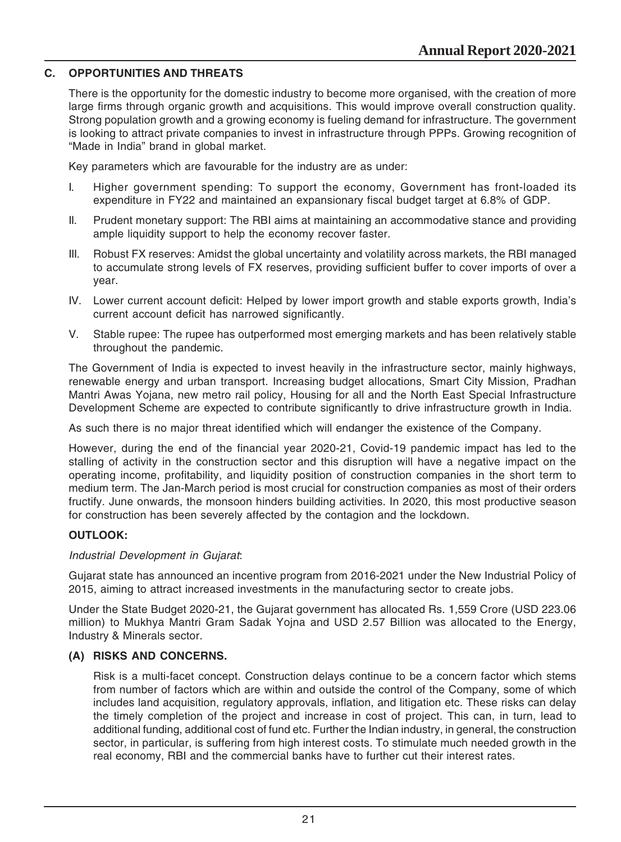# **C. OPPORTUNITIES AND THREATS**

There is the opportunity for the domestic industry to become more organised, with the creation of more large firms through organic growth and acquisitions. This would improve overall construction quality. Strong population growth and a growing economy is fueling demand for infrastructure. The government is looking to attract private companies to invest in infrastructure through PPPs. Growing recognition of "Made in India" brand in global market.

Key parameters which are favourable for the industry are as under:

- I. Higher government spending: To support the economy, Government has front-loaded its expenditure in FY22 and maintained an expansionary fiscal budget target at 6.8% of GDP.
- II. Prudent monetary support: The RBI aims at maintaining an accommodative stance and providing ample liquidity support to help the economy recover faster.
- III. Robust FX reserves: Amidst the global uncertainty and volatility across markets, the RBI managed to accumulate strong levels of FX reserves, providing sufficient buffer to cover imports of over a year.
- IV. Lower current account deficit: Helped by lower import growth and stable exports growth, India's current account deficit has narrowed significantly.
- V. Stable rupee: The rupee has outperformed most emerging markets and has been relatively stable throughout the pandemic.

The Government of India is expected to invest heavily in the infrastructure sector, mainly highways, renewable energy and urban transport. Increasing budget allocations, Smart City Mission, Pradhan Mantri Awas Yojana, new metro rail policy, Housing for all and the North East Special Infrastructure Development Scheme are expected to contribute significantly to drive infrastructure growth in India.

As such there is no major threat identified which will endanger the existence of the Company.

However, during the end of the financial year 2020-21, Covid-19 pandemic impact has led to the stalling of activity in the construction sector and this disruption will have a negative impact on the operating income, profitability, and liquidity position of construction companies in the short term to medium term. The Jan-March period is most crucial for construction companies as most of their orders fructify. June onwards, the monsoon hinders building activities. In 2020, this most productive season for construction has been severely affected by the contagion and the lockdown.

## **OUTLOOK:**

#### Industrial Development in Gujarat:

Gujarat state has announced an incentive program from 2016-2021 under the New Industrial Policy of 2015, aiming to attract increased investments in the manufacturing sector to create jobs.

Under the State Budget 2020-21, the Gujarat government has allocated Rs. 1,559 Crore (USD 223.06 million) to Mukhya Mantri Gram Sadak Yojna and USD 2.57 Billion was allocated to the Energy, Industry & Minerals sector.

#### **(A) RISKS AND CONCERNS.**

Risk is a multi-facet concept. Construction delays continue to be a concern factor which stems from number of factors which are within and outside the control of the Company, some of which includes land acquisition, regulatory approvals, inflation, and litigation etc. These risks can delay the timely completion of the project and increase in cost of project. This can, in turn, lead to additional funding, additional cost of fund etc. Further the Indian industry, in general, the construction sector, in particular, is suffering from high interest costs. To stimulate much needed growth in the real economy, RBI and the commercial banks have to further cut their interest rates.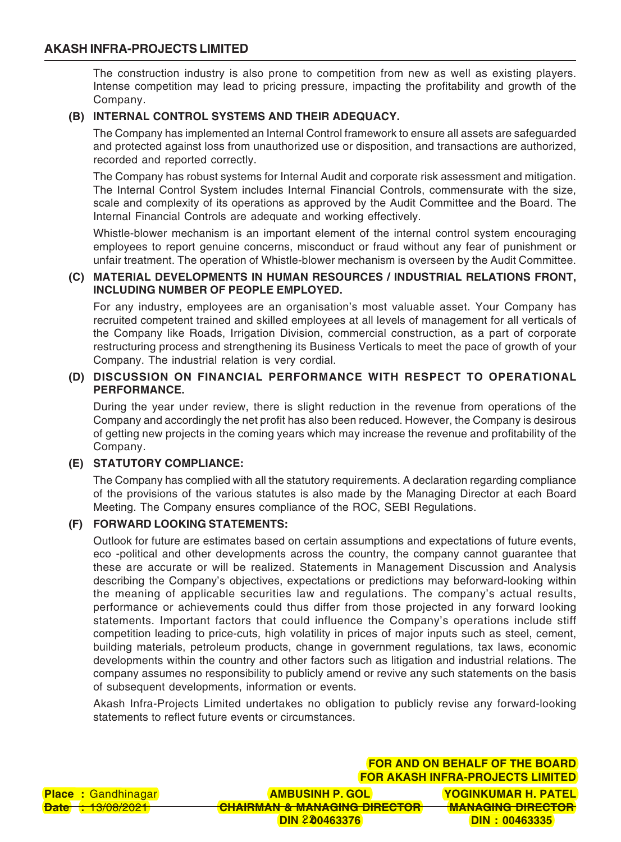The construction industry is also prone to competition from new as well as existing players. Intense competition may lead to pricing pressure, impacting the profitability and growth of the Company.

# **(B) INTERNAL CONTROL SYSTEMS AND THEIR ADEQUACY.**

The Company has implemented an Internal Control framework to ensure all assets are safeguarded and protected against loss from unauthorized use or disposition, and transactions are authorized, recorded and reported correctly.

The Company has robust systems for Internal Audit and corporate risk assessment and mitigation. The Internal Control System includes Internal Financial Controls, commensurate with the size, scale and complexity of its operations as approved by the Audit Committee and the Board. The Internal Financial Controls are adequate and working effectively.

Whistle-blower mechanism is an important element of the internal control system encouraging employees to report genuine concerns, misconduct or fraud without any fear of punishment or unfair treatment. The operation of Whistle-blower mechanism is overseen by the Audit Committee.

#### **(C) MATERIAL DEVELOPMENTS IN HUMAN RESOURCES / INDUSTRIAL RELATIONS FRONT, INCLUDING NUMBER OF PEOPLE EMPLOYED.**

For any industry, employees are an organisation's most valuable asset. Your Company has recruited competent trained and skilled employees at all levels of management for all verticals of the Company like Roads, Irrigation Division, commercial construction, as a part of corporate restructuring process and strengthening its Business Verticals to meet the pace of growth of your Company. The industrial relation is very cordial.

#### **(D) DISCUSSION ON FINANCIAL PERFORMANCE WITH RESPECT TO OPERATIONAL PERFORMANCE.**

During the year under review, there is slight reduction in the revenue from operations of the Company and accordingly the net profit has also been reduced. However, the Company is desirous of getting new projects in the coming years which may increase the revenue and profitability of the Company.

#### **(E) STATUTORY COMPLIANCE:**

The Company has complied with all the statutory requirements. A declaration regarding compliance of the provisions of the various statutes is also made by the Managing Director at each Board Meeting. The Company ensures compliance of the ROC, SEBI Regulations.

# **(F) FORWARD LOOKING STATEMENTS:**

Outlook for future are estimates based on certain assumptions and expectations of future events, eco -political and other developments across the country, the company cannot guarantee that these are accurate or will be realized. Statements in Management Discussion and Analysis describing the Company's objectives, expectations or predictions may beforward-looking within the meaning of applicable securities law and regulations. The company's actual results, performance or achievements could thus differ from those projected in any forward looking statements. Important factors that could influence the Company's operations include stiff competition leading to price-cuts, high volatility in prices of major inputs such as steel, cement, building materials, petroleum products, change in government regulations, tax laws, economic developments within the country and other factors such as litigation and industrial relations. The company assumes no responsibility to publicly amend or revive any such statements on the basis of subsequent developments, information or events.

Akash Infra-Projects Limited undertakes no obligation to publicly revise any forward-looking statements to reflect future events or circumstances.

> **FOR AND ON BEHALF OF THE BOARD FOR AKASH INFRA-PROJECTS LIMITED**

| <b>Place: Gandhinagar</b>                        | <b>AMBUSINH P. GOL</b>                                                              | <b>YOGINKUMAR H. PATEL</b>                                 |
|--------------------------------------------------|-------------------------------------------------------------------------------------|------------------------------------------------------------|
| <b>BLACK</b><br><b>Dale</b><br><u>10/00/2021</u> | <b>OUAIDMAN &amp; MANAQING DIDEATOD</b><br><u>UNAINWAN &amp; WANAUING DINEUTUN </u> | <b>MANAQINA DIDEATAD</b><br><b>TWEINERUNDE BILLEU LUIT</b> |
|                                                  | <b>DIN 220463376</b>                                                                | $\pm 00463335$                                             |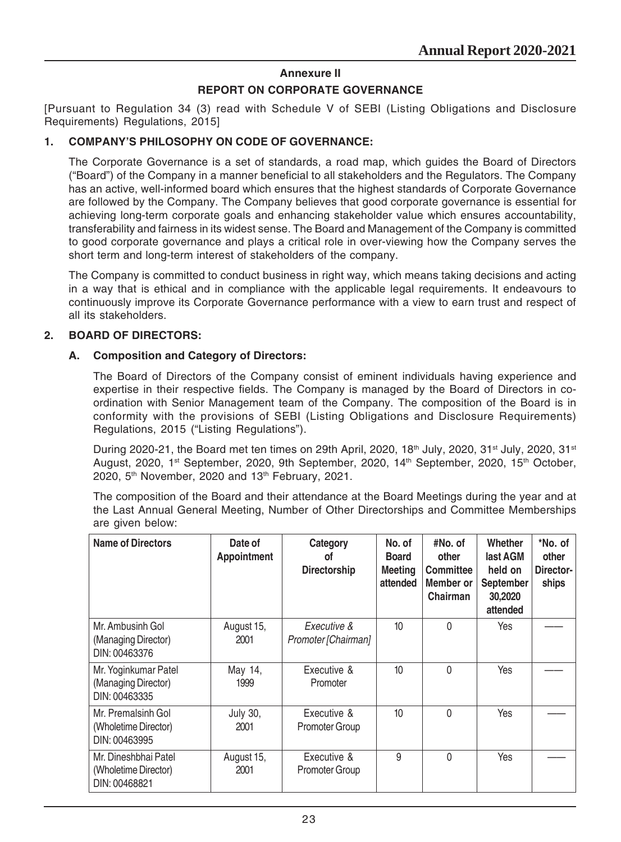#### **Annexure II**

# **REPORT ON CORPORATE GOVERNANCE**

[Pursuant to Regulation 34 (3) read with Schedule V of SEBI (Listing Obligations and Disclosure Requirements) Regulations, 2015]

# **1. COMPANY'S PHILOSOPHY ON CODE OF GOVERNANCE:**

The Corporate Governance is a set of standards, a road map, which guides the Board of Directors ("Board") of the Company in a manner beneficial to all stakeholders and the Regulators. The Company has an active, well-informed board which ensures that the highest standards of Corporate Governance are followed by the Company. The Company believes that good corporate governance is essential for achieving long-term corporate goals and enhancing stakeholder value which ensures accountability, transferability and fairness in its widest sense. The Board and Management of the Company is committed to good corporate governance and plays a critical role in over-viewing how the Company serves the short term and long-term interest of stakeholders of the company.

The Company is committed to conduct business in right way, which means taking decisions and acting in a way that is ethical and in compliance with the applicable legal requirements. It endeavours to continuously improve its Corporate Governance performance with a view to earn trust and respect of all its stakeholders.

## **2. BOARD OF DIRECTORS:**

## **A. Composition and Category of Directors:**

The Board of Directors of the Company consist of eminent individuals having experience and expertise in their respective fields. The Company is managed by the Board of Directors in coordination with Senior Management team of the Company. The composition of the Board is in conformity with the provisions of SEBI (Listing Obligations and Disclosure Requirements) Regulations, 2015 ("Listing Regulations").

During 2020-21, the Board met ten times on 29th April, 2020, 18th July, 2020, 31st July, 2020, 31st August, 2020, 1<sup>st</sup> September, 2020, 9th September, 2020, 14<sup>th</sup> September, 2020, 15<sup>th</sup> October, 2020, 5<sup>th</sup> November, 2020 and 13<sup>th</sup> February, 2021.

The composition of the Board and their attendance at the Board Meetings during the year and at the Last Annual General Meeting, Number of Other Directorships and Committee Memberships are given below:

| <b>Name of Directors</b>                                      | Date of<br>Appointment  | Category<br>Ωf<br><b>Directorship</b> | No. of<br><b>Board</b><br>Meetina<br>attended | #No. of<br>other<br><b>Committee</b><br>Member or<br>Chairman | Whether<br>last AGM<br>held on<br>September<br>30,2020<br>attended | *No. of<br>other<br>Director-<br>ships |
|---------------------------------------------------------------|-------------------------|---------------------------------------|-----------------------------------------------|---------------------------------------------------------------|--------------------------------------------------------------------|----------------------------------------|
| Mr. Ambusinh Gol<br>(Managing Director)<br>DIN: 00463376      | August 15,<br>2001      | Executive &<br>Promoter [Chairman]    | 10                                            | $\Omega$                                                      | Yes                                                                |                                        |
| Mr. Yoginkumar Patel<br>(Managing Director)<br>DIN: 00463335  | May 14,<br>1999         | Executive &<br>Promoter               | 10                                            | $\Omega$                                                      | Yes                                                                |                                        |
| Mr. Premalsinh Gol<br>(Wholetime Director)<br>DIN: 00463995   | <b>July 30,</b><br>2001 | Executive &<br>Promoter Group         | 10                                            | $\Omega$                                                      | Yes                                                                |                                        |
| Mr. Dineshbhai Patel<br>(Wholetime Director)<br>DIN: 00468821 | August 15,<br>2001      | Executive &<br>Promoter Group         | 9                                             | $\Omega$                                                      | Yes                                                                |                                        |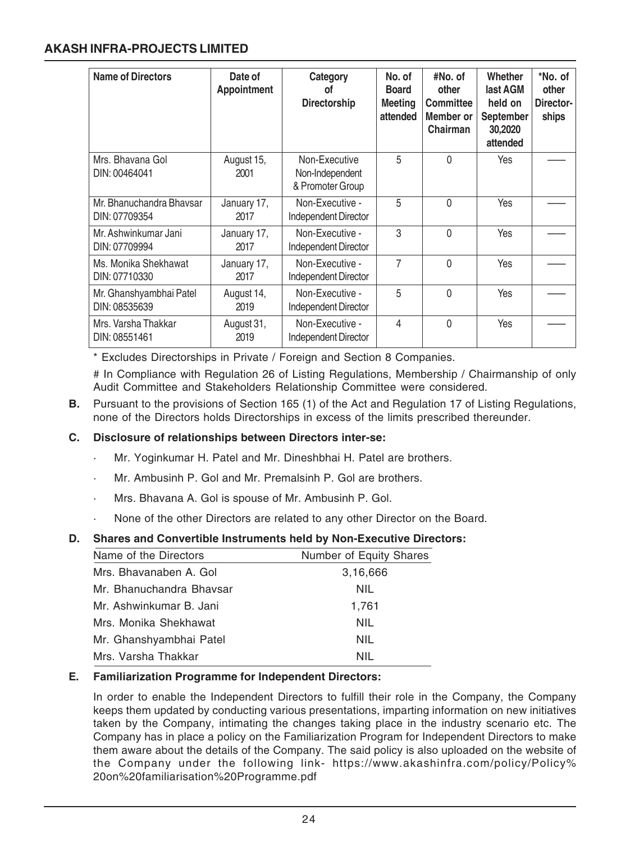| <b>Name of Directors</b>                  | Date of<br>Appointment | Category<br>ΩŤ<br><b>Directorship</b>                | No. of<br><b>Board</b><br><b>Meeting</b><br>attended | #No. of<br>other<br><b>Committee</b><br>Member or<br>Chairman | Whether<br>last AGM<br>held on<br>September<br>30,2020<br>attended | *No. of<br>other<br>Director-<br>ships |
|-------------------------------------------|------------------------|------------------------------------------------------|------------------------------------------------------|---------------------------------------------------------------|--------------------------------------------------------------------|----------------------------------------|
| Mrs. Bhavana Gol<br>DIN: 00464041         | August 15,<br>2001     | Non-Executive<br>Non-Independent<br>& Promoter Group | 5                                                    | $\Omega$                                                      | Yes                                                                |                                        |
| Mr. Bhanuchandra Bhaysar<br>DIN: 07709354 | January 17,<br>2017    | Non-Executive -<br>Independent Director              | 5                                                    | 0                                                             | Yes                                                                |                                        |
| Mr. Ashwinkumar Jani<br>DIN: 07709994     | January 17,<br>2017    | Non-Executive -<br>Independent Director              | 3                                                    | $\Omega$                                                      | Yes                                                                |                                        |
| Ms. Monika Shekhawat<br>DIN: 07710330     | January 17,<br>2017    | Non-Executive -<br>Independent Director              | $\overline{7}$                                       | $\Omega$                                                      | Yes                                                                |                                        |
| Mr. Ghanshyambhai Patel<br>DIN: 08535639  | August 14,<br>2019     | Non-Executive -<br>Independent Director              | 5                                                    | $\Omega$                                                      | Yes                                                                |                                        |
| Mrs. Varsha Thakkar<br>DIN: 08551461      | August 31,<br>2019     | Non-Executive -<br>Independent Director              | 4                                                    | $\Omega$                                                      | Yes                                                                |                                        |

\* Excludes Directorships in Private / Foreign and Section 8 Companies.

# In Compliance with Regulation 26 of Listing Regulations, Membership / Chairmanship of only Audit Committee and Stakeholders Relationship Committee were considered.

**B.** Pursuant to the provisions of Section 165 (1) of the Act and Regulation 17 of Listing Regulations, none of the Directors holds Directorships in excess of the limits prescribed thereunder.

## **C. Disclosure of relationships between Directors inter-se:**

- Mr. Yoginkumar H. Patel and Mr. Dineshbhai H. Patel are brothers.
- Mr. Ambusinh P. Gol and Mr. Premalsinh P. Gol are brothers.
- Mrs. Bhavana A. Gol is spouse of Mr. Ambusinh P. Gol.
- · None of the other Directors are related to any other Director on the Board.

## **D. Shares and Convertible Instruments held by Non-Executive Directors:**

| Name of the Directors    | Number of Equity Shares |
|--------------------------|-------------------------|
| Mrs. Bhavanaben A. Gol   | 3,16,666                |
| Mr. Bhanuchandra Bhaysar | NIL                     |
| Mr. Ashwinkumar B. Jani  | 1,761                   |
| Mrs. Monika Shekhawat    | NIL                     |
| Mr. Ghanshyambhai Patel  | NIL                     |
| Mrs. Varsha Thakkar      | NIL                     |

## **E. Familiarization Programme for Independent Directors:**

In order to enable the Independent Directors to fulfill their role in the Company, the Company keeps them updated by conducting various presentations, imparting information on new initiatives taken by the Company, intimating the changes taking place in the industry scenario etc. The Company has in place a policy on the Familiarization Program for Independent Directors to make them aware about the details of the Company. The said policy is also uploaded on the website of the Company under the following link- https://www.akashinfra.com/policy/Policy% 20on%20familiarisation%20Programme.pdf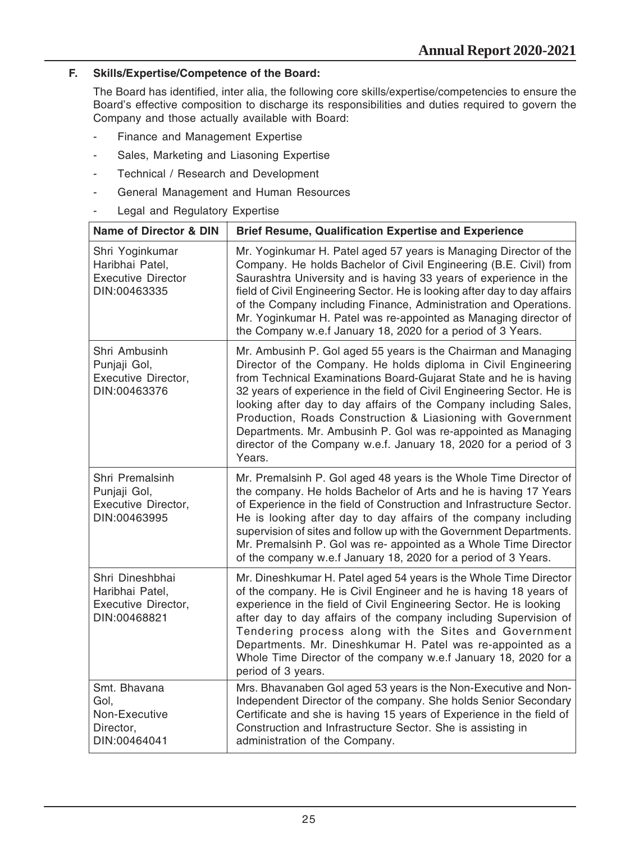# **F. Skills/Expertise/Competence of the Board:**

The Board has identified, inter alia, the following core skills/expertise/competencies to ensure the Board's effective composition to discharge its responsibilities and duties required to govern the Company and those actually available with Board:

- Finance and Management Expertise
- Sales, Marketing and Liasoning Expertise
- Technical / Research and Development
- General Management and Human Resources
- Legal and Regulatory Expertise

| <b>Name of Director &amp; DIN</b>                                               | <b>Brief Resume, Qualification Expertise and Experience</b>                                                                                                                                                                                                                                                                                                                                                                                                                                                                                                       |
|---------------------------------------------------------------------------------|-------------------------------------------------------------------------------------------------------------------------------------------------------------------------------------------------------------------------------------------------------------------------------------------------------------------------------------------------------------------------------------------------------------------------------------------------------------------------------------------------------------------------------------------------------------------|
| Shri Yoginkumar<br>Haribhai Patel,<br><b>Executive Director</b><br>DIN:00463335 | Mr. Yoginkumar H. Patel aged 57 years is Managing Director of the<br>Company. He holds Bachelor of Civil Engineering (B.E. Civil) from<br>Saurashtra University and is having 33 years of experience in the<br>field of Civil Engineering Sector. He is looking after day to day affairs<br>of the Company including Finance, Administration and Operations.<br>Mr. Yoginkumar H. Patel was re-appointed as Managing director of<br>the Company w.e.f January 18, 2020 for a period of 3 Years.                                                                   |
| Shri Ambusinh<br>Punjaji Gol,<br>Executive Director,<br>DIN:00463376            | Mr. Ambusinh P. Gol aged 55 years is the Chairman and Managing<br>Director of the Company. He holds diploma in Civil Engineering<br>from Technical Examinations Board-Gujarat State and he is having<br>32 years of experience in the field of Civil Engineering Sector. He is<br>looking after day to day affairs of the Company including Sales,<br>Production, Roads Construction & Liasioning with Government<br>Departments. Mr. Ambusinh P. Gol was re-appointed as Managing<br>director of the Company w.e.f. January 18, 2020 for a period of 3<br>Years. |
| Shri Premalsinh<br>Punjaji Gol,<br>Executive Director,<br>DIN:00463995          | Mr. Premalsinh P. Gol aged 48 years is the Whole Time Director of<br>the company. He holds Bachelor of Arts and he is having 17 Years<br>of Experience in the field of Construction and Infrastructure Sector.<br>He is looking after day to day affairs of the company including<br>supervision of sites and follow up with the Government Departments.<br>Mr. Premalsinh P. Gol was re- appointed as a Whole Time Director<br>of the company w.e.f January 18, 2020 for a period of 3 Years.                                                                    |
| Shri Dineshbhai<br>Haribhai Patel,<br>Executive Director,<br>DIN:00468821       | Mr. Dineshkumar H. Patel aged 54 years is the Whole Time Director<br>of the company. He is Civil Engineer and he is having 18 years of<br>experience in the field of Civil Engineering Sector. He is looking<br>after day to day affairs of the company including Supervision of<br>Tendering process along with the Sites and Government<br>Departments. Mr. Dineshkumar H. Patel was re-appointed as a<br>Whole Time Director of the company w.e.f January 18, 2020 for a<br>period of 3 years.                                                                 |
| Smt. Bhavana<br>Gol.<br>Non-Executive<br>Director,<br>DIN:00464041              | Mrs. Bhavanaben Gol aged 53 years is the Non-Executive and Non-<br>Independent Director of the company. She holds Senior Secondary<br>Certificate and she is having 15 years of Experience in the field of<br>Construction and Infrastructure Sector. She is assisting in<br>administration of the Company.                                                                                                                                                                                                                                                       |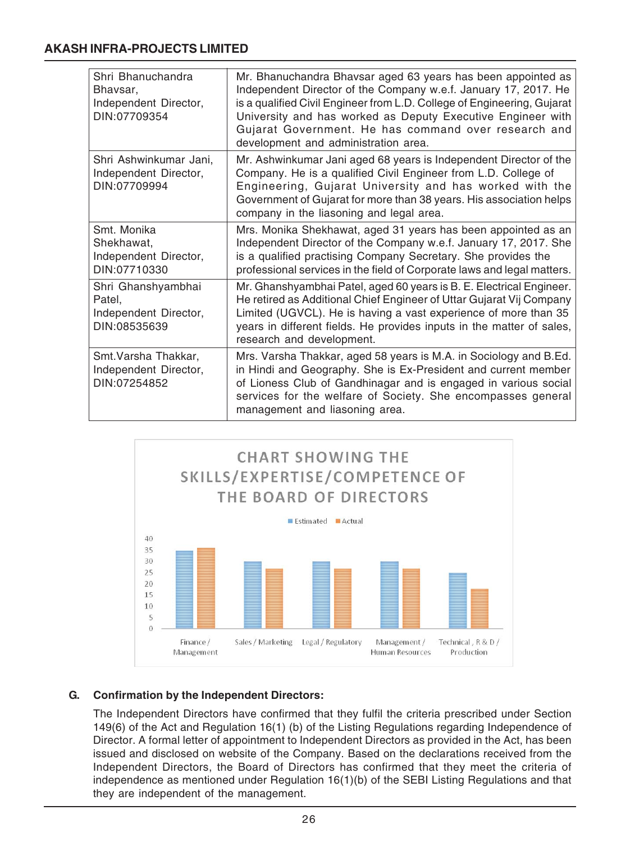| Shri Bhanuchandra<br>Bhavsar.<br>Independent Director,<br>DIN:07709354 | Mr. Bhanuchandra Bhavsar aged 63 years has been appointed as<br>Independent Director of the Company w.e.f. January 17, 2017. He<br>is a qualified Civil Engineer from L.D. College of Engineering, Gujarat<br>University and has worked as Deputy Executive Engineer with<br>Gujarat Government. He has command over research and<br>development and administration area. |
|------------------------------------------------------------------------|---------------------------------------------------------------------------------------------------------------------------------------------------------------------------------------------------------------------------------------------------------------------------------------------------------------------------------------------------------------------------|
| Shri Ashwinkumar Jani,<br>Independent Director,<br>DIN:07709994        | Mr. Ashwinkumar Jani aged 68 years is Independent Director of the<br>Company. He is a qualified Civil Engineer from L.D. College of<br>Engineering, Gujarat University and has worked with the<br>Government of Gujarat for more than 38 years. His association helps<br>company in the liasoning and legal area.                                                         |
| Smt. Monika<br>Shekhawat.<br>Independent Director,<br>DIN:07710330     | Mrs. Monika Shekhawat, aged 31 years has been appointed as an<br>Independent Director of the Company w.e.f. January 17, 2017. She<br>is a qualified practising Company Secretary. She provides the<br>professional services in the field of Corporate laws and legal matters.                                                                                             |
| Shri Ghanshyambhai<br>Patel.<br>Independent Director,<br>DIN:08535639  | Mr. Ghanshyambhai Patel, aged 60 years is B. E. Electrical Engineer.<br>He retired as Additional Chief Engineer of Uttar Gujarat Vij Company<br>Limited (UGVCL). He is having a vast experience of more than 35<br>years in different fields. He provides inputs in the matter of sales,<br>research and development.                                                     |
| Smt. Varsha Thakkar,<br>Independent Director,<br>DIN:07254852          | Mrs. Varsha Thakkar, aged 58 years is M.A. in Sociology and B.Ed.<br>in Hindi and Geography. She is Ex-President and current member<br>of Lioness Club of Gandhinagar and is engaged in various social<br>services for the welfare of Society. She encompasses general<br>management and liasoning area.                                                                  |



# **G. Confirmation by the Independent Directors:**

The Independent Directors have confirmed that they fulfil the criteria prescribed under Section 149(6) of the Act and Regulation 16(1) (b) of the Listing Regulations regarding Independence of Director. A formal letter of appointment to Independent Directors as provided in the Act, has been issued and disclosed on website of the Company. Based on the declarations received from the Independent Directors, the Board of Directors has confirmed that they meet the criteria of independence as mentioned under Regulation 16(1)(b) of the SEBI Listing Regulations and that they are independent of the management.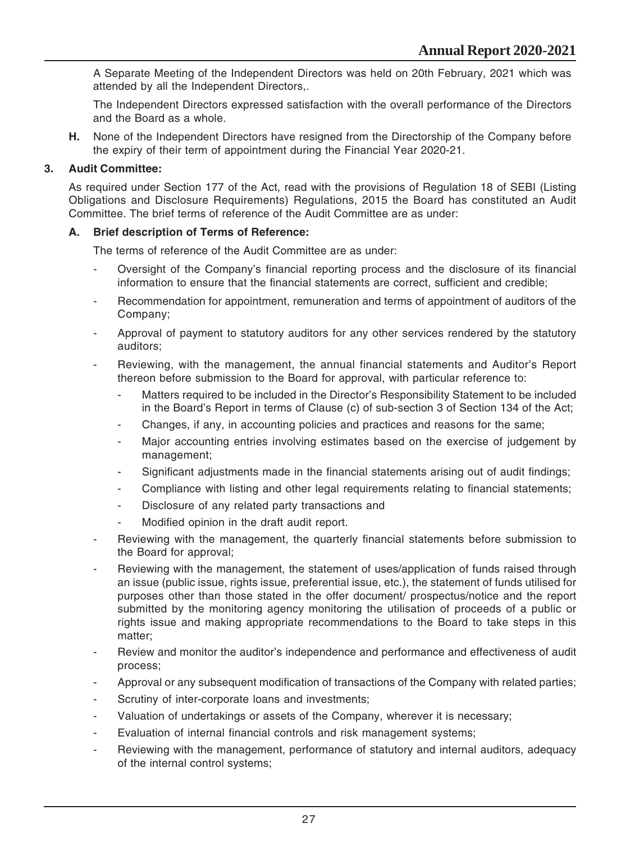A Separate Meeting of the Independent Directors was held on 20th February, 2021 which was attended by all the Independent Directors,.

The Independent Directors expressed satisfaction with the overall performance of the Directors and the Board as a whole.

**H.** None of the Independent Directors have resigned from the Directorship of the Company before the expiry of their term of appointment during the Financial Year 2020-21.

#### **3. Audit Committee:**

As required under Section 177 of the Act, read with the provisions of Regulation 18 of SEBI (Listing Obligations and Disclosure Requirements) Regulations, 2015 the Board has constituted an Audit Committee. The brief terms of reference of the Audit Committee are as under:

#### **A. Brief description of Terms of Reference:**

The terms of reference of the Audit Committee are as under:

- Oversight of the Company's financial reporting process and the disclosure of its financial information to ensure that the financial statements are correct, sufficient and credible;
- Recommendation for appointment, remuneration and terms of appointment of auditors of the Company;
- Approval of payment to statutory auditors for any other services rendered by the statutory auditors;
- Reviewing, with the management, the annual financial statements and Auditor's Report thereon before submission to the Board for approval, with particular reference to:
	- Matters required to be included in the Director's Responsibility Statement to be included in the Board's Report in terms of Clause (c) of sub-section 3 of Section 134 of the Act;
	- Changes, if any, in accounting policies and practices and reasons for the same;
	- Major accounting entries involving estimates based on the exercise of judgement by management;
	- Significant adjustments made in the financial statements arising out of audit findings;
	- Compliance with listing and other legal requirements relating to financial statements;
	- Disclosure of any related party transactions and
	- Modified opinion in the draft audit report.
- Reviewing with the management, the quarterly financial statements before submission to the Board for approval;
- Reviewing with the management, the statement of uses/application of funds raised through an issue (public issue, rights issue, preferential issue, etc.), the statement of funds utilised for purposes other than those stated in the offer document/ prospectus/notice and the report submitted by the monitoring agency monitoring the utilisation of proceeds of a public or rights issue and making appropriate recommendations to the Board to take steps in this matter;
- Review and monitor the auditor's independence and performance and effectiveness of audit process;
- Approval or any subsequent modification of transactions of the Company with related parties;
- Scrutiny of inter-corporate loans and investments;
- Valuation of undertakings or assets of the Company, wherever it is necessary;
- Evaluation of internal financial controls and risk management systems;
- Reviewing with the management, performance of statutory and internal auditors, adequacy of the internal control systems;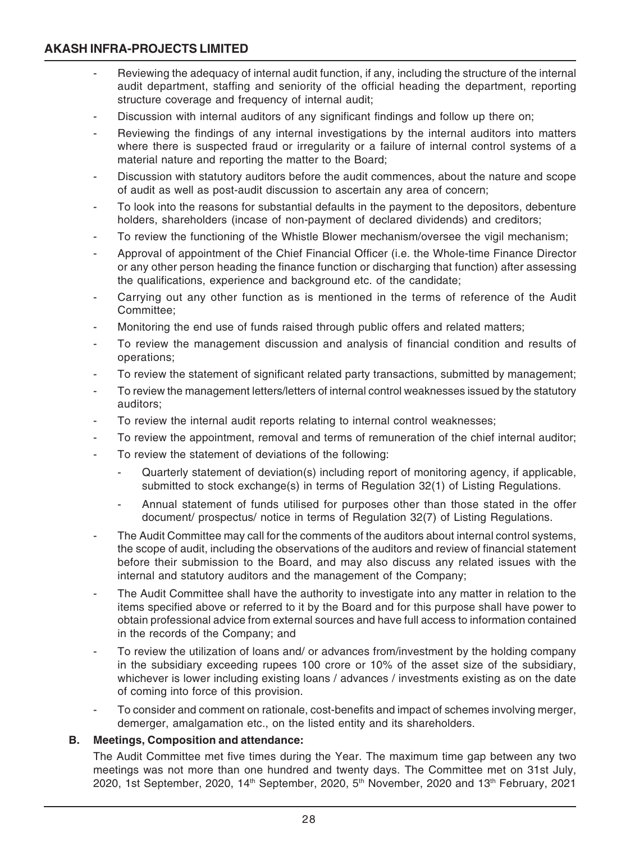- Reviewing the adequacy of internal audit function, if any, including the structure of the internal audit department, staffing and seniority of the official heading the department, reporting structure coverage and frequency of internal audit;
- Discussion with internal auditors of any significant findings and follow up there on;
- Reviewing the findings of any internal investigations by the internal auditors into matters where there is suspected fraud or irregularity or a failure of internal control systems of a material nature and reporting the matter to the Board;
- Discussion with statutory auditors before the audit commences, about the nature and scope of audit as well as post-audit discussion to ascertain any area of concern;
- To look into the reasons for substantial defaults in the payment to the depositors, debenture holders, shareholders (incase of non-payment of declared dividends) and creditors;
- To review the functioning of the Whistle Blower mechanism/oversee the vigil mechanism;
- Approval of appointment of the Chief Financial Officer (i.e. the Whole-time Finance Director or any other person heading the finance function or discharging that function) after assessing the qualifications, experience and background etc. of the candidate;
- Carrying out any other function as is mentioned in the terms of reference of the Audit Committee;
- Monitoring the end use of funds raised through public offers and related matters;
- To review the management discussion and analysis of financial condition and results of operations;
- To review the statement of significant related party transactions, submitted by management;
- To review the management letters/letters of internal control weaknesses issued by the statutory auditors;
- To review the internal audit reports relating to internal control weaknesses;
- To review the appointment, removal and terms of remuneration of the chief internal auditor;
- To review the statement of deviations of the following:
	- Quarterly statement of deviation(s) including report of monitoring agency, if applicable, submitted to stock exchange(s) in terms of Regulation 32(1) of Listing Regulations.
	- Annual statement of funds utilised for purposes other than those stated in the offer document/ prospectus/ notice in terms of Regulation 32(7) of Listing Regulations.
- The Audit Committee may call for the comments of the auditors about internal control systems, the scope of audit, including the observations of the auditors and review of financial statement before their submission to the Board, and may also discuss any related issues with the internal and statutory auditors and the management of the Company;
- The Audit Committee shall have the authority to investigate into any matter in relation to the items specified above or referred to it by the Board and for this purpose shall have power to obtain professional advice from external sources and have full access to information contained in the records of the Company; and
- To review the utilization of loans and/ or advances from/investment by the holding company in the subsidiary exceeding rupees 100 crore or 10% of the asset size of the subsidiary, whichever is lower including existing loans / advances / investments existing as on the date of coming into force of this provision.
- To consider and comment on rationale, cost-benefits and impact of schemes involving merger, demerger, amalgamation etc., on the listed entity and its shareholders.

## **B. Meetings, Composition and attendance:**

The Audit Committee met five times during the Year. The maximum time gap between any two meetings was not more than one hundred and twenty days. The Committee met on 31st July, 2020, 1st September, 2020, 14<sup>th</sup> September, 2020, 5<sup>th</sup> November, 2020 and 13<sup>th</sup> February, 2021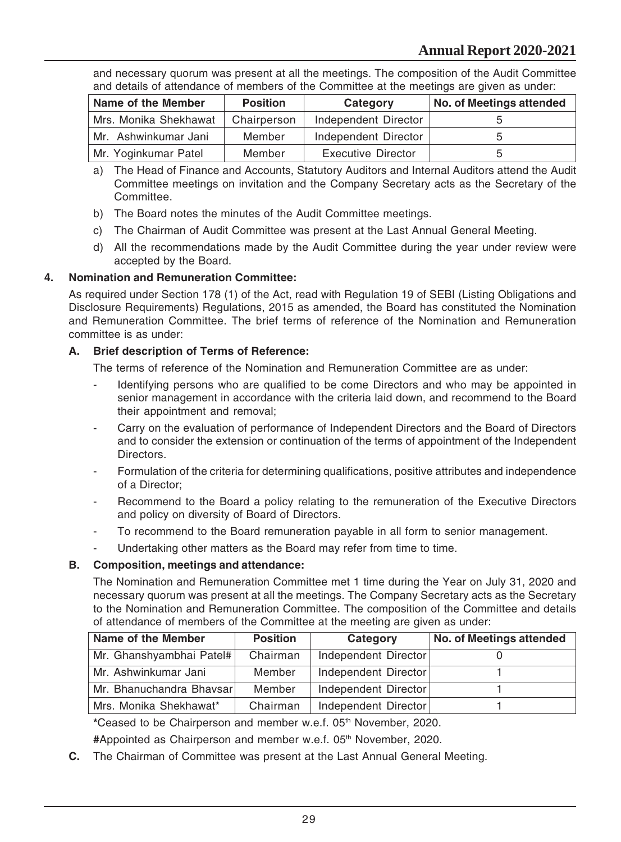and necessary quorum was present at all the meetings. The composition of the Audit Committee and details of attendance of members of the Committee at the meetings are given as under:

| Name of the Member    | <b>Position</b> | Category             | No. of Meetings attended |
|-----------------------|-----------------|----------------------|--------------------------|
| Mrs. Monika Shekhawat | Chairperson     | Independent Director |                          |
| Mr. Ashwinkumar Jani  | Member          | Independent Director |                          |
| Mr. Yoginkumar Patel  | Member          | Executive Director   |                          |

- a) The Head of Finance and Accounts, Statutory Auditors and Internal Auditors attend the Audit Committee meetings on invitation and the Company Secretary acts as the Secretary of the Committee.
- b) The Board notes the minutes of the Audit Committee meetings.
- c) The Chairman of Audit Committee was present at the Last Annual General Meeting.
- d) All the recommendations made by the Audit Committee during the year under review were accepted by the Board.

#### **4. Nomination and Remuneration Committee:**

As required under Section 178 (1) of the Act, read with Regulation 19 of SEBI (Listing Obligations and Disclosure Requirements) Regulations, 2015 as amended, the Board has constituted the Nomination and Remuneration Committee. The brief terms of reference of the Nomination and Remuneration committee is as under:

#### **A. Brief description of Terms of Reference:**

The terms of reference of the Nomination and Remuneration Committee are as under:

- Identifying persons who are qualified to be come Directors and who may be appointed in senior management in accordance with the criteria laid down, and recommend to the Board their appointment and removal;
- Carry on the evaluation of performance of Independent Directors and the Board of Directors and to consider the extension or continuation of the terms of appointment of the Independent Directors.
- Formulation of the criteria for determining qualifications, positive attributes and independence of a Director;
- Recommend to the Board a policy relating to the remuneration of the Executive Directors and policy on diversity of Board of Directors.
- To recommend to the Board remuneration payable in all form to senior management.
- Undertaking other matters as the Board may refer from time to time.

## **B. Composition, meetings and attendance:**

The Nomination and Remuneration Committee met 1 time during the Year on July 31, 2020 and necessary quorum was present at all the meetings. The Company Secretary acts as the Secretary to the Nomination and Remuneration Committee. The composition of the Committee and details of attendance of members of the Committee at the meeting are given as under:

| Name of the Member        | <b>Position</b> | Category             | No. of Meetings attended |
|---------------------------|-----------------|----------------------|--------------------------|
| Mr. Ghanshyambhai Patel#  | Chairman        | Independent Director |                          |
| Mr. Ashwinkumar Jani      | Member          | Independent Director |                          |
| Mr. Bhanuchandra Bhaysarl | Member          | Independent Director |                          |
| Mrs. Monika Shekhawat*    | Chairman        | Independent Director |                          |

**\***Ceased to be Chairperson and member w.e.f. 05th November, 2020.

#Appointed as Chairperson and member w.e.f. 05<sup>th</sup> November, 2020.

**C.** The Chairman of Committee was present at the Last Annual General Meeting.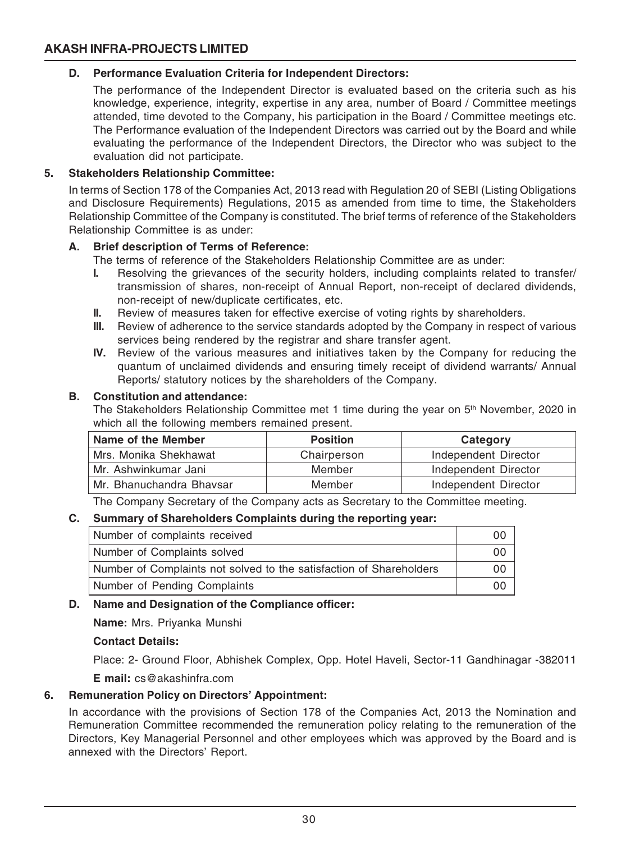#### **D. Performance Evaluation Criteria for Independent Directors:**

The performance of the Independent Director is evaluated based on the criteria such as his knowledge, experience, integrity, expertise in any area, number of Board / Committee meetings attended, time devoted to the Company, his participation in the Board / Committee meetings etc. The Performance evaluation of the Independent Directors was carried out by the Board and while evaluating the performance of the Independent Directors, the Director who was subject to the evaluation did not participate.

#### **5. Stakeholders Relationship Committee:**

In terms of Section 178 of the Companies Act, 2013 read with Regulation 20 of SEBI (Listing Obligations and Disclosure Requirements) Regulations, 2015 as amended from time to time, the Stakeholders Relationship Committee of the Company is constituted. The brief terms of reference of the Stakeholders Relationship Committee is as under:

#### **A. Brief description of Terms of Reference:**

The terms of reference of the Stakeholders Relationship Committee are as under:

- **I.** Resolving the grievances of the security holders, including complaints related to transfer/ transmission of shares, non-receipt of Annual Report, non-receipt of declared dividends, non-receipt of new/duplicate certificates, etc.
- **II.** Review of measures taken for effective exercise of voting rights by shareholders.
- **III.** Review of adherence to the service standards adopted by the Company in respect of various services being rendered by the registrar and share transfer agent.
- **IV.** Review of the various measures and initiatives taken by the Company for reducing the quantum of unclaimed dividends and ensuring timely receipt of dividend warrants/ Annual Reports/ statutory notices by the shareholders of the Company.

#### **B. Constitution and attendance:**

The Stakeholders Relationship Committee met 1 time during the year on 5<sup>th</sup> November, 2020 in which all the following members remained present.

| Name of the Member       | <b>Position</b> | Category             |
|--------------------------|-----------------|----------------------|
| Mrs. Monika Shekhawat    | Chairperson     | Independent Director |
| Mr. Ashwinkumar Jani     | Member          | Independent Director |
| Mr. Bhanuchandra Bhaysar | Member          | Independent Director |

The Company Secretary of the Company acts as Secretary to the Committee meeting.

## **C. Summary of Shareholders Complaints during the reporting year:**

| Number of complaints received                                       | 00 |
|---------------------------------------------------------------------|----|
| Number of Complaints solved                                         | იი |
| Number of Complaints not solved to the satisfaction of Shareholders | 00 |
| Number of Pending Complaints                                        | იი |

#### **D. Name and Designation of the Compliance officer:**

**Name:** Mrs. Priyanka Munshi

#### **Contact Details:**

Place: 2- Ground Floor, Abhishek Complex, Opp. Hotel Haveli, Sector-11 Gandhinagar -382011

**E mail:** cs@akashinfra.com

# **6. Remuneration Policy on Directors' Appointment:**

In accordance with the provisions of Section 178 of the Companies Act, 2013 the Nomination and Remuneration Committee recommended the remuneration policy relating to the remuneration of the Directors, Key Managerial Personnel and other employees which was approved by the Board and is annexed with the Directors' Report.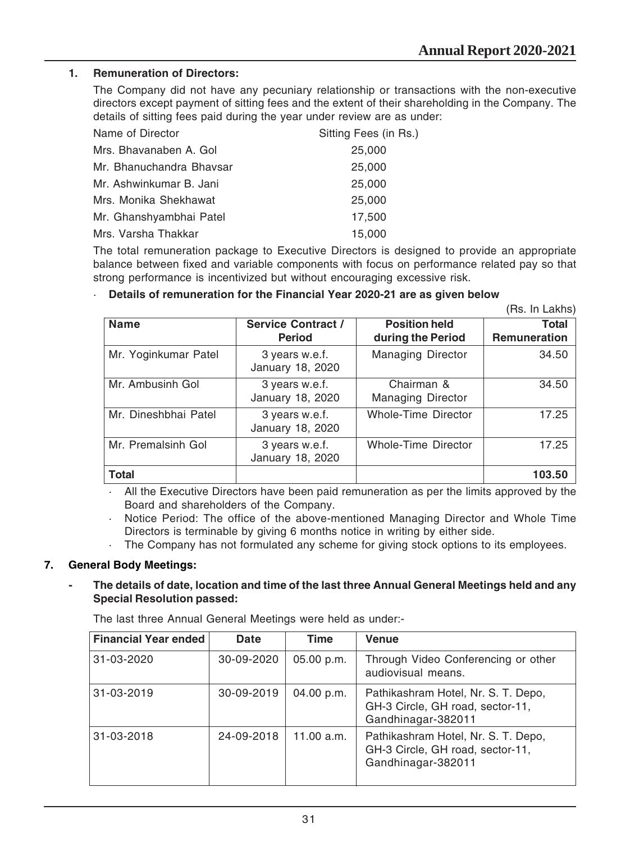# **1. Remuneration of Directors:**

The Company did not have any pecuniary relationship or transactions with the non-executive directors except payment of sitting fees and the extent of their shareholding in the Company. The details of sitting fees paid during the year under review are as under:

| Name of Director         | Sitting Fees (in Rs.) |
|--------------------------|-----------------------|
| Mrs. Bhavanaben A. Gol   | 25,000                |
| Mr. Bhanuchandra Bhaysar | 25,000                |
| Mr. Ashwinkumar B. Jani  | 25,000                |
| Mrs. Monika Shekhawat    | 25,000                |
| Mr. Ghanshyambhai Patel  | 17,500                |
| Mrs. Varsha Thakkar      | 15,000                |

The total remuneration package to Executive Directors is designed to provide an appropriate balance between fixed and variable components with focus on performance related pay so that strong performance is incentivized but without encouraging excessive risk.

#### · **Details of remuneration for the Financial Year 2020-21 are as given below**

|                      |                                            |                                           | (Rs. In Lakhs)                      |
|----------------------|--------------------------------------------|-------------------------------------------|-------------------------------------|
| <b>Name</b>          | <b>Service Contract /</b><br><b>Period</b> | <b>Position held</b><br>during the Period | <b>Total</b><br><b>Remuneration</b> |
| Mr. Yoginkumar Patel | 3 years w.e.f.<br>January 18, 2020         | <b>Managing Director</b>                  | 34.50                               |
| Mr. Ambusinh Gol     | 3 years w.e.f.<br>January 18, 2020         | Chairman &<br><b>Managing Director</b>    | 34.50                               |
| Mr. Dineshbhai Patel | 3 years w.e.f.<br>January 18, 2020         | Whole-Time Director                       | 17.25                               |
| Mr. Premalsinh Gol   | 3 years w.e.f.<br>January 18, 2020         | Whole-Time Director                       | 17.25                               |
| <b>Total</b>         |                                            |                                           | 103.50                              |

· All the Executive Directors have been paid remuneration as per the limits approved by the Board and shareholders of the Company.

- · Notice Period: The office of the above-mentioned Managing Director and Whole Time Directors is terminable by giving 6 months notice in writing by either side.
- · The Company has not formulated any scheme for giving stock options to its employees.

## **7. General Body Meetings:**

#### **- The details of date, location and time of the last three Annual General Meetings held and any Special Resolution passed:**

The last three Annual General Meetings were held as under:-

| <b>Financial Year ended</b> | <b>Date</b> | <b>Time</b> | <b>Venue</b>                                                                                  |
|-----------------------------|-------------|-------------|-----------------------------------------------------------------------------------------------|
| 31-03-2020                  | 30-09-2020  | 05.00 p.m.  | Through Video Conferencing or other<br>audiovisual means.                                     |
| 31-03-2019                  | 30-09-2019  | 04.00 p.m.  | Pathikashram Hotel, Nr. S. T. Depo,<br>GH-3 Circle, GH road, sector-11,<br>Gandhinagar-382011 |
| 31-03-2018                  | 24-09-2018  | 11.00 a.m.  | Pathikashram Hotel, Nr. S. T. Depo,<br>GH-3 Circle, GH road, sector-11,<br>Gandhinagar-382011 |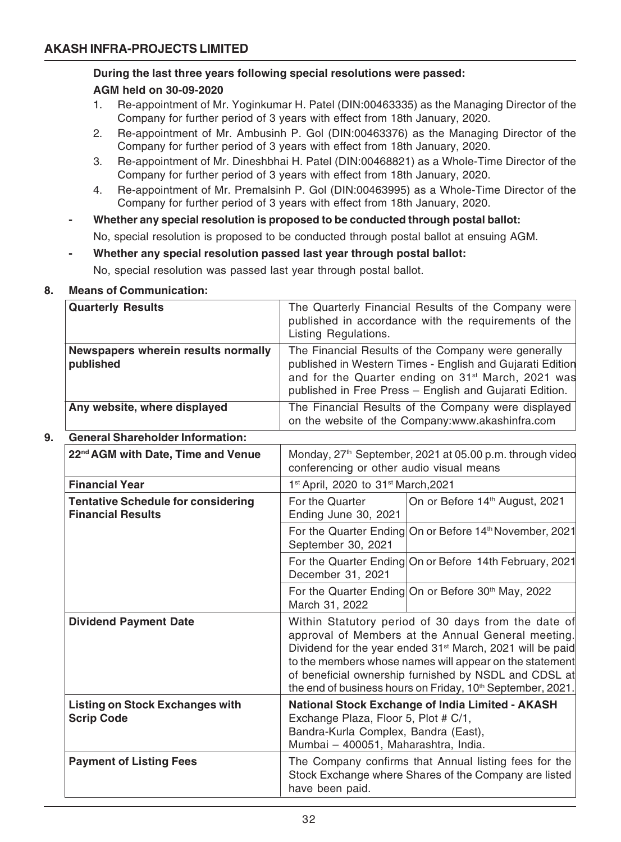# **During the last three years following special resolutions were passed:**

# **AGM held on 30-09-2020**

- 1. Re-appointment of Mr. Yoginkumar H. Patel (DIN:00463335) as the Managing Director of the Company for further period of 3 years with effect from 18th January, 2020.
- 2. Re-appointment of Mr. Ambusinh P. Gol (DIN:00463376) as the Managing Director of the Company for further period of 3 years with effect from 18th January, 2020.
- 3. Re-appointment of Mr. Dineshbhai H. Patel (DIN:00468821) as a Whole-Time Director of the Company for further period of 3 years with effect from 18th January, 2020.
- 4. Re-appointment of Mr. Premalsinh P. Gol (DIN:00463995) as a Whole-Time Director of the Company for further period of 3 years with effect from 18th January, 2020.
- **Whether any special resolution is proposed to be conducted through postal ballot:**

No, special resolution is proposed to be conducted through postal ballot at ensuing AGM.

# **- Whether any special resolution passed last year through postal ballot:**

No, special resolution was passed last year through postal ballot.

# **8. Means of Communication:**

| <b>Quarterly Results</b>                         | The Quarterly Financial Results of the Company were<br>published in accordance with the requirements of the<br>Listing Regulations.                                                                                                           |
|--------------------------------------------------|-----------------------------------------------------------------------------------------------------------------------------------------------------------------------------------------------------------------------------------------------|
| Newspapers wherein results normally<br>published | The Financial Results of the Company were generally<br>published in Western Times - English and Gujarati Edition<br>and for the Quarter ending on 31 <sup>st</sup> March, 2021 was<br>published in Free Press - English and Gujarati Edition. |
| Any website, where displayed                     | The Financial Results of the Company were displayed<br>on the website of the Company:www.akashinfra.com                                                                                                                                       |

# **9. General Shareholder Information:**

| 22 <sup>nd</sup> AGM with Date, Time and Venue                        | Monday, 27 <sup>th</sup> September, 2021 at 05.00 p.m. through video<br>conferencing or other audio visual means                                                                                                                                                                                                                                                                 |  |
|-----------------------------------------------------------------------|----------------------------------------------------------------------------------------------------------------------------------------------------------------------------------------------------------------------------------------------------------------------------------------------------------------------------------------------------------------------------------|--|
| <b>Financial Year</b>                                                 | 1 <sup>st</sup> April, 2020 to 31 <sup>st</sup> March, 2021                                                                                                                                                                                                                                                                                                                      |  |
| <b>Tentative Schedule for considering</b><br><b>Financial Results</b> | For the Quarter<br>On or Before 14th August, 2021<br>Ending June 30, 2021                                                                                                                                                                                                                                                                                                        |  |
|                                                                       | For the Quarter Ending On or Before 14 <sup>th</sup> November, 2021<br>September 30, 2021                                                                                                                                                                                                                                                                                        |  |
|                                                                       | For the Quarter Ending On or Before 14th February, 2021<br>December 31, 2021                                                                                                                                                                                                                                                                                                     |  |
|                                                                       | For the Quarter Ending On or Before 30th May, 2022<br>March 31, 2022                                                                                                                                                                                                                                                                                                             |  |
| <b>Dividend Payment Date</b>                                          | Within Statutory period of 30 days from the date of<br>approval of Members at the Annual General meeting.<br>Dividend for the year ended 31 <sup>st</sup> March, 2021 will be paid<br>to the members whose names will appear on the statement<br>of beneficial ownership furnished by NSDL and CDSL at<br>the end of business hours on Friday, 10 <sup>th</sup> September, 2021. |  |
| <b>Listing on Stock Exchanges with</b><br><b>Scrip Code</b>           | <b>National Stock Exchange of India Limited - AKASH</b><br>Exchange Plaza, Floor 5, Plot # C/1,<br>Bandra-Kurla Complex, Bandra (East),<br>Mumbai - 400051, Maharashtra, India.                                                                                                                                                                                                  |  |
| <b>Payment of Listing Fees</b>                                        | The Company confirms that Annual listing fees for the<br>Stock Exchange where Shares of the Company are listed<br>have been paid.                                                                                                                                                                                                                                                |  |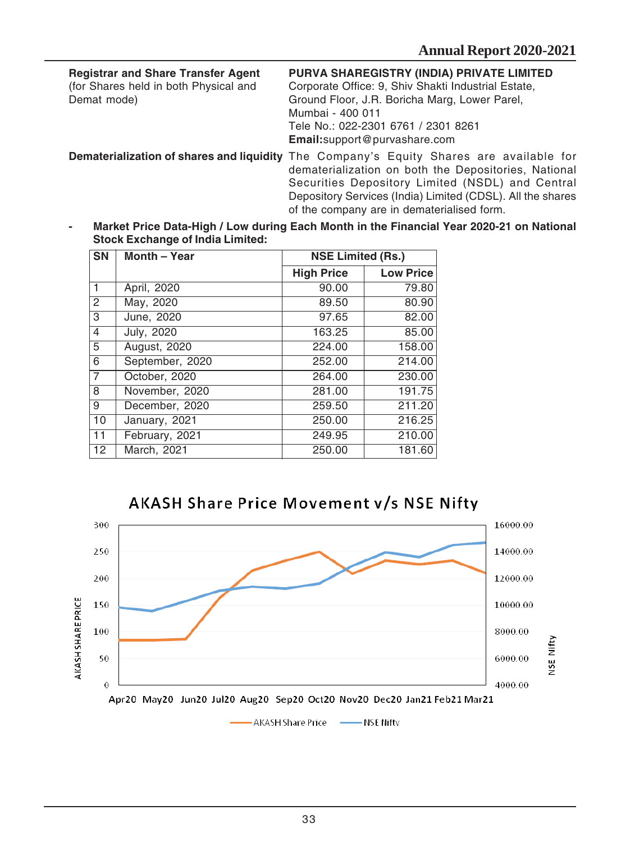| <b>Registrar and Share Transfer Agent</b> | <b>PURVA SHAREGISTRY (INDIA) PRIVATE LIMITED</b>                                         |
|-------------------------------------------|------------------------------------------------------------------------------------------|
| (for Shares held in both Physical and     | Corporate Office: 9, Shiv Shakti Industrial Estate,                                      |
| Demat mode)                               | Ground Floor, J.R. Boricha Marg, Lower Parel,                                            |
|                                           | Mumbai - 400 011                                                                         |
|                                           | Tele No.: 022-2301 6761 / 2301 8261                                                      |
|                                           | <b>Email:</b> support@purvashare.com                                                     |
|                                           | Demoterialization of aboves and liquidity The Company's Equity Chaves, are quailable for |

- **Dematerialization of shares and liquidity** The Company's Equity Shares are available for dematerialization on both the Depositories, National Securities Depository Limited (NSDL) and Central Depository Services (India) Limited (CDSL). All the shares of the company are in dematerialised form.
- **Market Price Data-High / Low during Each Month in the Financial Year 2020-21 on National Stock Exchange of India Limited:**

| <b>SN</b>      | Month - Year        | <b>NSE Limited (Rs.)</b> |                  |  |
|----------------|---------------------|--------------------------|------------------|--|
|                |                     | <b>High Price</b>        | <b>Low Price</b> |  |
| 1              | April, 2020         | 90.00                    | 79.80            |  |
| $\overline{2}$ | May, 2020           | 89.50                    | 80.90            |  |
| 3              | June, 2020          | 97.65                    | 82.00            |  |
| 4              | July, 2020          | 163.25                   | 85.00            |  |
| 5              | <b>August, 2020</b> | 224.00                   | 158.00           |  |
| 6              | September, 2020     | 252.00                   | 214.00           |  |
| $\overline{7}$ | October, 2020       | 264.00                   | 230.00           |  |
| 8              | November, 2020      | 281.00                   | 191.75           |  |
| 9              | December, 2020      | 259.50                   | 211.20           |  |
| 10             | January, 2021       | 250.00                   | 216.25           |  |
| 11             | February, 2021      | 249.95                   | 210.00           |  |
| 12             | March, 2021         | 250.00                   | 181.60           |  |



# AKASH Share Price Movement v/s NSE Nifty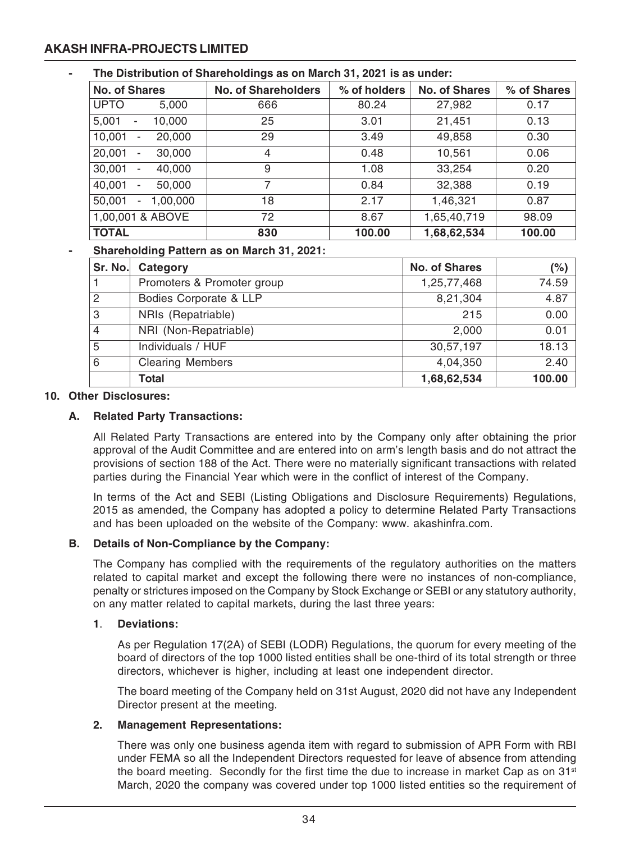| <b>No. of Shares</b>                           | <b>No. of Shareholders</b> | % of holders | <b>No. of Shares</b> | % of Shares |
|------------------------------------------------|----------------------------|--------------|----------------------|-------------|
| <b>UPTO</b><br>5,000                           | 666                        | 80.24        | 27,982               | 0.17        |
| 5.001<br>10.000<br>٠                           | 25                         | 3.01         | 21.451               | 0.13        |
| 10,001<br>20,000<br>$\overline{\phantom{a}}$   | 29                         | 3.49         | 49,858               | 0.30        |
| 20,001<br>30,000<br>-                          | 4                          | 0.48         | 10,561               | 0.06        |
| 30,001<br>40.000<br>$\overline{\phantom{a}}$   | 9                          | 1.08         | 33,254               | 0.20        |
| 40,001<br>50.000<br>$\overline{\phantom{a}}$   | 7                          | 0.84         | 32,388               | 0.19        |
| 50.001<br>1,00,000<br>$\overline{\phantom{0}}$ | 18                         | 2.17         | 1,46,321             | 0.87        |
| 1.00.001 & ABOVE                               | 72                         | 8.67         | 1,65,40,719          | 98.09       |
| <b>TOTAL</b>                                   | 830                        | 100.00       | 1,68,62,534          | 100.00      |

# **- The Distribution of Shareholdings as on March 31, 2021 is as under:**

## **- Shareholding Pattern as on March 31, 2021:**

| Sr. No.        | Category                   | <b>No. of Shares</b> | (%)    |
|----------------|----------------------------|----------------------|--------|
|                | Promoters & Promoter group | 1,25,77,468          | 74.59  |
| $\overline{c}$ | Bodies Corporate & LLP     | 8,21,304             | 4.87   |
| 3              | NRIs (Repatriable)         | 215                  | 0.00   |
| 4              | NRI (Non-Repatriable)      | 2,000                | 0.01   |
| 5              | Individuals / HUF          | 30,57,197            | 18.13  |
| 6              | <b>Clearing Members</b>    | 4,04,350             | 2.40   |
|                | Total                      | 1,68,62,534          | 100.00 |

#### **10. Other Disclosures:**

#### **A. Related Party Transactions:**

All Related Party Transactions are entered into by the Company only after obtaining the prior approval of the Audit Committee and are entered into on arm's length basis and do not attract the provisions of section 188 of the Act. There were no materially significant transactions with related parties during the Financial Year which were in the conflict of interest of the Company.

In terms of the Act and SEBI (Listing Obligations and Disclosure Requirements) Regulations, 2015 as amended, the Company has adopted a policy to determine Related Party Transactions and has been uploaded on the website of the Company: www. akashinfra.com.

#### **B. Details of Non-Compliance by the Company:**

The Company has complied with the requirements of the regulatory authorities on the matters related to capital market and except the following there were no instances of non-compliance, penalty or strictures imposed on the Company by Stock Exchange or SEBI or any statutory authority, on any matter related to capital markets, during the last three years:

#### **1**. **Deviations:**

As per Regulation 17(2A) of SEBI (LODR) Regulations, the quorum for every meeting of the board of directors of the top 1000 listed entities shall be one-third of its total strength or three directors, whichever is higher, including at least one independent director.

The board meeting of the Company held on 31st August, 2020 did not have any Independent Director present at the meeting.

#### **2. Management Representations:**

There was only one business agenda item with regard to submission of APR Form with RBI under FEMA so all the Independent Directors requested for leave of absence from attending the board meeting. Secondly for the first time the due to increase in market Cap as on  $31<sup>st</sup>$ March, 2020 the company was covered under top 1000 listed entities so the requirement of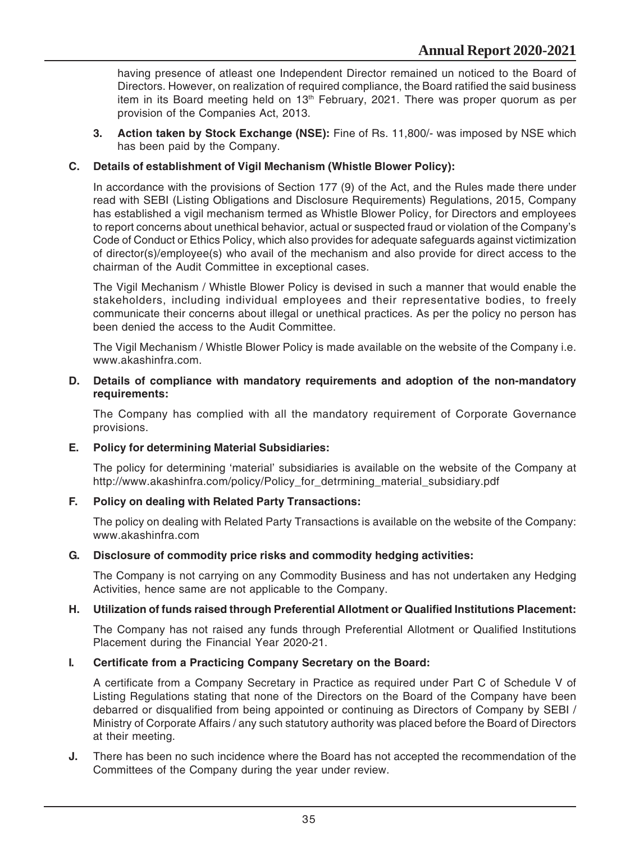having presence of atleast one Independent Director remained un noticed to the Board of Directors. However, on realization of required compliance, the Board ratified the said business item in its Board meeting held on 13<sup>th</sup> February, 2021. There was proper quorum as per provision of the Companies Act, 2013.

**3. Action taken by Stock Exchange (NSE):** Fine of Rs. 11,800/- was imposed by NSE which has been paid by the Company.

## **C. Details of establishment of Vigil Mechanism (Whistle Blower Policy):**

In accordance with the provisions of Section 177 (9) of the Act, and the Rules made there under read with SEBI (Listing Obligations and Disclosure Requirements) Regulations, 2015, Company has established a vigil mechanism termed as Whistle Blower Policy, for Directors and employees to report concerns about unethical behavior, actual or suspected fraud or violation of the Company's Code of Conduct or Ethics Policy, which also provides for adequate safeguards against victimization of director(s)/employee(s) who avail of the mechanism and also provide for direct access to the chairman of the Audit Committee in exceptional cases.

The Vigil Mechanism / Whistle Blower Policy is devised in such a manner that would enable the stakeholders, including individual employees and their representative bodies, to freely communicate their concerns about illegal or unethical practices. As per the policy no person has been denied the access to the Audit Committee.

The Vigil Mechanism / Whistle Blower Policy is made available on the website of the Company i.e. www.akashinfra.com.

#### **D. Details of compliance with mandatory requirements and adoption of the non-mandatory requirements:**

The Company has complied with all the mandatory requirement of Corporate Governance provisions.

## **E. Policy for determining Material Subsidiaries:**

The policy for determining 'material' subsidiaries is available on the website of the Company at http://www.akashinfra.com/policy/Policy\_for\_detrmining\_material\_subsidiary.pdf

#### **F. Policy on dealing with Related Party Transactions:**

The policy on dealing with Related Party Transactions is available on the website of the Company: www.akashinfra.com

#### **G. Disclosure of commodity price risks and commodity hedging activities:**

The Company is not carrying on any Commodity Business and has not undertaken any Hedging Activities, hence same are not applicable to the Company.

#### **H. Utilization of funds raised through Preferential Allotment or Qualified Institutions Placement:**

The Company has not raised any funds through Preferential Allotment or Qualified Institutions Placement during the Financial Year 2020-21.

#### **I. Certificate from a Practicing Company Secretary on the Board:**

A certificate from a Company Secretary in Practice as required under Part C of Schedule V of Listing Regulations stating that none of the Directors on the Board of the Company have been debarred or disqualified from being appointed or continuing as Directors of Company by SEBI / Ministry of Corporate Affairs / any such statutory authority was placed before the Board of Directors at their meeting.

**J.** There has been no such incidence where the Board has not accepted the recommendation of the Committees of the Company during the year under review.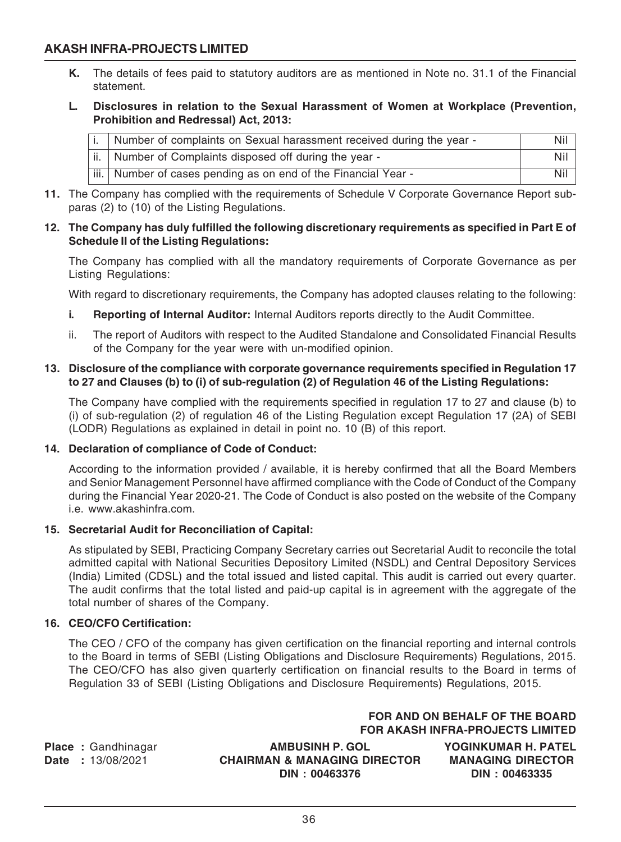**K.** The details of fees paid to statutory auditors are as mentioned in Note no. 31.1 of the Financial statement.

#### **L. Disclosures in relation to the Sexual Harassment of Women at Workplace (Prevention, Prohibition and Redressal) Act, 2013:**

| Number of complaints on Sexual harassment received during the year - | Nil I |
|----------------------------------------------------------------------|-------|
| ii. Number of Complaints disposed off during the year -              | Nil 1 |
| iii. Number of cases pending as on end of the Financial Year -       | Nil I |

**11.** The Company has complied with the requirements of Schedule V Corporate Governance Report subparas (2) to (10) of the Listing Regulations.

#### **12. The Company has duly fulfilled the following discretionary requirements as specified in Part E of Schedule II of the Listing Regulations:**

The Company has complied with all the mandatory requirements of Corporate Governance as per Listing Regulations:

With regard to discretionary requirements, the Company has adopted clauses relating to the following:

- **i. Reporting of Internal Auditor:** Internal Auditors reports directly to the Audit Committee.
- ii. The report of Auditors with respect to the Audited Standalone and Consolidated Financial Results of the Company for the year were with un-modified opinion.

#### **13. Disclosure of the compliance with corporate governance requirements specified in Regulation 17 to 27 and Clauses (b) to (i) of sub-regulation (2) of Regulation 46 of the Listing Regulations:**

The Company have complied with the requirements specified in regulation 17 to 27 and clause (b) to (i) of sub-regulation (2) of regulation 46 of the Listing Regulation except Regulation 17 (2A) of SEBI (LODR) Regulations as explained in detail in point no. 10 (B) of this report.

#### **14. Declaration of compliance of Code of Conduct:**

According to the information provided / available, it is hereby confirmed that all the Board Members and Senior Management Personnel have affirmed compliance with the Code of Conduct of the Company during the Financial Year 2020-21. The Code of Conduct is also posted on the website of the Company i.e. www.akashinfra.com.

#### **15. Secretarial Audit for Reconciliation of Capital:**

As stipulated by SEBI, Practicing Company Secretary carries out Secretarial Audit to reconcile the total admitted capital with National Securities Depository Limited (NSDL) and Central Depository Services (India) Limited (CDSL) and the total issued and listed capital. This audit is carried out every quarter. The audit confirms that the total listed and paid-up capital is in agreement with the aggregate of the total number of shares of the Company.

#### **16. CEO/CFO Certification:**

The CEO / CFO of the company has given certification on the financial reporting and internal controls to the Board in terms of SEBI (Listing Obligations and Disclosure Requirements) Regulations, 2015. The CEO/CFO has also given quarterly certification on financial results to the Board in terms of Regulation 33 of SEBI (Listing Obligations and Disclosure Requirements) Regulations, 2015.

**Place :** Gandhinagar **AMBUSINH P. GOL YOGINKUMAR H. PATEL Date :** 13/08/2021 **CHAIRMAN & MANAGING DIRECTOR MANAGING DIRECTOR DIN : 00463376 DIN : 00463335**

**FOR AND ON BEHALF OF THE BOARD FOR AKASH INFRA-PROJECTS LIMITED**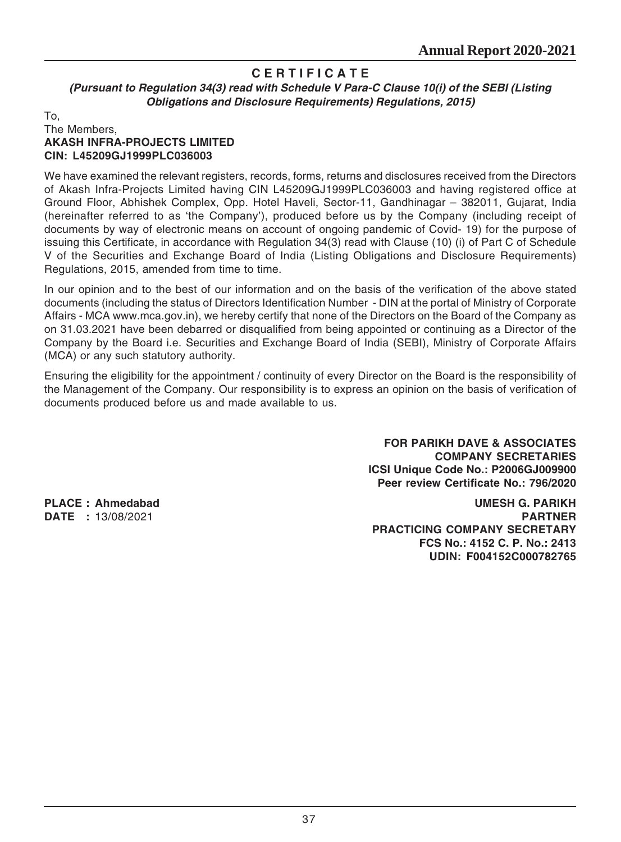# **C E R T I F I C A T E**

**(Pursuant to Regulation 34(3) read with Schedule V Para-C Clause 10(i) of the SEBI (Listing Obligations and Disclosure Requirements) Regulations, 2015)**

## To, The Members, **AKASH INFRA-PROJECTS LIMITED CIN: L45209GJ1999PLC036003**

We have examined the relevant registers, records, forms, returns and disclosures received from the Directors of Akash Infra-Projects Limited having CIN L45209GJ1999PLC036003 and having registered office at Ground Floor, Abhishek Complex, Opp. Hotel Haveli, Sector-11, Gandhinagar – 382011, Gujarat, India (hereinafter referred to as 'the Company'), produced before us by the Company (including receipt of documents by way of electronic means on account of ongoing pandemic of Covid- 19) for the purpose of issuing this Certificate, in accordance with Regulation 34(3) read with Clause (10) (i) of Part C of Schedule V of the Securities and Exchange Board of India (Listing Obligations and Disclosure Requirements) Regulations, 2015, amended from time to time.

In our opinion and to the best of our information and on the basis of the verification of the above stated documents (including the status of Directors Identification Number - DIN at the portal of Ministry of Corporate Affairs - MCA www.mca.gov.in), we hereby certify that none of the Directors on the Board of the Company as on 31.03.2021 have been debarred or disqualified from being appointed or continuing as a Director of the Company by the Board i.e. Securities and Exchange Board of India (SEBI), Ministry of Corporate Affairs (MCA) or any such statutory authority.

Ensuring the eligibility for the appointment / continuity of every Director on the Board is the responsibility of the Management of the Company. Our responsibility is to express an opinion on the basis of verification of documents produced before us and made available to us.

> **FOR PARIKH DAVE & ASSOCIATES COMPANY SECRETARIES ICSI Unique Code No.: P2006GJ009900 Peer review Certificate No.: 796/2020**

**PLACE : Ahmedabad UMESH G. PARIKH DATE :** 13/08/2021 **PARTNER PRACTICING COMPANY SECRETARY FCS No.: 4152 C. P. No.: 2413 UDIN: F004152C000782765**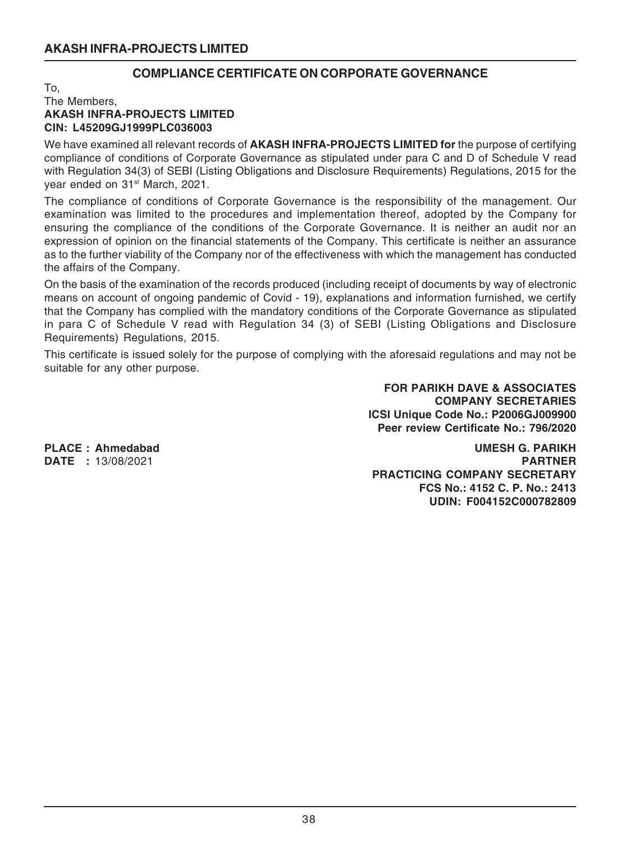# **COMPLIANCE CERTIFICATE ON CORPORATE GOVERNANCE**

## To,

## The Members, **AKASH INFRA-PROJECTS LIMITED CIN: L45209GJ1999PLC036003**

We have examined all relevant records of **AKASH INFRA-PROJECTS LIMITED for** the purpose of certifying compliance of conditions of Corporate Governance as stipulated under para C and D of Schedule V read with Regulation 34(3) of SEBI (Listing Obligations and Disclosure Requirements) Regulations, 2015 for the year ended on 31<sup>st</sup> March, 2021.

The compliance of conditions of Corporate Governance is the responsibility of the management. Our examination was limited to the procedures and implementation thereof, adopted by the Company for ensuring the compliance of the conditions of the Corporate Governance. It is neither an audit nor an expression of opinion on the financial statements of the Company. This certificate is neither an assurance as to the further viability of the Company nor of the effectiveness with which the management has conducted the affairs of the Company.

On the basis of the examination of the records produced (including receipt of documents by way of electronic means on account of ongoing pandemic of Covid - 19), explanations and information furnished, we certify that the Company has complied with the mandatory conditions of the Corporate Governance as stipulated in para C of Schedule V read with Regulation 34 (3) of SEBI (Listing Obligations and Disclosure Requirements) Regulations, 2015.

This certificate is issued solely for the purpose of complying with the aforesaid regulations and may not be suitable for any other purpose.

> **FOR PARIKH DAVE & ASSOCIATES COMPANY SECRETARIES ICSI Unique Code No.: P2006GJ009900 Peer review Certificate No.: 796/2020**

**PLACE : Ahmedabad UMESH G. PARIKH DATE :** 13/08/2021 **PARTNER PRACTICING COMPANY SECRETARY FCS No.: 4152 C. P. No.: 2413 UDIN: F004152C000782809**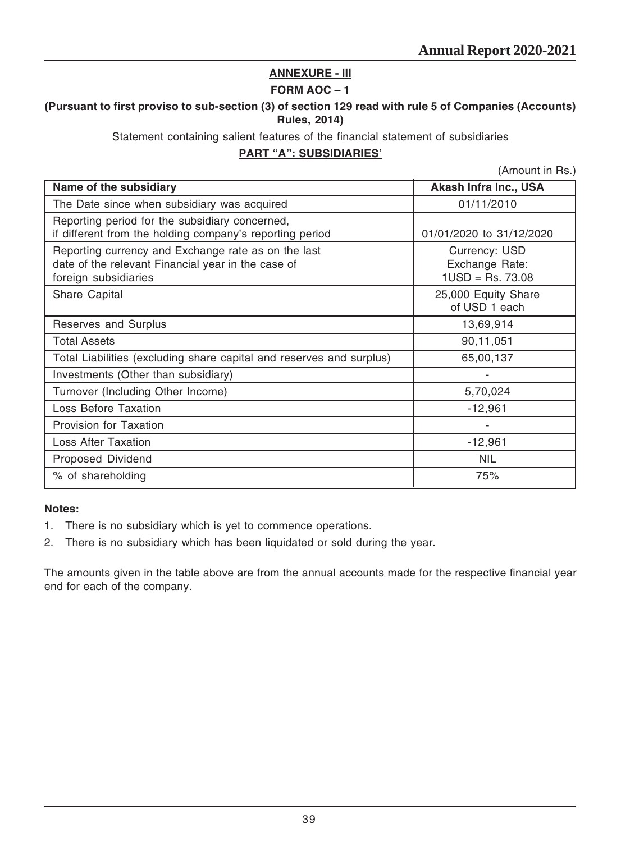# **ANNEXURE - III**

# **FORM AOC – 1**

## **(Pursuant to first proviso to sub-section (3) of section 129 read with rule 5 of Companies (Accounts) Rules, 2014)**

Statement containing salient features of the financial statement of subsidiaries

# **PART "A": SUBSIDIARIES'**

(Amount in Rs.)

| Name of the subsidiary                                                                                                            | Akash Infra Inc., USA                                 |
|-----------------------------------------------------------------------------------------------------------------------------------|-------------------------------------------------------|
| The Date since when subsidiary was acquired                                                                                       | 01/11/2010                                            |
| Reporting period for the subsidiary concerned,<br>if different from the holding company's reporting period                        | 01/01/2020 to 31/12/2020                              |
| Reporting currency and Exchange rate as on the last<br>date of the relevant Financial year in the case of<br>foreign subsidiaries | Currency: USD<br>Exchange Rate:<br>$1USD = Rs. 73.08$ |
| Share Capital                                                                                                                     | 25,000 Equity Share<br>of USD 1 each                  |
| Reserves and Surplus                                                                                                              | 13,69,914                                             |
| <b>Total Assets</b>                                                                                                               | 90,11,051                                             |
| Total Liabilities (excluding share capital and reserves and surplus)                                                              | 65,00,137                                             |
| Investments (Other than subsidiary)                                                                                               |                                                       |
| Turnover (Including Other Income)                                                                                                 | 5,70,024                                              |
| Loss Before Taxation                                                                                                              | $-12,961$                                             |
| Provision for Taxation                                                                                                            |                                                       |
| <b>Loss After Taxation</b>                                                                                                        | $-12,961$                                             |
| Proposed Dividend                                                                                                                 | <b>NIL</b>                                            |
| % of shareholding                                                                                                                 | 75%                                                   |

## **Notes:**

- 1. There is no subsidiary which is yet to commence operations.
- 2. There is no subsidiary which has been liquidated or sold during the year.

The amounts given in the table above are from the annual accounts made for the respective financial year end for each of the company.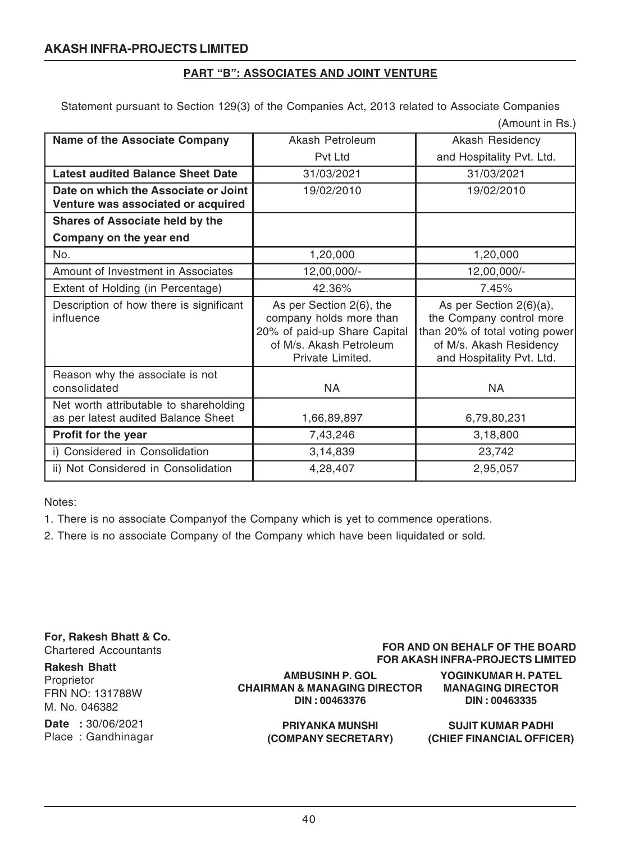# **PART "B": ASSOCIATES AND JOINT VENTURE**

Statement pursuant to Section 129(3) of the Companies Act, 2013 related to Associate Companies (Amount in Rs.)

| <b>Name of the Associate Company</b>                                          | Akash Petroleum                                                                                                                    | Akash Residency                                                                                                                               |
|-------------------------------------------------------------------------------|------------------------------------------------------------------------------------------------------------------------------------|-----------------------------------------------------------------------------------------------------------------------------------------------|
|                                                                               | Pvt Ltd                                                                                                                            | and Hospitality Pvt. Ltd.                                                                                                                     |
| <b>Latest audited Balance Sheet Date</b>                                      | 31/03/2021                                                                                                                         | 31/03/2021                                                                                                                                    |
| Date on which the Associate or Joint<br>Venture was associated or acquired    | 19/02/2010                                                                                                                         | 19/02/2010                                                                                                                                    |
| Shares of Associate held by the                                               |                                                                                                                                    |                                                                                                                                               |
| Company on the year end                                                       |                                                                                                                                    |                                                                                                                                               |
| No.                                                                           | 1,20,000                                                                                                                           | 1,20,000                                                                                                                                      |
| Amount of Investment in Associates                                            | 12,00,000/-                                                                                                                        | 12,00,000/-                                                                                                                                   |
| Extent of Holding (in Percentage)                                             | 42.36%                                                                                                                             | 7.45%                                                                                                                                         |
| Description of how there is significant<br>influence                          | As per Section 2(6), the<br>company holds more than<br>20% of paid-up Share Capital<br>of M/s. Akash Petroleum<br>Private Limited. | As per Section 2(6)(a),<br>the Company control more<br>than 20% of total voting power<br>of M/s. Akash Residency<br>and Hospitality Pvt. Ltd. |
| Reason why the associate is not<br>consolidated                               | <b>NA</b>                                                                                                                          | <b>NA</b>                                                                                                                                     |
| Net worth attributable to shareholding<br>as per latest audited Balance Sheet | 1,66,89,897                                                                                                                        | 6,79,80,231                                                                                                                                   |
| Profit for the year                                                           | 7,43,246                                                                                                                           | 3,18,800                                                                                                                                      |
| i) Considered in Consolidation                                                | 3,14,839                                                                                                                           | 23,742                                                                                                                                        |
| ii) Not Considered in Consolidation                                           | 4,28,407                                                                                                                           | 2,95,057                                                                                                                                      |

Notes:

1. There is no associate Companyof the Company which is yet to commence operations.

2. There is no associate Company of the Company which have been liquidated or sold.

**For, Rakesh Bhatt & Co.** Chartered Accountants

#### **Rakesh Bhatt**

Proprietor FRN NO: 131788W M. No. 046382

**Date :** 30/06/2021 Place : Gandhinagar

**AMBUSINH P. GOL YOGINKUMAR H. PATEL CHAIRMAN & MANAGING DIRECTOR MANAGING DIRECTOR DIN : 00463376 DIN : 00463335**

**FOR AND ON BEHALF OF THE BOARD FOR AKASH INFRA-PROJECTS LIMITED**

**PRIYANKA MUNSHI SUJIT KUMAR PADHI (COMPANY SECRETARY) (CHIEF FINANCIAL OFFICER)**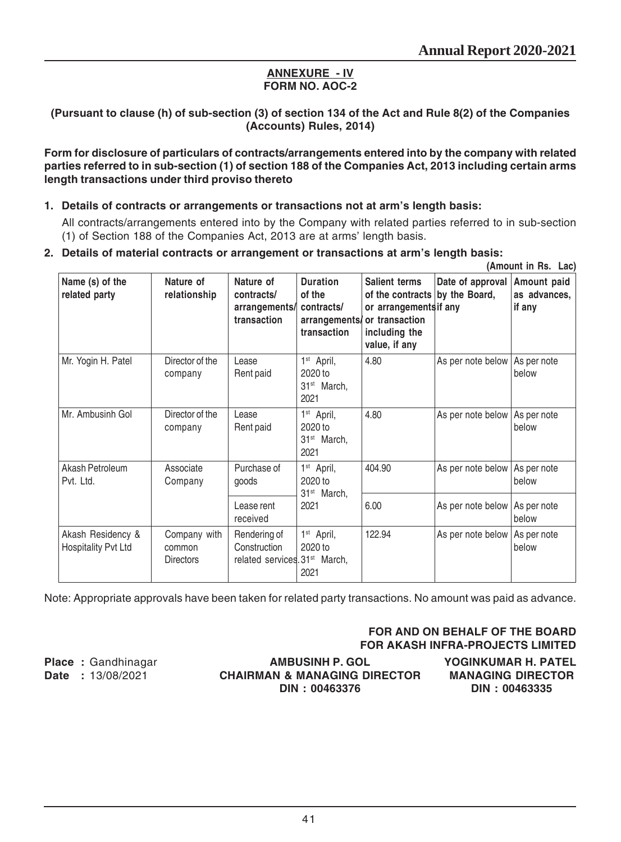# **ANNEXURE - IV FORM NO. AOC-2**

**(Pursuant to clause (h) of sub-section (3) of section 134 of the Act and Rule 8(2) of the Companies (Accounts) Rules, 2014)**

**Form for disclosure of particulars of contracts/arrangements entered into by the company with related parties referred to in sub-section (1) of section 188 of the Companies Act, 2013 including certain arms length transactions under third proviso thereto**

## **1. Details of contracts or arrangements or transactions not at arm's length basis:**

All contracts/arrangements entered into by the Company with related parties referred to in sub-section (1) of Section 188 of the Companies Act, 2013 are at arms' length basis.

#### **2. Details of material contracts or arrangement or transactions at arm's length basis:**

|                                                 |                                            |                                                                           |                                                                      |                                                                                                                                      |                   | (Amount in Rs. Lac)                   |
|-------------------------------------------------|--------------------------------------------|---------------------------------------------------------------------------|----------------------------------------------------------------------|--------------------------------------------------------------------------------------------------------------------------------------|-------------------|---------------------------------------|
| Name (s) of the<br>related party                | Nature of<br>relationship                  | Nature of<br>contracts/<br>arrangements/ contracts/<br>transaction        | <b>Duration</b><br>of the<br>arrangements/<br>transaction            | <b>Salient terms</b><br>of the contracts by the Board,<br>or arrangements if any<br>or transaction<br>including the<br>value, if any | Date of approval  | Amount paid<br>as advances,<br>if any |
| Mr. Yogin H. Patel                              | Director of the<br>company                 | Lease<br>Rent paid                                                        | 1 <sup>st</sup> April,<br>2020 to<br>31 <sup>st</sup> March,<br>2021 | 4.80                                                                                                                                 | As per note below | As per note<br>below                  |
| Mr. Ambusinh Gol                                | Director of the<br>company                 | Lease<br>Rent paid                                                        | $1st$ April,<br>2020 to<br>31 <sup>st</sup> March,<br>2021           | 4.80                                                                                                                                 | As per note below | As per note<br>below                  |
| Akash Petroleum<br>Pvt. Ltd.                    | Associate<br>Company                       | Purchase of<br>goods                                                      | $1st$ April,<br>2020 to<br>31 <sup>st</sup> March,                   | 404.90                                                                                                                               | As per note below | As per note<br>below                  |
|                                                 |                                            | Lease rent<br>received                                                    | 2021                                                                 | 6.00                                                                                                                                 | As per note below | As per note<br>below                  |
| Akash Residency &<br><b>Hospitality Pvt Ltd</b> | Company with<br>common<br><b>Directors</b> | Rendering of<br>Construction<br>related services. 31 <sup>st</sup> March, | 1 <sup>st</sup> April,<br>2020 to<br>2021                            | 122.94                                                                                                                               | As per note below | As per note<br>below                  |

Note: Appropriate approvals have been taken for related party transactions. No amount was paid as advance.

## **FOR AND ON BEHALF OF THE BOARD FOR AKASH INFRA-PROJECTS LIMITED**

**Place :** Gandhinagar **AMBUSINH P. GOL YOGINKUMAR H. PATEL Date :** 13/08/2021 **CHAIRMAN & MANAGING DIRECTOR MANAGING DIRECTOR DIN : 00463376 DIN : 00463335**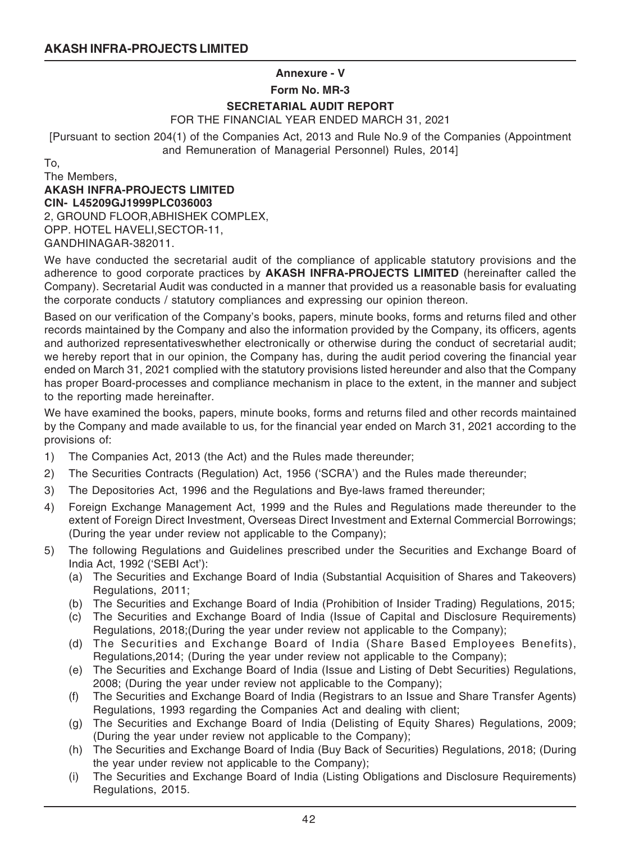## **Annexure - V**

**Form No. MR-3**

## **SECRETARIAL AUDIT REPORT**

FOR THE FINANCIAL YEAR ENDED MARCH 31, 2021

[Pursuant to section 204(1) of the Companies Act, 2013 and Rule No.9 of the Companies (Appointment and Remuneration of Managerial Personnel) Rules, 2014]

To,

The Members, **AKASH INFRA-PROJECTS LIMITED CIN- L45209GJ1999PLC036003** 2, GROUND FLOOR,ABHISHEK COMPLEX, OPP. HOTEL HAVELI,SECTOR-11, GANDHINAGAR-382011.

We have conducted the secretarial audit of the compliance of applicable statutory provisions and the adherence to good corporate practices by **AKASH INFRA-PROJECTS LIMITED** (hereinafter called the Company). Secretarial Audit was conducted in a manner that provided us a reasonable basis for evaluating the corporate conducts / statutory compliances and expressing our opinion thereon.

Based on our verification of the Company's books, papers, minute books, forms and returns filed and other records maintained by the Company and also the information provided by the Company, its officers, agents and authorized representativeswhether electronically or otherwise during the conduct of secretarial audit; we hereby report that in our opinion, the Company has, during the audit period covering the financial year ended on March 31, 2021 complied with the statutory provisions listed hereunder and also that the Company has proper Board-processes and compliance mechanism in place to the extent, in the manner and subject to the reporting made hereinafter.

We have examined the books, papers, minute books, forms and returns filed and other records maintained by the Company and made available to us, for the financial year ended on March 31, 2021 according to the provisions of:

- 1) The Companies Act, 2013 (the Act) and the Rules made thereunder;
- 2) The Securities Contracts (Regulation) Act, 1956 ('SCRA') and the Rules made thereunder;
- 3) The Depositories Act, 1996 and the Regulations and Bye-laws framed thereunder;
- 4) Foreign Exchange Management Act, 1999 and the Rules and Regulations made thereunder to the extent of Foreign Direct Investment, Overseas Direct Investment and External Commercial Borrowings; (During the year under review not applicable to the Company);
- 5) The following Regulations and Guidelines prescribed under the Securities and Exchange Board of India Act, 1992 ('SEBI Act'):
	- (a) The Securities and Exchange Board of India (Substantial Acquisition of Shares and Takeovers) Regulations, 2011;
	- (b) The Securities and Exchange Board of India (Prohibition of Insider Trading) Regulations, 2015;
	- (c) The Securities and Exchange Board of India (Issue of Capital and Disclosure Requirements) Regulations, 2018;(During the year under review not applicable to the Company);
	- (d) The Securities and Exchange Board of India (Share Based Employees Benefits), Regulations,2014; (During the year under review not applicable to the Company);
	- (e) The Securities and Exchange Board of India (Issue and Listing of Debt Securities) Regulations, 2008; (During the year under review not applicable to the Company);
	- (f) The Securities and Exchange Board of India (Registrars to an Issue and Share Transfer Agents) Regulations, 1993 regarding the Companies Act and dealing with client;
	- (g) The Securities and Exchange Board of India (Delisting of Equity Shares) Regulations, 2009; (During the year under review not applicable to the Company);
	- (h) The Securities and Exchange Board of India (Buy Back of Securities) Regulations, 2018; (During the year under review not applicable to the Company);
	- (i) The Securities and Exchange Board of India (Listing Obligations and Disclosure Requirements) Regulations, 2015.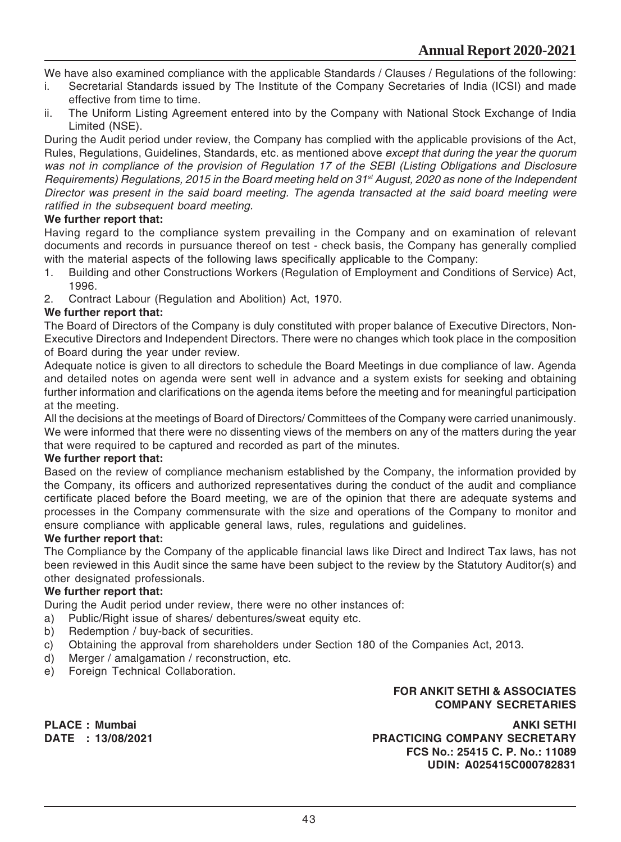We have also examined compliance with the applicable Standards / Clauses / Regulations of the following:

- i. Secretarial Standards issued by The Institute of the Company Secretaries of India (ICSI) and made effective from time to time.
- ii. The Uniform Listing Agreement entered into by the Company with National Stock Exchange of India Limited (NSE).

During the Audit period under review, the Company has complied with the applicable provisions of the Act, Rules, Regulations, Guidelines, Standards, etc. as mentioned above except that during the year the quorum was not in compliance of the provision of Regulation 17 of the SEBI (Listing Obligations and Disclosure Requirements) Regulations, 2015 in the Board meeting held on 31<sup>st</sup> August, 2020 as none of the Independent Director was present in the said board meeting. The agenda transacted at the said board meeting were ratified in the subsequent board meeting.

## **We further report that:**

Having regard to the compliance system prevailing in the Company and on examination of relevant documents and records in pursuance thereof on test - check basis, the Company has generally complied with the material aspects of the following laws specifically applicable to the Company:

- 1. Building and other Constructions Workers (Regulation of Employment and Conditions of Service) Act, 1996.
- 2. Contract Labour (Regulation and Abolition) Act, 1970.

## **We further report that:**

The Board of Directors of the Company is duly constituted with proper balance of Executive Directors, Non-Executive Directors and Independent Directors. There were no changes which took place in the composition of Board during the year under review.

Adequate notice is given to all directors to schedule the Board Meetings in due compliance of law. Agenda and detailed notes on agenda were sent well in advance and a system exists for seeking and obtaining further information and clarifications on the agenda items before the meeting and for meaningful participation at the meeting.

All the decisions at the meetings of Board of Directors/ Committees of the Company were carried unanimously. We were informed that there were no dissenting views of the members on any of the matters during the year that were required to be captured and recorded as part of the minutes.

## **We further report that:**

Based on the review of compliance mechanism established by the Company, the information provided by the Company, its officers and authorized representatives during the conduct of the audit and compliance certificate placed before the Board meeting, we are of the opinion that there are adequate systems and processes in the Company commensurate with the size and operations of the Company to monitor and ensure compliance with applicable general laws, rules, regulations and guidelines.

## **We further report that:**

The Compliance by the Company of the applicable financial laws like Direct and Indirect Tax laws, has not been reviewed in this Audit since the same have been subject to the review by the Statutory Auditor(s) and other designated professionals.

## **We further report that:**

During the Audit period under review, there were no other instances of:

- a) Public/Right issue of shares/ debentures/sweat equity etc.
- b) Redemption / buy-back of securities.
- c) Obtaining the approval from shareholders under Section 180 of the Companies Act, 2013.
- d) Merger / amalgamation / reconstruction, etc.
- e) Foreign Technical Collaboration.

## **FOR ANKIT SETHI & ASSOCIATES COMPANY SECRETARIES**

**PLACE : Mumbai ANKI SETHI DATE : 13/08/2021 PRACTICING COMPANY SECRETARY FCS No.: 25415 C. P. No.: 11089 UDIN: A025415C000782831**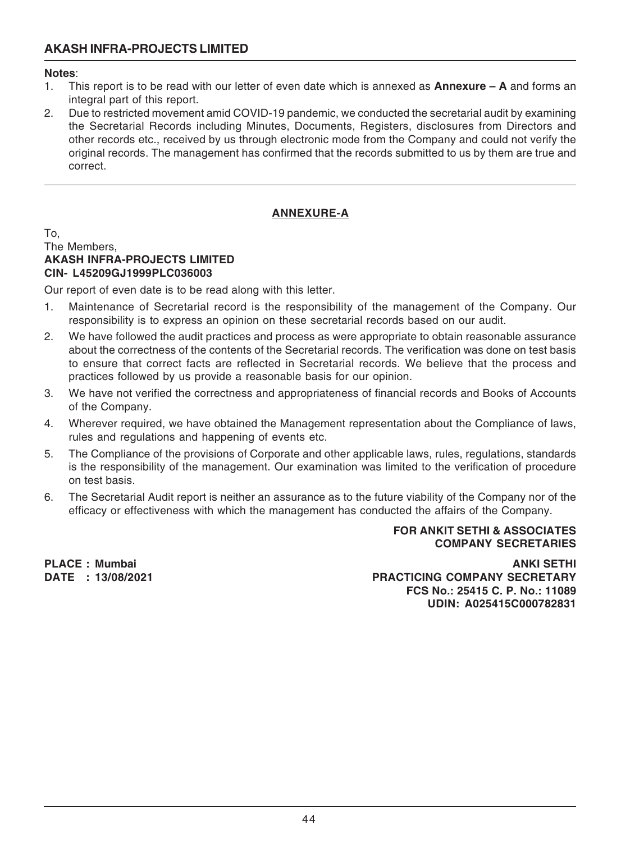## **Notes**:

- 1. This report is to be read with our letter of even date which is annexed as **Annexure A** and forms an integral part of this report.
- 2. Due to restricted movement amid COVID-19 pandemic, we conducted the secretarial audit by examining the Secretarial Records including Minutes, Documents, Registers, disclosures from Directors and other records etc., received by us through electronic mode from the Company and could not verify the original records. The management has confirmed that the records submitted to us by them are true and correct.

# **ANNEXURE-A**

To, The Members, **AKASH INFRA-PROJECTS LIMITED CIN- L45209GJ1999PLC036003**

Our report of even date is to be read along with this letter.

- 1. Maintenance of Secretarial record is the responsibility of the management of the Company. Our responsibility is to express an opinion on these secretarial records based on our audit.
- 2. We have followed the audit practices and process as were appropriate to obtain reasonable assurance about the correctness of the contents of the Secretarial records. The verification was done on test basis to ensure that correct facts are reflected in Secretarial records. We believe that the process and practices followed by us provide a reasonable basis for our opinion.
- 3. We have not verified the correctness and appropriateness of financial records and Books of Accounts of the Company.
- 4. Wherever required, we have obtained the Management representation about the Compliance of laws, rules and regulations and happening of events etc.
- 5. The Compliance of the provisions of Corporate and other applicable laws, rules, regulations, standards is the responsibility of the management. Our examination was limited to the verification of procedure on test basis.
- 6. The Secretarial Audit report is neither an assurance as to the future viability of the Company nor of the efficacy or effectiveness with which the management has conducted the affairs of the Company.

## **FOR ANKIT SETHI & ASSOCIATES COMPANY SECRETARIES**

**PLACE : Mumbai ANKI SETHI DATE : 13/08/2021 PRACTICING COMPANY SECRETARY FCS No.: 25415 C. P. No.: 11089 UDIN: A025415C000782831**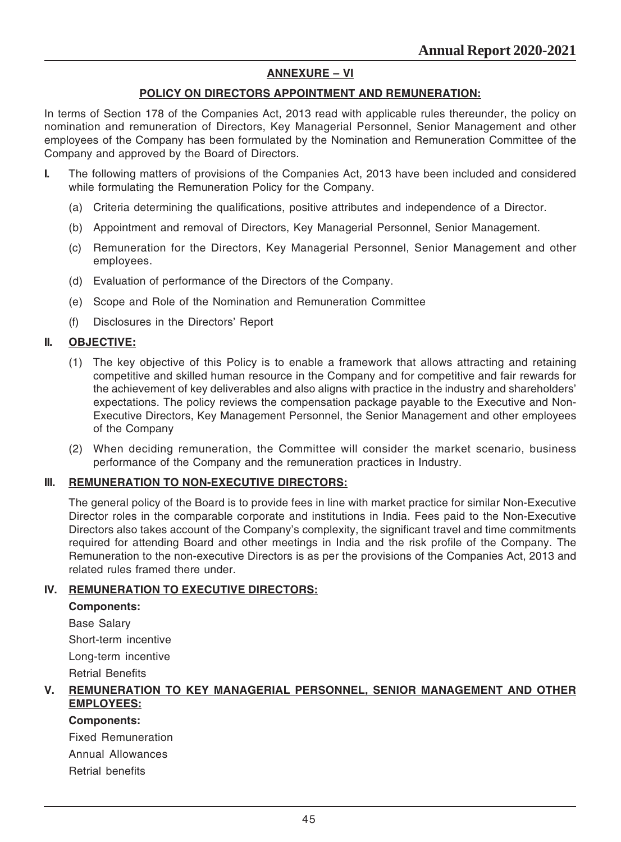## **ANNEXURE – VI**

## **POLICY ON DIRECTORS APPOINTMENT AND REMUNERATION:**

In terms of Section 178 of the Companies Act, 2013 read with applicable rules thereunder, the policy on nomination and remuneration of Directors, Key Managerial Personnel, Senior Management and other employees of the Company has been formulated by the Nomination and Remuneration Committee of the Company and approved by the Board of Directors.

- **I.** The following matters of provisions of the Companies Act, 2013 have been included and considered while formulating the Remuneration Policy for the Company.
	- (a) Criteria determining the qualifications, positive attributes and independence of a Director.
	- (b) Appointment and removal of Directors, Key Managerial Personnel, Senior Management.
	- (c) Remuneration for the Directors, Key Managerial Personnel, Senior Management and other employees.
	- (d) Evaluation of performance of the Directors of the Company.
	- (e) Scope and Role of the Nomination and Remuneration Committee
	- (f) Disclosures in the Directors' Report

## **II. OBJECTIVE:**

- (1) The key objective of this Policy is to enable a framework that allows attracting and retaining competitive and skilled human resource in the Company and for competitive and fair rewards for the achievement of key deliverables and also aligns with practice in the industry and shareholders' expectations. The policy reviews the compensation package payable to the Executive and Non-Executive Directors, Key Management Personnel, the Senior Management and other employees of the Company
- (2) When deciding remuneration, the Committee will consider the market scenario, business performance of the Company and the remuneration practices in Industry.

## **III. REMUNERATION TO NON-EXECUTIVE DIRECTORS:**

The general policy of the Board is to provide fees in line with market practice for similar Non-Executive Director roles in the comparable corporate and institutions in India. Fees paid to the Non-Executive Directors also takes account of the Company's complexity, the significant travel and time commitments required for attending Board and other meetings in India and the risk profile of the Company. The Remuneration to the non-executive Directors is as per the provisions of the Companies Act, 2013 and related rules framed there under.

## **IV. REMUNERATION TO EXECUTIVE DIRECTORS:**

## **Components:**

Base Salary Short-term incentive Long-term incentive Retrial Benefits

## **V. REMUNERATION TO KEY MANAGERIAL PERSONNEL, SENIOR MANAGEMENT AND OTHER EMPLOYEES:**

## **Components:**

Fixed Remuneration

Annual Allowances

Retrial benefits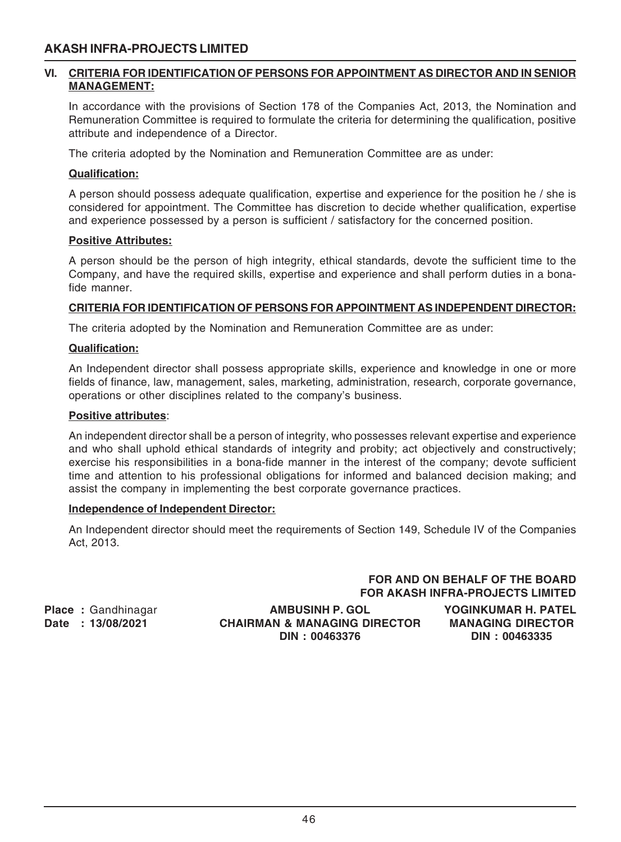## **VI. CRITERIA FOR IDENTIFICATION OF PERSONS FOR APPOINTMENT AS DIRECTOR AND IN SENIOR MANAGEMENT:**

In accordance with the provisions of Section 178 of the Companies Act, 2013, the Nomination and Remuneration Committee is required to formulate the criteria for determining the qualification, positive attribute and independence of a Director.

The criteria adopted by the Nomination and Remuneration Committee are as under:

## **Qualification:**

A person should possess adequate qualification, expertise and experience for the position he / she is considered for appointment. The Committee has discretion to decide whether qualification, expertise and experience possessed by a person is sufficient / satisfactory for the concerned position.

## **Positive Attributes:**

A person should be the person of high integrity, ethical standards, devote the sufficient time to the Company, and have the required skills, expertise and experience and shall perform duties in a bonafide manner.

## **CRITERIA FOR IDENTIFICATION OF PERSONS FOR APPOINTMENT AS INDEPENDENT DIRECTOR:**

The criteria adopted by the Nomination and Remuneration Committee are as under:

## **Qualification:**

An Independent director shall possess appropriate skills, experience and knowledge in one or more fields of finance, law, management, sales, marketing, administration, research, corporate governance, operations or other disciplines related to the company's business.

## **Positive attributes**:

An independent director shall be a person of integrity, who possesses relevant expertise and experience and who shall uphold ethical standards of integrity and probity; act objectively and constructively; exercise his responsibilities in a bona-fide manner in the interest of the company; devote sufficient time and attention to his professional obligations for informed and balanced decision making; and assist the company in implementing the best corporate governance practices.

## **Independence of Independent Director:**

An Independent director should meet the requirements of Section 149, Schedule IV of the Companies Act, 2013.

**FOR AKASH INFRA-PROJECTS LIMITED Place :** Gandhinagar **AMBUSINH P. GOL YOGINKUMAR H. PATEL Date : 13/08/2021 CHAIRMAN & MANAGING DIRECTOR MANAGING DIRECTOR DIN : 00463376 DIN : 00463335**

**FOR AND ON BEHALF OF THE BOARD**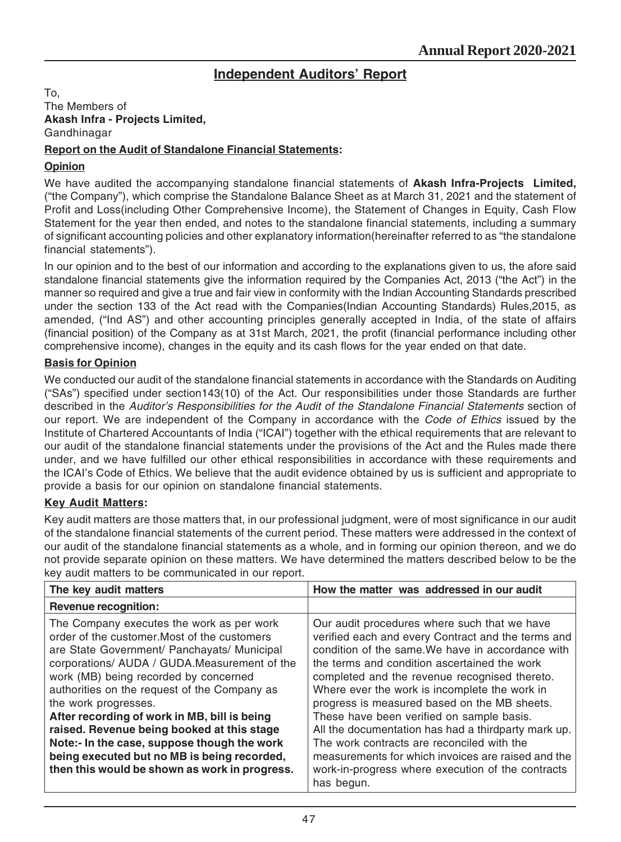# **Independent Auditors' Report**

To, The Members of **Akash Infra - Projects Limited,** Gandhinagar

## **Report on the Audit of Standalone Financial Statements:**

## **Opinion**

We have audited the accompanying standalone financial statements of **Akash Infra-Projects Limited,** ("the Company"), which comprise the Standalone Balance Sheet as at March 31, 2021 and the statement of Profit and Loss(including Other Comprehensive Income), the Statement of Changes in Equity, Cash Flow Statement for the year then ended, and notes to the standalone financial statements, including a summary of significant accounting policies and other explanatory information(hereinafter referred to as "the standalone financial statements").

In our opinion and to the best of our information and according to the explanations given to us, the afore said standalone financial statements give the information required by the Companies Act, 2013 ("the Act") in the manner so required and give a true and fair view in conformity with the Indian Accounting Standards prescribed under the section 133 of the Act read with the Companies(Indian Accounting Standards) Rules,2015, as amended, ("Ind AS") and other accounting principles generally accepted in India, of the state of affairs (financial position) of the Company as at 31st March, 2021, the profit (financial performance including other comprehensive income), changes in the equity and its cash flows for the year ended on that date.

## **Basis for Opinion**

We conducted our audit of the standalone financial statements in accordance with the Standards on Auditing ("SAs") specified under section143(10) of the Act. Our responsibilities under those Standards are further described in the Auditor's Responsibilities for the Audit of the Standalone Financial Statements section of our report. We are independent of the Company in accordance with the Code of Ethics issued by the Institute of Chartered Accountants of India ("ICAI") together with the ethical requirements that are relevant to our audit of the standalone financial statements under the provisions of the Act and the Rules made there under, and we have fulfilled our other ethical responsibilities in accordance with these requirements and the ICAI's Code of Ethics. We believe that the audit evidence obtained by us is sufficient and appropriate to provide a basis for our opinion on standalone financial statements.

# **Key Audit Matters:**

Key audit matters are those matters that, in our professional judgment, were of most significance in our audit of the standalone financial statements of the current period. These matters were addressed in the context of our audit of the standalone financial statements as a whole, and in forming our opinion thereon, and we do not provide separate opinion on these matters. We have determined the matters described below to be the key audit matters to be communicated in our report.

| The key audit matters                                                                                                                                                                                                                                                                                                                                                                                                                                                                                                                                  | How the matter was addressed in our audit                                                                                                                                                                                                                                                                                                                                                                                                                                                                                                                                                                                            |
|--------------------------------------------------------------------------------------------------------------------------------------------------------------------------------------------------------------------------------------------------------------------------------------------------------------------------------------------------------------------------------------------------------------------------------------------------------------------------------------------------------------------------------------------------------|--------------------------------------------------------------------------------------------------------------------------------------------------------------------------------------------------------------------------------------------------------------------------------------------------------------------------------------------------------------------------------------------------------------------------------------------------------------------------------------------------------------------------------------------------------------------------------------------------------------------------------------|
| <b>Revenue recognition:</b>                                                                                                                                                                                                                                                                                                                                                                                                                                                                                                                            |                                                                                                                                                                                                                                                                                                                                                                                                                                                                                                                                                                                                                                      |
| The Company executes the work as per work<br>order of the customer. Most of the customers<br>are State Government/ Panchayats/ Municipal<br>corporations/ AUDA / GUDA.Measurement of the<br>work (MB) being recorded by concerned<br>authorities on the request of the Company as<br>the work progresses.<br>After recording of work in MB, bill is being<br>raised. Revenue being booked at this stage<br>Note:- In the case, suppose though the work<br>being executed but no MB is being recorded,<br>then this would be shown as work in progress. | Our audit procedures where such that we have<br>verified each and every Contract and the terms and<br>condition of the same. We have in accordance with<br>the terms and condition ascertained the work<br>completed and the revenue recognised thereto.<br>Where ever the work is incomplete the work in<br>progress is measured based on the MB sheets.<br>These have been verified on sample basis.<br>All the documentation has had a thirdparty mark up.<br>The work contracts are reconciled with the<br>measurements for which invoices are raised and the<br>work-in-progress where execution of the contracts<br>has begun. |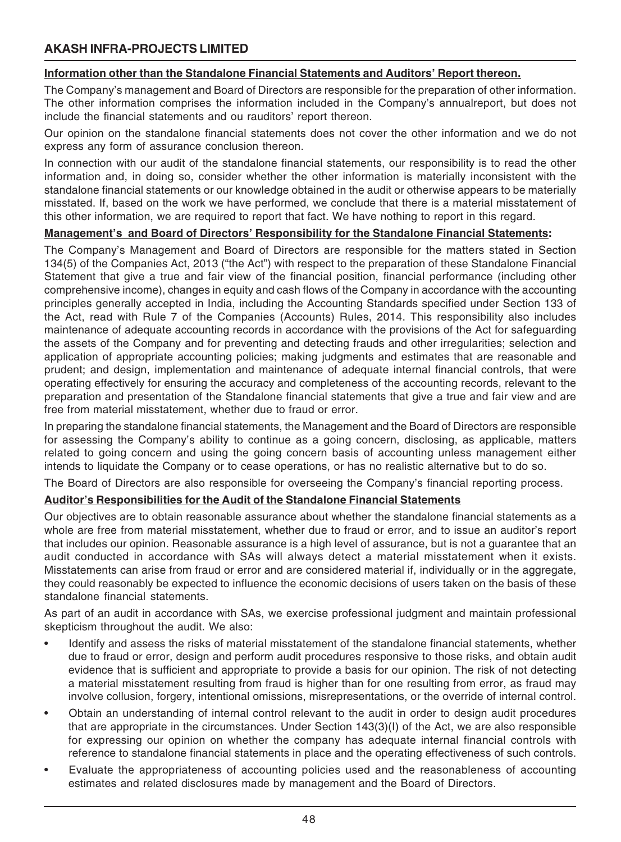## **Information other than the Standalone Financial Statements and Auditors' Report thereon.**

The Company's management and Board of Directors are responsible for the preparation of other information. The other information comprises the information included in the Company's annualreport, but does not include the financial statements and ou rauditors' report thereon.

Our opinion on the standalone financial statements does not cover the other information and we do not express any form of assurance conclusion thereon.

In connection with our audit of the standalone financial statements, our responsibility is to read the other information and, in doing so, consider whether the other information is materially inconsistent with the standalone financial statements or our knowledge obtained in the audit or otherwise appears to be materially misstated. If, based on the work we have performed, we conclude that there is a material misstatement of this other information, we are required to report that fact. We have nothing to report in this regard.

## **Management's and Board of Directors' Responsibility for the Standalone Financial Statements:**

The Company's Management and Board of Directors are responsible for the matters stated in Section 134(5) of the Companies Act, 2013 ("the Act") with respect to the preparation of these Standalone Financial Statement that give a true and fair view of the financial position, financial performance (including other comprehensive income), changes in equity and cash flows of the Company in accordance with the accounting principles generally accepted in India, including the Accounting Standards specified under Section 133 of the Act, read with Rule 7 of the Companies (Accounts) Rules, 2014. This responsibility also includes maintenance of adequate accounting records in accordance with the provisions of the Act for safeguarding the assets of the Company and for preventing and detecting frauds and other irregularities; selection and application of appropriate accounting policies; making judgments and estimates that are reasonable and prudent; and design, implementation and maintenance of adequate internal financial controls, that were operating effectively for ensuring the accuracy and completeness of the accounting records, relevant to the preparation and presentation of the Standalone financial statements that give a true and fair view and are free from material misstatement, whether due to fraud or error.

In preparing the standalone financial statements, the Management and the Board of Directors are responsible for assessing the Company's ability to continue as a going concern, disclosing, as applicable, matters related to going concern and using the going concern basis of accounting unless management either intends to liquidate the Company or to cease operations, or has no realistic alternative but to do so.

The Board of Directors are also responsible for overseeing the Company's financial reporting process.

## **Auditor's Responsibilities for the Audit of the Standalone Financial Statements**

Our objectives are to obtain reasonable assurance about whether the standalone financial statements as a whole are free from material misstatement, whether due to fraud or error, and to issue an auditor's report that includes our opinion. Reasonable assurance is a high level of assurance, but is not a guarantee that an audit conducted in accordance with SAs will always detect a material misstatement when it exists. Misstatements can arise from fraud or error and are considered material if, individually or in the aggregate, they could reasonably be expected to influence the economic decisions of users taken on the basis of these standalone financial statements.

As part of an audit in accordance with SAs, we exercise professional judgment and maintain professional skepticism throughout the audit. We also:

- Identify and assess the risks of material misstatement of the standalone financial statements, whether due to fraud or error, design and perform audit procedures responsive to those risks, and obtain audit evidence that is sufficient and appropriate to provide a basis for our opinion. The risk of not detecting a material misstatement resulting from fraud is higher than for one resulting from error, as fraud may involve collusion, forgery, intentional omissions, misrepresentations, or the override of internal control.
- Obtain an understanding of internal control relevant to the audit in order to design audit procedures that are appropriate in the circumstances. Under Section 143(3)(I) of the Act, we are also responsible for expressing our opinion on whether the company has adequate internal financial controls with reference to standalone financial statements in place and the operating effectiveness of such controls.
- Evaluate the appropriateness of accounting policies used and the reasonableness of accounting estimates and related disclosures made by management and the Board of Directors.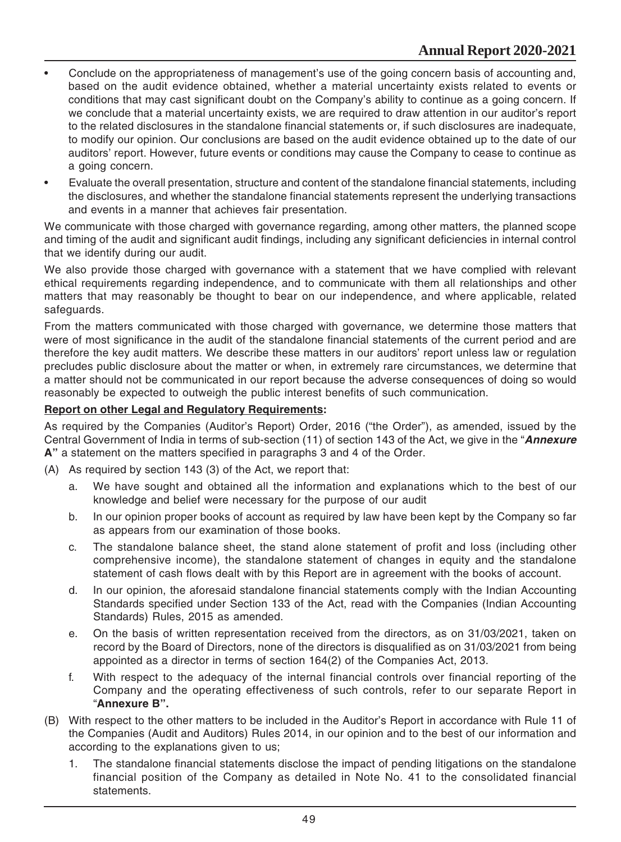- Conclude on the appropriateness of management's use of the going concern basis of accounting and, based on the audit evidence obtained, whether a material uncertainty exists related to events or conditions that may cast significant doubt on the Company's ability to continue as a going concern. If we conclude that a material uncertainty exists, we are required to draw attention in our auditor's report to the related disclosures in the standalone financial statements or, if such disclosures are inadequate, to modify our opinion. Our conclusions are based on the audit evidence obtained up to the date of our auditors' report. However, future events or conditions may cause the Company to cease to continue as a going concern.
- Evaluate the overall presentation, structure and content of the standalone financial statements, including the disclosures, and whether the standalone financial statements represent the underlying transactions and events in a manner that achieves fair presentation.

We communicate with those charged with governance regarding, among other matters, the planned scope and timing of the audit and significant audit findings, including any significant deficiencies in internal control that we identify during our audit.

We also provide those charged with governance with a statement that we have complied with relevant ethical requirements regarding independence, and to communicate with them all relationships and other matters that may reasonably be thought to bear on our independence, and where applicable, related safeguards.

From the matters communicated with those charged with governance, we determine those matters that were of most significance in the audit of the standalone financial statements of the current period and are therefore the key audit matters. We describe these matters in our auditors' report unless law or regulation precludes public disclosure about the matter or when, in extremely rare circumstances, we determine that a matter should not be communicated in our report because the adverse consequences of doing so would reasonably be expected to outweigh the public interest benefits of such communication.

## **Report on other Legal and Regulatory Requirements:**

As required by the Companies (Auditor's Report) Order, 2016 ("the Order"), as amended, issued by the Central Government of India in terms of sub-section (11) of section 143 of the Act, we give in the "**Annexure A"** a statement on the matters specified in paragraphs 3 and 4 of the Order.

- (A) As required by section 143 (3) of the Act, we report that:
	- a. We have sought and obtained all the information and explanations which to the best of our knowledge and belief were necessary for the purpose of our audit
	- b. In our opinion proper books of account as required by law have been kept by the Company so far as appears from our examination of those books.
	- c. The standalone balance sheet, the stand alone statement of profit and loss (including other comprehensive income), the standalone statement of changes in equity and the standalone statement of cash flows dealt with by this Report are in agreement with the books of account.
	- d. In our opinion, the aforesaid standalone financial statements comply with the Indian Accounting Standards specified under Section 133 of the Act, read with the Companies (Indian Accounting Standards) Rules, 2015 as amended.
	- e. On the basis of written representation received from the directors, as on 31/03/2021, taken on record by the Board of Directors, none of the directors is disqualified as on 31/03/2021 from being appointed as a director in terms of section 164(2) of the Companies Act, 2013.
	- f. With respect to the adequacy of the internal financial controls over financial reporting of the Company and the operating effectiveness of such controls, refer to our separate Report in "**Annexure B".**
- (B) With respect to the other matters to be included in the Auditor's Report in accordance with Rule 11 of the Companies (Audit and Auditors) Rules 2014, in our opinion and to the best of our information and according to the explanations given to us;
	- 1. The standalone financial statements disclose the impact of pending litigations on the standalone financial position of the Company as detailed in Note No. 41 to the consolidated financial statements.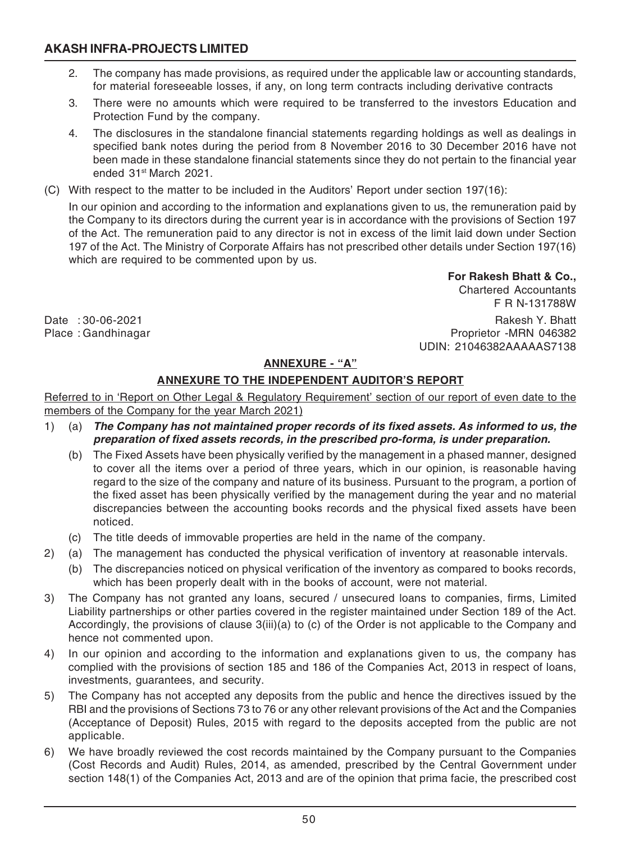- 2. The company has made provisions, as required under the applicable law or accounting standards, for material foreseeable losses, if any, on long term contracts including derivative contracts
- 3. There were no amounts which were required to be transferred to the investors Education and Protection Fund by the company.
- 4. The disclosures in the standalone financial statements regarding holdings as well as dealings in specified bank notes during the period from 8 November 2016 to 30 December 2016 have not been made in these standalone financial statements since they do not pertain to the financial year ended 31st March 2021.
- (C) With respect to the matter to be included in the Auditors' Report under section 197(16):

In our opinion and according to the information and explanations given to us, the remuneration paid by the Company to its directors during the current year is in accordance with the provisions of Section 197 of the Act. The remuneration paid to any director is not in excess of the limit laid down under Section 197 of the Act. The Ministry of Corporate Affairs has not prescribed other details under Section 197(16) which are required to be commented upon by us.

**For Rakesh Bhatt & Co.,** Chartered Accountants F R N-131788W Date : 30-06-2021 Rakesh Y. Bhatt Place : Gandhinagar Proprietor -MRN 046382 UDIN: 21046382AAAAAS7138

## **ANNEXURE - "A"**

## **ANNEXURE TO THE INDEPENDENT AUDITOR'S REPORT**

Referred to in 'Report on Other Legal & Regulatory Requirement' section of our report of even date to the members of the Company for the year March 2021)

- 1) (a) **The Company has not maintained proper records of its fixed assets. As informed to us, the preparation of fixed assets records, in the prescribed pro-forma, is under preparation.**
	- (b) The Fixed Assets have been physically verified by the management in a phased manner, designed to cover all the items over a period of three years, which in our opinion, is reasonable having regard to the size of the company and nature of its business. Pursuant to the program, a portion of the fixed asset has been physically verified by the management during the year and no material discrepancies between the accounting books records and the physical fixed assets have been noticed.
	- (c) The title deeds of immovable properties are held in the name of the company.
- 2) (a) The management has conducted the physical verification of inventory at reasonable intervals.
	- (b) The discrepancies noticed on physical verification of the inventory as compared to books records, which has been properly dealt with in the books of account, were not material.
- 3) The Company has not granted any loans, secured / unsecured loans to companies, firms, Limited Liability partnerships or other parties covered in the register maintained under Section 189 of the Act. Accordingly, the provisions of clause 3(iii)(a) to (c) of the Order is not applicable to the Company and hence not commented upon.
- 4) In our opinion and according to the information and explanations given to us, the company has complied with the provisions of section 185 and 186 of the Companies Act, 2013 in respect of loans, investments, guarantees, and security.
- 5) The Company has not accepted any deposits from the public and hence the directives issued by the RBI and the provisions of Sections 73 to 76 or any other relevant provisions of the Act and the Companies (Acceptance of Deposit) Rules, 2015 with regard to the deposits accepted from the public are not applicable.
- 6) We have broadly reviewed the cost records maintained by the Company pursuant to the Companies (Cost Records and Audit) Rules, 2014, as amended, prescribed by the Central Government under section 148(1) of the Companies Act, 2013 and are of the opinion that prima facie, the prescribed cost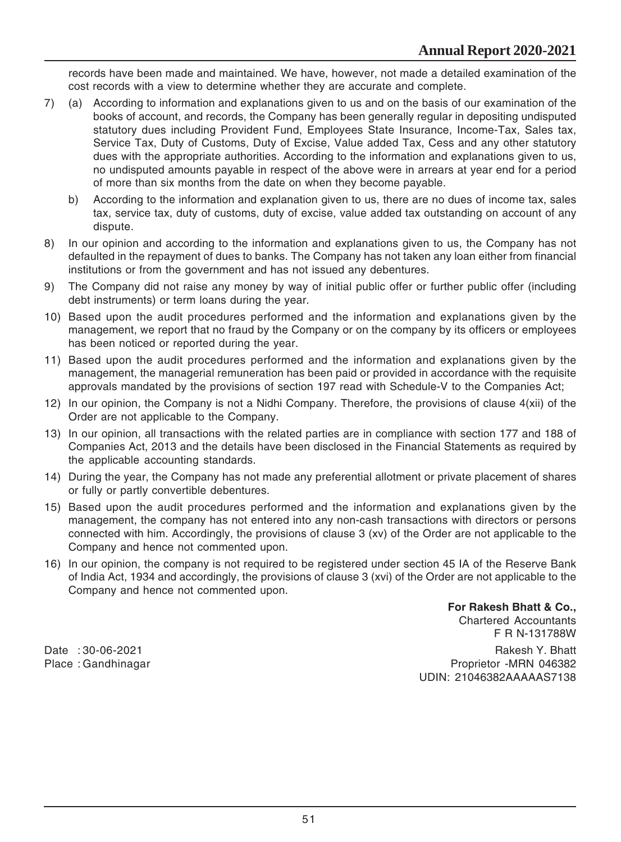records have been made and maintained. We have, however, not made a detailed examination of the cost records with a view to determine whether they are accurate and complete.

- 7) (a) According to information and explanations given to us and on the basis of our examination of the books of account, and records, the Company has been generally regular in depositing undisputed statutory dues including Provident Fund, Employees State Insurance, Income-Tax, Sales tax, Service Tax, Duty of Customs, Duty of Excise, Value added Tax, Cess and any other statutory dues with the appropriate authorities. According to the information and explanations given to us, no undisputed amounts payable in respect of the above were in arrears at year end for a period of more than six months from the date on when they become payable.
	- b) According to the information and explanation given to us, there are no dues of income tax, sales tax, service tax, duty of customs, duty of excise, value added tax outstanding on account of any dispute.
- 8) In our opinion and according to the information and explanations given to us, the Company has not defaulted in the repayment of dues to banks. The Company has not taken any loan either from financial institutions or from the government and has not issued any debentures.
- 9) The Company did not raise any money by way of initial public offer or further public offer (including debt instruments) or term loans during the year.
- 10) Based upon the audit procedures performed and the information and explanations given by the management, we report that no fraud by the Company or on the company by its officers or employees has been noticed or reported during the year.
- 11) Based upon the audit procedures performed and the information and explanations given by the management, the managerial remuneration has been paid or provided in accordance with the requisite approvals mandated by the provisions of section 197 read with Schedule-V to the Companies Act;
- 12) In our opinion, the Company is not a Nidhi Company. Therefore, the provisions of clause 4(xii) of the Order are not applicable to the Company.
- 13) In our opinion, all transactions with the related parties are in compliance with section 177 and 188 of Companies Act, 2013 and the details have been disclosed in the Financial Statements as required by the applicable accounting standards.
- 14) During the year, the Company has not made any preferential allotment or private placement of shares or fully or partly convertible debentures.
- 15) Based upon the audit procedures performed and the information and explanations given by the management, the company has not entered into any non-cash transactions with directors or persons connected with him. Accordingly, the provisions of clause 3 (xv) of the Order are not applicable to the Company and hence not commented upon.
- 16) In our opinion, the company is not required to be registered under section 45 IA of the Reserve Bank of India Act, 1934 and accordingly, the provisions of clause 3 (xvi) of the Order are not applicable to the Company and hence not commented upon.

**For Rakesh Bhatt & Co.,** Chartered Accountants F R N-131788W Date : 30-06-2021 Rakesh Y. Bhatt Place : Gandhinagar **Proprietor -MRN 046382** UDIN: 21046382AAAAAS7138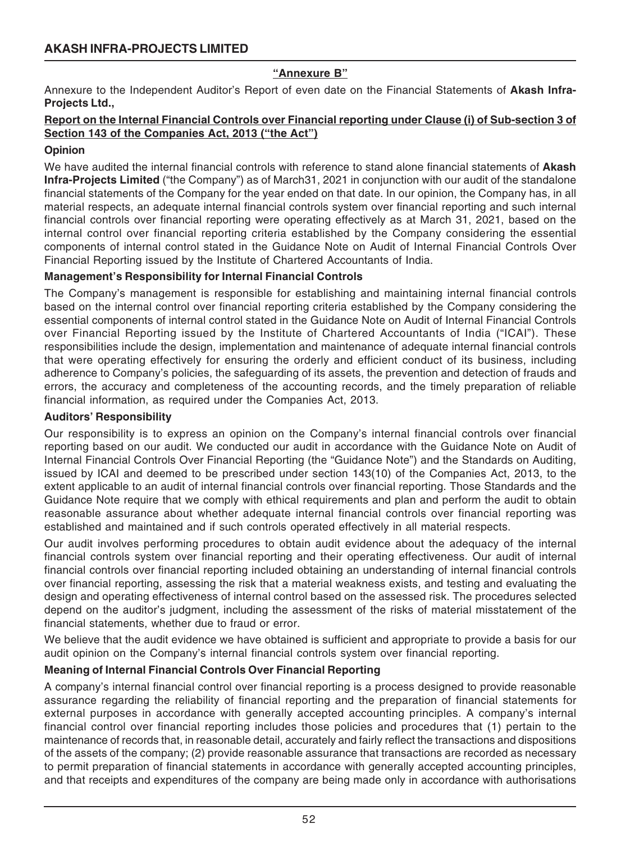# **"Annexure B"**

Annexure to the Independent Auditor's Report of even date on the Financial Statements of **Akash Infra-Projects Ltd.,**

## **Report on the Internal Financial Controls over Financial reporting under Clause (i) of Sub-section 3 of Section 143 of the Companies Act, 2013 ("the Act")**

## **Opinion**

We have audited the internal financial controls with reference to stand alone financial statements of **Akash Infra-Projects Limited** ("the Company") as of March31, 2021 in conjunction with our audit of the standalone financial statements of the Company for the year ended on that date. In our opinion, the Company has, in all material respects, an adequate internal financial controls system over financial reporting and such internal financial controls over financial reporting were operating effectively as at March 31, 2021, based on the internal control over financial reporting criteria established by the Company considering the essential components of internal control stated in the Guidance Note on Audit of Internal Financial Controls Over Financial Reporting issued by the Institute of Chartered Accountants of India.

## **Management's Responsibility for Internal Financial Controls**

The Company's management is responsible for establishing and maintaining internal financial controls based on the internal control over financial reporting criteria established by the Company considering the essential components of internal control stated in the Guidance Note on Audit of Internal Financial Controls over Financial Reporting issued by the Institute of Chartered Accountants of India ("ICAI"). These responsibilities include the design, implementation and maintenance of adequate internal financial controls that were operating effectively for ensuring the orderly and efficient conduct of its business, including adherence to Company's policies, the safeguarding of its assets, the prevention and detection of frauds and errors, the accuracy and completeness of the accounting records, and the timely preparation of reliable financial information, as required under the Companies Act, 2013.

## **Auditors' Responsibility**

Our responsibility is to express an opinion on the Company's internal financial controls over financial reporting based on our audit. We conducted our audit in accordance with the Guidance Note on Audit of Internal Financial Controls Over Financial Reporting (the "Guidance Note") and the Standards on Auditing, issued by ICAI and deemed to be prescribed under section 143(10) of the Companies Act, 2013, to the extent applicable to an audit of internal financial controls over financial reporting. Those Standards and the Guidance Note require that we comply with ethical requirements and plan and perform the audit to obtain reasonable assurance about whether adequate internal financial controls over financial reporting was established and maintained and if such controls operated effectively in all material respects.

Our audit involves performing procedures to obtain audit evidence about the adequacy of the internal financial controls system over financial reporting and their operating effectiveness. Our audit of internal financial controls over financial reporting included obtaining an understanding of internal financial controls over financial reporting, assessing the risk that a material weakness exists, and testing and evaluating the design and operating effectiveness of internal control based on the assessed risk. The procedures selected depend on the auditor's judgment, including the assessment of the risks of material misstatement of the financial statements, whether due to fraud or error.

We believe that the audit evidence we have obtained is sufficient and appropriate to provide a basis for our audit opinion on the Company's internal financial controls system over financial reporting.

# **Meaning of Internal Financial Controls Over Financial Reporting**

A company's internal financial control over financial reporting is a process designed to provide reasonable assurance regarding the reliability of financial reporting and the preparation of financial statements for external purposes in accordance with generally accepted accounting principles. A company's internal financial control over financial reporting includes those policies and procedures that (1) pertain to the maintenance of records that, in reasonable detail, accurately and fairly reflect the transactions and dispositions of the assets of the company; (2) provide reasonable assurance that transactions are recorded as necessary to permit preparation of financial statements in accordance with generally accepted accounting principles, and that receipts and expenditures of the company are being made only in accordance with authorisations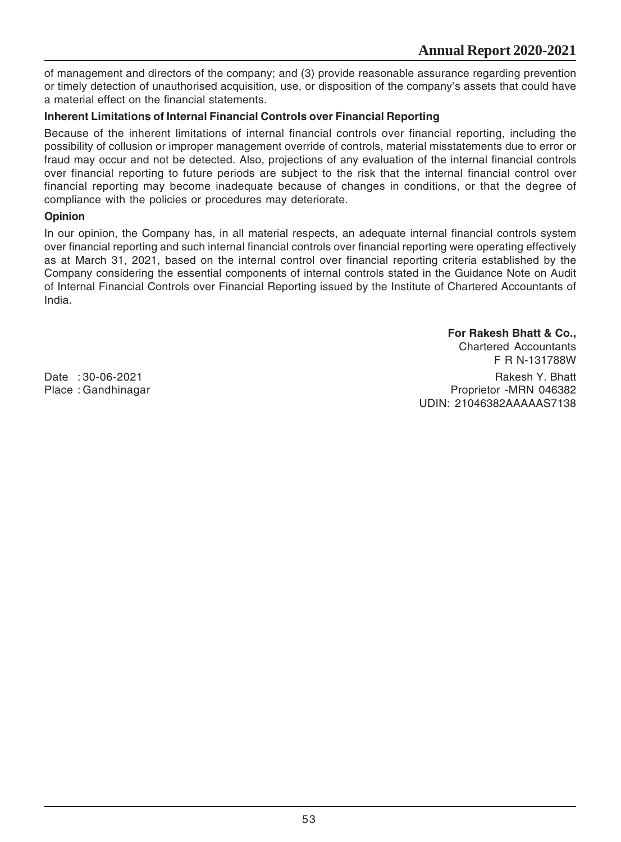of management and directors of the company; and (3) provide reasonable assurance regarding prevention or timely detection of unauthorised acquisition, use, or disposition of the company's assets that could have a material effect on the financial statements.

## **Inherent Limitations of Internal Financial Controls over Financial Reporting**

Because of the inherent limitations of internal financial controls over financial reporting, including the possibility of collusion or improper management override of controls, material misstatements due to error or fraud may occur and not be detected. Also, projections of any evaluation of the internal financial controls over financial reporting to future periods are subject to the risk that the internal financial control over financial reporting may become inadequate because of changes in conditions, or that the degree of compliance with the policies or procedures may deteriorate.

## **Opinion**

In our opinion, the Company has, in all material respects, an adequate internal financial controls system over financial reporting and such internal financial controls over financial reporting were operating effectively as at March 31, 2021, based on the internal control over financial reporting criteria established by the Company considering the essential components of internal controls stated in the Guidance Note on Audit of Internal Financial Controls over Financial Reporting issued by the Institute of Chartered Accountants of India.

**For Rakesh Bhatt & Co.,**

Chartered Accountants F R N-131788W Date : 30-06-2021 Rakesh Y. Bhatt Place : Gandhinagar Proprietor -MRN 046382 UDIN: 21046382AAAAAS7138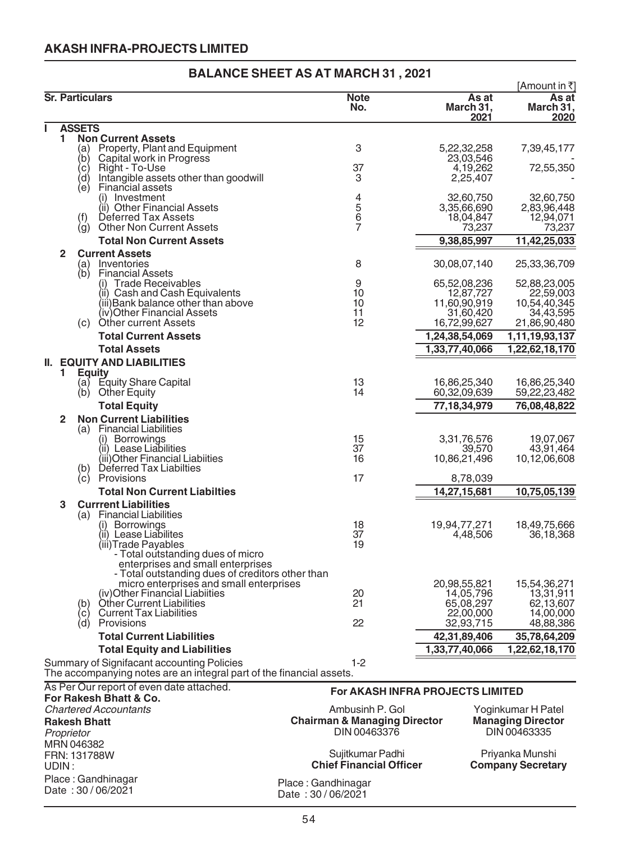# **BALANCE SHEET AS AT MARCH 31 , 2021**

|                                                                    |               |                      |                                                                                             |                                                    | [Amount in ₹]              |                                             |
|--------------------------------------------------------------------|---------------|----------------------|---------------------------------------------------------------------------------------------|----------------------------------------------------|----------------------------|---------------------------------------------|
| <b>Sr. Particulars</b>                                             |               |                      |                                                                                             | <b>Note</b><br>No.                                 | As at<br>March 31,<br>2021 | As at<br>March 31,<br>2020                  |
| L                                                                  | <b>ASSETS</b> |                      |                                                                                             |                                                    |                            |                                             |
|                                                                    | 1.            |                      | <b>Non Current Assets</b>                                                                   |                                                    |                            |                                             |
|                                                                    |               | (a)<br>(b)           | Property, Plant and Equipment<br>Capital work in Progress                                   | 3                                                  | 5,22,32,258<br>23,03,546   | 7,39,45,177                                 |
|                                                                    |               | (c)                  | Right - To-Use                                                                              | 37                                                 | 4,19,262                   | 72,55,350                                   |
|                                                                    |               | (d)                  | Intangible assets other than goodwill                                                       | 3                                                  | 2,25,407                   |                                             |
|                                                                    |               | (e)                  | <b>Financial assets</b>                                                                     |                                                    |                            |                                             |
|                                                                    |               |                      | (i) Investment<br>(ii) Other Financial Assets                                               | 4                                                  | 32,60,750<br>3,35,66,690   | 32,60,750<br>2.83.96.448                    |
|                                                                    |               | (f)                  | Deferred Tax Assets                                                                         | $\frac{5}{6}$                                      | 18,04,847                  | 12,94,071                                   |
|                                                                    |               |                      | (g) Other Non Current Assets                                                                | 7                                                  | 73,237                     | 73,237                                      |
|                                                                    |               |                      | <b>Total Non Current Assets</b>                                                             |                                                    | 9,38,85,997                | 11,42,25,033                                |
| $\mathbf{2}$                                                       |               | (a)                  | <b>Current Assets</b><br>Inventories                                                        | 8                                                  | 30,08,07,140               | 25, 33, 36, 709                             |
|                                                                    |               | (b)                  | <b>Financial Assets</b>                                                                     |                                                    |                            |                                             |
|                                                                    |               |                      | (i) Trade Receivables                                                                       | 9                                                  | 65,52,08,236               | 52,88,23,005                                |
|                                                                    |               |                      | (ii) Cash and Cash Equivalents<br>(iii)Bank balance other than above                        | 10<br>10                                           | 12,87,727<br>11,60,90,919  | 22,59,003<br>10,54,40,345                   |
|                                                                    |               |                      | (iv)Other Financial Assets                                                                  | 11                                                 | 31,60,420                  | 34,43,595                                   |
|                                                                    |               |                      | (c) Other current Assets                                                                    | 12                                                 | 16,72,99,627               | 21,86,90,480                                |
|                                                                    |               |                      | <b>Total Current Assets</b>                                                                 |                                                    | 1,24,38,54,069             | 1,11,19,93,137                              |
|                                                                    |               |                      | <b>Total Assets</b>                                                                         |                                                    | 1,33,77,40,066             | 1,22,62,18,170                              |
|                                                                    |               |                      | <b>II. EQUITY AND LIABILITIES</b>                                                           |                                                    |                            |                                             |
| 1.                                                                 |               | <b>Equity</b><br>(a) | <b>Equity Share Capital</b>                                                                 | 13                                                 | 16,86,25,340               | 16,86,25,340                                |
|                                                                    |               |                      | (b) Other Equity                                                                            | 14                                                 | 60,32,09,639               | 59,22,23,482                                |
|                                                                    |               |                      | <b>Total Equity</b>                                                                         |                                                    | 77,18,34,979               | 76,08,48,822                                |
| $\mathbf{2}$                                                       |               |                      | <b>Non Current Liabilities</b>                                                              |                                                    |                            |                                             |
|                                                                    |               |                      | (a) Financial Liabilities<br>(i) Borrowings                                                 | 15                                                 | 3,31,76,576                | 19,07,067                                   |
|                                                                    |               |                      | (ii) Lease Liabilities                                                                      | 37                                                 | 39,570                     | 43,91,464                                   |
|                                                                    |               |                      | (iii) Other Financial Liabiities                                                            | 16                                                 | 10,86,21,496               | 10,12,06,608                                |
|                                                                    |               | (b)<br>(c) =         | Deferred Tax Liabilties<br>Provisions                                                       | 17                                                 | 8,78,039                   |                                             |
|                                                                    |               |                      | <b>Total Non Current Liabilties</b>                                                         |                                                    | 14,27,15,681               | 10,75,05,139                                |
| 3                                                                  |               |                      | <b>Currrent Liabilities</b>                                                                 |                                                    |                            |                                             |
|                                                                    |               |                      | (a) Financial Liabilities                                                                   |                                                    |                            |                                             |
|                                                                    |               |                      | (i) Borrowings                                                                              | 18                                                 | 19,94,77,271               | 18,49,75,666                                |
|                                                                    |               |                      | (ii) Lease Liabilites<br>(iii)Trade Payables                                                | 37<br>19                                           | 4,48,506                   | 36,18,368                                   |
|                                                                    |               |                      | - Total outstanding dues of micro                                                           |                                                    |                            |                                             |
|                                                                    |               |                      | enterprises and small enterprises                                                           |                                                    |                            |                                             |
|                                                                    |               |                      | - Total outstanding dues of creditors other than<br>micro enterprises and small enterprises |                                                    | 20,98,55,821               | 15,54,36,271                                |
|                                                                    |               |                      | (iv) Other Financial Liabiities                                                             | 20                                                 | 14,05,796                  | 13,31,911                                   |
|                                                                    |               | (b)                  | Other Current Liabilities<br><b>Current Tax Liabilities</b>                                 | 21                                                 | 65,08,297<br>22,00,000     | 62,13,607<br>14,00,000                      |
|                                                                    |               | $\mathsf{C}$<br>(d)  | Provisions                                                                                  | 22                                                 | 32,93,715                  | 48,88,386                                   |
|                                                                    |               |                      | <b>Total Current Liabilities</b>                                                            |                                                    | 42,31,89,406               | 35,78,64,209                                |
|                                                                    |               |                      | <b>Total Equity and Liabilities</b>                                                         |                                                    | 1,33,77,40,066             | 1,22,62,18,170                              |
|                                                                    |               |                      | Summary of Signifacant accounting Policies                                                  | $1-2$                                              |                            |                                             |
|                                                                    |               |                      | The accompanying notes are an integral part of the financial assets.                        |                                                    |                            |                                             |
| As Per Our report of even date attached.<br>For Rakesh Bhatt & Co. |               |                      | <b>For AKASH INFRA PROJECTS LIMITED</b>                                                     |                                                    |                            |                                             |
| <b>Chartered Accountants</b>                                       |               |                      | Ambusinh P. Gol                                                                             |                                                    | Yoginkumar H Patel         |                                             |
| <b>Rakesh Bhatt</b>                                                |               |                      |                                                                                             | <b>Chairman &amp; Managing Director</b>            |                            | <b>Managing Director</b>                    |
| Proprietor                                                         |               |                      |                                                                                             | DIN 00463376                                       |                            | DIN 00463335                                |
| MRN 046382                                                         |               |                      |                                                                                             |                                                    |                            |                                             |
| FRN: 131788W<br>UDIN:                                              |               |                      |                                                                                             | Sujitkumar Padhi<br><b>Chief Financial Officer</b> |                            | Priyanka Munshi<br><b>Company Secretary</b> |
|                                                                    |               |                      | Place: Gandhinagar<br>Date: 30/06/2021                                                      | Place: Gandhinagar<br>Date: 30/06/2021             |                            |                                             |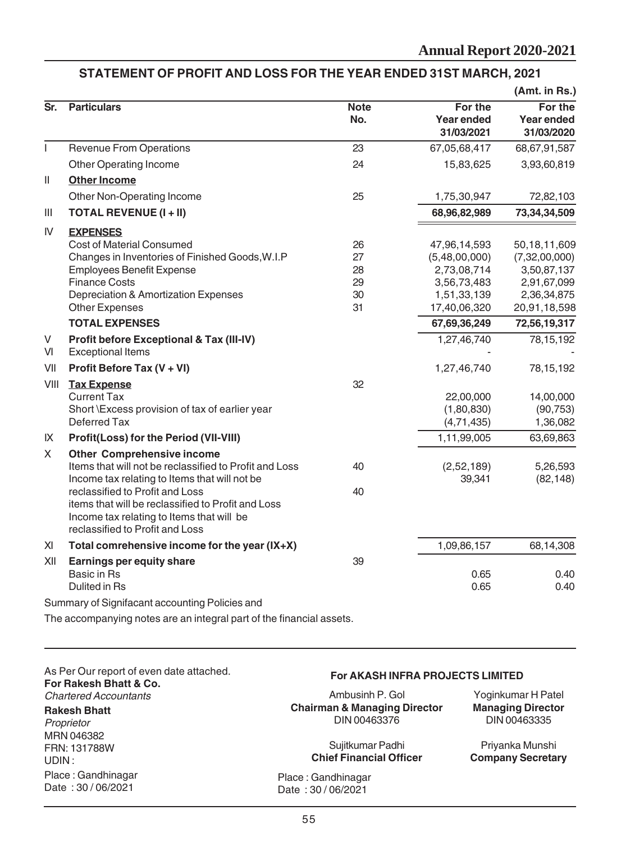# **STATEMENT OF PROFIT AND LOSS FOR THE YEAR ENDED 31ST MARCH, 2021**

|              |                                                                      |                    |                                     | (Amt. in Rs.)                              |
|--------------|----------------------------------------------------------------------|--------------------|-------------------------------------|--------------------------------------------|
| Sr.          | <b>Particulars</b>                                                   | <b>Note</b><br>No. | For the<br>Year ended<br>31/03/2021 | For the<br><b>Year ended</b><br>31/03/2020 |
| $\mathsf{L}$ | <b>Revenue From Operations</b>                                       | 23                 | 67,05,68,417                        | 68,67,91,587                               |
|              | Other Operating Income                                               | 24                 | 15,83,625                           | 3,93,60,819                                |
| Ш            | <b>Other Income</b>                                                  |                    |                                     |                                            |
|              | Other Non-Operating Income                                           | 25                 | 1,75,30,947                         | 72,82,103                                  |
| Ш            | <b>TOTAL REVENUE (I + II)</b>                                        |                    | 68,96,82,989                        | 73, 34, 34, 509                            |
| IV           | <b>EXPENSES</b>                                                      |                    |                                     |                                            |
|              | Cost of Material Consumed                                            | 26                 | 47,96,14,593                        | 50,18,11,609                               |
|              | Changes in Inventories of Finished Goods, W.I.P                      | 27                 | (5,48,00,000)                       | (7,32,00,000)                              |
|              | <b>Employees Benefit Expense</b>                                     | 28                 | 2,73,08,714                         | 3,50,87,137                                |
|              | <b>Finance Costs</b>                                                 | 29                 | 3,56,73,483                         | 2,91,67,099                                |
|              | Depreciation & Amortization Expenses                                 | 30                 | 1,51,33,139                         | 2,36,34,875                                |
|              | Other Expenses                                                       | 31                 | 17,40,06,320                        | 20,91,18,598                               |
|              | <b>TOTAL EXPENSES</b>                                                |                    | 67,69,36,249                        | 72,56,19,317                               |
| V<br>VI      | Profit before Exceptional & Tax (III-IV)<br><b>Exceptional Items</b> |                    | 1,27,46,740                         | 78,15,192                                  |
| VII          | Profit Before Tax (V + VI)                                           |                    | 1,27,46,740                         | 78,15,192                                  |
| VIII         | <b>Tax Expense</b>                                                   | 32                 |                                     |                                            |
|              | <b>Current Tax</b>                                                   |                    | 22,00,000                           | 14,00,000                                  |
|              | Short \Excess provision of tax of earlier year                       |                    | (1,80,830)                          | (90, 753)                                  |
|              | Deferred Tax                                                         |                    | (4,71,435)                          | 1,36,082                                   |
| IX           | Profit(Loss) for the Period (VII-VIII)                               |                    | 1,11,99,005                         | 63,69,863                                  |
| X            | <b>Other Comprehensive income</b>                                    |                    |                                     |                                            |
|              | Items that will not be reclassified to Profit and Loss               | 40                 | (2,52,189)                          | 5,26,593                                   |
|              | Income tax relating to Items that will not be                        |                    | 39,341                              | (82, 148)                                  |
|              | reclassified to Profit and Loss                                      | 40                 |                                     |                                            |
|              | items that will be reclassified to Profit and Loss                   |                    |                                     |                                            |
|              | Income tax relating to Items that will be                            |                    |                                     |                                            |
|              | reclassified to Profit and Loss                                      |                    |                                     |                                            |
| XI           | Total comrehensive income for the year (IX+X)                        |                    | 1,09,86,157                         | 68,14,308                                  |
| XII          | Earnings per equity share                                            | 39                 |                                     |                                            |
|              | Basic in Rs                                                          |                    | 0.65                                | 0.40                                       |
|              | Dulited in Rs                                                        |                    | 0.65                                | 0.40                                       |
|              | Summary of Signifacant accounting Policies and                       |                    |                                     |                                            |
|              | The accompanying notes are an integral part of the financial assets. |                    |                                     |                                            |

| As Per Our report of even date attached.<br>For Rakesh Bhatt & Co. | <b>For AKASH INFRA PROJECTS LIMITED</b>            |                                             |  |  |
|--------------------------------------------------------------------|----------------------------------------------------|---------------------------------------------|--|--|
| <b>Chartered Accountants</b>                                       | Ambusinh P. Gol                                    | Yoginkumar H Patel                          |  |  |
| <b>Rakesh Bhatt</b>                                                | <b>Chairman &amp; Managing Director</b>            | <b>Managing Director</b>                    |  |  |
| Proprietor                                                         | DIN 00463376                                       | DIN 00463335                                |  |  |
| MRN 046382<br>FRN: 131788W<br>UDIN:                                | Sujitkumar Padhi<br><b>Chief Financial Officer</b> | Priyanka Munshi<br><b>Company Secretary</b> |  |  |
| Place: Gandhinagar<br>Date: 30/06/2021                             | Place: Gandhinagar<br>Date: 30/06/2021             |                                             |  |  |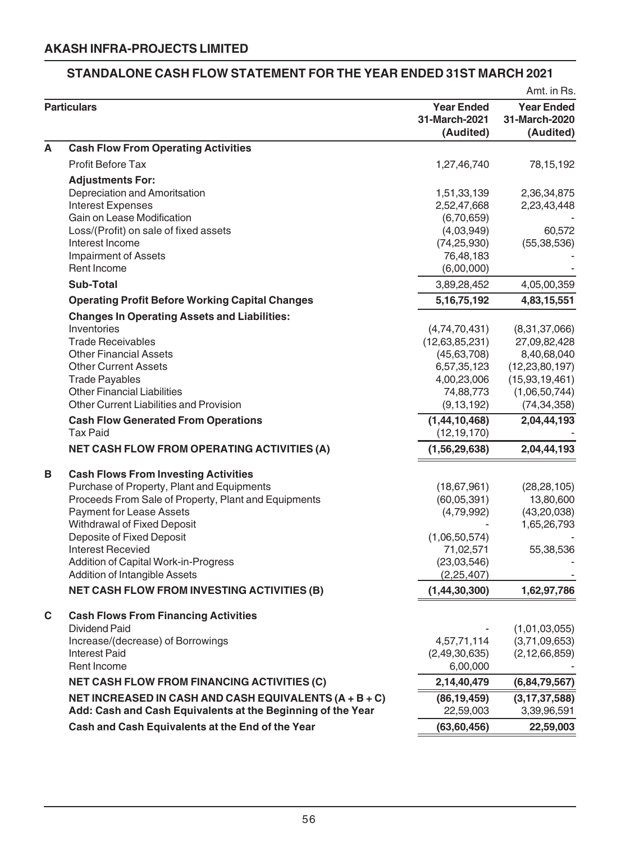# **STANDALONE CASH FLOW STATEMENT FOR THE YEAR ENDED 31ST MARCH 2021**

|   |                                                                                           |                                                 | Amt. in Rs.                                     |
|---|-------------------------------------------------------------------------------------------|-------------------------------------------------|-------------------------------------------------|
|   | <b>Particulars</b>                                                                        | <b>Year Ended</b><br>31-March-2021<br>(Audited) | <b>Year Ended</b><br>31-March-2020<br>(Audited) |
| A | <b>Cash Flow From Operating Activities</b>                                                |                                                 |                                                 |
|   | <b>Profit Before Tax</b>                                                                  | 1,27,46,740                                     | 78,15,192                                       |
|   | <b>Adjustments For:</b>                                                                   |                                                 |                                                 |
|   | Depreciation and Amoritsation                                                             | 1,51,33,139                                     | 2,36,34,875                                     |
|   | Interest Expenses                                                                         | 2,52,47,668                                     | 2,23,43,448                                     |
|   | Gain on Lease Modification                                                                | (6,70,659)                                      |                                                 |
|   | Loss/(Profit) on sale of fixed assets                                                     | (4,03,949)                                      | 60,572                                          |
|   | Interest Income                                                                           | (74, 25, 930)                                   | (55, 38, 536)                                   |
|   | <b>Impairment of Assets</b>                                                               | 76,48,183                                       |                                                 |
|   | Rent Income                                                                               | (6,00,000)                                      |                                                 |
|   | Sub-Total                                                                                 | 3,89,28,452                                     | 4,05,00,359                                     |
|   | <b>Operating Profit Before Working Capital Changes</b>                                    | 5, 16, 75, 192                                  | 4,83,15,551                                     |
|   | <b>Changes In Operating Assets and Liabilities:</b>                                       |                                                 |                                                 |
|   | Inventories                                                                               | (4,74,70,431)                                   | (8,31,37,066)                                   |
|   | <b>Trade Receivables</b>                                                                  | (12, 63, 85, 231)                               | 27,09,82,428                                    |
|   | <b>Other Financial Assets</b>                                                             | (45, 63, 708)                                   | 8,40,68,040                                     |
|   | <b>Other Current Assets</b>                                                               | 6,57,35,123                                     | (12, 23, 80, 197)                               |
|   | <b>Trade Payables</b>                                                                     | 4,00,23,006                                     | (15,93,19,461)                                  |
|   | <b>Other Financial Liabilities</b>                                                        | 74,88,773                                       | (1,06,50,744)                                   |
|   | Other Current Liabilities and Provision                                                   | (9, 13, 192)                                    | (74, 34, 358)                                   |
|   | <b>Cash Flow Generated From Operations</b><br><b>Tax Paid</b>                             | (1, 44, 10, 468)<br>(12, 19, 170)               | 2,04,44,193                                     |
|   | <b>NET CASH FLOW FROM OPERATING ACTIVITIES (A)</b>                                        | (1,56,29,638)                                   | 2,04,44,193                                     |
| в |                                                                                           |                                                 |                                                 |
|   | <b>Cash Flows From Investing Activities</b><br>Purchase of Property, Plant and Equipments | (18, 67, 961)                                   | (28, 28, 105)                                   |
|   | Proceeds From Sale of Property, Plant and Equipments                                      | (60,05,391)                                     | 13,80,600                                       |
|   | Payment for Lease Assets                                                                  | (4,79,992)                                      | (43, 20, 038)                                   |
|   | Withdrawal of Fixed Deposit                                                               |                                                 | 1,65,26,793                                     |
|   | Deposite of Fixed Deposit                                                                 | (1,06,50,574)                                   |                                                 |
|   | <b>Interest Recevied</b>                                                                  | 71,02,571                                       | 55,38,536                                       |
|   | Addition of Capital Work-in-Progress                                                      | (23,03,546)                                     |                                                 |
|   | Addition of Intangible Assets                                                             | (2, 25, 407)                                    |                                                 |
|   | <b>NET CASH FLOW FROM INVESTING ACTIVITIES (B)</b>                                        | (1, 44, 30, 300)                                | 1,62,97,786                                     |
| C | <b>Cash Flows From Financing Activities</b>                                               |                                                 |                                                 |
|   | Dividend Paid                                                                             |                                                 | (1,01,03,055)                                   |
|   | Increase/(decrease) of Borrowings                                                         | 4,57,71,114                                     | (3, 71, 09, 653)                                |
|   | <b>Interest Paid</b>                                                                      | (2,49,30,635)                                   | (2, 12, 66, 859)                                |
|   | Rent Income                                                                               | 6,00,000                                        |                                                 |
|   | <b>NET CASH FLOW FROM FINANCING ACTIVITIES (C)</b>                                        | 2,14,40,479                                     | (6,84,79,567)                                   |
|   | NET INCREASED IN CASH AND CASH EQUIVALENTS $(A + B + C)$                                  | (86, 19, 459)                                   | (3, 17, 37, 588)                                |
|   | Add: Cash and Cash Equivalents at the Beginning of the Year                               | 22,59,003                                       | 3,39,96,591                                     |
|   | Cash and Cash Equivalents at the End of the Year                                          | (63,60,456)                                     | 22,59,003                                       |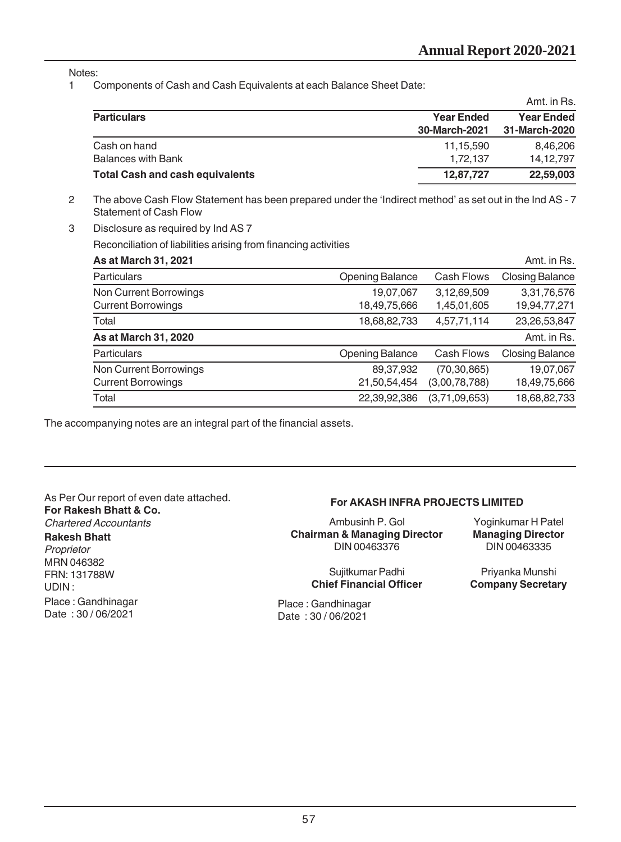Notes:<br>1 C

1 Components of Cash and Cash Equivalents at each Balance Sheet Date:

|                                        |                   | Amt. in Rs.       |
|----------------------------------------|-------------------|-------------------|
| <b>Particulars</b>                     | <b>Year Ended</b> | <b>Year Ended</b> |
|                                        | 30-March-2021     | 31-March-2020     |
| Cash on hand                           | 11.15.590         | 8,46,206          |
| Balances with Bank                     | 1.72.137          | 14, 12, 797       |
| <b>Total Cash and cash equivalents</b> | 12,87,727         | 22,59,003         |

- 2 The above Cash Flow Statement has been prepared under the 'Indirect method' as set out in the Ind AS 7 Statement of Cash Flow
- 3 Disclosure as required by Ind AS 7

Reconciliation of liabilities arising from financing activities

| As at March 31, 2021                                |                           |                                | Amt. in Rs.                 |
|-----------------------------------------------------|---------------------------|--------------------------------|-----------------------------|
| <b>Particulars</b>                                  | <b>Opening Balance</b>    | Cash Flows                     | <b>Closing Balance</b>      |
| Non Current Borrowings<br><b>Current Borrowings</b> | 19,07,067<br>18,49,75,666 | 3,12,69,509<br>1,45,01,605     | 3,31,76,576<br>19,94,77,271 |
| Total                                               | 18,68,82,733              | 4,57,71,114                    | 23,26,53,847                |
| As at March 31, 2020                                |                           |                                | Amt. in Rs.                 |
| <b>Particulars</b>                                  | <b>Opening Balance</b>    | Cash Flows                     | <b>Closing Balance</b>      |
| Non Current Borrowings<br><b>Current Borrowings</b> | 89,37,932<br>21,50,54,454 | (70, 30, 865)<br>(3,00,78,788) | 19.07.067<br>18,49,75,666   |
| Total                                               | 22,39,92,386              | (3,71,09,653)                  | 18,68,82,733                |

The accompanying notes are an integral part of the financial assets.

As Per Our report of even date attached. **For Rakesh Bhatt & Co.** Chartered Accountants **Rakesh Bhatt** Proprietor

# MRN 046382

FRN: 131788W UDIN : Place : Gandhinagar Date : 30 / 06/2021

**For AKASH INFRA PROJECTS LIMITED**

Ambusinh P. Gol Yoginkumar H Patel<br>an & Managing Director Managing Director **Chairman & Managing Director Managing Director**<br>DIN 00463335 DIN 00463335 DIN 00463376

Sujitkumar Padhi Priyanka Munshi<br>Chief Financial Officer Company Secreta

Place : Gandhinagar Date : 30 / 06/2021

**Company Secretary**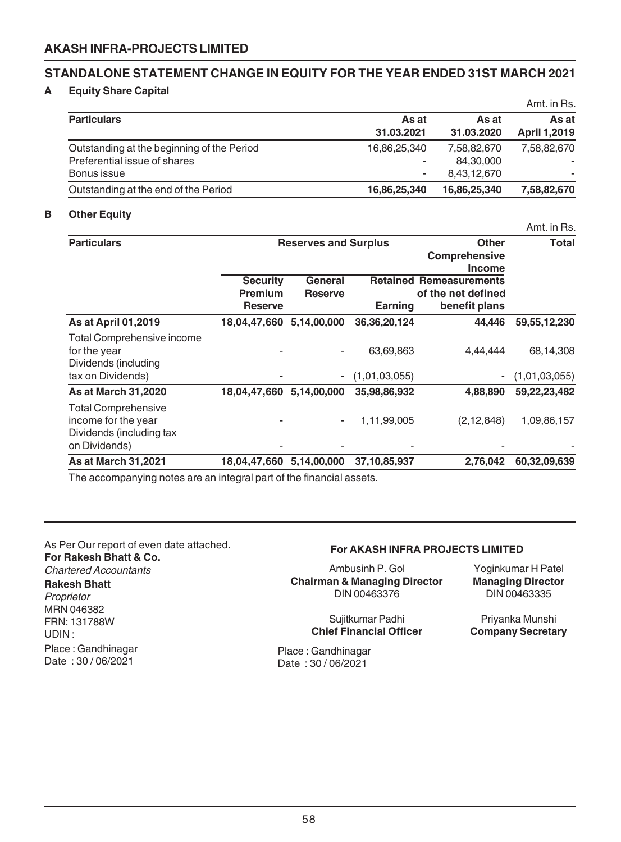# **STANDALONE STATEMENT CHANGE IN EQUITY FOR THE YEAR ENDED 31ST MARCH 2021**

## **A Equity Share Capital**

|                                            |                          |              | Amt. in Rs.         |
|--------------------------------------------|--------------------------|--------------|---------------------|
| <b>Particulars</b>                         | As at                    | As at        | As at               |
|                                            | 31.03.2021               | 31.03.2020   | <b>April 1,2019</b> |
| Outstanding at the beginning of the Period | 16,86,25,340             | 7,58,82,670  | 7,58,82,670         |
| Preferential issue of shares               | $\overline{\phantom{a}}$ | 84,30,000    |                     |
| Bonus issue                                | ٠                        | 8.43.12.670  |                     |
| Outstanding at the end of the Period       | 16,86,25,340             | 16,86,25,340 | 7,58,82,670         |

## **B Other Equity**

|                                                                                                |                                                     |                             |                 |                                                                       | Amt. in Rs.   |
|------------------------------------------------------------------------------------------------|-----------------------------------------------------|-----------------------------|-----------------|-----------------------------------------------------------------------|---------------|
| <b>Particulars</b>                                                                             |                                                     | <b>Reserves and Surplus</b> |                 | Other<br>Comprehensive<br><b>Income</b>                               | Total         |
|                                                                                                | <b>Security</b><br><b>Premium</b><br><b>Reserve</b> | General<br><b>Reserve</b>   | <b>Earning</b>  | <b>Retained Remeasurements</b><br>of the net defined<br>benefit plans |               |
| As at April 01,2019                                                                            | 18,04,47,660                                        | 5,14,00,000                 | 36,36,20,124    | 44,446                                                                | 59,55,12,230  |
| Total Comprehensive income<br>for the year<br>Dividends (including                             |                                                     | ۰                           | 63,69,863       | 4,44,444                                                              | 68,14,308     |
| tax on Dividends)                                                                              |                                                     | $\overline{\phantom{a}}$    | (1,01,03,055)   |                                                                       | (1,01,03,055) |
| <b>As at March 31,2020</b>                                                                     | 18,04,47,660                                        | 5,14,00,000                 | 35,98,86,932    | 4,88,890                                                              | 59,22,23,482  |
| <b>Total Comprehensive</b><br>income for the year<br>Dividends (including tax<br>on Dividends) |                                                     | $\overline{\phantom{0}}$    | 1,11,99,005     | (2, 12, 848)                                                          | 1,09,86,157   |
| <b>As at March 31,2021</b>                                                                     | 18,04,47,660 5,14,00,000                            |                             | 37, 10, 85, 937 | 2,76,042                                                              | 60,32,09,639  |
|                                                                                                | $\cdots$ $\cdots$ $\cdots$ $\cdots$                 |                             |                 |                                                                       |               |

The accompanying notes are an integral part of the financial assets.

As Per Our report of even date attached. **For Rakesh Bhatt & Co.** Chartered Accountants

## **Rakesh Bhatt**

Proprietor MRN 046382 FRN: 131788W UDIN : Place : Gandhinagar Date : 30 / 06/2021

#### **For AKASH INFRA PROJECTS LIMITED**

Ambusinh P. Gol Yoginkumar H Patel<br>an & Managing Director Managing Director **Chairman & Managing Director Managing Director**<br>DIN 00463335 DIN 00463335 DIN 00463376

Sujitkumar Padhi Priyanka Munshi<br> **Chief Financial Officer** Company Secretar

Place : Gandhinagar Date : 30 / 06/2021

**Company Secretary**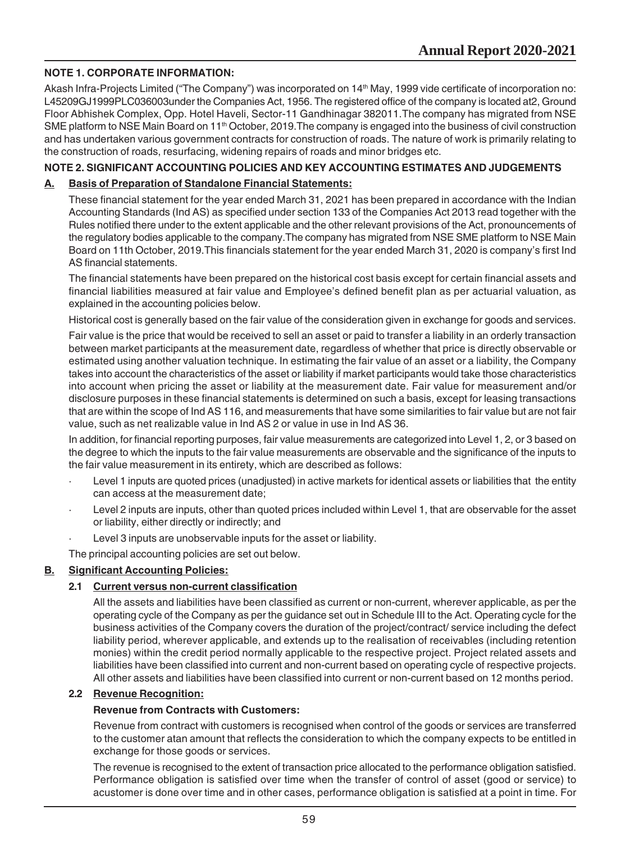## **NOTE 1. CORPORATE INFORMATION:**

Akash Infra-Projects Limited ("The Company") was incorporated on 14<sup>th</sup> May, 1999 vide certificate of incorporation no: L45209GJ1999PLC036003under the Companies Act, 1956. The registered office of the company is located at2, Ground Floor Abhishek Complex, Opp. Hotel Haveli, Sector-11 Gandhinagar 382011.The company has migrated from NSE SME platform to NSE Main Board on 11<sup>th</sup> October, 2019. The company is engaged into the business of civil construction and has undertaken various government contracts for construction of roads. The nature of work is primarily relating to the construction of roads, resurfacing, widening repairs of roads and minor bridges etc.

## **NOTE 2. SIGNIFICANT ACCOUNTING POLICIES AND KEY ACCOUNTING ESTIMATES AND JUDGEMENTS**

## **A. Basis of Preparation of Standalone Financial Statements:**

These financial statement for the year ended March 31, 2021 has been prepared in accordance with the Indian Accounting Standards (Ind AS) as specified under section 133 of the Companies Act 2013 read together with the Rules notified there under to the extent applicable and the other relevant provisions of the Act, pronouncements of the regulatory bodies applicable to the company.The company has migrated from NSE SME platform to NSE Main Board on 11th October, 2019.This financials statement for the year ended March 31, 2020 is company's first Ind AS financial statements.

The financial statements have been prepared on the historical cost basis except for certain financial assets and financial liabilities measured at fair value and Employee's defined benefit plan as per actuarial valuation, as explained in the accounting policies below.

Historical cost is generally based on the fair value of the consideration given in exchange for goods and services.

Fair value is the price that would be received to sell an asset or paid to transfer a liability in an orderly transaction between market participants at the measurement date, regardless of whether that price is directly observable or estimated using another valuation technique. In estimating the fair value of an asset or a liability, the Company takes into account the characteristics of the asset or liability if market participants would take those characteristics into account when pricing the asset or liability at the measurement date. Fair value for measurement and/or disclosure purposes in these financial statements is determined on such a basis, except for leasing transactions that are within the scope of Ind AS 116, and measurements that have some similarities to fair value but are not fair value, such as net realizable value in Ind AS 2 or value in use in Ind AS 36.

In addition, for financial reporting purposes, fair value measurements are categorized into Level 1, 2, or 3 based on the degree to which the inputs to the fair value measurements are observable and the significance of the inputs to the fair value measurement in its entirety, which are described as follows:

- Level 1 inputs are quoted prices (unadjusted) in active markets for identical assets or liabilities that the entity can access at the measurement date;
- Level 2 inputs are inputs, other than quoted prices included within Level 1, that are observable for the asset or liability, either directly or indirectly; and
- Level 3 inputs are unobservable inputs for the asset or liability.

The principal accounting policies are set out below.

## **B. Significant Accounting Policies:**

## **2.1 Current versus non-current classification**

All the assets and liabilities have been classified as current or non-current, wherever applicable, as per the operating cycle of the Company as per the guidance set out in Schedule III to the Act. Operating cycle for the business activities of the Company covers the duration of the project/contract/ service including the defect liability period, wherever applicable, and extends up to the realisation of receivables (including retention monies) within the credit period normally applicable to the respective project. Project related assets and liabilities have been classified into current and non-current based on operating cycle of respective projects. All other assets and liabilities have been classified into current or non-current based on 12 months period.

## **2.2 Revenue Recognition:**

## **Revenue from Contracts with Customers:**

Revenue from contract with customers is recognised when control of the goods or services are transferred to the customer atan amount that reflects the consideration to which the company expects to be entitled in exchange for those goods or services.

The revenue is recognised to the extent of transaction price allocated to the performance obligation satisfied. Performance obligation is satisfied over time when the transfer of control of asset (good or service) to acustomer is done over time and in other cases, performance obligation is satisfied at a point in time. For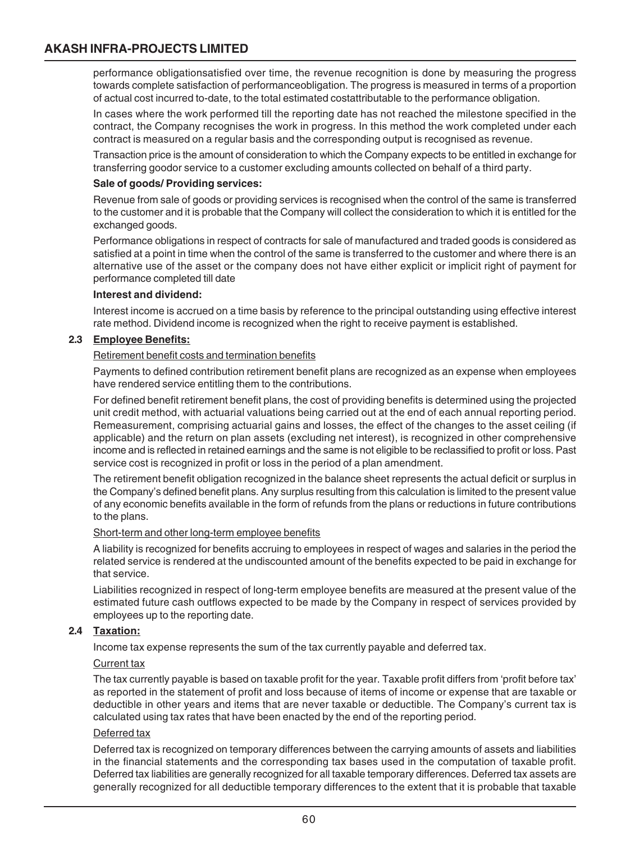performance obligationsatisfied over time, the revenue recognition is done by measuring the progress towards complete satisfaction of performanceobligation. The progress is measured in terms of a proportion of actual cost incurred to-date, to the total estimated costattributable to the performance obligation.

In cases where the work performed till the reporting date has not reached the milestone specified in the contract, the Company recognises the work in progress. In this method the work completed under each contract is measured on a regular basis and the corresponding output is recognised as revenue.

Transaction price is the amount of consideration to which the Company expects to be entitled in exchange for transferring goodor service to a customer excluding amounts collected on behalf of a third party.

#### **Sale of goods/ Providing services:**

Revenue from sale of goods or providing services is recognised when the control of the same is transferred to the customer and it is probable that the Company will collect the consideration to which it is entitled for the exchanged goods.

Performance obligations in respect of contracts for sale of manufactured and traded goods is considered as satisfied at a point in time when the control of the same is transferred to the customer and where there is an alternative use of the asset or the company does not have either explicit or implicit right of payment for performance completed till date

#### **Interest and dividend:**

Interest income is accrued on a time basis by reference to the principal outstanding using effective interest rate method. Dividend income is recognized when the right to receive payment is established.

#### **2.3 Employee Benefits:**

#### Retirement benefit costs and termination benefits

Payments to defined contribution retirement benefit plans are recognized as an expense when employees have rendered service entitling them to the contributions.

For defined benefit retirement benefit plans, the cost of providing benefits is determined using the projected unit credit method, with actuarial valuations being carried out at the end of each annual reporting period. Remeasurement, comprising actuarial gains and losses, the effect of the changes to the asset ceiling (if applicable) and the return on plan assets (excluding net interest), is recognized in other comprehensive income and is reflected in retained earnings and the same is not eligible to be reclassified to profit or loss. Past service cost is recognized in profit or loss in the period of a plan amendment.

The retirement benefit obligation recognized in the balance sheet represents the actual deficit or surplus in the Company's defined benefit plans. Any surplus resulting from this calculation is limited to the present value of any economic benefits available in the form of refunds from the plans or reductions in future contributions to the plans.

#### Short-term and other long-term employee benefits

A liability is recognized for benefits accruing to employees in respect of wages and salaries in the period the related service is rendered at the undiscounted amount of the benefits expected to be paid in exchange for that service.

Liabilities recognized in respect of long-term employee benefits are measured at the present value of the estimated future cash outflows expected to be made by the Company in respect of services provided by employees up to the reporting date.

## **2.4 Taxation:**

Income tax expense represents the sum of the tax currently payable and deferred tax.

#### Current tax

The tax currently payable is based on taxable profit for the year. Taxable profit differs from 'profit before tax' as reported in the statement of profit and loss because of items of income or expense that are taxable or deductible in other years and items that are never taxable or deductible. The Company's current tax is calculated using tax rates that have been enacted by the end of the reporting period.

#### Deferred tax

Deferred tax is recognized on temporary differences between the carrying amounts of assets and liabilities in the financial statements and the corresponding tax bases used in the computation of taxable profit. Deferred tax liabilities are generally recognized for all taxable temporary differences. Deferred tax assets are generally recognized for all deductible temporary differences to the extent that it is probable that taxable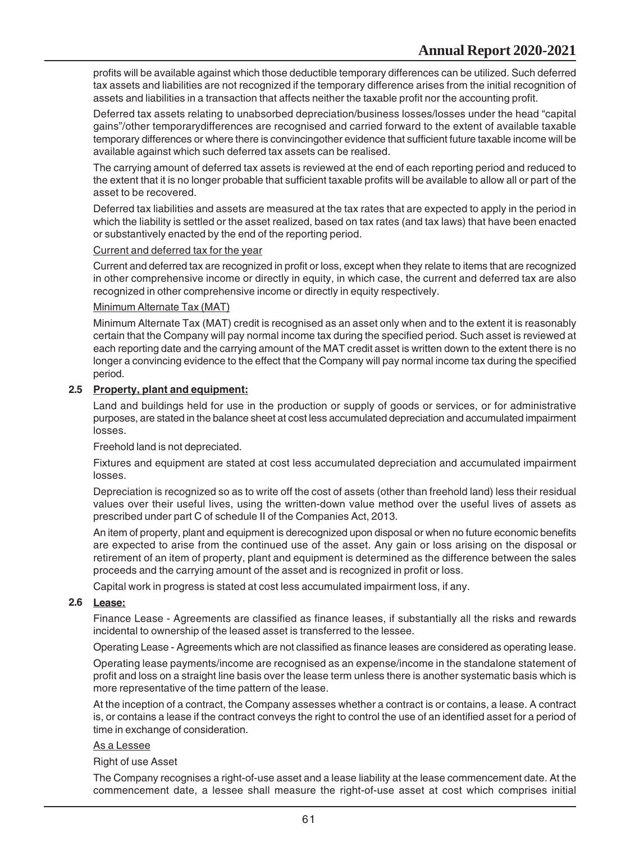profits will be available against which those deductible temporary differences can be utilized. Such deferred tax assets and liabilities are not recognized if the temporary difference arises from the initial recognition of assets and liabilities in a transaction that affects neither the taxable profit nor the accounting profit.

Deferred tax assets relating to unabsorbed depreciation/business losses/losses under the head "capital gains"/other temporarydifferences are recognised and carried forward to the extent of available taxable temporary differences or where there is convincingother evidence that sufficient future taxable income will be available against which such deferred tax assets can be realised.

The carrying amount of deferred tax assets is reviewed at the end of each reporting period and reduced to the extent that it is no longer probable that sufficient taxable profits will be available to allow all or part of the asset to be recovered.

Deferred tax liabilities and assets are measured at the tax rates that are expected to apply in the period in which the liability is settled or the asset realized, based on tax rates (and tax laws) that have been enacted or substantively enacted by the end of the reporting period.

#### Current and deferred tax for the year

Current and deferred tax are recognized in profit or loss, except when they relate to items that are recognized in other comprehensive income or directly in equity, in which case, the current and deferred tax are also recognized in other comprehensive income or directly in equity respectively.

#### Minimum Alternate Tax (MAT)

Minimum Alternate Tax (MAT) credit is recognised as an asset only when and to the extent it is reasonably certain that the Company will pay normal income tax during the specified period. Such asset is reviewed at each reporting date and the carrying amount of the MAT credit asset is written down to the extent there is no longer a convincing evidence to the effect that the Company will pay normal income tax during the specified period.

#### **2.5 Property, plant and equipment:**

Land and buildings held for use in the production or supply of goods or services, or for administrative purposes, are stated in the balance sheet at cost less accumulated depreciation and accumulated impairment losses.

Freehold land is not depreciated.

Fixtures and equipment are stated at cost less accumulated depreciation and accumulated impairment losses.

Depreciation is recognized so as to write off the cost of assets (other than freehold land) less their residual values over their useful lives, using the written-down value method over the useful lives of assets as prescribed under part C of schedule II of the Companies Act, 2013.

An item of property, plant and equipment is derecognized upon disposal or when no future economic benefits are expected to arise from the continued use of the asset. Any gain or loss arising on the disposal or retirement of an item of property, plant and equipment is determined as the difference between the sales proceeds and the carrying amount of the asset and is recognized in profit or loss.

Capital work in progress is stated at cost less accumulated impairment loss, if any.

#### **2.6 Lease:**

Finance Lease - Agreements are classified as finance leases, if substantially all the risks and rewards incidental to ownership of the leased asset is transferred to the lessee.

Operating Lease - Agreements which are not classified as finance leases are considered as operating lease.

Operating lease payments/income are recognised as an expense/income in the standalone statement of profit and loss on a straight line basis over the lease term unless there is another systematic basis which is more representative of the time pattern of the lease.

At the inception of a contract, the Company assesses whether a contract is or contains, a lease. A contract is, or contains a lease if the contract conveys the right to control the use of an identified asset for a period of time in exchange of consideration.

## As a Lessee

#### Right of use Asset

The Company recognises a right-of-use asset and a lease liability at the lease commencement date. At the commencement date, a lessee shall measure the right-of-use asset at cost which comprises initial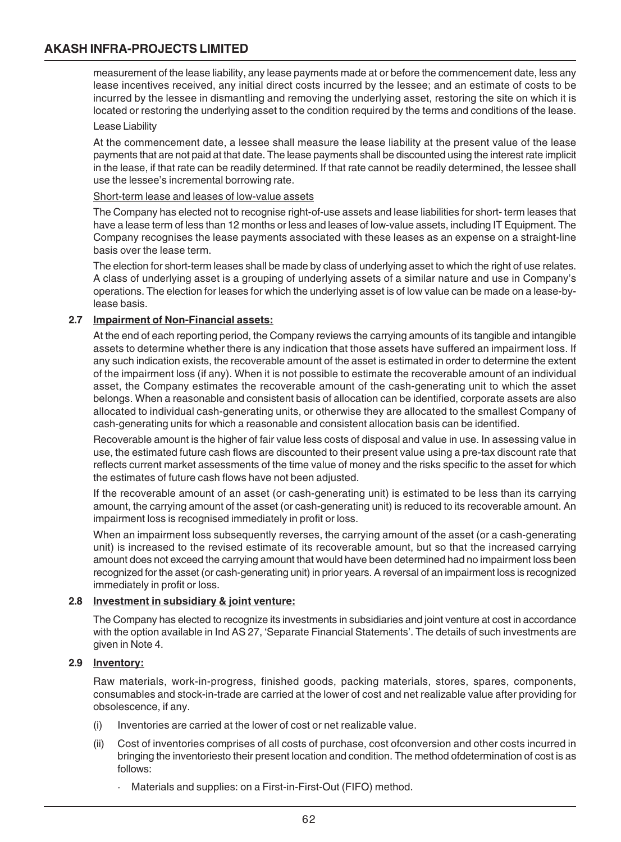measurement of the lease liability, any lease payments made at or before the commencement date, less any lease incentives received, any initial direct costs incurred by the lessee; and an estimate of costs to be incurred by the lessee in dismantling and removing the underlying asset, restoring the site on which it is located or restoring the underlying asset to the condition required by the terms and conditions of the lease.

#### Lease Liability

At the commencement date, a lessee shall measure the lease liability at the present value of the lease payments that are not paid at that date. The lease payments shall be discounted using the interest rate implicit in the lease, if that rate can be readily determined. If that rate cannot be readily determined, the lessee shall use the lessee's incremental borrowing rate.

### Short-term lease and leases of low-value assets

The Company has elected not to recognise right-of-use assets and lease liabilities for short- term leases that have a lease term of less than 12 months or less and leases of low-value assets, including IT Equipment. The Company recognises the lease payments associated with these leases as an expense on a straight-line basis over the lease term.

The election for short-term leases shall be made by class of underlying asset to which the right of use relates. A class of underlying asset is a grouping of underlying assets of a similar nature and use in Company's operations. The election for leases for which the underlying asset is of low value can be made on a lease-bylease basis.

#### **2.7 Impairment of Non-Financial assets:**

At the end of each reporting period, the Company reviews the carrying amounts of its tangible and intangible assets to determine whether there is any indication that those assets have suffered an impairment loss. If any such indication exists, the recoverable amount of the asset is estimated in order to determine the extent of the impairment loss (if any). When it is not possible to estimate the recoverable amount of an individual asset, the Company estimates the recoverable amount of the cash-generating unit to which the asset belongs. When a reasonable and consistent basis of allocation can be identified, corporate assets are also allocated to individual cash-generating units, or otherwise they are allocated to the smallest Company of cash-generating units for which a reasonable and consistent allocation basis can be identified.

Recoverable amount is the higher of fair value less costs of disposal and value in use. In assessing value in use, the estimated future cash flows are discounted to their present value using a pre-tax discount rate that reflects current market assessments of the time value of money and the risks specific to the asset for which the estimates of future cash flows have not been adjusted.

If the recoverable amount of an asset (or cash-generating unit) is estimated to be less than its carrying amount, the carrying amount of the asset (or cash-generating unit) is reduced to its recoverable amount. An impairment loss is recognised immediately in profit or loss.

When an impairment loss subsequently reverses, the carrying amount of the asset (or a cash-generating unit) is increased to the revised estimate of its recoverable amount, but so that the increased carrying amount does not exceed the carrying amount that would have been determined had no impairment loss been recognized for the asset (or cash-generating unit) in prior years. A reversal of an impairment loss is recognized immediately in profit or loss.

#### **2.8 Investment in subsidiary & joint venture:**

The Company has elected to recognize its investments in subsidiaries and joint venture at cost in accordance with the option available in Ind AS 27, 'Separate Financial Statements'. The details of such investments are given in Note 4.

#### **2.9 Inventory:**

Raw materials, work-in-progress, finished goods, packing materials, stores, spares, components, consumables and stock-in-trade are carried at the lower of cost and net realizable value after providing for obsolescence, if any.

- (i) Inventories are carried at the lower of cost or net realizable value.
- (ii) Cost of inventories comprises of all costs of purchase, cost ofconversion and other costs incurred in bringing the inventoriesto their present location and condition. The method ofdetermination of cost is as follows:
	- Materials and supplies: on a First-in-First-Out (FIFO) method.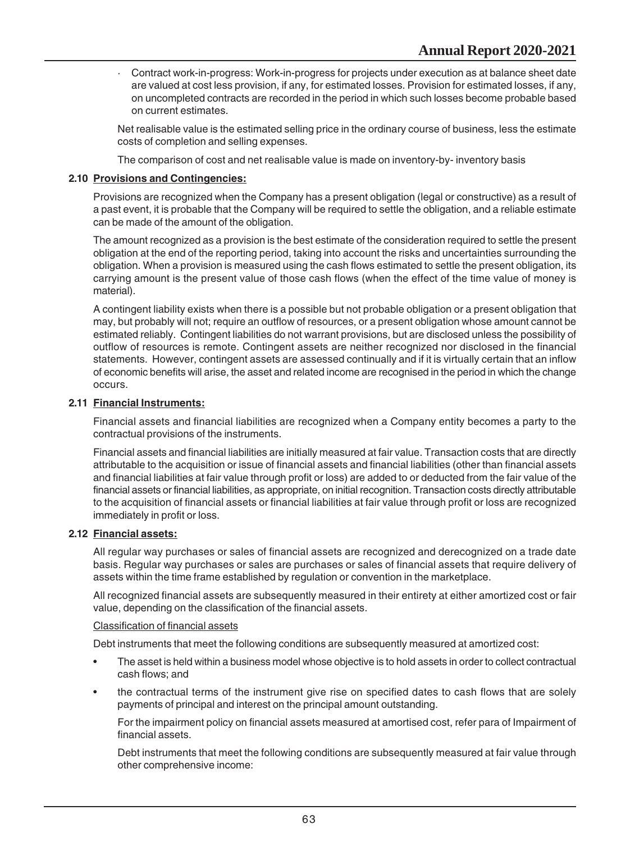· Contract work-in-progress: Work-in-progress for projects under execution as at balance sheet date are valued at cost less provision, if any, for estimated losses. Provision for estimated losses, if any, on uncompleted contracts are recorded in the period in which such losses become probable based on current estimates.

Net realisable value is the estimated selling price in the ordinary course of business, less the estimate costs of completion and selling expenses.

The comparison of cost and net realisable value is made on inventory-by- inventory basis

#### **2.10 Provisions and Contingencies:**

Provisions are recognized when the Company has a present obligation (legal or constructive) as a result of a past event, it is probable that the Company will be required to settle the obligation, and a reliable estimate can be made of the amount of the obligation.

The amount recognized as a provision is the best estimate of the consideration required to settle the present obligation at the end of the reporting period, taking into account the risks and uncertainties surrounding the obligation. When a provision is measured using the cash flows estimated to settle the present obligation, its carrying amount is the present value of those cash flows (when the effect of the time value of money is material).

A contingent liability exists when there is a possible but not probable obligation or a present obligation that may, but probably will not; require an outflow of resources, or a present obligation whose amount cannot be estimated reliably. Contingent liabilities do not warrant provisions, but are disclosed unless the possibility of outflow of resources is remote. Contingent assets are neither recognized nor disclosed in the financial statements. However, contingent assets are assessed continually and if it is virtually certain that an inflow of economic benefits will arise, the asset and related income are recognised in the period in which the change occurs.

## **2.11 Financial Instruments:**

Financial assets and financial liabilities are recognized when a Company entity becomes a party to the contractual provisions of the instruments.

Financial assets and financial liabilities are initially measured at fair value. Transaction costs that are directly attributable to the acquisition or issue of financial assets and financial liabilities (other than financial assets and financial liabilities at fair value through profit or loss) are added to or deducted from the fair value of the financial assets or financial liabilities, as appropriate, on initial recognition. Transaction costs directly attributable to the acquisition of financial assets or financial liabilities at fair value through profit or loss are recognized immediately in profit or loss.

#### **2.12 Financial assets:**

All regular way purchases or sales of financial assets are recognized and derecognized on a trade date basis. Regular way purchases or sales are purchases or sales of financial assets that require delivery of assets within the time frame established by regulation or convention in the marketplace.

All recognized financial assets are subsequently measured in their entirety at either amortized cost or fair value, depending on the classification of the financial assets.

#### Classification of financial assets

Debt instruments that meet the following conditions are subsequently measured at amortized cost:

- The asset is held within a business model whose objective is to hold assets in order to collect contractual cash flows; and
- the contractual terms of the instrument give rise on specified dates to cash flows that are solely payments of principal and interest on the principal amount outstanding.

For the impairment policy on financial assets measured at amortised cost, refer para of Impairment of financial assets.

Debt instruments that meet the following conditions are subsequently measured at fair value through other comprehensive income: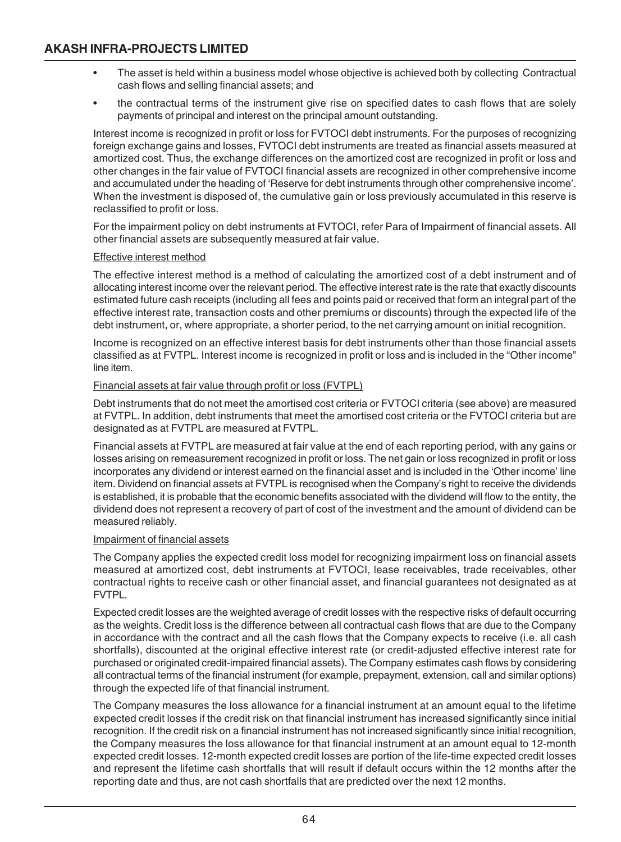- The asset is held within a business model whose objective is achieved both by collecting Contractual cash flows and selling financial assets; and
- the contractual terms of the instrument give rise on specified dates to cash flows that are solely payments of principal and interest on the principal amount outstanding.

Interest income is recognized in profit or loss for FVTOCI debt instruments. For the purposes of recognizing foreign exchange gains and losses, FVTOCI debt instruments are treated as financial assets measured at amortized cost. Thus, the exchange differences on the amortized cost are recognized in profit or loss and other changes in the fair value of FVTOCI financial assets are recognized in other comprehensive income and accumulated under the heading of 'Reserve for debt instruments through other comprehensive income'. When the investment is disposed of, the cumulative gain or loss previously accumulated in this reserve is reclassified to profit or loss.

For the impairment policy on debt instruments at FVTOCI, refer Para of Impairment of financial assets. All other financial assets are subsequently measured at fair value.

#### Effective interest method

The effective interest method is a method of calculating the amortized cost of a debt instrument and of allocating interest income over the relevant period. The effective interest rate is the rate that exactly discounts estimated future cash receipts (including all fees and points paid or received that form an integral part of the effective interest rate, transaction costs and other premiums or discounts) through the expected life of the debt instrument, or, where appropriate, a shorter period, to the net carrying amount on initial recognition.

Income is recognized on an effective interest basis for debt instruments other than those financial assets classified as at FVTPL. Interest income is recognized in profit or loss and is included in the "Other income" line item.

#### Financial assets at fair value through profit or loss (FVTPL)

Debt instruments that do not meet the amortised cost criteria or FVTOCI criteria (see above) are measured at FVTPL. In addition, debt instruments that meet the amortised cost criteria or the FVTOCI criteria but are designated as at FVTPL are measured at FVTPL.

Financial assets at FVTPL are measured at fair value at the end of each reporting period, with any gains or losses arising on remeasurement recognized in profit or loss. The net gain or loss recognized in profit or loss incorporates any dividend or interest earned on the financial asset and is included in the 'Other income' line item. Dividend on financial assets at FVTPL is recognised when the Company's right to receive the dividends is established, it is probable that the economic benefits associated with the dividend will flow to the entity, the dividend does not represent a recovery of part of cost of the investment and the amount of dividend can be measured reliably.

#### Impairment of financial assets

The Company applies the expected credit loss model for recognizing impairment loss on financial assets measured at amortized cost, debt instruments at FVTOCI, lease receivables, trade receivables, other contractual rights to receive cash or other financial asset, and financial guarantees not designated as at FVTPL.

Expected credit losses are the weighted average of credit losses with the respective risks of default occurring as the weights. Credit loss is the difference between all contractual cash flows that are due to the Company in accordance with the contract and all the cash flows that the Company expects to receive (i.e. all cash shortfalls), discounted at the original effective interest rate (or credit-adjusted effective interest rate for purchased or originated credit-impaired financial assets). The Company estimates cash flows by considering all contractual terms of the financial instrument (for example, prepayment, extension, call and similar options) through the expected life of that financial instrument.

The Company measures the loss allowance for a financial instrument at an amount equal to the lifetime expected credit losses if the credit risk on that financial instrument has increased significantly since initial recognition. If the credit risk on a financial instrument has not increased significantly since initial recognition, the Company measures the loss allowance for that financial instrument at an amount equal to 12-month expected credit losses. 12-month expected credit losses are portion of the life-time expected credit losses and represent the lifetime cash shortfalls that will result if default occurs within the 12 months after the reporting date and thus, are not cash shortfalls that are predicted over the next 12 months.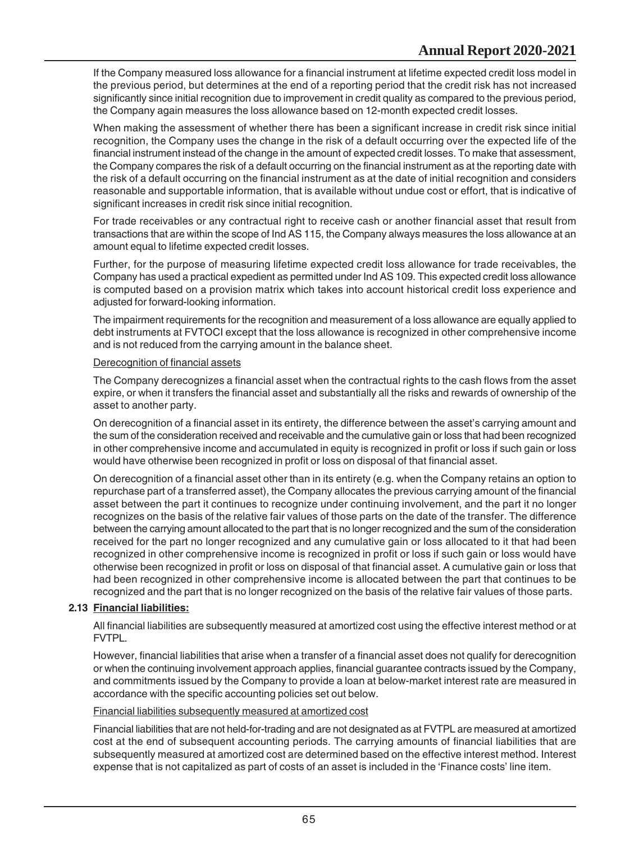If the Company measured loss allowance for a financial instrument at lifetime expected credit loss model in the previous period, but determines at the end of a reporting period that the credit risk has not increased significantly since initial recognition due to improvement in credit quality as compared to the previous period, the Company again measures the loss allowance based on 12-month expected credit losses.

When making the assessment of whether there has been a significant increase in credit risk since initial recognition, the Company uses the change in the risk of a default occurring over the expected life of the financial instrument instead of the change in the amount of expected credit losses. To make that assessment, the Company compares the risk of a default occurring on the financial instrument as at the reporting date with the risk of a default occurring on the financial instrument as at the date of initial recognition and considers reasonable and supportable information, that is available without undue cost or effort, that is indicative of significant increases in credit risk since initial recognition.

For trade receivables or any contractual right to receive cash or another financial asset that result from transactions that are within the scope of Ind AS 115, the Company always measures the loss allowance at an amount equal to lifetime expected credit losses.

Further, for the purpose of measuring lifetime expected credit loss allowance for trade receivables, the Company has used a practical expedient as permitted under Ind AS 109. This expected credit loss allowance is computed based on a provision matrix which takes into account historical credit loss experience and adjusted for forward-looking information.

The impairment requirements for the recognition and measurement of a loss allowance are equally applied to debt instruments at FVTOCI except that the loss allowance is recognized in other comprehensive income and is not reduced from the carrying amount in the balance sheet.

#### Derecognition of financial assets

The Company derecognizes a financial asset when the contractual rights to the cash flows from the asset expire, or when it transfers the financial asset and substantially all the risks and rewards of ownership of the asset to another party.

On derecognition of a financial asset in its entirety, the difference between the asset's carrying amount and the sum of the consideration received and receivable and the cumulative gain or loss that had been recognized in other comprehensive income and accumulated in equity is recognized in profit or loss if such gain or loss would have otherwise been recognized in profit or loss on disposal of that financial asset.

On derecognition of a financial asset other than in its entirety (e.g. when the Company retains an option to repurchase part of a transferred asset), the Company allocates the previous carrying amount of the financial asset between the part it continues to recognize under continuing involvement, and the part it no longer recognizes on the basis of the relative fair values of those parts on the date of the transfer. The difference between the carrying amount allocated to the part that is no longer recognized and the sum of the consideration received for the part no longer recognized and any cumulative gain or loss allocated to it that had been recognized in other comprehensive income is recognized in profit or loss if such gain or loss would have otherwise been recognized in profit or loss on disposal of that financial asset. A cumulative gain or loss that had been recognized in other comprehensive income is allocated between the part that continues to be recognized and the part that is no longer recognized on the basis of the relative fair values of those parts.

## **2.13 Financial liabilities:**

All financial liabilities are subsequently measured at amortized cost using the effective interest method or at FVTPL.

However, financial liabilities that arise when a transfer of a financial asset does not qualify for derecognition or when the continuing involvement approach applies, financial guarantee contracts issued by the Company, and commitments issued by the Company to provide a loan at below-market interest rate are measured in accordance with the specific accounting policies set out below.

#### Financial liabilities subsequently measured at amortized cost

Financial liabilities that are not held-for-trading and are not designated as at FVTPL are measured at amortized cost at the end of subsequent accounting periods. The carrying amounts of financial liabilities that are subsequently measured at amortized cost are determined based on the effective interest method. Interest expense that is not capitalized as part of costs of an asset is included in the 'Finance costs' line item.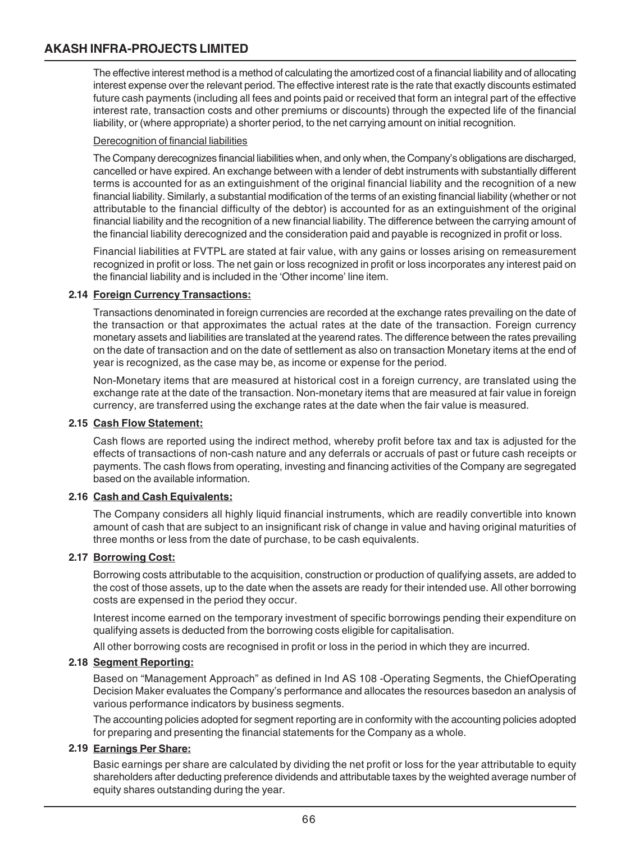The effective interest method is a method of calculating the amortized cost of a financial liability and of allocating interest expense over the relevant period. The effective interest rate is the rate that exactly discounts estimated future cash payments (including all fees and points paid or received that form an integral part of the effective interest rate, transaction costs and other premiums or discounts) through the expected life of the financial liability, or (where appropriate) a shorter period, to the net carrying amount on initial recognition.

## Derecognition of financial liabilities

The Company derecognizes financial liabilities when, and only when, the Company's obligations are discharged, cancelled or have expired. An exchange between with a lender of debt instruments with substantially different terms is accounted for as an extinguishment of the original financial liability and the recognition of a new financial liability. Similarly, a substantial modification of the terms of an existing financial liability (whether or not attributable to the financial difficulty of the debtor) is accounted for as an extinguishment of the original financial liability and the recognition of a new financial liability. The difference between the carrying amount of the financial liability derecognized and the consideration paid and payable is recognized in profit or loss.

Financial liabilities at FVTPL are stated at fair value, with any gains or losses arising on remeasurement recognized in profit or loss. The net gain or loss recognized in profit or loss incorporates any interest paid on the financial liability and is included in the 'Other income' line item.

## **2.14 Foreign Currency Transactions:**

Transactions denominated in foreign currencies are recorded at the exchange rates prevailing on the date of the transaction or that approximates the actual rates at the date of the transaction. Foreign currency monetary assets and liabilities are translated at the yearend rates. The difference between the rates prevailing on the date of transaction and on the date of settlement as also on transaction Monetary items at the end of year is recognized, as the case may be, as income or expense for the period.

Non-Monetary items that are measured at historical cost in a foreign currency, are translated using the exchange rate at the date of the transaction. Non-monetary items that are measured at fair value in foreign currency, are transferred using the exchange rates at the date when the fair value is measured.

#### **2.15 Cash Flow Statement:**

Cash flows are reported using the indirect method, whereby profit before tax and tax is adjusted for the effects of transactions of non-cash nature and any deferrals or accruals of past or future cash receipts or payments. The cash flows from operating, investing and financing activities of the Company are segregated based on the available information.

## **2.16 Cash and Cash Equivalents:**

The Company considers all highly liquid financial instruments, which are readily convertible into known amount of cash that are subject to an insignificant risk of change in value and having original maturities of three months or less from the date of purchase, to be cash equivalents.

## **2.17 Borrowing Cost:**

Borrowing costs attributable to the acquisition, construction or production of qualifying assets, are added to the cost of those assets, up to the date when the assets are ready for their intended use. All other borrowing costs are expensed in the period they occur.

Interest income earned on the temporary investment of specific borrowings pending their expenditure on qualifying assets is deducted from the borrowing costs eligible for capitalisation.

All other borrowing costs are recognised in profit or loss in the period in which they are incurred.

#### **2.18 Segment Reporting:**

Based on "Management Approach" as defined in Ind AS 108 -Operating Segments, the ChiefOperating Decision Maker evaluates the Company's performance and allocates the resources basedon an analysis of various performance indicators by business segments.

The accounting policies adopted for segment reporting are in conformity with the accounting policies adopted for preparing and presenting the financial statements for the Company as a whole.

#### **2.19 Earnings Per Share:**

Basic earnings per share are calculated by dividing the net profit or loss for the year attributable to equity shareholders after deducting preference dividends and attributable taxes by the weighted average number of equity shares outstanding during the year.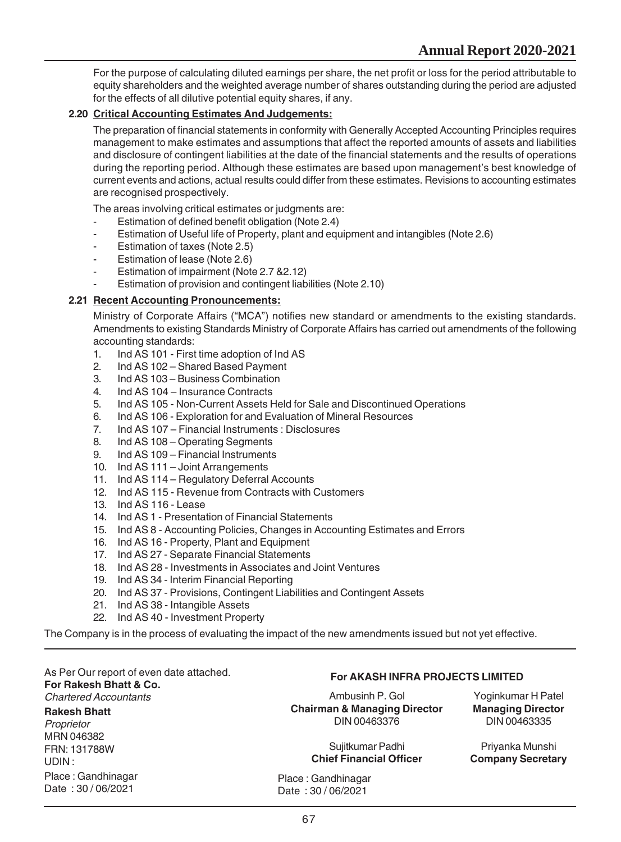For the purpose of calculating diluted earnings per share, the net profit or loss for the period attributable to equity shareholders and the weighted average number of shares outstanding during the period are adjusted for the effects of all dilutive potential equity shares, if any.

## **2.20 Critical Accounting Estimates And Judgements:**

The preparation of financial statements in conformity with Generally Accepted Accounting Principles requires management to make estimates and assumptions that affect the reported amounts of assets and liabilities and disclosure of contingent liabilities at the date of the financial statements and the results of operations during the reporting period. Although these estimates are based upon management's best knowledge of current events and actions, actual results could differ from these estimates. Revisions to accounting estimates are recognised prospectively.

The areas involving critical estimates or judgments are:

- Estimation of defined benefit obligation (Note 2.4)
- Estimation of Useful life of Property, plant and equipment and intangibles (Note 2.6)
- Estimation of taxes (Note 2.5)
- Estimation of lease (Note 2.6)
- Estimation of impairment (Note 2.7 & 2.12)
- Estimation of provision and contingent liabilities (Note 2.10)

#### **2.21 Recent Accounting Pronouncements:**

Ministry of Corporate Affairs ("MCA") notifies new standard or amendments to the existing standards. Amendments to existing Standards Ministry of Corporate Affairs has carried out amendments of the following accounting standards:

- 1. Ind AS 101 First time adoption of Ind AS
- 2. Ind AS 102 Shared Based Payment
- 3. Ind AS 103 Business Combination<br>4. Ind AS 104 Insurance Contracts
- 4. Ind AS 104 Insurance Contracts
- 5. Ind AS 105 Non-Current Assets Held for Sale and Discontinued Operations
- 6. Ind AS 106 Exploration for and Evaluation of Mineral Resources
- 7. Ind AS 107 Financial Instruments : Disclosures
- 8. Ind AS 108 Operating Segments
- 9. Ind AS 109 Financial Instruments
- 10. Ind AS 111 Joint Arrangements
- 11. Ind AS 114 Regulatory Deferral Accounts
- 12. Ind AS 115 Revenue from Contracts with Customers
- 13. Ind AS 116 Lease
- 14. Ind AS 1 Presentation of Financial Statements
- 15. Ind AS 8 Accounting Policies, Changes in Accounting Estimates and Errors
- 16. Ind AS 16 Property, Plant and Equipment
- 17. Ind AS 27 Separate Financial Statements
- 18. Ind AS 28 Investments in Associates and Joint Ventures
- 19. Ind AS 34 Interim Financial Reporting
- 20. Ind AS 37 Provisions, Contingent Liabilities and Contingent Assets
- 21. Ind AS 38 Intangible Assets
- 22. Ind AS 40 Investment Property

The Company is in the process of evaluating the impact of the new amendments issued but not yet effective.

As Per Our report of even date attached. **For Rakesh Bhatt & Co.**

## Chartered Accountants

## **Rakesh Bhatt**

Proprietor MRN 046382 FRN: 131788W UDIN : Place : Gandhinagar Date : 30 / 06/2021

#### **For AKASH INFRA PROJECTS LIMITED**

Ambusinh P. Gol Yoginkumar H Patel **Chairman & Managing Director Managing Director**<br>DIN 00463335 DIN 00463376 DIN 00463376

Sujitkumar Padhi Priyanka Munshi **Chief Financial Officer Company Secretary**

Place : Gandhinagar Date : 30 / 06/2021

67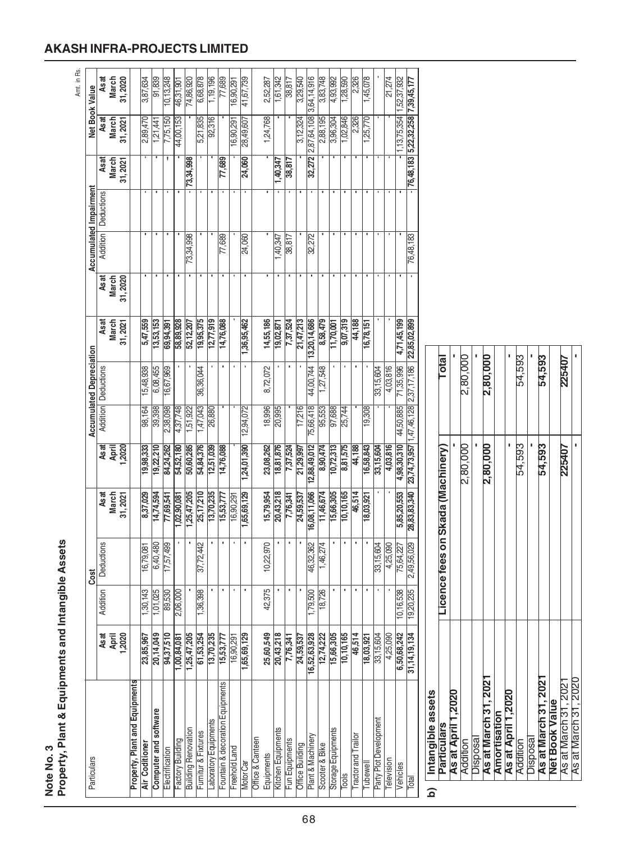|                                 | Asat                | March | 31,2020  |                                       | 3,87,634       | 91,839                | 10, 13, 248     | 46,31,901        | 74,86,920                  | 6,68,878            | 1,19,196              | 77,689                           | 6.90,291      | 41,67,739        |                  | 2,52,287   | ,61,342            | 38,817         | 3,29,540        |                         | 3,83,748       | 4,93,992           | 1,28,590     | 2,326              | 1,45,078  |                       | 21,274     | 1,52,37,932 |
|---------------------------------|---------------------|-------|----------|---------------------------------------|----------------|-----------------------|-----------------|------------------|----------------------------|---------------------|-----------------------|----------------------------------|---------------|------------------|------------------|------------|--------------------|----------------|-----------------|-------------------------|----------------|--------------------|--------------|--------------------|-----------|-----------------------|------------|-------------|
| Net Book Value                  | Asat                | March | 31,2021  |                                       | 2,89,470       | 1,21,441              | 7,75,150        | 44,00,153        |                            | 5,21,835            | 92,316                |                                  | 6,90,291      | 28,49,607        |                  | 1,24,768   |                    |                | 3,12,324        | 2,87,64,108 3,64,14,916 | 2,88,195       | 3,96,304           | 1,02,846     | 2,326              | ,25,770   |                       |            | 13,75,354   |
|                                 | Asat                | March | 31, 2021 |                                       |                |                       |                 |                  | 73,34,998                  |                     |                       | 77,689                           |               | 24,060           |                  |            | 40,347             | 38,817         |                 | 32,272                  |                |                    |              |                    |           |                       |            |             |
|                                 |                     |       |          |                                       |                |                       |                 |                  |                            |                     |                       |                                  |               |                  |                  |            |                    |                |                 |                         |                |                    |              |                    |           |                       |            |             |
| Accumulated Impairment          | Addition Deductions |       |          |                                       |                |                       |                 |                  | 73,34,998                  |                     |                       | 77,689                           |               | 24,060           |                  |            | 1,40,347           | 38,817         |                 | 32,272                  |                |                    |              |                    |           |                       |            |             |
|                                 | Asat<br>March       |       | 31,2020  |                                       |                |                       |                 |                  |                            |                     |                       |                                  |               |                  |                  |            |                    |                |                 |                         |                |                    |              |                    |           |                       |            |             |
|                                 | As at               | March | 31,2021  |                                       | 5,47,559       | 13,53,153             | 69,94,391       | 58,89,928        | 52,12,207                  | 19,95,375           | 12,77,919             | 14,76,088                        |               | 1,36,95,462      |                  | 14,55,186  | 19,02,87           | 7,37,524       | 21,47,213       | 13,20,14,686            | 8,58,479       | 1,70,001           | 9,07,319     | 44,188             | 16,78,151 |                       |            | 4,71,45,199 |
| <b>Accumulated Depreciation</b> | Addition Deductions |       |          |                                       | 15,48,938      | 6,08,455              | 16,67,969       |                  |                            | 36,36,044           |                       |                                  |               |                  |                  | 8,72,072   |                    |                |                 | 44,00,744               | 1,27,548       |                    |              |                    |           | 33,15,604             | 4,03,816   | 71,35,996   |
|                                 |                     |       |          |                                       | 98,164         | 39,398                | 2,38,098        | 4,37,748         | , 51, 922                  | ,47,043             | 26,880                |                                  |               | 12,94,072        |                  | 18,996     | 20,995             |                | 17,216          | 75,66,418               | 95,553         | 97,688             | 25,744       |                    | 19,308    |                       |            | 44,50,885   |
|                                 | As at<br>April      |       | 1,2020   |                                       | 19,98,333      | 19,22,210             | 84,24,262       | 54,52,180        | 50,60,285                  | 54,84,376           | 12,51,039             | 14,76,088                        |               | 1,24,01,390      |                  | 23,08,262  | 8,81,876           | 7.37.524       | 21,29,997       | 12,88,49,012            | 8,90,474       | 10,72,313          | 8,81,575     | 44,188             | 16,58,843 | 33,15,604             | 4,03,816   | 4,98,30,310 |
|                                 | As at               | March | 31,2021  |                                       | 8,37,029       | 14,74,594             | 77,69,54        | 02,90,08         | 25,47,205                  | 25,17,210           | 13,70,235             | 15,53,777                        | 16,90,29      | 1,65,69,129      |                  | 15,79,954  | 20,43,218          | 7,76,341       | 24,59,537       | 16,08,11,066            | 11,46,674      | 5,66,305           | 10,10,165    | 46,514             | 18,03,92  |                       |            | 5,85,20,553 |
| Cost                            | Deductions          |       |          |                                       | 16,79,081      | 6,40,480              | 17,57,499       |                  |                            | 37,72,442           |                       |                                  |               |                  |                  | 10,22,970  |                    |                |                 | 46,32,362               | 1,46,274       |                    |              |                    |           | 33,15,604             | 4,25,090   | 75,64,227   |
|                                 | Addition            |       |          |                                       | 1,30,143       | 1,01,025              | 89,530          | 2,06,000         |                            | 1,36,398            |                       |                                  |               |                  |                  | 42,375     |                    |                |                 | 1,79,500                | 18,726         |                    |              |                    |           |                       |            | 10,16,538   |
|                                 | As at               | April | 1,2020   |                                       | 23,85,967      | 20, 14, 049           | 94,37,510       | 00,84,08         | , 25, 47, 205              | 61,53,254           | 13,70,235             | 15,53,77                         | 16,90,29      | 1,65,69,129      |                  | 25,60,549  | 20,43,218          | 7.76,34        | 24,59,537       | 16,52,63,928            | 12,74,222      | 15,66,305          | 10,10,165    | 46,514             | 18,03,921 | 33,15,604             | 4,25,090   | 6,50,68,242 |
| Particulars                     |                     |       |          | <b>Property, Plant and Equipments</b> | Air Coditioner | Computer and software | Electrification | Factory Building | <b>Building Renovation</b> | Furnitur & Fixtures | Laboratory Equipments | Fountain & decoration Equipments | Freehold Land | <b>Motor Car</b> | Office & Canteen | Equipments | Kitchen Equipments | Fun Equipments | Office Building | Plant & Machinery       | Scooter & Bike | Storage Equipments | <b>Tools</b> | ractor and Trailor | ubewell   | Party Plot Developmen | Television | Vehicles    |

<u>ົດ</u>

| c | Intangible assets           |                                   |              |
|---|-----------------------------|-----------------------------------|--------------|
|   | <b>Particulars</b>          | Licence fees on Skada (Machinery) | <b>Total</b> |
|   | As at April 1,2020          |                                   |              |
|   | <b>Addition</b>             | 2,80,000                          | 2,80,000     |
|   | Jisposal                    |                                   |              |
|   | <b>As at March 31, 2021</b> | 2,80,000                          | 2,80,000     |
|   | Amortisation                |                                   |              |
|   | As at April 1,2020          |                                   |              |
|   | Addition                    | 54,593                            | 54,593       |
|   | Jisposal                    |                                   |              |
|   | As at March 31, 2021        | 54,593                            | 54,593       |
|   | Net Book Value              |                                   |              |
|   | As at March 31, 2021        | 225407                            | 225407       |
|   | As at March 31, 2020        |                                   |              |

# **AKASH INFRA-PROJECTS LIMITED**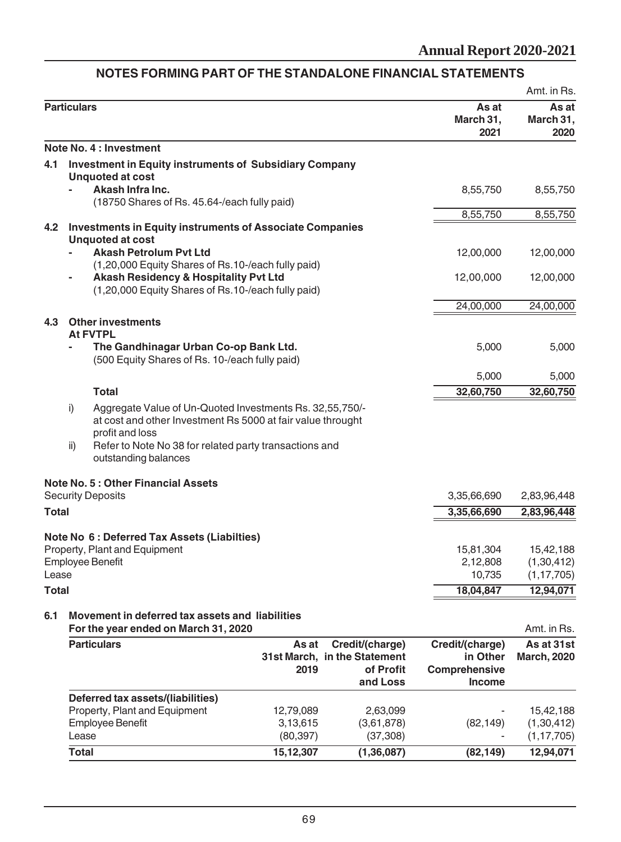# **NOTES FORMING PART OF THE STANDALONE FINANCIAL STATEMENTS**

|       |                    |                                                                                                        |                                                          |                             | Amt. in Rs.                      |
|-------|--------------------|--------------------------------------------------------------------------------------------------------|----------------------------------------------------------|-----------------------------|----------------------------------|
|       | <b>Particulars</b> |                                                                                                        |                                                          | As at<br>March 31,<br>2021  | As at<br>March 31.<br>2020       |
|       |                    | Note No. 4 : Investment                                                                                |                                                          |                             |                                  |
| 4.1   |                    | <b>Investment in Equity instruments of Subsidiary Company</b>                                          |                                                          |                             |                                  |
|       |                    | Unguoted at cost<br>Akash Infra Inc.                                                                   |                                                          | 8,55,750                    | 8,55,750                         |
|       |                    | (18750 Shares of Rs. 45.64-/each fully paid)                                                           |                                                          |                             |                                  |
|       |                    |                                                                                                        |                                                          | 8,55,750                    | 8,55,750                         |
| 4.2   |                    | <b>Investments in Equity instruments of Associate Companies</b><br><b>Unquoted at cost</b>             |                                                          |                             |                                  |
|       | $\blacksquare$     | <b>Akash Petrolum Pyt Ltd</b>                                                                          |                                                          | 12,00,000                   | 12,00,000                        |
|       |                    | (1,20,000 Equity Shares of Rs.10-/each fully paid)                                                     |                                                          |                             |                                  |
|       |                    | <b>Akash Residency &amp; Hospitality Pvt Ltd</b><br>(1,20,000 Equity Shares of Rs.10-/each fully paid) |                                                          | 12,00,000                   | 12,00,000                        |
|       |                    |                                                                                                        |                                                          | 24,00,000                   | 24,00,000                        |
|       |                    | 4.3 Other investments                                                                                  |                                                          |                             |                                  |
|       |                    | <b>At FVTPL</b>                                                                                        |                                                          |                             |                                  |
|       |                    | The Gandhinagar Urban Co-op Bank Ltd.<br>(500 Equity Shares of Rs. 10-/each fully paid)                |                                                          | 5,000                       | 5,000                            |
|       |                    |                                                                                                        |                                                          | 5,000                       | 5,000                            |
|       |                    | <b>Total</b>                                                                                           |                                                          | 32,60,750                   | 32,60,750                        |
|       | i)                 | Aggregate Value of Un-Quoted Investments Rs. 32,55,750/-                                               |                                                          |                             |                                  |
|       |                    | at cost and other Investment Rs 5000 at fair value throught                                            |                                                          |                             |                                  |
|       | ii)                | profit and loss<br>Refer to Note No 38 for related party transactions and                              |                                                          |                             |                                  |
|       |                    | outstanding balances                                                                                   |                                                          |                             |                                  |
|       |                    | <b>Note No. 5: Other Financial Assets</b>                                                              |                                                          |                             |                                  |
|       |                    | <b>Security Deposits</b>                                                                               |                                                          | 3,35,66,690                 | 2,83,96,448                      |
| Total |                    |                                                                                                        |                                                          | 3.35.66.690                 | 2.83.96.448                      |
|       |                    | Note No 6 : Deferred Tax Assets (Liabilties)                                                           |                                                          |                             |                                  |
|       |                    | Property, Plant and Equipment                                                                          |                                                          | 15,81,304                   | 15,42,188                        |
|       |                    | Employee Benefit                                                                                       |                                                          | 2,12,808                    | (1,30,412)                       |
| Lease |                    |                                                                                                        |                                                          | 10,735                      | (1, 17, 705)                     |
| Total |                    |                                                                                                        |                                                          | 18,04,847                   | 12,94,071                        |
| 6.1   |                    | Movement in deferred tax assets and liabilities                                                        |                                                          |                             |                                  |
|       |                    | For the year ended on March 31, 2020                                                                   |                                                          |                             | Amt. in Rs.                      |
|       |                    | <b>Particulars</b>                                                                                     | Credit/(charge)<br>As at<br>31st March, in the Statement | Credit/(charge)<br>in Other | As at 31st<br><b>March, 2020</b> |
|       |                    |                                                                                                        | 2019<br>of Profit                                        | <b>Comprehensive</b>        |                                  |
|       |                    |                                                                                                        | and Loss                                                 | <b>Income</b>               |                                  |

|                                   |           | --------     |                          |              |
|-----------------------------------|-----------|--------------|--------------------------|--------------|
| Deferred tax assets/(liabilities) |           |              |                          |              |
| Property, Plant and Equipment     | 12.79.089 | 2.63.099     | $\overline{\phantom{0}}$ | 15.42.188    |
| Employee Benefit                  | 3,13,615  | (3,61,878)   | (82.149)                 | (1,30,412)   |
| Lease                             | (80, 397) | (37,308)     | $\overline{\phantom{a}}$ | (1, 17, 705) |
| Total                             | 15,12,307 | (1, 36, 087) | (82.149)                 | 12,94,071    |
|                                   |           |              |                          |              |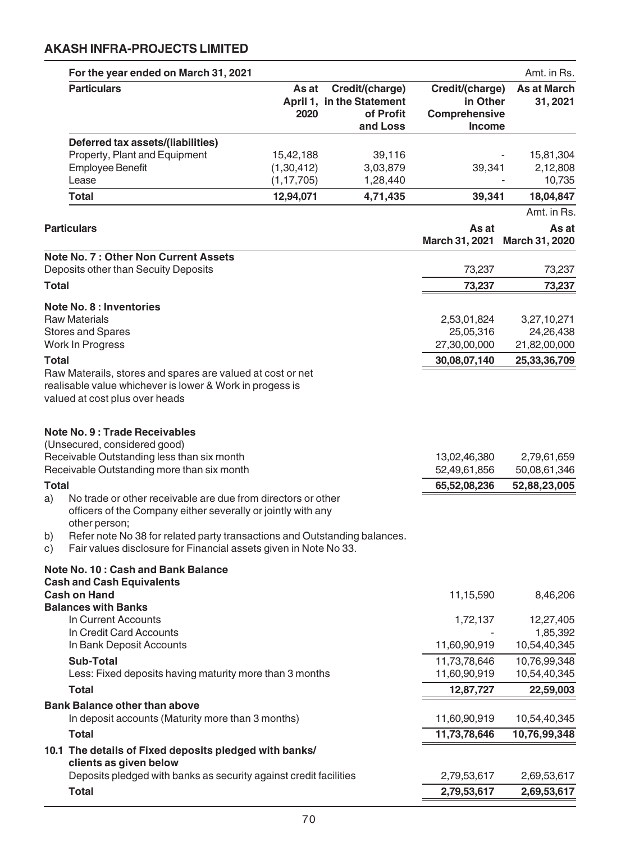|                | For the year ended on March 31, 2021                                                                                                                                                                                                                                                           |                                         |                                                                       |                                                               | Amt. in Rs.                              |
|----------------|------------------------------------------------------------------------------------------------------------------------------------------------------------------------------------------------------------------------------------------------------------------------------------------------|-----------------------------------------|-----------------------------------------------------------------------|---------------------------------------------------------------|------------------------------------------|
|                | <b>Particulars</b>                                                                                                                                                                                                                                                                             | As at<br>2020                           | Credit/(charge)<br>April 1, in the Statement<br>of Profit<br>and Loss | Credit/(charge)<br>in Other<br>Comprehensive<br><b>Income</b> | <b>As at March</b><br>31, 2021           |
|                | Deferred tax assets/(liabilities)                                                                                                                                                                                                                                                              |                                         |                                                                       |                                                               |                                          |
|                | Property, Plant and Equipment<br>Employee Benefit<br>Lease                                                                                                                                                                                                                                     | 15,42,188<br>(1,30,412)<br>(1, 17, 705) | 39,116<br>3,03,879<br>1,28,440                                        | 39,341                                                        | 15,81,304<br>2,12,808<br>10,735          |
|                | Total                                                                                                                                                                                                                                                                                          | 12,94,071                               | 4,71,435                                                              | 39,341                                                        | 18,04,847                                |
|                |                                                                                                                                                                                                                                                                                                |                                         |                                                                       |                                                               | Amt. in Rs.                              |
|                | <b>Particulars</b>                                                                                                                                                                                                                                                                             |                                         |                                                                       | As at                                                         | As at<br>March 31, 2021 March 31, 2020   |
|                | Note No. 7: Other Non Current Assets                                                                                                                                                                                                                                                           |                                         |                                                                       |                                                               |                                          |
|                | Deposits other than Secuity Deposits                                                                                                                                                                                                                                                           |                                         |                                                                       | 73,237                                                        | 73,237                                   |
| Total          |                                                                                                                                                                                                                                                                                                |                                         |                                                                       | 73,237                                                        | 73,237                                   |
|                | <b>Note No. 8 : Inventories</b><br><b>Raw Materials</b><br><b>Stores and Spares</b><br>Work In Progress                                                                                                                                                                                        |                                         |                                                                       | 2,53,01,824<br>25,05,316<br>27,30,00,000                      | 3,27,10,271<br>24,26,438<br>21,82,00,000 |
| Total          |                                                                                                                                                                                                                                                                                                |                                         |                                                                       | 30,08,07,140                                                  | 25,33,36,709                             |
|                | Raw Materails, stores and spares are valued at cost or net<br>realisable value whichever is lower & Work in progess is<br>valued at cost plus over heads                                                                                                                                       |                                         |                                                                       |                                                               |                                          |
|                | Note No. 9 : Trade Receivables<br>(Unsecured, considered good)<br>Receivable Outstanding less than six month<br>Receivable Outstanding more than six month                                                                                                                                     |                                         |                                                                       | 13,02,46,380<br>52,49,61,856                                  | 2,79,61,659<br>50,08,61,346              |
| Total          |                                                                                                                                                                                                                                                                                                |                                         |                                                                       | 65,52,08,236                                                  | 52,88,23,005                             |
| a)<br>b)<br>c) | No trade or other receivable are due from directors or other<br>officers of the Company either severally or jointly with any<br>other person;<br>Refer note No 38 for related party transactions and Outstanding balances.<br>Fair values disclosure for Financial assets given in Note No 33. |                                         |                                                                       |                                                               |                                          |
|                | Note No. 10 : Cash and Bank Balance<br><b>Cash and Cash Equivalents</b>                                                                                                                                                                                                                        |                                         |                                                                       |                                                               |                                          |
|                | <b>Cash on Hand</b><br><b>Balances with Banks</b>                                                                                                                                                                                                                                              |                                         |                                                                       | 11,15,590                                                     | 8,46,206                                 |
|                | In Current Accounts<br>In Credit Card Accounts                                                                                                                                                                                                                                                 |                                         |                                                                       | 1,72,137                                                      | 12,27,405<br>1,85,392                    |
|                | In Bank Deposit Accounts                                                                                                                                                                                                                                                                       |                                         |                                                                       | 11,60,90,919                                                  | 10,54,40,345                             |
|                | <b>Sub-Total</b><br>Less: Fixed deposits having maturity more than 3 months                                                                                                                                                                                                                    |                                         |                                                                       | 11,73,78,646<br>11,60,90,919                                  | 10,76,99,348<br>10,54,40,345             |
|                | <b>Total</b>                                                                                                                                                                                                                                                                                   |                                         |                                                                       | 12,87,727                                                     | 22,59,003                                |
|                | Bank Balance other than above<br>In deposit accounts (Maturity more than 3 months)                                                                                                                                                                                                             |                                         |                                                                       | 11,60,90,919                                                  | 10,54,40,345                             |
|                | <b>Total</b>                                                                                                                                                                                                                                                                                   |                                         |                                                                       | 11,73,78,646                                                  | 10,76,99,348                             |
|                | 10.1 The details of Fixed deposits pledged with banks/<br>clients as given below                                                                                                                                                                                                               |                                         |                                                                       |                                                               |                                          |
|                | Deposits pledged with banks as security against credit facilities                                                                                                                                                                                                                              |                                         |                                                                       | 2,79,53,617                                                   | 2,69,53,617                              |
|                | <b>Total</b>                                                                                                                                                                                                                                                                                   |                                         |                                                                       | 2,79,53,617                                                   | 2,69,53,617                              |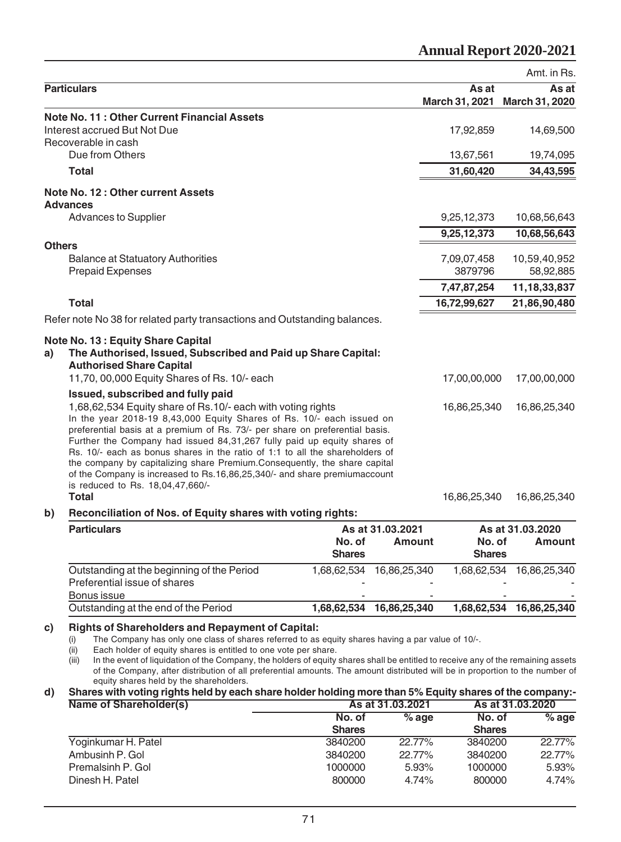|               |                                                                                                                                                                                                                                                                                                                                                                                                                                                       |                         |                          |                              | Amt. in Rs.                  |
|---------------|-------------------------------------------------------------------------------------------------------------------------------------------------------------------------------------------------------------------------------------------------------------------------------------------------------------------------------------------------------------------------------------------------------------------------------------------------------|-------------------------|--------------------------|------------------------------|------------------------------|
|               | <b>Particulars</b>                                                                                                                                                                                                                                                                                                                                                                                                                                    |                         |                          | As at<br>March 31, 2021      | As at<br>March 31, 2020      |
|               | Note No. 11: Other Current Financial Assets                                                                                                                                                                                                                                                                                                                                                                                                           |                         |                          |                              |                              |
|               | Interest accrued But Not Due                                                                                                                                                                                                                                                                                                                                                                                                                          |                         |                          | 17,92,859                    | 14,69,500                    |
|               | Recoverable in cash                                                                                                                                                                                                                                                                                                                                                                                                                                   |                         |                          |                              |                              |
|               | Due from Others                                                                                                                                                                                                                                                                                                                                                                                                                                       |                         |                          | 13,67,561                    | 19,74,095                    |
|               | Total                                                                                                                                                                                                                                                                                                                                                                                                                                                 |                         |                          | 31,60,420                    | 34,43,595                    |
|               | Note No. 12: Other current Assets<br><b>Advances</b>                                                                                                                                                                                                                                                                                                                                                                                                  |                         |                          |                              |                              |
|               | <b>Advances to Supplier</b>                                                                                                                                                                                                                                                                                                                                                                                                                           |                         |                          | 9,25,12,373                  | 10,68,56,643                 |
|               |                                                                                                                                                                                                                                                                                                                                                                                                                                                       |                         |                          | 9,25,12,373                  | 10,68,56,643                 |
| <b>Others</b> |                                                                                                                                                                                                                                                                                                                                                                                                                                                       |                         |                          |                              |                              |
|               | <b>Balance at Statuatory Authorities</b>                                                                                                                                                                                                                                                                                                                                                                                                              |                         |                          | 7,09,07,458                  | 10,59,40,952                 |
|               | <b>Prepaid Expenses</b>                                                                                                                                                                                                                                                                                                                                                                                                                               |                         |                          | 3879796                      | 58,92,885                    |
|               |                                                                                                                                                                                                                                                                                                                                                                                                                                                       |                         |                          | 7,47,87,254                  | 11, 18, 33, 837              |
|               | <b>Total</b>                                                                                                                                                                                                                                                                                                                                                                                                                                          |                         |                          | 16,72,99,627                 | 21,86,90,480                 |
|               | Refer note No 38 for related party transactions and Outstanding balances.                                                                                                                                                                                                                                                                                                                                                                             |                         |                          |                              |                              |
| a)            | Note No. 13: Equity Share Capital<br>The Authorised, Issued, Subscribed and Paid up Share Capital:<br><b>Authorised Share Capital</b><br>11,70, 00,000 Equity Shares of Rs. 10/- each<br>Issued, subscribed and fully paid<br>1,68,62,534 Equity share of Rs.10/- each with voting rights<br>In the year 2018-19 8,43,000 Equity Shares of Rs. 10/- each issued on                                                                                    |                         |                          | 17,00,00,000<br>16,86,25,340 | 17,00,00,000<br>16,86,25,340 |
|               | preferential basis at a premium of Rs. 73/- per share on preferential basis.<br>Further the Company had issued 84,31,267 fully paid up equity shares of<br>Rs. 10/- each as bonus shares in the ratio of 1:1 to all the shareholders of<br>the company by capitalizing share Premium.Consequently, the share capital<br>of the Company is increased to Rs.16,86,25,340/- and share premiumaccount<br>is reduced to Rs. 18,04,47,660/-<br><b>Total</b> |                         |                          | 16,86,25,340                 | 16,86,25,340                 |
| b)            | Reconciliation of Nos. of Equity shares with voting rights:                                                                                                                                                                                                                                                                                                                                                                                           |                         |                          |                              |                              |
|               | <b>Particulars</b>                                                                                                                                                                                                                                                                                                                                                                                                                                    |                         | As at 31.03.2021         |                              | As at 31.03.2020             |
|               |                                                                                                                                                                                                                                                                                                                                                                                                                                                       | No. of<br><b>Shares</b> | <b>Amount</b>            | No. of<br><b>Shares</b>      | Amount                       |
|               | Outstanding at the beginning of the Period<br>Preferential issue of shares<br>Bonus issue                                                                                                                                                                                                                                                                                                                                                             | 1,68,62,534             | 16,86,25,340             | 1,68,62,534                  | 16,86,25,340                 |
|               | Outstanding at the end of the Period                                                                                                                                                                                                                                                                                                                                                                                                                  |                         | 1,68,62,534 16,86,25,340 | 1,68,62,534                  | 16,86,25,340                 |
|               |                                                                                                                                                                                                                                                                                                                                                                                                                                                       |                         |                          |                              |                              |

#### **c) Rights of Shareholders and Repayment of Capital:**

(i) The Company has only one class of shares referred to as equity shares having a par value of 10/-.<br>(ii) Each holder of equity shares is entitled to one vote per share.

Each holder of equity shares is entitled to one vote per share.

(iii) In the event of liquidation of the Company, the holders of equity shares shall be entitled to receive any of the remaining assets of the Company, after distribution of all preferential amounts. The amount distributed will be in proportion to the number of equity shares held by the shareholders.

#### **d) Shares with voting rights held by each share holder holding more than 5% Equity shares of the company:- Name of Shareholder(s)**

|                     | No. of        | $%$ age       | No. of        | $%$ age |
|---------------------|---------------|---------------|---------------|---------|
|                     | <b>Shares</b> |               | <b>Shares</b> |         |
| Yoginkumar H. Patel | 3840200       | <b>22.77%</b> | 3840200       | 22.77%  |
| Ambusinh P. Gol     | 3840200       | 22.77%        | 3840200       | 22.77%  |
| Premalsinh P. Gol   | 1000000       | 5.93%         | 1000000       | 5.93%   |
| Dinesh H. Patel     | 800000        | 4.74%         | 800000        | 4.74%   |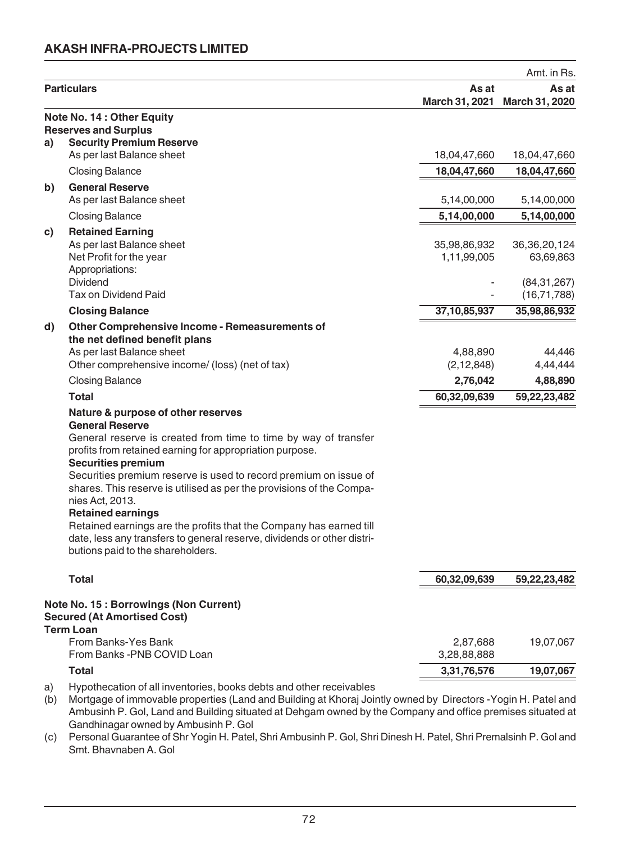|    |                                                                                                                                                                                                                                                                                                                                                                                                                                                                                                                                                                                                                                                                                                                                                                                                                        |                                                      | Amt. in Rs.                                                    |
|----|------------------------------------------------------------------------------------------------------------------------------------------------------------------------------------------------------------------------------------------------------------------------------------------------------------------------------------------------------------------------------------------------------------------------------------------------------------------------------------------------------------------------------------------------------------------------------------------------------------------------------------------------------------------------------------------------------------------------------------------------------------------------------------------------------------------------|------------------------------------------------------|----------------------------------------------------------------|
|    | <b>Particulars</b>                                                                                                                                                                                                                                                                                                                                                                                                                                                                                                                                                                                                                                                                                                                                                                                                     | As at<br><b>March 31, 2021</b>                       | As at<br>March 31, 2020                                        |
|    | Note No. 14 : Other Equity<br><b>Reserves and Surplus</b>                                                                                                                                                                                                                                                                                                                                                                                                                                                                                                                                                                                                                                                                                                                                                              |                                                      |                                                                |
| a) | <b>Security Premium Reserve</b><br>As per last Balance sheet                                                                                                                                                                                                                                                                                                                                                                                                                                                                                                                                                                                                                                                                                                                                                           | 18,04,47,660                                         | 18,04,47,660                                                   |
|    | <b>Closing Balance</b>                                                                                                                                                                                                                                                                                                                                                                                                                                                                                                                                                                                                                                                                                                                                                                                                 | 18,04,47,660                                         | 18,04,47,660                                                   |
| b) | <b>General Reserve</b><br>As per last Balance sheet                                                                                                                                                                                                                                                                                                                                                                                                                                                                                                                                                                                                                                                                                                                                                                    | 5,14,00,000                                          | 5,14,00,000                                                    |
|    | <b>Closing Balance</b>                                                                                                                                                                                                                                                                                                                                                                                                                                                                                                                                                                                                                                                                                                                                                                                                 | 5,14,00,000                                          | 5,14,00,000                                                    |
| C) | <b>Retained Earning</b><br>As per last Balance sheet<br>Net Profit for the year<br>Appropriations:<br>Dividend<br><b>Tax on Dividend Paid</b>                                                                                                                                                                                                                                                                                                                                                                                                                                                                                                                                                                                                                                                                          | 35,98,86,932<br>1,11,99,005                          | 36, 36, 20, 124<br>63,69,863<br>(84, 31, 267)<br>(16, 71, 788) |
|    | <b>Closing Balance</b>                                                                                                                                                                                                                                                                                                                                                                                                                                                                                                                                                                                                                                                                                                                                                                                                 | 37,10,85,937                                         | 35,98,86,932                                                   |
| d) | Other Comprehensive Income - Remeasurements of<br>the net defined benefit plans<br>As per last Balance sheet<br>Other comprehensive income/ (loss) (net of tax)<br><b>Closing Balance</b><br><b>Total</b><br>Nature & purpose of other reserves<br><b>General Reserve</b><br>General reserve is created from time to time by way of transfer<br>profits from retained earning for appropriation purpose.<br><b>Securities premium</b><br>Securities premium reserve is used to record premium on issue of<br>shares. This reserve is utilised as per the provisions of the Compa-<br>nies Act, 2013.<br><b>Retained earnings</b><br>Retained earnings are the profits that the Company has earned till<br>date, less any transfers to general reserve, dividends or other distri-<br>butions paid to the shareholders. | 4,88,890<br>(2, 12, 848)<br>2,76,042<br>60,32,09,639 | 44,446<br>4,44,444<br>4,88,890<br>59,22,23,482                 |
|    | <b>Total</b>                                                                                                                                                                                                                                                                                                                                                                                                                                                                                                                                                                                                                                                                                                                                                                                                           | 60,32,09,639                                         | 59,22,23,482                                                   |
|    | Note No. 15: Borrowings (Non Current)<br><b>Secured (At Amortised Cost)</b><br><b>Term Loan</b>                                                                                                                                                                                                                                                                                                                                                                                                                                                                                                                                                                                                                                                                                                                        |                                                      |                                                                |
|    | From Banks-Yes Bank<br>From Banks - PNB COVID Loan                                                                                                                                                                                                                                                                                                                                                                                                                                                                                                                                                                                                                                                                                                                                                                     | 2,87,688<br>3,28,88,888                              | 19,07,067                                                      |
|    | <b>Total</b>                                                                                                                                                                                                                                                                                                                                                                                                                                                                                                                                                                                                                                                                                                                                                                                                           | 3,31,76,576                                          | 19,07,067                                                      |
| a) | Hypothecation of all inventories, books debts and other receivables                                                                                                                                                                                                                                                                                                                                                                                                                                                                                                                                                                                                                                                                                                                                                    |                                                      |                                                                |

(b) Mortgage of immovable properties (Land and Building at Khoraj Jointly owned by Directors -Yogin H. Patel and Ambusinh P. Gol, Land and Building situated at Dehgam owned by the Company and office premises situated at Gandhinagar owned by Ambusinh P. Gol

(c) Personal Guarantee of Shr Yogin H. Patel, Shri Ambusinh P. Gol, Shri Dinesh H. Patel, Shri Premalsinh P. Gol and Smt. Bhavnaben A. Gol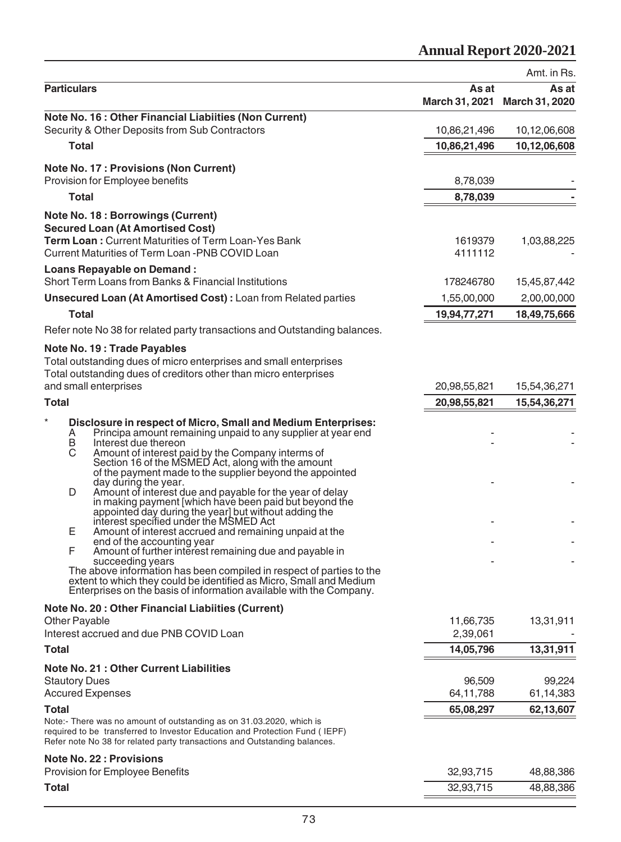# **Annual Report 2020-2021**

|                                                                                                                                                                                                                                                                                                                                                                                                                                                                                                           |                       | Amt. in Rs.                            |
|-----------------------------------------------------------------------------------------------------------------------------------------------------------------------------------------------------------------------------------------------------------------------------------------------------------------------------------------------------------------------------------------------------------------------------------------------------------------------------------------------------------|-----------------------|----------------------------------------|
| <b>Particulars</b>                                                                                                                                                                                                                                                                                                                                                                                                                                                                                        | As at                 | As at<br>March 31, 2021 March 31, 2020 |
| Note No. 16 : Other Financial Liabiities (Non Current)                                                                                                                                                                                                                                                                                                                                                                                                                                                    |                       |                                        |
| Security & Other Deposits from Sub Contractors                                                                                                                                                                                                                                                                                                                                                                                                                                                            | 10,86,21,496          | 10,12,06,608                           |
| Total                                                                                                                                                                                                                                                                                                                                                                                                                                                                                                     | 10,86,21,496          | 10,12,06,608                           |
| Note No. 17 : Provisions (Non Current)                                                                                                                                                                                                                                                                                                                                                                                                                                                                    |                       |                                        |
| Provision for Employee benefits                                                                                                                                                                                                                                                                                                                                                                                                                                                                           | 8,78,039              |                                        |
| Total                                                                                                                                                                                                                                                                                                                                                                                                                                                                                                     | 8,78,039              |                                        |
| Note No. 18: Borrowings (Current)<br><b>Secured Loan (At Amortised Cost)</b>                                                                                                                                                                                                                                                                                                                                                                                                                              |                       |                                        |
| <b>Term Loan: Current Maturities of Term Loan-Yes Bank</b><br>Current Maturities of Term Loan -PNB COVID Loan                                                                                                                                                                                                                                                                                                                                                                                             | 1619379<br>4111112    | 1,03,88,225                            |
| Loans Repayable on Demand:                                                                                                                                                                                                                                                                                                                                                                                                                                                                                |                       |                                        |
| Short Term Loans from Banks & Financial Institutions                                                                                                                                                                                                                                                                                                                                                                                                                                                      | 178246780             | 15,45,87,442                           |
| <b>Unsecured Loan (At Amortised Cost):</b> Loan from Related parties                                                                                                                                                                                                                                                                                                                                                                                                                                      | 1,55,00,000           | 2,00,00,000                            |
| Total                                                                                                                                                                                                                                                                                                                                                                                                                                                                                                     | 19,94,77,271          | 18,49,75,666                           |
| Refer note No 38 for related party transactions and Outstanding balances.                                                                                                                                                                                                                                                                                                                                                                                                                                 |                       |                                        |
| Note No. 19: Trade Payables<br>Total outstanding dues of micro enterprises and small enterprises<br>Total outstanding dues of creditors other than micro enterprises                                                                                                                                                                                                                                                                                                                                      |                       |                                        |
| and small enterprises                                                                                                                                                                                                                                                                                                                                                                                                                                                                                     | 20,98,55,821          | 15,54,36,271                           |
| Total                                                                                                                                                                                                                                                                                                                                                                                                                                                                                                     | 20,98,55,821          | 15,54,36,271                           |
| $\star$<br>Disclosure in respect of Micro, Small and Medium Enterprises:<br>Principa amount remaining unpaid to any supplier at year end<br>A<br>B<br>Interest due thereon<br>C<br>Amount of interest paid by the Company interms of<br>Section 16 of the MSMED Act, along with the amount<br>of the payment made to the supplier beyond the appointed<br>day during the year.<br>Amount of interest due and payable for the year of delay<br>D<br>in making payment [which have been paid but beyond the |                       |                                        |
| appointed day during the year] but without adding the<br>interest specified under the MSMED Act<br>E.<br>Amount of interest accrued and remaining unpaid at the<br>end of the accounting year<br>F<br>Amount of further interest remaining due and payable in<br>succeeding years<br>The above information has been compiled in respect of parties to the<br>extent to which they could be identified as Micro, Small and Medium<br>Enterprises on the basis of information available with the Company.   |                       |                                        |
| Note No. 20: Other Financial Liabiities (Current)<br>Other Payable<br>Interest accrued and due PNB COVID Loan                                                                                                                                                                                                                                                                                                                                                                                             | 11,66,735<br>2,39,061 | 13,31,911                              |
| Total                                                                                                                                                                                                                                                                                                                                                                                                                                                                                                     | 14,05,796             | 13,31,911                              |
| Note No. 21: Other Current Liabilities                                                                                                                                                                                                                                                                                                                                                                                                                                                                    |                       |                                        |
| <b>Stautory Dues</b>                                                                                                                                                                                                                                                                                                                                                                                                                                                                                      | 96,509                | 99,224                                 |
| <b>Accured Expenses</b>                                                                                                                                                                                                                                                                                                                                                                                                                                                                                   | 64,11,788             | 61,14,383                              |
| Total<br>Note:- There was no amount of outstanding as on 31.03.2020, which is<br>required to be transferred to Investor Education and Protection Fund (IEPF)<br>Refer note No 38 for related party transactions and Outstanding balances.                                                                                                                                                                                                                                                                 | 65,08,297             | 62,13,607                              |
| <b>Note No. 22: Provisions</b>                                                                                                                                                                                                                                                                                                                                                                                                                                                                            |                       |                                        |
| Provision for Employee Benefits                                                                                                                                                                                                                                                                                                                                                                                                                                                                           | 32,93,715             | 48,88,386                              |
| Total                                                                                                                                                                                                                                                                                                                                                                                                                                                                                                     | 32,93,715             | 48,88,386                              |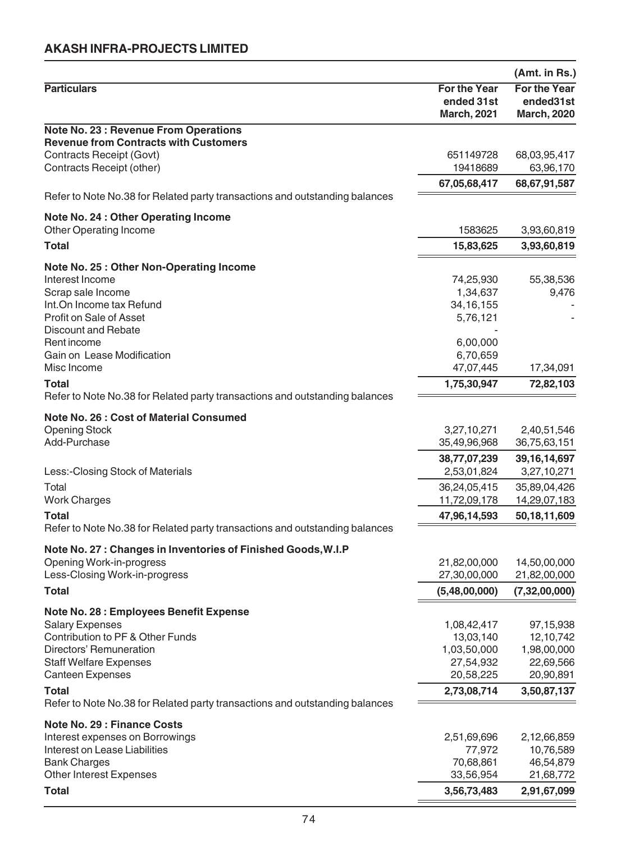|                                                                                             |                                                         | (Amt. in Rs.)                                          |
|---------------------------------------------------------------------------------------------|---------------------------------------------------------|--------------------------------------------------------|
| <b>Particulars</b>                                                                          | <b>For the Year</b><br>ended 31st<br><b>March, 2021</b> | <b>For the Year</b><br>ended31st<br><b>March, 2020</b> |
| <b>Note No. 23: Revenue From Operations</b><br><b>Revenue from Contracts with Customers</b> |                                                         |                                                        |
| Contracts Receipt (Govt)                                                                    | 651149728                                               | 68,03,95,417                                           |
| Contracts Receipt (other)                                                                   | 19418689                                                | 63,96,170                                              |
|                                                                                             | 67,05,68,417                                            | 68,67,91,587                                           |
| Refer to Note No.38 for Related party transactions and outstanding balances                 |                                                         |                                                        |
| Note No. 24: Other Operating Income                                                         |                                                         |                                                        |
| Other Operating Income                                                                      | 1583625                                                 | 3,93,60,819                                            |
| Total                                                                                       | 15,83,625                                               | 3,93,60,819                                            |
| Note No. 25: Other Non-Operating Income                                                     |                                                         |                                                        |
| Interest Income                                                                             | 74,25,930                                               | 55,38,536                                              |
| Scrap sale Income                                                                           | 1,34,637                                                | 9,476                                                  |
| Int.On Income tax Refund                                                                    | 34, 16, 155                                             |                                                        |
| Profit on Sale of Asset                                                                     | 5,76,121                                                |                                                        |
| Discount and Rebate                                                                         |                                                         |                                                        |
| Rent income                                                                                 | 6,00,000                                                |                                                        |
| Gain on Lease Modification                                                                  | 6,70,659                                                |                                                        |
| Misc Income                                                                                 | 47,07,445                                               | 17,34,091                                              |
| <b>Total</b><br>Refer to Note No.38 for Related party transactions and outstanding balances | 1,75,30,947                                             | 72,82,103                                              |
|                                                                                             |                                                         |                                                        |
| Note No. 26 : Cost of Material Consumed                                                     |                                                         |                                                        |
| <b>Opening Stock</b>                                                                        | 3,27,10,271                                             | 2,40,51,546                                            |
| Add-Purchase                                                                                | 35,49,96,968                                            | 36,75,63,151                                           |
|                                                                                             | 38,77,07,239                                            | 39, 16, 14, 697                                        |
| Less:-Closing Stock of Materials                                                            | 2,53,01,824                                             | 3,27,10,271                                            |
| Total                                                                                       | 36,24,05,415                                            | 35,89,04,426                                           |
| <b>Work Charges</b>                                                                         | 11,72,09,178                                            | 14,29,07,183                                           |
| Total                                                                                       | 47,96,14,593                                            | 50,18,11,609                                           |
| Refer to Note No.38 for Related party transactions and outstanding balances                 |                                                         |                                                        |
| Note No. 27: Changes in Inventories of Finished Goods, W.I.P                                |                                                         |                                                        |
| Opening Work-in-progress                                                                    | 21,82,00,000                                            | 14,50,00,000                                           |
| Less-Closing Work-in-progress                                                               | 27,30,00,000                                            | 21,82,00,000                                           |
| Total                                                                                       | (5,48,00,000)                                           | (7, 32, 00, 000)                                       |
| Note No. 28 : Employees Benefit Expense                                                     |                                                         |                                                        |
| <b>Salary Expenses</b>                                                                      | 1,08,42,417                                             | 97,15,938                                              |
| Contribution to PF & Other Funds                                                            | 13,03,140                                               | 12,10,742                                              |
| Directors' Remuneration                                                                     | 1,03,50,000                                             | 1,98,00,000                                            |
| <b>Staff Welfare Expenses</b>                                                               | 27,54,932                                               | 22,69,566                                              |
| <b>Canteen Expenses</b>                                                                     | 20,58,225                                               | 20,90,891                                              |
| Total                                                                                       | 2,73,08,714                                             | 3,50,87,137                                            |
| Refer to Note No.38 for Related party transactions and outstanding balances                 |                                                         |                                                        |
| Note No. 29 : Finance Costs                                                                 |                                                         |                                                        |
| Interest expenses on Borrowings                                                             | 2,51,69,696                                             | 2,12,66,859                                            |
| Interest on Lease Liabilities                                                               | 77,972                                                  | 10,76,589                                              |
| <b>Bank Charges</b>                                                                         | 70,68,861                                               | 46,54,879                                              |
| Other Interest Expenses                                                                     | 33,56,954                                               | 21,68,772                                              |
| Total                                                                                       | 3,56,73,483                                             | 2,91,67,099                                            |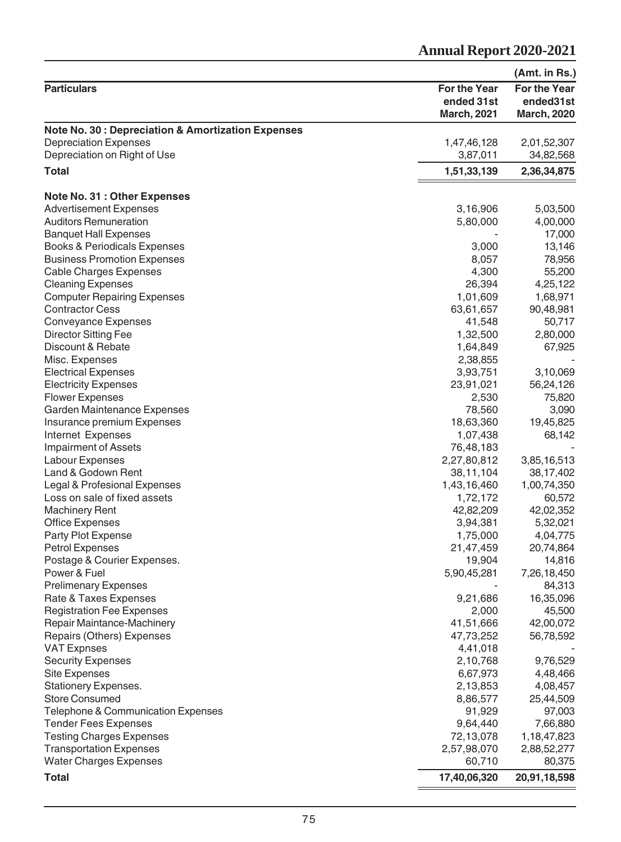# **(Amt. in Rs.) Particulars For the Year For the Year ended 31st ended31st March, 2020 Note No. 30 : Depreciation & Amortization Expenses** Depreciation Expenses 1,47,46,128 2,01,52,307 Depreciation on Right of Use 3,87,011 34,82,568 **Total 1,51,33,139 2,36,34,875 Note No. 31 : Other Expenses** Advertisement Expenses 3,16,906 5,03,500 Auditors Remuneration 5,80,000 4,00,000 Banquet Hall Expenses - 17,000 Books & Periodicals Expenses 3,000 and 13,146 Business Promotion Expenses 8,057 78,956<br>Cable Charges Expenses 8,057 78,956 8,057 78,956 Cable Charges Expenses 4,300 55,200 Cleaning Expenses 26,394 4,25,122 Computer Repairing Expenses 1,01,609 1,68,971 Contractor Cess 63,61,657 90,48,981 Conveyance Expenses 60,717 and the set of the set of the set of the set of the set of the set of the set of the set of the set of the set of the set of the set of the set of the set of the set of the set of the set of the Director Sitting Fee 1,32,500 2,80,000 Discount & Rebate 1,64,849 67,925 Misc. Expenses 2,38,855 - 2,38,855 - 2,38,855 - 2,38,855 - 2,38,855 - 2,38,855 - 2,38,855 - 2,38,855 - 2,38,855 Electrical Expenses 3,93,751 3,10,069 Electricity Expenses 23,91,021 56,24,126<br>Flower Expenses 23,91,021 56,24,126 Flower Expenses Garden Maintenance Expenses 78,560 3,090 Insurance premium Expenses 18,63,360 19,45,825 Internet Expenses 1,07,438 68,142 Impairment of Assets 76,48,183 - Labour Expenses 2,27,80,812 Land & Godown Rent 38,11,104 38,17,402 Legal & Profesional Expenses 1,43,16,460 1,00,74,350 Loss on sale of fixed assets 1,72,172 60,572 Machinery Rent 42,02,352 and 42,02,352 and 42,02,352 and 42,02,352 and 42,02,352 and 42,02,352 and 42,02,352 and 42,02,352 and 42,02,352 and 42,02,352 and 42,02,352 and 42,02,352 and 42,02,352 and 42,02,352 and 42,02,352 a Office Expenses 3,94,381 5,32,021 Party Plot Expense 2, 2000 4,04,775 Petrol Expenses 21,47,459 20,74,864 Postage & Courier Expenses. 19,904 14,816 Power & Fuel 5,90,45,281 7,26,18,450 Prelimenary Expenses 84,313 Rate & Taxes Expenses 8 (16,35,096 16,35,096 16,35,096 16,35,096 16,35,096 16,35,096 16,35,096 16,35,096 16,35<br>Registration Fee Expenses 8 (2,000 15,500 16,500 16,3500 16,15500 16,15500 16,15500 16,15500 16,15500 16,1590 **Registration Fee Expenses** Repair Maintance-Machinery 41,51,666 42,00,072 Repairs (Others) Expenses 47,73,252 56,78,592 VAT Expnses 4,41,018 - Security Expenses 2,10,768 9,76,529 Site Expenses 4,48,466 Stationery Expenses. 2,13,853 4,08,457 Store Consumed 8,86,577 25,44,509 Telephone & Communication Expenses 61, 1929 97,003 Tender Fees Expenses 9,64,440 7,66,880 Testing Charges Expenses 72,13,078 1,18,47,823 Transportation Expenses 2,57,98,070 2,88,52,277 Water Charges Expenses 60,710 80,375 **Total 17,40,06,320 20,91,18,598**

# **Annual Report 2020-2021**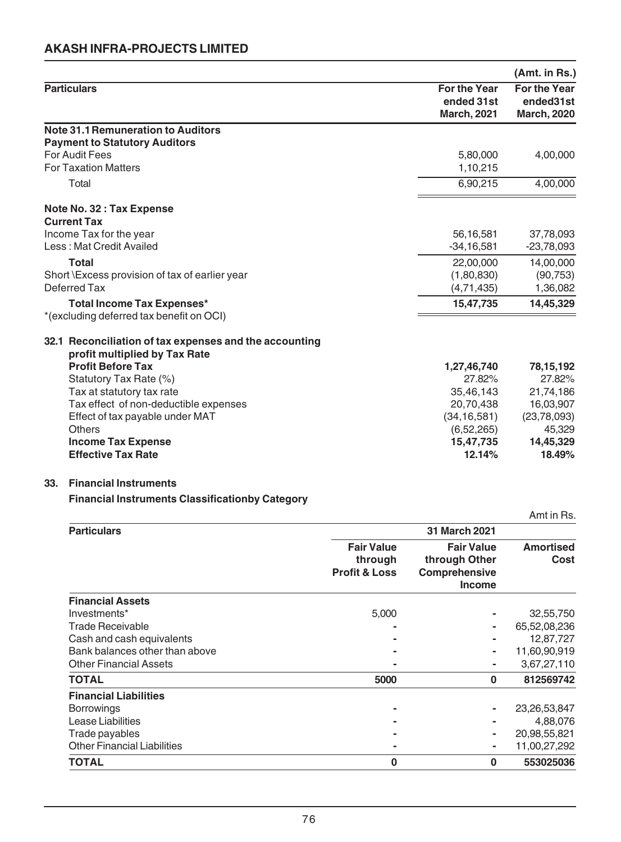|                                                                                         |                                                         | (Amt. in Rs.)                                   |
|-----------------------------------------------------------------------------------------|---------------------------------------------------------|-------------------------------------------------|
| <b>Particulars</b>                                                                      | <b>For the Year</b><br>ended 31st<br><b>March, 2021</b> | For the Year<br>ended31st<br><b>March, 2020</b> |
| <b>Note 31.1 Remuneration to Auditors</b>                                               |                                                         |                                                 |
| <b>Payment to Statutory Auditors</b>                                                    |                                                         |                                                 |
| For Audit Fees                                                                          | 5,80,000                                                | 4,00,000                                        |
| <b>For Taxation Matters</b>                                                             | 1,10,215                                                |                                                 |
| Total                                                                                   | 6,90,215                                                | 4,00,000                                        |
| Note No. 32 : Tax Expense                                                               |                                                         |                                                 |
| <b>Current Tax</b>                                                                      |                                                         |                                                 |
| Income Tax for the year                                                                 | 56,16,581                                               | 37,78,093                                       |
| Less: Mat Credit Availed                                                                | $-34, 16, 581$                                          | $-23,78,093$                                    |
| <b>Total</b>                                                                            | 22,00,000                                               | 14,00,000                                       |
| Short \Excess provision of tax of earlier year                                          | (1,80,830)                                              | (90, 753)                                       |
| Deferred Tax                                                                            | (4,71,435)                                              | 1,36,082                                        |
| <b>Total Income Tax Expenses*</b>                                                       | 15,47,735                                               | 14,45,329                                       |
| *(excluding deferred tax benefit on OCI)                                                |                                                         |                                                 |
| 32.1 Reconciliation of tax expenses and the accounting<br>profit multiplied by Tax Rate |                                                         |                                                 |
| <b>Profit Before Tax</b>                                                                | 1,27,46,740                                             | 78,15,192                                       |
| Statutory Tax Rate (%)                                                                  | 27.82%                                                  | 27.82%                                          |
| Tax at statutory tax rate                                                               | 35,46,143                                               | 21,74,186                                       |
| Tax effect of non-deductible expenses                                                   | 20,70,438                                               | 16,03,907                                       |
| Effect of tax payable under MAT                                                         | (34, 16, 581)                                           | (23,78,093)                                     |
| <b>Others</b>                                                                           | (6, 52, 265)                                            | 45,329                                          |
| <b>Income Tax Expense</b>                                                               | 15,47,735                                               | 14,45,329                                       |
| <b>Effective Tax Rate</b>                                                               | 12.14%                                                  | 18.49%                                          |
| <b>Financial Instruments</b><br>33.                                                     |                                                         |                                                 |
|                                                                                         |                                                         |                                                 |

# **Financial Instruments Classificationby Category**

Amt in Rs.

| <b>Particulars</b>                 |                                                          | 31 March 2021                                                               |                          |
|------------------------------------|----------------------------------------------------------|-----------------------------------------------------------------------------|--------------------------|
|                                    | <b>Fair Value</b><br>through<br><b>Profit &amp; Loss</b> | <b>Fair Value</b><br>through Other<br><b>Comprehensive</b><br><b>Income</b> | <b>Amortised</b><br>Cost |
| <b>Financial Assets</b>            |                                                          |                                                                             |                          |
| Investments*                       | 5,000                                                    |                                                                             | 32,55,750                |
| <b>Trade Receivable</b>            |                                                          |                                                                             | 65,52,08,236             |
| Cash and cash equivalents          |                                                          |                                                                             | 12,87,727                |
| Bank balances other than above     |                                                          | ٠                                                                           | 11,60,90,919             |
| <b>Other Financial Assets</b>      |                                                          | ٠                                                                           | 3,67,27,110              |
| <b>TOTAL</b>                       | 5000                                                     | 0                                                                           | 812569742                |
| <b>Financial Liabilities</b>       |                                                          |                                                                             |                          |
| <b>Borrowings</b>                  |                                                          |                                                                             | 23,26,53,847             |
| Lease Liabilities                  |                                                          |                                                                             | 4,88,076                 |
| Trade payables                     |                                                          | ۰                                                                           | 20,98,55,821             |
| <b>Other Financial Liabilities</b> |                                                          | ۰                                                                           | 11,00,27,292             |
| <b>TOTAL</b>                       | 0                                                        | 0                                                                           | 553025036                |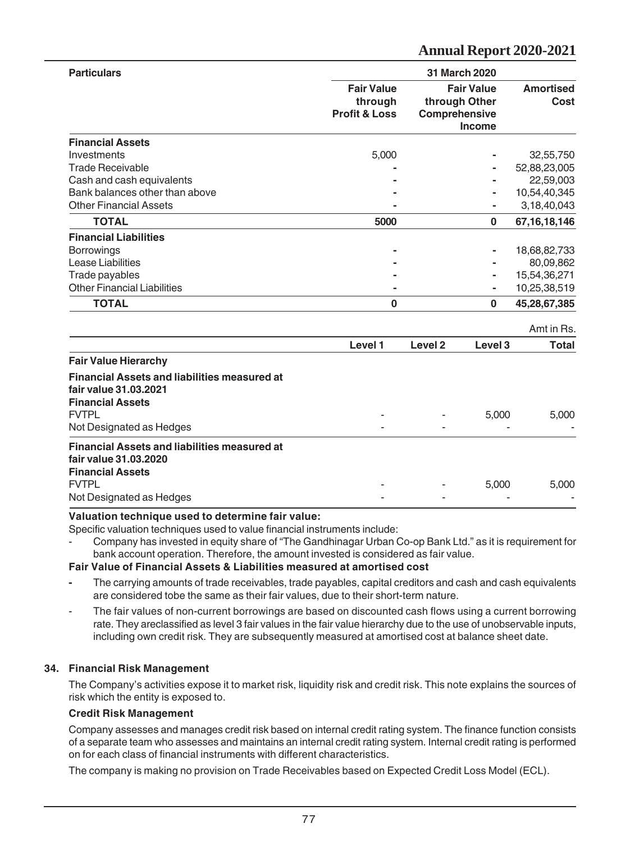# **Annual Report 2020-2021**

| <b>Particulars</b>                                                                                                                                  |                                                          |                    | 31 March 2020                                       |                          |
|-----------------------------------------------------------------------------------------------------------------------------------------------------|----------------------------------------------------------|--------------------|-----------------------------------------------------|--------------------------|
|                                                                                                                                                     | <b>Fair Value</b><br>through<br><b>Profit &amp; Loss</b> | Comprehensive      | <b>Fair Value</b><br>through Other<br><b>Income</b> | <b>Amortised</b><br>Cost |
| <b>Financial Assets</b>                                                                                                                             |                                                          |                    |                                                     |                          |
| Investments                                                                                                                                         | 5,000                                                    |                    |                                                     | 32,55,750                |
| <b>Trade Receivable</b>                                                                                                                             |                                                          |                    |                                                     | 52,88,23,005             |
| Cash and cash equivalents                                                                                                                           |                                                          |                    |                                                     | 22,59,003                |
| Bank balances other than above                                                                                                                      |                                                          |                    |                                                     | 10,54,40,345             |
| <b>Other Financial Assets</b>                                                                                                                       |                                                          |                    | ٠                                                   | 3,18,40,043              |
| <b>TOTAL</b>                                                                                                                                        | 5000                                                     |                    | $\bf{0}$                                            | 67, 16, 18, 146          |
| <b>Financial Liabilities</b>                                                                                                                        |                                                          |                    |                                                     |                          |
| <b>Borrowings</b>                                                                                                                                   |                                                          |                    |                                                     | 18,68,82,733             |
| Lease Liabilities                                                                                                                                   |                                                          |                    |                                                     | 80,09,862                |
| Trade payables                                                                                                                                      |                                                          |                    | ۰                                                   | 15,54,36,271             |
| <b>Other Financial Liabilities</b>                                                                                                                  |                                                          |                    | ٠                                                   | 10,25,38,519             |
| <b>TOTAL</b>                                                                                                                                        | 0                                                        |                    | 0                                                   | 45,28,67,385             |
|                                                                                                                                                     |                                                          |                    |                                                     | Amt in Rs.               |
|                                                                                                                                                     | Level 1                                                  | Level <sub>2</sub> | Level 3                                             | Total                    |
| <b>Fair Value Hierarchy</b>                                                                                                                         |                                                          |                    |                                                     |                          |
| <b>Financial Assets and liabilities measured at</b><br>fair value 31.03.2021<br><b>Financial Assets</b><br><b>FVTPL</b><br>Not Designated as Hedges |                                                          |                    | 5,000                                               | 5,000                    |
|                                                                                                                                                     |                                                          |                    |                                                     |                          |
| <b>Financial Assets and liabilities measured at</b><br>fair value 31.03.2020<br><b>Financial Assets</b>                                             |                                                          |                    |                                                     |                          |
| <b>FVTPL</b>                                                                                                                                        |                                                          |                    | 5,000                                               | 5,000                    |
| Not Designated as Hedges                                                                                                                            |                                                          |                    |                                                     |                          |

#### **Valuation technique used to determine fair value:**

Specific valuation techniques used to value financial instruments include:

- Company has invested in equity share of "The Gandhinagar Urban Co-op Bank Ltd." as it is requirement for bank account operation. Therefore, the amount invested is considered as fair value.

#### **Fair Value of Financial Assets & Liabilities measured at amortised cost**

- **-** The carrying amounts of trade receivables, trade payables, capital creditors and cash and cash equivalents are considered tobe the same as their fair values, due to their short-term nature.
- The fair values of non-current borrowings are based on discounted cash flows using a current borrowing rate. They areclassified as level 3 fair values in the fair value hierarchy due to the use of unobservable inputs, including own credit risk. They are subsequently measured at amortised cost at balance sheet date.

#### **34. Financial Risk Management**

The Company's activities expose it to market risk, liquidity risk and credit risk. This note explains the sources of risk which the entity is exposed to.

#### **Credit Risk Management**

Company assesses and manages credit risk based on internal credit rating system. The finance function consists of a separate team who assesses and maintains an internal credit rating system. Internal credit rating is performed on for each class of financial instruments with different characteristics.

The company is making no provision on Trade Receivables based on Expected Credit Loss Model (ECL).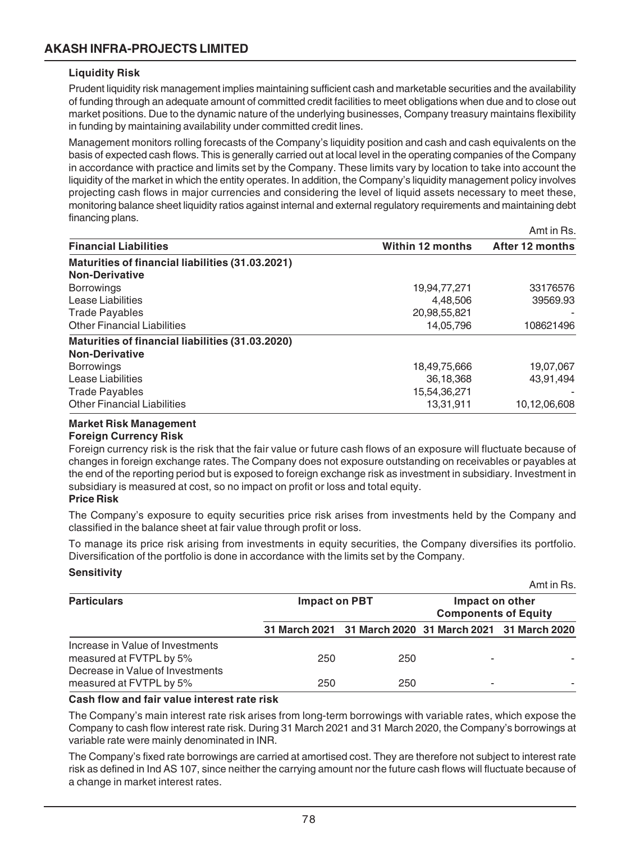# **Liquidity Risk**

Prudent liquidity risk management implies maintaining sufficient cash and marketable securities and the availability of funding through an adequate amount of committed credit facilities to meet obligations when due and to close out market positions. Due to the dynamic nature of the underlying businesses, Company treasury maintains flexibility in funding by maintaining availability under committed credit lines.

Management monitors rolling forecasts of the Company's liquidity position and cash and cash equivalents on the basis of expected cash flows. This is generally carried out at local level in the operating companies of the Company in accordance with practice and limits set by the Company. These limits vary by location to take into account the liquidity of the market in which the entity operates. In addition, the Company's liquidity management policy involves projecting cash flows in major currencies and considering the level of liquid assets necessary to meet these, monitoring balance sheet liquidity ratios against internal and external regulatory requirements and maintaining debt financing plans.

|                                                  |                  | Amt in Rs.      |
|--------------------------------------------------|------------------|-----------------|
| <b>Financial Liabilities</b>                     | Within 12 months | After 12 months |
| Maturities of financial liabilities (31.03.2021) |                  |                 |
| <b>Non-Derivative</b>                            |                  |                 |
| <b>Borrowings</b>                                | 19,94,77,271     | 33176576        |
| Lease Liabilities                                | 4,48,506         | 39569.93        |
| <b>Trade Payables</b>                            | 20,98,55,821     |                 |
| <b>Other Financial Liabilities</b>               | 14,05,796        | 108621496       |
| Maturities of financial liabilities (31.03.2020) |                  |                 |
| <b>Non-Derivative</b>                            |                  |                 |
| <b>Borrowings</b>                                | 18,49,75,666     | 19,07,067       |
| Lease Liabilities                                | 36,18,368        | 43.91.494       |
| <b>Trade Payables</b>                            | 15,54,36,271     |                 |
| <b>Other Financial Liabilities</b>               | 13,31,911        | 10,12,06,608    |

#### **Market Risk Management Foreign Currency Risk**

Foreign currency risk is the risk that the fair value or future cash flows of an exposure will fluctuate because of changes in foreign exchange rates. The Company does not exposure outstanding on receivables or payables at the end of the reporting period but is exposed to foreign exchange risk as investment in subsidiary. Investment in subsidiary is measured at cost, so no impact on profit or loss and total equity.

# **Price Risk**

The Company's exposure to equity securities price risk arises from investments held by the Company and classified in the balance sheet at fair value through profit or loss.

To manage its price risk arising from investments in equity securities, the Company diversifies its portfolio. Diversification of the portfolio is done in accordance with the limits set by the Company.

# **Sensitivity**

| <b>Particulars</b>                                          | <b>Impact on PBT</b> |                                                         | Impact on other<br><b>Components of Equity</b> |  |
|-------------------------------------------------------------|----------------------|---------------------------------------------------------|------------------------------------------------|--|
|                                                             |                      | 31 March 2021 31 March 2020 31 March 2021 31 March 2020 |                                                |  |
| Increase in Value of Investments<br>measured at FVTPL by 5% | 250                  | 250                                                     |                                                |  |
| Decrease in Value of Investments<br>measured at FVTPL by 5% | 250                  | 250                                                     |                                                |  |

# **Cash flow and fair value interest rate risk**

The Company's main interest rate risk arises from long-term borrowings with variable rates, which expose the Company to cash flow interest rate risk. During 31 March 2021 and 31 March 2020, the Company's borrowings at variable rate were mainly denominated in INR.

The Company's fixed rate borrowings are carried at amortised cost. They are therefore not subject to interest rate risk as defined in Ind AS 107, since neither the carrying amount nor the future cash flows will fluctuate because of a change in market interest rates.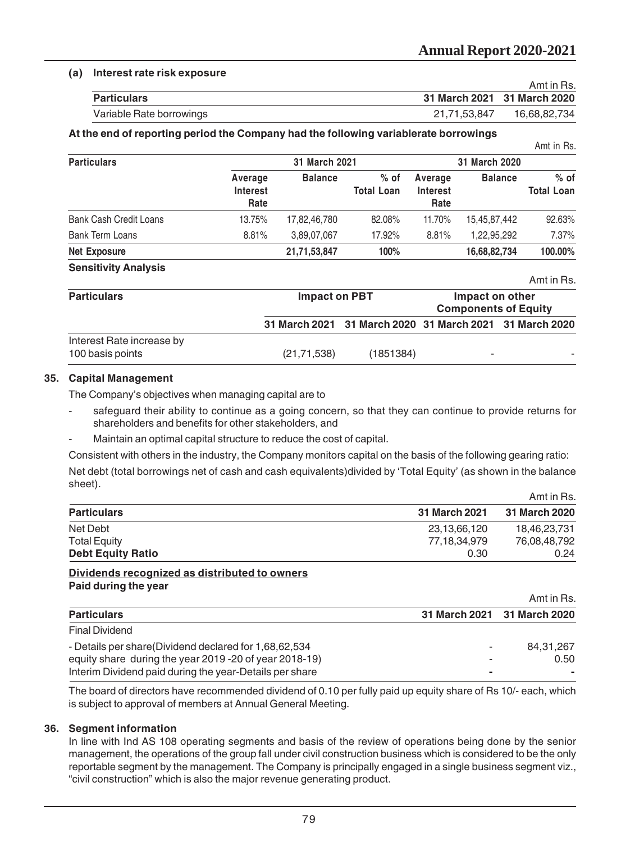#### **(a) Interest rate risk exposure**

|                          |                             | Amt in Rs.   |
|--------------------------|-----------------------------|--------------|
| <b>Particulars</b>       | 31 March 2021 31 March 2020 |              |
| Variable Rate borrowings | 21.71.53.847                | 16.68.82.734 |

#### **At the end of reporting period the Company had the following variablerate borrowings**

Amt in Rs. **Particulars 31 March 2021 31 March 2020 Average Balance % of Average Balance % of Interest Total Loan Interest Total Loan** Rate **Rate** Rate Bank Cash Credit Loans 13.75% 17,82,46,780 82.08% 11.70% 15,45,87,442 92.63% Bank Term Loans 8.81% 3,89,07,067 17.92% 8.81% 1,22,95,292 7.37% **Net Exposure 21,71,53,847 100% 16,68,82,734 100.00% Sensitivity Analysis** Amt in Rs. **Particulars Community Community Impact on PBT** Impact on other **Components of Equity 31 March 2021 31 March 2020 31 March 2021 31 March 2020**

#### **35. Capital Management**

Interest Rate increase by

The Company's objectives when managing capital are to

- safeguard their ability to continue as a going concern, so that they can continue to provide returns for shareholders and benefits for other stakeholders, and
- Maintain an optimal capital structure to reduce the cost of capital.

100 basis points (21,71,538) (1851384)

Consistent with others in the industry, the Company monitors capital on the basis of the following gearing ratio:

Net debt (total borrowings net of cash and cash equivalents)divided by 'Total Equity' (as shown in the balance sheet). Amt in Rs.

| <b>Particulars</b>       | 31 March 2021 | AIIII III ns.<br>31 March 2020 |
|--------------------------|---------------|--------------------------------|
| Net Debt                 | 23.13.66.120  | 18.46.23.731                   |
| <b>Total Equity</b>      | 77.18.34.979  | 76.08.48.792                   |
| <b>Debt Equity Ratio</b> | 0.30          | 0.24                           |

#### **Dividends recognized as distributed to owners Paid during the year**

|                                                         |   | Amt in Rs.                  |
|---------------------------------------------------------|---|-----------------------------|
| <b>Particulars</b>                                      |   | 31 March 2021 31 March 2020 |
| <b>Final Dividend</b>                                   |   |                             |
| - Details per share (Dividend declared for 1,68,62,534  | ۰ | 84.31.267                   |
| equity share during the year 2019 -20 of year 2018-19)  |   | 0.50                        |
| Interim Dividend paid during the year-Details per share | - |                             |

The board of directors have recommended dividend of 0.10 per fully paid up equity share of Rs 10/- each, which is subject to approval of members at Annual General Meeting.

#### **36. Segment information**

In line with Ind AS 108 operating segments and basis of the review of operations being done by the senior management, the operations of the group fall under civil construction business which is considered to be the only reportable segment by the management. The Company is principally engaged in a single business segment viz., "civil construction" which is also the major revenue generating product.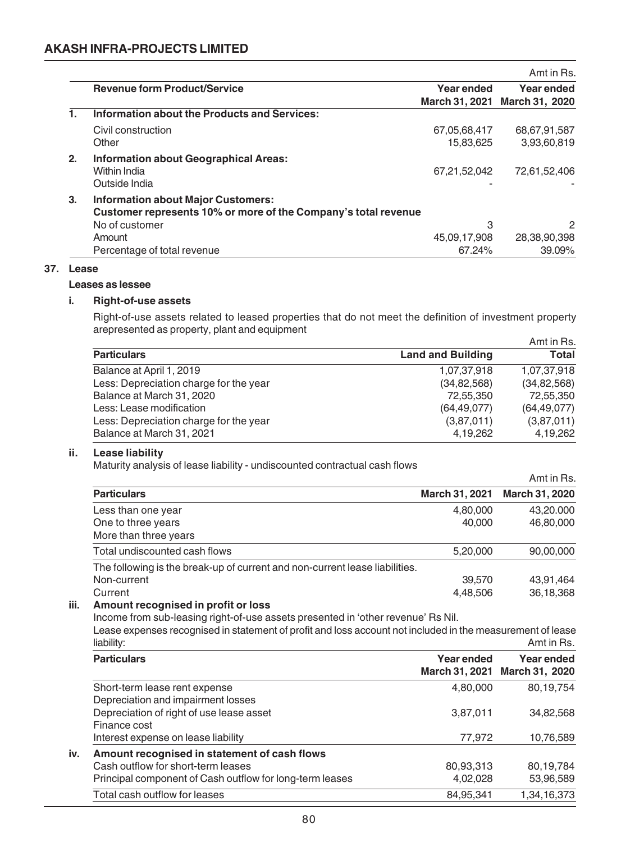|    |                                                                |              | Amt in Rs.                    |
|----|----------------------------------------------------------------|--------------|-------------------------------|
|    | <b>Revenue form Product/Service</b>                            | Year ended   | Year ended                    |
|    |                                                                |              | March 31, 2021 March 31, 2020 |
|    | Information about the Products and Services:                   |              |                               |
|    | Civil construction                                             | 67,05,68,417 | 68,67,91,587                  |
|    | Other                                                          | 15,83,625    | 3,93,60,819                   |
| 2. | <b>Information about Geographical Areas:</b>                   |              |                               |
|    | Within India                                                   | 67,21,52,042 | 72,61,52,406                  |
|    | Outside India                                                  |              |                               |
| 3. | <b>Information about Major Customers:</b>                      |              |                               |
|    | Customer represents 10% or more of the Company's total revenue |              |                               |
|    | No of customer                                                 | 3            | 2                             |
|    | Amount                                                         | 45,09,17,908 | 28,38,90,398                  |
|    | Percentage of total revenue                                    | 67.24%       | 39.09%                        |
|    |                                                                |              |                               |

#### **37. Lease**

#### **Leases as lessee**

# **i. Right-of-use assets**

Right-of-use assets related to leased properties that do not meet the definition of investment property arepresented as property, plant and equipment  $\lambda$ 

|                                        |                          | AMI IN RS.    |
|----------------------------------------|--------------------------|---------------|
| <b>Particulars</b>                     | <b>Land and Building</b> | Total         |
| Balance at April 1, 2019               | 1,07,37,918              | 1,07,37,918   |
| Less: Depreciation charge for the year | (34, 82, 568)            | (34, 82, 568) |
| Balance at March 31, 2020              | 72,55,350                | 72,55,350     |
| Less: Lease modification               | (64, 49, 077)            | (64, 49, 077) |
| Less: Depreciation charge for the year | (3,87,011)               | (3,87,011)    |
| Balance at March 31, 2021              | 4,19,262                 | 4,19,262      |

#### **ii. Lease liability**

Maturity analysis of lease liability - undiscounted contractual cash flows

|                                                                             |                | Amt in Rs.     |
|-----------------------------------------------------------------------------|----------------|----------------|
| <b>Particulars</b>                                                          | March 31, 2021 | March 31, 2020 |
| Less than one year                                                          | 4,80,000       | 43.20.000      |
| One to three years                                                          | 40,000         | 46,80,000      |
| More than three years                                                       |                |                |
| Total undiscounted cash flows                                               | 5,20,000       | 90,00,000      |
| The following is the break-up of current and non-current lease liabilities. |                |                |
| Non-current                                                                 | 39,570         | 43.91.464      |
| Current                                                                     | 4,48,506       | 36,18,368      |
| Amount researcheed in nuclit or less                                        |                |                |

#### **iii. Amount recognised in profit or loss**

Income from sub-leasing right-of-use assets presented in 'other revenue' Rs Nil. Lease expenses recognised in statement of profit and loss account not included in the measurement of lease<br>liability: Amt in Rs. liability: Amt in Rs.

| <b>Particulars</b>                                       | Year ended | Year ended<br>March 31, 2021 March 31, 2020 |
|----------------------------------------------------------|------------|---------------------------------------------|
| Short-term lease rent expense                            | 4,80,000   | 80,19,754                                   |
| Depreciation and impairment losses                       |            |                                             |
| Depreciation of right of use lease asset                 | 3,87,011   | 34,82,568                                   |
| Finance cost                                             |            |                                             |
| Interest expense on lease liability                      | 77.972     | 10,76,589                                   |
| Amount recognised in statement of cash flows<br>iv.      |            |                                             |
| Cash outflow for short-term leases                       | 80,93,313  | 80,19,784                                   |
| Principal component of Cash outflow for long-term leases | 4,02,028   | 53,96,589                                   |
| Total cash outflow for leases                            | 84,95,341  | 1,34,16,373                                 |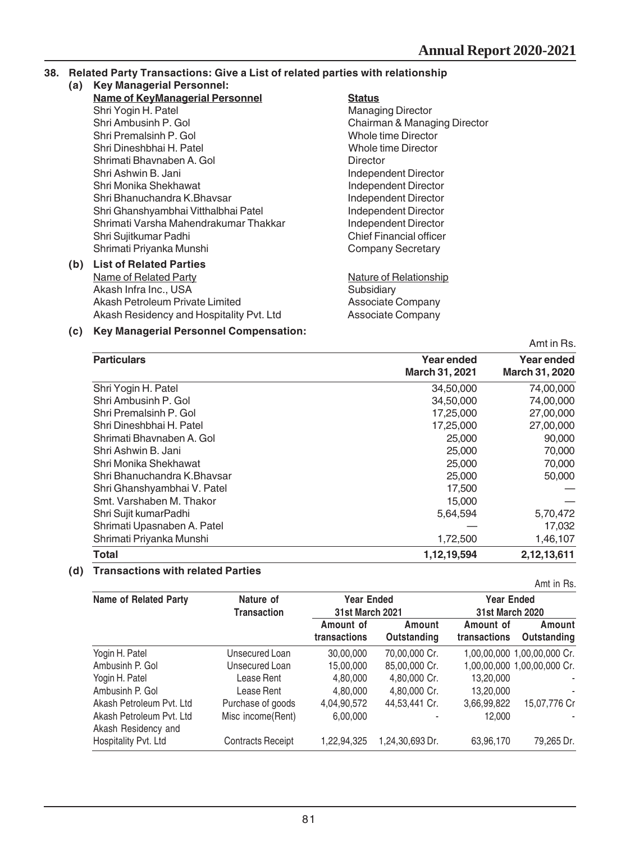Amt in Rs.

#### **38. Related Party Transactions: Give a List of related parties with relationship (a) Key Managerial Personnel:**

|     | <b>Name of KeyManagerial Personnel</b> | <b>Status</b>                  |
|-----|----------------------------------------|--------------------------------|
|     | Shri Yogin H. Patel                    | <b>Managing Director</b>       |
|     | Shri Ambusinh P. Gol                   | Chairman & Managing            |
|     | Shri Premalsinh P. Gol                 | Whole time Director            |
|     | Shri Dineshbhai H. Patel               | Whole time Director            |
|     | Shrimati Bhavnaben A. Gol              | Director                       |
|     | Shri Ashwin B. Jani                    | Independent Director           |
|     | Shri Monika Shekhawat                  | Independent Director           |
|     | Shri Bhanuchandra K.Bhaysar            | Independent Director           |
|     | Shri Ghanshyambhai Vitthalbhai Patel   | Independent Director           |
|     | Shrimati Varsha Mahendrakumar Thakkar  | Independent Director           |
|     | Shri Sujitkumar Padhi                  | <b>Chief Financial officer</b> |
|     | Shrimati Priyanka Munshi               | <b>Company Secretary</b>       |
| (b) | <b>List of Related Parties</b>         |                                |
|     | Name of Related Party                  | Nature of Relationship         |
|     | Akash Infra Inc., USA                  | Subsidiary                     |
|     |                                        |                                |

# Akash Petroleum Private Limited **Associate Company** Akash Residency and Hospitality Pvt. Ltd Associate Company

ging Director

# **(c) Key Managerial Personnel Compensation:**

| <b>Particulars</b>          | Year ended     | Year ended     |
|-----------------------------|----------------|----------------|
|                             | March 31, 2021 | March 31, 2020 |
| Shri Yogin H. Patel         | 34,50,000      | 74,00,000      |
| Shri Ambusinh P. Gol        | 34,50,000      | 74,00,000      |
| Shri Premalsinh P. Gol      | 17,25,000      | 27,00,000      |
| Shri Dineshbhai H. Patel    | 17,25,000      | 27,00,000      |
| Shrimati Bhavnaben A. Gol   | 25,000         | 90,000         |
| Shri Ashwin B. Jani         | 25,000         | 70,000         |
| Shri Monika Shekhawat       | 25,000         | 70,000         |
| Shri Bhanuchandra K.Bhaysar | 25,000         | 50,000         |
| Shri Ghanshyambhai V. Patel | 17,500         |                |
| Smt. Varshaben M. Thakor    | 15,000         |                |
| Shri Sujit kumarPadhi       | 5,64,594       | 5,70,472       |
| Shrimati Upasnaben A. Patel |                | 17,032         |
| Shrimati Priyanka Munshi    | 1,72,500       | 1,46,107       |
| Total                       | 1,12,19,594    | 2,12,13,611    |

# **(d) Transactions with related Parties**

|                                                 |                                 |                                             |                       |                                      | Amt in Rs.                  |
|-------------------------------------------------|---------------------------------|---------------------------------------------|-----------------------|--------------------------------------|-----------------------------|
| Name of Related Party                           | Nature of<br><b>Transaction</b> | <b>Year Ended</b><br><b>31st March 2021</b> |                       | <b>Year Ended</b><br>31st March 2020 |                             |
|                                                 |                                 | Amount of<br>transactions                   | Amount<br>Outstanding | Amount of<br>transactions            | Amount<br>Outstanding       |
| Yogin H. Patel                                  | Unsecured Loan                  | 30.00.000                                   | 70.00.000 Cr.         |                                      | 1,00,00,000 1,00,00,000 Cr. |
| Ambusinh P. Gol                                 | Unsecured Loan                  | 15,00,000                                   | 85,00,000 Cr.         |                                      | 1,00,00,000 1,00,00,000 Cr. |
| Yogin H. Patel                                  | Lease Rent                      | 4,80,000                                    | 4,80,000 Cr.          | 13,20,000                            |                             |
| Ambusinh P. Gol                                 | Lease Rent                      | 4.80.000                                    | 4.80.000 Cr.          | 13.20.000                            |                             |
| Akash Petroleum Pvt. Ltd                        | Purchase of goods               | 4,04,90,572                                 | 44.53.441 Cr.         | 3,66,99,822                          | 15,07,776 Cr                |
| Akash Petroleum Pvt. Ltd<br>Akash Residency and | Misc income(Rent)               | 6,00,000                                    |                       | 12,000                               |                             |
| Hospitality Pvt. Ltd                            | <b>Contracts Receipt</b>        | 1,22,94,325                                 | 1,24,30,693 Dr.       | 63,96,170                            | 79,265 Dr.                  |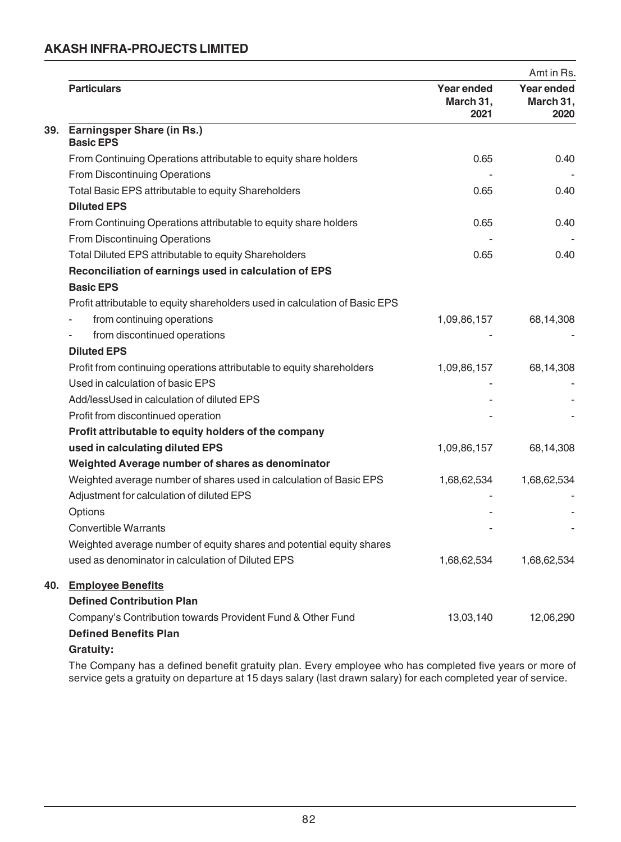|                                                                             |                                 | Amt in Rs.                             |
|-----------------------------------------------------------------------------|---------------------------------|----------------------------------------|
| <b>Particulars</b>                                                          | Year ended<br>March 31,<br>2021 | <b>Year ended</b><br>March 31,<br>2020 |
| 39. Earningsper Share (in Rs.)<br><b>Basic EPS</b>                          |                                 |                                        |
| From Continuing Operations attributable to equity share holders             | 0.65                            | 0.40                                   |
| From Discontinuing Operations                                               |                                 |                                        |
| Total Basic EPS attributable to equity Shareholders                         | 0.65                            | 0.40                                   |
| <b>Diluted EPS</b>                                                          |                                 |                                        |
| From Continuing Operations attributable to equity share holders             | 0.65                            | 0.40                                   |
| From Discontinuing Operations                                               |                                 |                                        |
| Total Diluted EPS attributable to equity Shareholders                       | 0.65                            | 0.40                                   |
| Reconciliation of earnings used in calculation of EPS                       |                                 |                                        |
| <b>Basic EPS</b>                                                            |                                 |                                        |
| Profit attributable to equity shareholders used in calculation of Basic EPS |                                 |                                        |
| from continuing operations                                                  | 1,09,86,157                     | 68,14,308                              |
| from discontinued operations                                                |                                 |                                        |
| <b>Diluted EPS</b>                                                          |                                 |                                        |
| Profit from continuing operations attributable to equity shareholders       | 1,09,86,157                     | 68,14,308                              |
| Used in calculation of basic EPS                                            |                                 |                                        |
| Add/lessUsed in calculation of diluted EPS                                  |                                 |                                        |
| Profit from discontinued operation                                          |                                 |                                        |
| Profit attributable to equity holders of the company                        |                                 |                                        |
| used in calculating diluted EPS                                             | 1,09,86,157                     | 68,14,308                              |
| Weighted Average number of shares as denominator                            |                                 |                                        |
| Weighted average number of shares used in calculation of Basic EPS          | 1,68,62,534                     | 1,68,62,534                            |
| Adjustment for calculation of diluted EPS                                   |                                 |                                        |
| Options                                                                     |                                 |                                        |
| <b>Convertible Warrants</b>                                                 |                                 |                                        |
| Weighted average number of equity shares and potential equity shares        |                                 |                                        |
| used as denominator in calculation of Diluted EPS                           | 1,68,62,534                     | 1,68,62,534                            |
| 40. Employee Benefits                                                       |                                 |                                        |
| <b>Defined Contribution Plan</b>                                            |                                 |                                        |
| Company's Contribution towards Provident Fund & Other Fund                  | 13,03,140                       | 12,06,290                              |
| <b>Defined Benefits Plan</b>                                                |                                 |                                        |
| Gratuity:                                                                   |                                 |                                        |

The Company has a defined benefit gratuity plan. Every employee who has completed five years or more of service gets a gratuity on departure at 15 days salary (last drawn salary) for each completed year of service.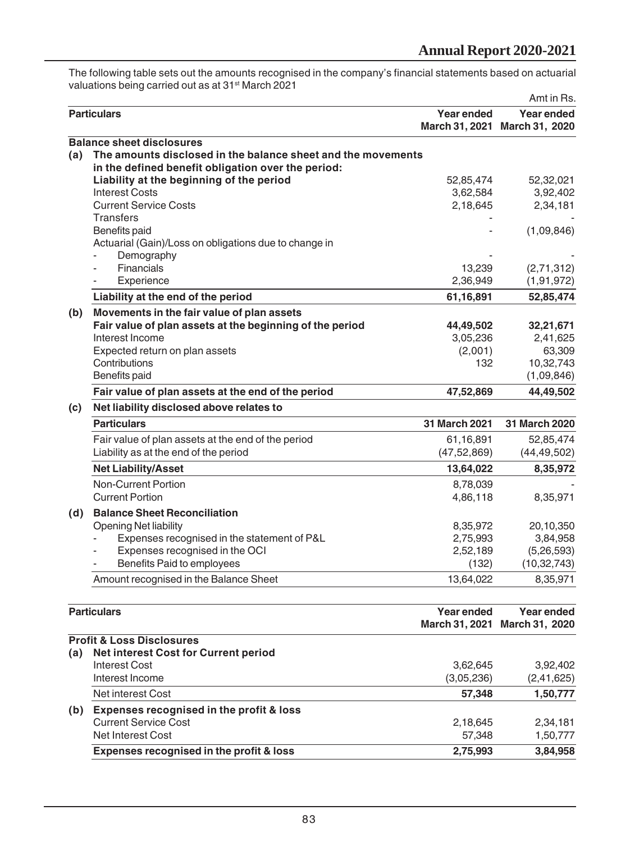The following table sets out the amounts recognised in the company's financial statements based on actuarial valuations being carried out as at 31<sup>st</sup> March 2021

|     |                                                                                                                    |               | Amt in Rs.                                  |
|-----|--------------------------------------------------------------------------------------------------------------------|---------------|---------------------------------------------|
|     | <b>Particulars</b>                                                                                                 | Year ended    | Year ended<br>March 31, 2021 March 31, 2020 |
|     | <b>Balance sheet disclosures</b>                                                                                   |               |                                             |
| (a) | The amounts disclosed in the balance sheet and the movements<br>in the defined benefit obligation over the period: |               |                                             |
|     | Liability at the beginning of the period                                                                           | 52,85,474     | 52,32,021                                   |
|     | <b>Interest Costs</b>                                                                                              | 3,62,584      | 3,92,402                                    |
|     | <b>Current Service Costs</b>                                                                                       | 2,18,645      | 2,34,181                                    |
|     | <b>Transfers</b>                                                                                                   |               |                                             |
|     | Benefits paid                                                                                                      |               | (1,09,846)                                  |
|     | Actuarial (Gain)/Loss on obligations due to change in                                                              |               |                                             |
|     | Demography<br>Financials                                                                                           |               |                                             |
|     | Experience                                                                                                         | 13.239        | (2,71,312)                                  |
|     |                                                                                                                    | 2,36,949      | (1, 91, 972)                                |
|     | Liability at the end of the period                                                                                 | 61,16,891     | 52,85,474                                   |
| (b) | Movements in the fair value of plan assets                                                                         |               |                                             |
|     | Fair value of plan assets at the beginning of the period                                                           | 44,49,502     | 32,21,671                                   |
|     | Interest Income                                                                                                    | 3,05,236      | 2,41,625                                    |
|     | Expected return on plan assets                                                                                     | (2,001)       | 63,309                                      |
|     | Contributions                                                                                                      | 132           | 10,32,743                                   |
|     | Benefits paid                                                                                                      |               | (1,09,846)                                  |
|     | Fair value of plan assets at the end of the period                                                                 | 47,52,869     | 44,49,502                                   |
| (c) | Net liability disclosed above relates to                                                                           |               |                                             |
|     | <b>Particulars</b>                                                                                                 | 31 March 2021 | 31 March 2020                               |
|     | Fair value of plan assets at the end of the period                                                                 | 61,16,891     | 52.85.474                                   |
|     | Liability as at the end of the period                                                                              | (47, 52, 869) | (44, 49, 502)                               |
|     | <b>Net Liability/Asset</b>                                                                                         | 13,64,022     | 8,35,972                                    |
|     | <b>Non-Current Portion</b>                                                                                         | 8,78,039      |                                             |
|     | <b>Current Portion</b>                                                                                             | 4,86,118      | 8,35,971                                    |
| (d) | <b>Balance Sheet Reconciliation</b>                                                                                |               |                                             |
|     | <b>Opening Net liability</b>                                                                                       | 8,35,972      | 20,10,350                                   |
|     | Expenses recognised in the statement of P&L                                                                        | 2,75,993      | 3,84,958                                    |
|     | Expenses recognised in the OCI                                                                                     | 2,52,189      | (5, 26, 593)                                |
|     | Benefits Paid to employees                                                                                         | (132)         | (10, 32, 743)                               |
|     | Amount recognised in the Balance Sheet                                                                             | 13,64,022     | 8,35,971                                    |
|     |                                                                                                                    |               |                                             |
|     | <b>Particulars</b>                                                                                                 | Year ended    | <b>Year ended</b>                           |
|     |                                                                                                                    |               | March 31, 2021 March 31, 2020               |
|     | <b>Profit &amp; Loss Disclosures</b>                                                                               |               |                                             |
| (a) | Net interest Cost for Current period                                                                               |               |                                             |
|     | <b>Interest Cost</b>                                                                                               | 3,62,645      | 3,92,402                                    |
|     | Interest Income                                                                                                    | (3,05,236)    | (2, 41, 625)                                |
|     | Net interest Cost                                                                                                  | 57,348        | 1,50,777                                    |
|     | (b) Expenses recognised in the profit & loss                                                                       |               |                                             |
|     | <b>Current Service Cost</b>                                                                                        | 2,18,645      | 2,34,181                                    |
|     | Net Interest Cost                                                                                                  | 57,348        | 1,50,777                                    |
|     | Expenses recognised in the profit & loss                                                                           | 2,75,993      | 3,84,958                                    |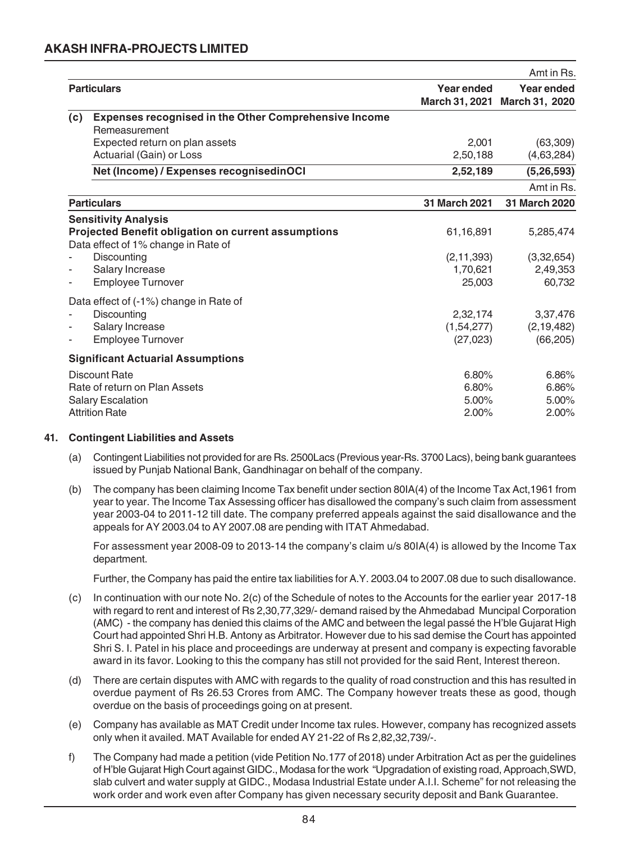|     |                                                                               |               | Amt in Rs.                    |
|-----|-------------------------------------------------------------------------------|---------------|-------------------------------|
|     | <b>Particulars</b>                                                            | Year ended    | Year ended                    |
|     |                                                                               |               | March 31, 2021 March 31, 2020 |
| (c) | <b>Expenses recognised in the Other Comprehensive Income</b><br>Remeasurement |               |                               |
|     | Expected return on plan assets                                                | 2.001         | (63,309)                      |
|     | Actuarial (Gain) or Loss                                                      | 2,50,188      | (4,63,284)                    |
|     |                                                                               |               |                               |
|     | Net (Income) / Expenses recognisedinOCI                                       | 2,52,189      | (5, 26, 593)                  |
|     |                                                                               |               | Amt in Rs.                    |
|     | <b>Particulars</b>                                                            | 31 March 2021 | 31 March 2020                 |
|     | <b>Sensitivity Analysis</b>                                                   |               |                               |
|     | Projected Benefit obligation on current assumptions                           | 61,16,891     | 5,285,474                     |
|     | Data effect of 1% change in Rate of                                           |               |                               |
|     | Discounting                                                                   | (2, 11, 393)  | (3,32,654)                    |
|     | Salary Increase                                                               | 1,70,621      | 2,49,353                      |
|     | Employee Turnover                                                             | 25,003        | 60,732                        |
|     | Data effect of (-1%) change in Rate of                                        |               |                               |
|     | Discounting                                                                   | 2,32,174      | 3,37,476                      |
|     | Salary Increase                                                               | (1,54,277)    | (2, 19, 482)                  |
|     | Employee Turnover                                                             | (27, 023)     | (66, 205)                     |
|     | <b>Significant Actuarial Assumptions</b>                                      |               |                               |
|     | Discount Rate                                                                 | 6.80%         | 6.86%                         |
|     | Rate of return on Plan Assets                                                 | 6.80%         | 6.86%                         |
|     | <b>Salary Escalation</b>                                                      | 5.00%         | 5.00%                         |
|     | <b>Attrition Rate</b>                                                         | 2.00%         | 2.00%                         |
|     |                                                                               |               |                               |

#### **41. Contingent Liabilities and Assets**

- (a) Contingent Liabilities not provided for are Rs. 2500Lacs (Previous year-Rs. 3700 Lacs), being bank guarantees issued by Punjab National Bank, Gandhinagar on behalf of the company.
- (b) The company has been claiming Income Tax benefit under section 80IA(4) of the Income Tax Act,1961 from year to year. The Income Tax Assessing officer has disallowed the company's such claim from assessment year 2003-04 to 2011-12 till date. The company preferred appeals against the said disallowance and the appeals for AY 2003.04 to AY 2007.08 are pending with ITAT Ahmedabad.

For assessment year 2008-09 to 2013-14 the company's claim u/s 80IA(4) is allowed by the Income Tax department.

Further, the Company has paid the entire tax liabilities for A.Y. 2003.04 to 2007.08 due to such disallowance.

- (c) In continuation with our note No. 2(c) of the Schedule of notes to the Accounts for the earlier year 2017-18 with regard to rent and interest of Rs 2,30,77,329/- demand raised by the Ahmedabad Muncipal Corporation (AMC) - the company has denied this claims of the AMC and between the legal passé the H'ble Gujarat High Court had appointed Shri H.B. Antony as Arbitrator. However due to his sad demise the Court has appointed Shri S. I. Patel in his place and proceedings are underway at present and company is expecting favorable award in its favor. Looking to this the company has still not provided for the said Rent, Interest thereon.
- (d) There are certain disputes with AMC with regards to the quality of road construction and this has resulted in overdue payment of Rs 26.53 Crores from AMC. The Company however treats these as good, though overdue on the basis of proceedings going on at present.
- (e) Company has available as MAT Credit under Income tax rules. However, company has recognized assets only when it availed. MAT Available for ended AY 21-22 of Rs 2,82,32,739/-.
- f) The Company had made a petition (vide Petition No.177 of 2018) under Arbitration Act as per the guidelines of H'ble Gujarat High Court against GIDC., Modasa for the work "Upgradation of existing road, Approach,SWD, slab culvert and water supply at GIDC., Modasa Industrial Estate under A.I.I. Scheme" for not releasing the work order and work even after Company has given necessary security deposit and Bank Guarantee.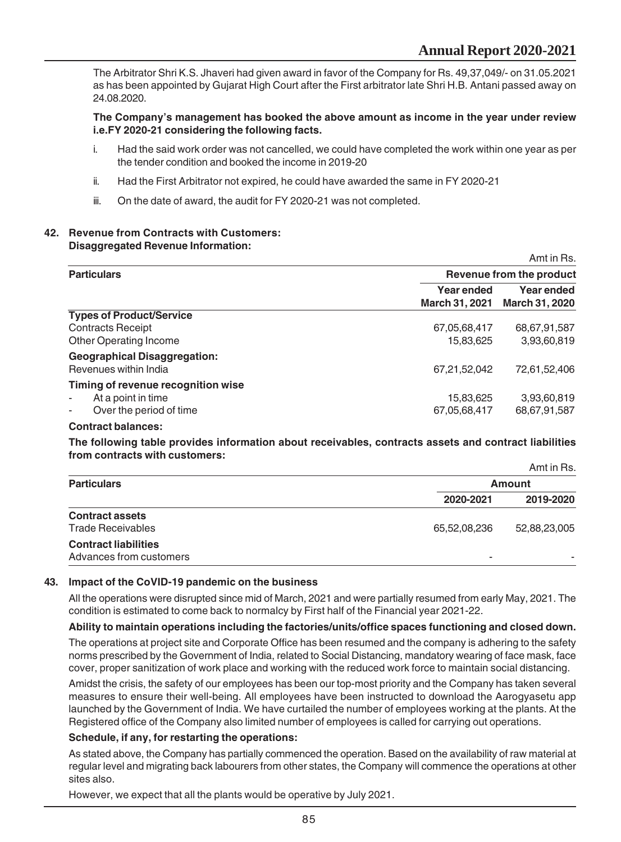The Arbitrator Shri K.S. Jhaveri had given award in favor of the Company for Rs. 49,37,049/- on 31.05.2021 as has been appointed by Gujarat High Court after the First arbitrator late Shri H.B. Antani passed away on 24.08.2020.

#### **The Company's management has booked the above amount as income in the year under review i.e.FY 2020-21 considering the following facts.**

- i. Had the said work order was not cancelled, we could have completed the work within one year as per the tender condition and booked the income in 2019-20
- ii. Had the First Arbitrator not expired, he could have awarded the same in FY 2020-21
- iii. On the date of award, the audit for FY 2020-21 was not completed.

#### **42. Revenue from Contracts with Customers: Disaggregated Revenue Information:**

|                                                     |                              | Amt in Rs.                   |  |  |
|-----------------------------------------------------|------------------------------|------------------------------|--|--|
| <b>Particulars</b>                                  |                              | Revenue from the product     |  |  |
|                                                     | Year ended<br>March 31, 2021 | Year ended<br>March 31, 2020 |  |  |
| <b>Types of Product/Service</b>                     |                              |                              |  |  |
| <b>Contracts Receipt</b>                            | 67,05,68,417                 | 68,67,91,587                 |  |  |
| Other Operating Income                              | 15,83,625                    | 3,93,60,819                  |  |  |
| <b>Geographical Disaggregation:</b>                 |                              |                              |  |  |
| Revenues within India                               | 67,21,52,042                 | 72,61,52,406                 |  |  |
| Timing of revenue recognition wise                  |                              |                              |  |  |
| At a point in time<br>$\overline{\phantom{a}}$      | 15,83,625                    | 3,93,60,819                  |  |  |
| Over the period of time<br>$\overline{\phantom{a}}$ | 67,05,68,417                 | 68,67,91,587                 |  |  |
| $\sim$ $\sim$ $\sim$ $\sim$ $\sim$ $\sim$           |                              |                              |  |  |

#### **Contract balances:**

**The following table provides information about receivables, contracts assets and contract liabilities from contracts with customers:**  $\overline{a}$ 

|                             |              | Amt in Rs.   |  |  |
|-----------------------------|--------------|--------------|--|--|
| <b>Particulars</b>          |              | Amount       |  |  |
|                             | 2020-2021    | 2019-2020    |  |  |
| <b>Contract assets</b>      |              |              |  |  |
| <b>Trade Receivables</b>    | 65,52,08,236 | 52,88,23,005 |  |  |
| <b>Contract liabilities</b> |              |              |  |  |
| Advances from customers     | $\,$         |              |  |  |

#### **43. Impact of the CoVID-19 pandemic on the business**

All the operations were disrupted since mid of March, 2021 and were partially resumed from early May, 2021. The condition is estimated to come back to normalcy by First half of the Financial year 2021-22.

#### **Ability to maintain operations including the factories/units/office spaces functioning and closed down.**

The operations at project site and Corporate Office has been resumed and the company is adhering to the safety norms prescribed by the Government of India, related to Social Distancing, mandatory wearing of face mask, face cover, proper sanitization of work place and working with the reduced work force to maintain social distancing.

Amidst the crisis, the safety of our employees has been our top-most priority and the Company has taken several measures to ensure their well-being. All employees have been instructed to download the Aarogyasetu app launched by the Government of India. We have curtailed the number of employees working at the plants. At the Registered office of the Company also limited number of employees is called for carrying out operations.

# **Schedule, if any, for restarting the operations:**

As stated above, the Company has partially commenced the operation. Based on the availability of raw material at regular level and migrating back labourers from other states, the Company will commence the operations at other sites also.

However, we expect that all the plants would be operative by July 2021.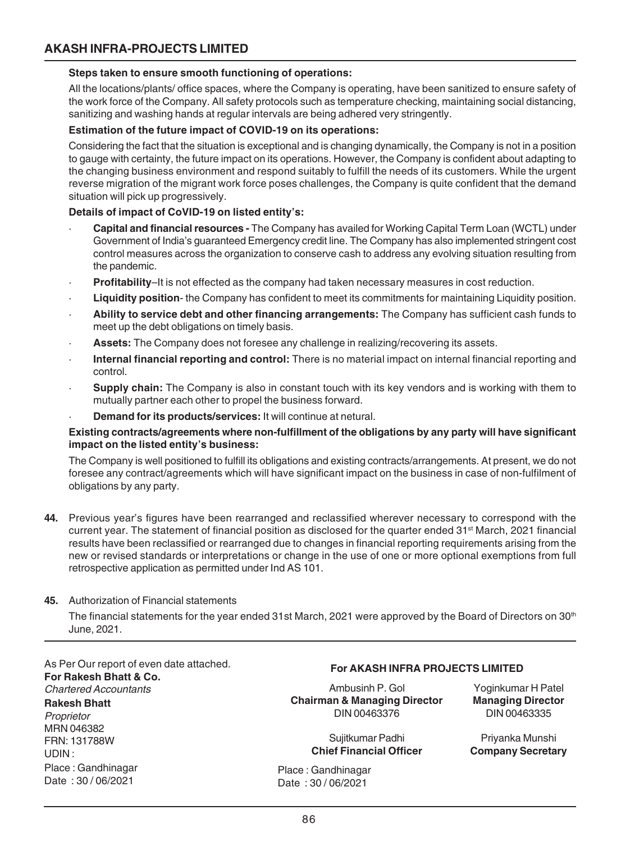# **Steps taken to ensure smooth functioning of operations:**

All the locations/plants/ office spaces, where the Company is operating, have been sanitized to ensure safety of the work force of the Company. All safety protocols such as temperature checking, maintaining social distancing, sanitizing and washing hands at regular intervals are being adhered very stringently.

#### **Estimation of the future impact of COVID-19 on its operations:**

Considering the fact that the situation is exceptional and is changing dynamically, the Company is not in a position to gauge with certainty, the future impact on its operations. However, the Company is confident about adapting to the changing business environment and respond suitably to fulfill the needs of its customers. While the urgent reverse migration of the migrant work force poses challenges, the Company is quite confident that the demand situation will pick up progressively.

# **Details of impact of CoVID-19 on listed entity's:**

- · **Capital and financial resources -** The Company has availed for Working Capital Term Loan (WCTL) under Government of India's guaranteed Emergency credit line. The Company has also implemented stringent cost control measures across the organization to conserve cash to address any evolving situation resulting from the pandemic.
- · **Profitability**–It is not effected as the company had taken necessary measures in cost reduction.
- · **Liquidity position** the Company has confident to meet its commitments for maintaining Liquidity position.
- · **Ability to service debt and other financing arrangements:** The Company has sufficient cash funds to meet up the debt obligations on timely basis.
- · **Assets:** The Company does not foresee any challenge in realizing/recovering its assets.
- · **Internal financial reporting and control:** There is no material impact on internal financial reporting and control.
- **Supply chain:** The Company is also in constant touch with its key vendors and is working with them to mutually partner each other to propel the business forward.
- · **Demand for its products/services:** It will continue at netural.

# **Existing contracts/agreements where non-fulfillment of the obligations by any party will have significant impact on the listed entity's business:**

The Company is well positioned to fulfill its obligations and existing contracts/arrangements. At present, we do not foresee any contract/agreements which will have significant impact on the business in case of non-fulfilment of obligations by any party.

**44.** Previous year's figures have been rearranged and reclassified wherever necessary to correspond with the current year. The statement of financial position as disclosed for the quarter ended 31st March, 2021 financial results have been reclassified or rearranged due to changes in financial reporting requirements arising from the new or revised standards or interpretations or change in the use of one or more optional exemptions from full retrospective application as permitted under Ind AS 101.

#### **45.** Authorization of Financial statements

The financial statements for the year ended 31st March, 2021 were approved by the Board of Directors on 30<sup>th</sup> June, 2021.

As Per Our report of even date attached. **For Rakesh Bhatt & Co.** Chartered Accountants **Rakesh Bhatt**

# Proprietor MRN 046382 FRN: 131788W UDIN : Place : Gandhinagar Date : 30 / 06/2021

# **For AKASH INFRA PROJECTS LIMITED**

**Chairman & Managing Director Managing Director**<br>DIN 00463335 DIN 00463376 DIN 00463376 DIN 00463335

Sujitkumar Padhi Priyanka Munshi **Chief Financial Officer Company Secretary**

Place : Gandhinagar Date : 30 / 06/2021

Ambusinh P. Gol Yoginkumar H Patel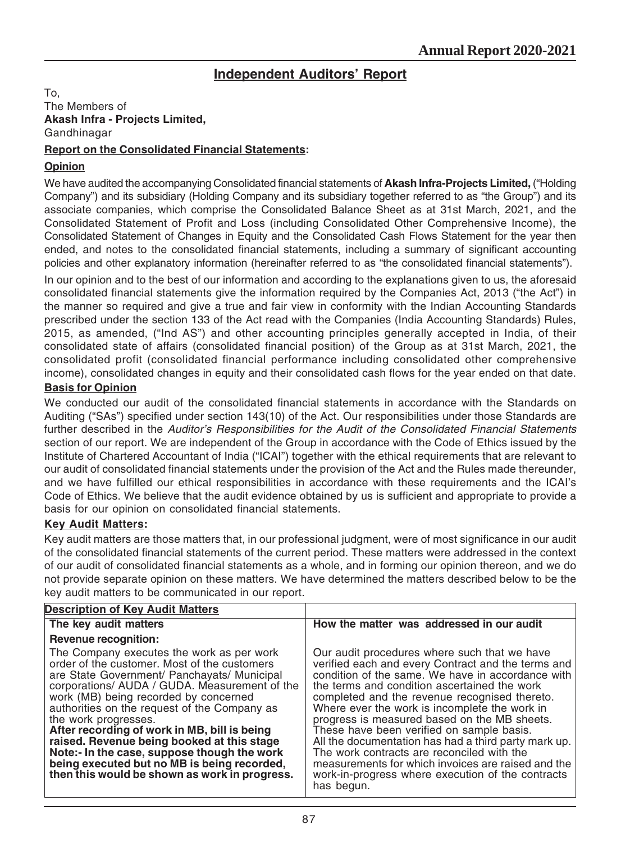# **Independent Auditors' Report**

To, The Members of **Akash Infra - Projects Limited,** Gandhinagar

# **Report on the Consolidated Financial Statements:**

# **Opinion**

We have audited the accompanying Consolidated financial statements of **Akash Infra-Projects Limited,** ("Holding Company") and its subsidiary (Holding Company and its subsidiary together referred to as "the Group") and its associate companies, which comprise the Consolidated Balance Sheet as at 31st March, 2021, and the Consolidated Statement of Profit and Loss (including Consolidated Other Comprehensive Income), the Consolidated Statement of Changes in Equity and the Consolidated Cash Flows Statement for the year then ended, and notes to the consolidated financial statements, including a summary of significant accounting policies and other explanatory information (hereinafter referred to as "the consolidated financial statements").

In our opinion and to the best of our information and according to the explanations given to us, the aforesaid consolidated financial statements give the information required by the Companies Act, 2013 ("the Act") in the manner so required and give a true and fair view in conformity with the Indian Accounting Standards prescribed under the section 133 of the Act read with the Companies (India Accounting Standards) Rules, 2015, as amended, ("Ind AS") and other accounting principles generally accepted in India, of their consolidated state of affairs (consolidated financial position) of the Group as at 31st March, 2021, the consolidated profit (consolidated financial performance including consolidated other comprehensive income), consolidated changes in equity and their consolidated cash flows for the year ended on that date.

# **Basis for Opinion**

We conducted our audit of the consolidated financial statements in accordance with the Standards on Auditing ("SAs") specified under section 143(10) of the Act. Our responsibilities under those Standards are further described in the Auditor's Responsibilities for the Audit of the Consolidated Financial Statements section of our report. We are independent of the Group in accordance with the Code of Ethics issued by the Institute of Chartered Accountant of India ("ICAI") together with the ethical requirements that are relevant to our audit of consolidated financial statements under the provision of the Act and the Rules made thereunder, and we have fulfilled our ethical responsibilities in accordance with these requirements and the ICAI's Code of Ethics. We believe that the audit evidence obtained by us is sufficient and appropriate to provide a basis for our opinion on consolidated financial statements.

# **Key Audit Matters:**

Key audit matters are those matters that, in our professional judgment, were of most significance in our audit of the consolidated financial statements of the current period. These matters were addressed in the context of our audit of consolidated financial statements as a whole, and in forming our opinion thereon, and we do not provide separate opinion on these matters. We have determined the matters described below to be the key audit matters to be communicated in our report.

| <b>Description of Key Audit Matters</b>                                                                                                                                                                                                                                                                                                                                                                                                                                                                                                                 |                                                                                                                                                                                                                                                                                                                                                                                                                                                                                                                                                                                                                                       |
|---------------------------------------------------------------------------------------------------------------------------------------------------------------------------------------------------------------------------------------------------------------------------------------------------------------------------------------------------------------------------------------------------------------------------------------------------------------------------------------------------------------------------------------------------------|---------------------------------------------------------------------------------------------------------------------------------------------------------------------------------------------------------------------------------------------------------------------------------------------------------------------------------------------------------------------------------------------------------------------------------------------------------------------------------------------------------------------------------------------------------------------------------------------------------------------------------------|
| The key audit matters                                                                                                                                                                                                                                                                                                                                                                                                                                                                                                                                   | How the matter was addressed in our audit                                                                                                                                                                                                                                                                                                                                                                                                                                                                                                                                                                                             |
| <b>Revenue recognition:</b>                                                                                                                                                                                                                                                                                                                                                                                                                                                                                                                             |                                                                                                                                                                                                                                                                                                                                                                                                                                                                                                                                                                                                                                       |
| The Company executes the work as per work<br>order of the customer. Most of the customers<br>are State Government/ Panchayats/ Municipal<br>corporations/ AUDA / GUDA. Measurement of the<br>work (MB) being recorded by concerned<br>authorities on the request of the Company as<br>the work progresses.<br>After recording of work in MB, bill is being<br>raised. Revenue being booked at this stage<br>Note:- In the case, suppose though the work<br>being executed but no MB is being recorded,<br>then this would be shown as work in progress. | Our audit procedures where such that we have<br>verified each and every Contract and the terms and<br>condition of the same. We have in accordance with<br>the terms and condition ascertained the work<br>completed and the revenue recognised thereto.<br>Where ever the work is incomplete the work in<br>progress is measured based on the MB sheets.<br>These have been verified on sample basis.<br>All the documentation has had a third party mark up.<br>The work contracts are reconciled with the<br>measurements for which invoices are raised and the<br>work-in-progress where execution of the contracts<br>has begun. |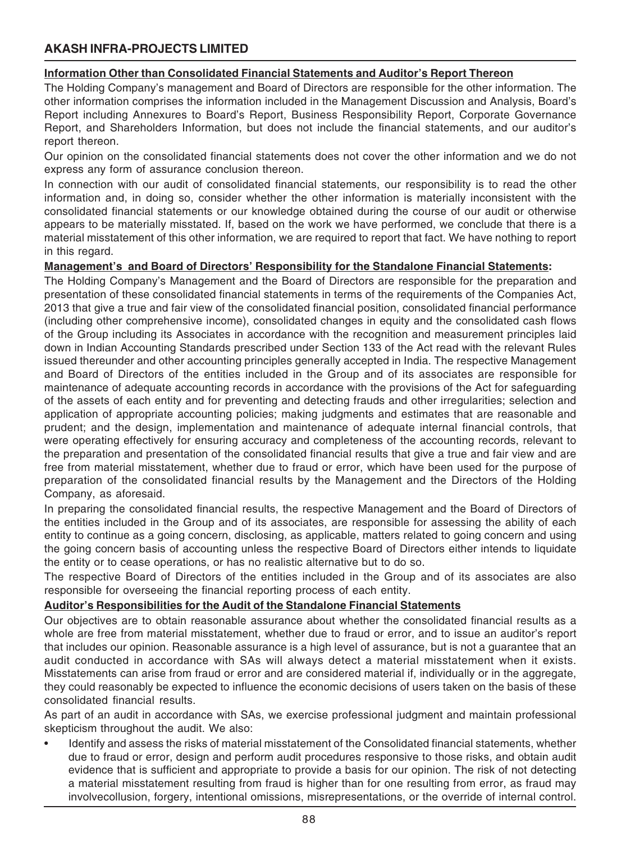# **Information Other than Consolidated Financial Statements and Auditor's Report Thereon**

The Holding Company's management and Board of Directors are responsible for the other information. The other information comprises the information included in the Management Discussion and Analysis, Board's Report including Annexures to Board's Report, Business Responsibility Report, Corporate Governance Report, and Shareholders Information, but does not include the financial statements, and our auditor's report thereon.

Our opinion on the consolidated financial statements does not cover the other information and we do not express any form of assurance conclusion thereon.

In connection with our audit of consolidated financial statements, our responsibility is to read the other information and, in doing so, consider whether the other information is materially inconsistent with the consolidated financial statements or our knowledge obtained during the course of our audit or otherwise appears to be materially misstated. If, based on the work we have performed, we conclude that there is a material misstatement of this other information, we are required to report that fact. We have nothing to report in this regard.

# **Management's and Board of Directors' Responsibility for the Standalone Financial Statements:**

The Holding Company's Management and the Board of Directors are responsible for the preparation and presentation of these consolidated financial statements in terms of the requirements of the Companies Act, 2013 that give a true and fair view of the consolidated financial position, consolidated financial performance (including other comprehensive income), consolidated changes in equity and the consolidated cash flows of the Group including its Associates in accordance with the recognition and measurement principles laid down in Indian Accounting Standards prescribed under Section 133 of the Act read with the relevant Rules issued thereunder and other accounting principles generally accepted in India. The respective Management and Board of Directors of the entities included in the Group and of its associates are responsible for maintenance of adequate accounting records in accordance with the provisions of the Act for safeguarding of the assets of each entity and for preventing and detecting frauds and other irregularities; selection and application of appropriate accounting policies; making judgments and estimates that are reasonable and prudent; and the design, implementation and maintenance of adequate internal financial controls, that were operating effectively for ensuring accuracy and completeness of the accounting records, relevant to the preparation and presentation of the consolidated financial results that give a true and fair view and are free from material misstatement, whether due to fraud or error, which have been used for the purpose of preparation of the consolidated financial results by the Management and the Directors of the Holding Company, as aforesaid.

In preparing the consolidated financial results, the respective Management and the Board of Directors of the entities included in the Group and of its associates, are responsible for assessing the ability of each entity to continue as a going concern, disclosing, as applicable, matters related to going concern and using the going concern basis of accounting unless the respective Board of Directors either intends to liquidate the entity or to cease operations, or has no realistic alternative but to do so.

The respective Board of Directors of the entities included in the Group and of its associates are also responsible for overseeing the financial reporting process of each entity.

# **Auditor's Responsibilities for the Audit of the Standalone Financial Statements**

Our objectives are to obtain reasonable assurance about whether the consolidated financial results as a whole are free from material misstatement, whether due to fraud or error, and to issue an auditor's report that includes our opinion. Reasonable assurance is a high level of assurance, but is not a guarantee that an audit conducted in accordance with SAs will always detect a material misstatement when it exists. Misstatements can arise from fraud or error and are considered material if, individually or in the aggregate, they could reasonably be expected to influence the economic decisions of users taken on the basis of these consolidated financial results.

As part of an audit in accordance with SAs, we exercise professional judgment and maintain professional skepticism throughout the audit. We also:

• Identify and assess the risks of material misstatement of the Consolidated financial statements, whether due to fraud or error, design and perform audit procedures responsive to those risks, and obtain audit evidence that is sufficient and appropriate to provide a basis for our opinion. The risk of not detecting a material misstatement resulting from fraud is higher than for one resulting from error, as fraud may involvecollusion, forgery, intentional omissions, misrepresentations, or the override of internal control.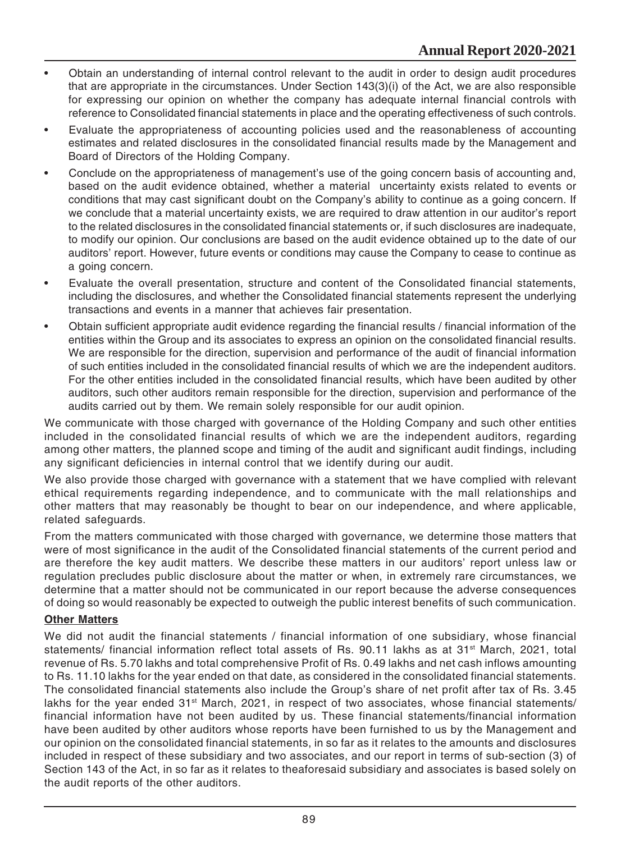- Obtain an understanding of internal control relevant to the audit in order to design audit procedures that are appropriate in the circumstances. Under Section 143(3)(i) of the Act, we are also responsible for expressing our opinion on whether the company has adequate internal financial controls with reference to Consolidated financial statements in place and the operating effectiveness of such controls.
- Evaluate the appropriateness of accounting policies used and the reasonableness of accounting estimates and related disclosures in the consolidated financial results made by the Management and Board of Directors of the Holding Company.
- Conclude on the appropriateness of management's use of the going concern basis of accounting and, based on the audit evidence obtained, whether a material uncertainty exists related to events or conditions that may cast significant doubt on the Company's ability to continue as a going concern. If we conclude that a material uncertainty exists, we are required to draw attention in our auditor's report to the related disclosures in the consolidated financial statements or, if such disclosures are inadequate, to modify our opinion. Our conclusions are based on the audit evidence obtained up to the date of our auditors' report. However, future events or conditions may cause the Company to cease to continue as a going concern.
- Evaluate the overall presentation, structure and content of the Consolidated financial statements, including the disclosures, and whether the Consolidated financial statements represent the underlying transactions and events in a manner that achieves fair presentation.
- Obtain sufficient appropriate audit evidence regarding the financial results / financial information of the entities within the Group and its associates to express an opinion on the consolidated financial results. We are responsible for the direction, supervision and performance of the audit of financial information of such entities included in the consolidated financial results of which we are the independent auditors. For the other entities included in the consolidated financial results, which have been audited by other auditors, such other auditors remain responsible for the direction, supervision and performance of the audits carried out by them. We remain solely responsible for our audit opinion.

We communicate with those charged with governance of the Holding Company and such other entities included in the consolidated financial results of which we are the independent auditors, regarding among other matters, the planned scope and timing of the audit and significant audit findings, including any significant deficiencies in internal control that we identify during our audit.

We also provide those charged with governance with a statement that we have complied with relevant ethical requirements regarding independence, and to communicate with the mall relationships and other matters that may reasonably be thought to bear on our independence, and where applicable, related safeguards.

From the matters communicated with those charged with governance, we determine those matters that were of most significance in the audit of the Consolidated financial statements of the current period and are therefore the key audit matters. We describe these matters in our auditors' report unless law or regulation precludes public disclosure about the matter or when, in extremely rare circumstances, we determine that a matter should not be communicated in our report because the adverse consequences of doing so would reasonably be expected to outweigh the public interest benefits of such communication.

# **Other Matters**

We did not audit the financial statements / financial information of one subsidiary, whose financial statements/ financial information reflect total assets of Rs. 90.11 lakhs as at 31<sup>st</sup> March, 2021, total revenue of Rs. 5.70 lakhs and total comprehensive Profit of Rs. 0.49 lakhs and net cash inflows amounting to Rs. 11.10 lakhs for the year ended on that date, as considered in the consolidated financial statements. The consolidated financial statements also include the Group's share of net profit after tax of Rs. 3.45 lakhs for the year ended 31<sup>st</sup> March, 2021, in respect of two associates, whose financial statements/ financial information have not been audited by us. These financial statements/financial information have been audited by other auditors whose reports have been furnished to us by the Management and our opinion on the consolidated financial statements, in so far as it relates to the amounts and disclosures included in respect of these subsidiary and two associates, and our report in terms of sub-section (3) of Section 143 of the Act, in so far as it relates to theaforesaid subsidiary and associates is based solely on the audit reports of the other auditors.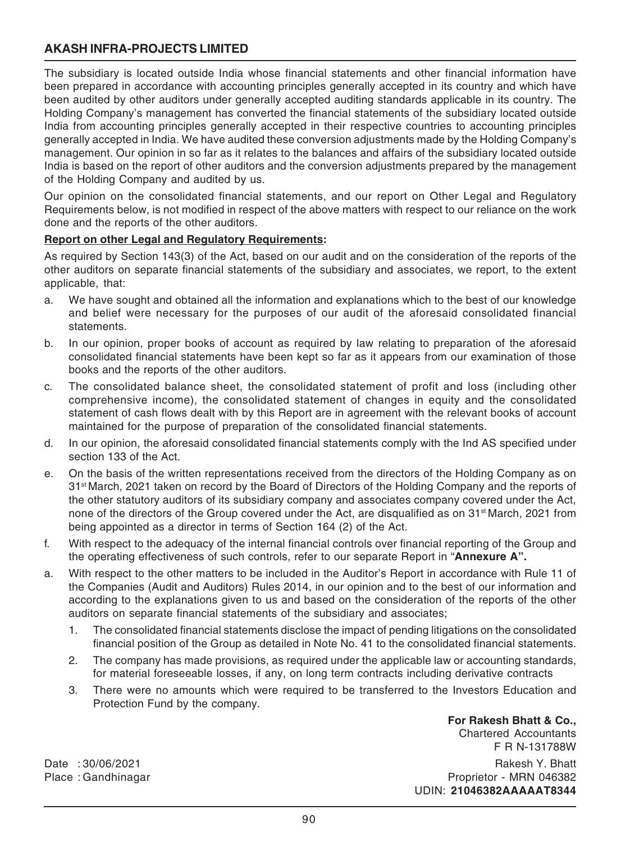The subsidiary is located outside India whose financial statements and other financial information have been prepared in accordance with accounting principles generally accepted in its country and which have been audited by other auditors under generally accepted auditing standards applicable in its country. The Holding Company's management has converted the financial statements of the subsidiary located outside India from accounting principles generally accepted in their respective countries to accounting principles generally accepted in India. We have audited these conversion adjustments made by the Holding Company's management. Our opinion in so far as it relates to the balances and affairs of the subsidiary located outside India is based on the report of other auditors and the conversion adjustments prepared by the management of the Holding Company and audited by us.

Our opinion on the consolidated financial statements, and our report on Other Legal and Regulatory Requirements below, is not modified in respect of the above matters with respect to our reliance on the work done and the reports of the other auditors.

# **Report on other Legal and Regulatory Requirements:**

As required by Section 143(3) of the Act, based on our audit and on the consideration of the reports of the other auditors on separate financial statements of the subsidiary and associates, we report, to the extent applicable, that:

- a. We have sought and obtained all the information and explanations which to the best of our knowledge and belief were necessary for the purposes of our audit of the aforesaid consolidated financial statements.
- b. In our opinion, proper books of account as required by law relating to preparation of the aforesaid consolidated financial statements have been kept so far as it appears from our examination of those books and the reports of the other auditors.
- c. The consolidated balance sheet, the consolidated statement of profit and loss (including other comprehensive income), the consolidated statement of changes in equity and the consolidated statement of cash flows dealt with by this Report are in agreement with the relevant books of account maintained for the purpose of preparation of the consolidated financial statements.
- d. In our opinion, the aforesaid consolidated financial statements comply with the Ind AS specified under section 133 of the Act.
- e. On the basis of the written representations received from the directors of the Holding Company as on 31<sup>st</sup> March, 2021 taken on record by the Board of Directors of the Holding Company and the reports of the other statutory auditors of its subsidiary company and associates company covered under the Act, none of the directors of the Group covered under the Act, are disqualified as on 31<sup>st</sup> March, 2021 from being appointed as a director in terms of Section 164 (2) of the Act.
- f. With respect to the adequacy of the internal financial controls over financial reporting of the Group and the operating effectiveness of such controls, refer to our separate Report in "**Annexure A".**
- a. With respect to the other matters to be included in the Auditor's Report in accordance with Rule 11 of the Companies (Audit and Auditors) Rules 2014, in our opinion and to the best of our information and according to the explanations given to us and based on the consideration of the reports of the other auditors on separate financial statements of the subsidiary and associates;
	- 1. The consolidated financial statements disclose the impact of pending litigations on the consolidated financial position of the Group as detailed in Note No. 41 to the consolidated financial statements.
	- 2. The company has made provisions, as required under the applicable law or accounting standards, for material foreseeable losses, if any, on long term contracts including derivative contracts
	- 3. There were no amounts which were required to be transferred to the Investors Education and Protection Fund by the company.

**For Rakesh Bhatt & Co.,** Chartered Accountants

F R N-131788W Date : 30/06/2021 Rakesh Y. Bhatt Place : Gandhinagar **Proprietor - MRN 046382** UDIN: **21046382AAAAAT8344**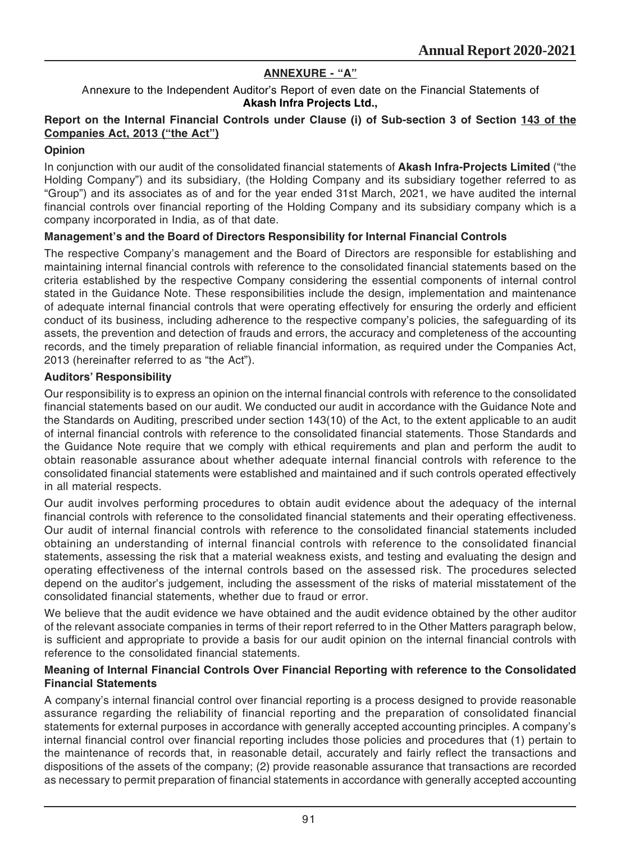# **ANNEXURE - "A"**

Annexure to the Independent Auditor's Report of even date on the Financial Statements of **Akash Infra Projects Ltd.,**

# **Report on the Internal Financial Controls under Clause (i) of Sub-section 3 of Section 143 of the Companies Act, 2013 ("the Act")**

# **Opinion**

In conjunction with our audit of the consolidated financial statements of **Akash Infra-Projects Limited** ("the Holding Company") and its subsidiary, (the Holding Company and its subsidiary together referred to as "Group") and its associates as of and for the year ended 31st March, 2021, we have audited the internal financial controls over financial reporting of the Holding Company and its subsidiary company which is a company incorporated in India, as of that date.

# **Management's and the Board of Directors Responsibility for Internal Financial Controls**

The respective Company's management and the Board of Directors are responsible for establishing and maintaining internal financial controls with reference to the consolidated financial statements based on the criteria established by the respective Company considering the essential components of internal control stated in the Guidance Note. These responsibilities include the design, implementation and maintenance of adequate internal financial controls that were operating effectively for ensuring the orderly and efficient conduct of its business, including adherence to the respective company's policies, the safeguarding of its assets, the prevention and detection of frauds and errors, the accuracy and completeness of the accounting records, and the timely preparation of reliable financial information, as required under the Companies Act, 2013 (hereinafter referred to as "the Act").

# **Auditors' Responsibility**

Our responsibility is to express an opinion on the internal financial controls with reference to the consolidated financial statements based on our audit. We conducted our audit in accordance with the Guidance Note and the Standards on Auditing, prescribed under section 143(10) of the Act, to the extent applicable to an audit of internal financial controls with reference to the consolidated financial statements. Those Standards and the Guidance Note require that we comply with ethical requirements and plan and perform the audit to obtain reasonable assurance about whether adequate internal financial controls with reference to the consolidated financial statements were established and maintained and if such controls operated effectively in all material respects.

Our audit involves performing procedures to obtain audit evidence about the adequacy of the internal financial controls with reference to the consolidated financial statements and their operating effectiveness. Our audit of internal financial controls with reference to the consolidated financial statements included obtaining an understanding of internal financial controls with reference to the consolidated financial statements, assessing the risk that a material weakness exists, and testing and evaluating the design and operating effectiveness of the internal controls based on the assessed risk. The procedures selected depend on the auditor's judgement, including the assessment of the risks of material misstatement of the consolidated financial statements, whether due to fraud or error.

We believe that the audit evidence we have obtained and the audit evidence obtained by the other auditor of the relevant associate companies in terms of their report referred to in the Other Matters paragraph below, is sufficient and appropriate to provide a basis for our audit opinion on the internal financial controls with reference to the consolidated financial statements.

# **Meaning of Internal Financial Controls Over Financial Reporting with reference to the Consolidated Financial Statements**

A company's internal financial control over financial reporting is a process designed to provide reasonable assurance regarding the reliability of financial reporting and the preparation of consolidated financial statements for external purposes in accordance with generally accepted accounting principles. A company's internal financial control over financial reporting includes those policies and procedures that (1) pertain to the maintenance of records that, in reasonable detail, accurately and fairly reflect the transactions and dispositions of the assets of the company; (2) provide reasonable assurance that transactions are recorded as necessary to permit preparation of financial statements in accordance with generally accepted accounting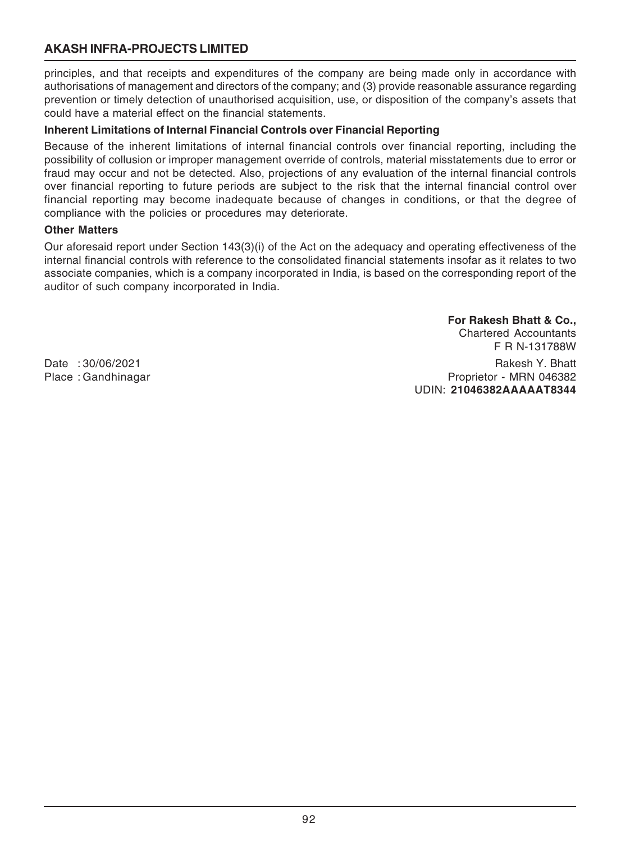principles, and that receipts and expenditures of the company are being made only in accordance with authorisations of management and directors of the company; and (3) provide reasonable assurance regarding prevention or timely detection of unauthorised acquisition, use, or disposition of the company's assets that could have a material effect on the financial statements.

# **Inherent Limitations of Internal Financial Controls over Financial Reporting**

Because of the inherent limitations of internal financial controls over financial reporting, including the possibility of collusion or improper management override of controls, material misstatements due to error or fraud may occur and not be detected. Also, projections of any evaluation of the internal financial controls over financial reporting to future periods are subject to the risk that the internal financial control over financial reporting may become inadequate because of changes in conditions, or that the degree of compliance with the policies or procedures may deteriorate.

# **Other Matters**

Our aforesaid report under Section 143(3)(i) of the Act on the adequacy and operating effectiveness of the internal financial controls with reference to the consolidated financial statements insofar as it relates to two associate companies, which is a company incorporated in India, is based on the corresponding report of the auditor of such company incorporated in India.

**For Rakesh Bhatt & Co.,** Chartered Accountants F R N-131788W Date : 30/06/2021 Rakesh Y. Bhatt Place : Gandhinagar Proprietor - MRN 046382 UDIN: **21046382AAAAAT8344**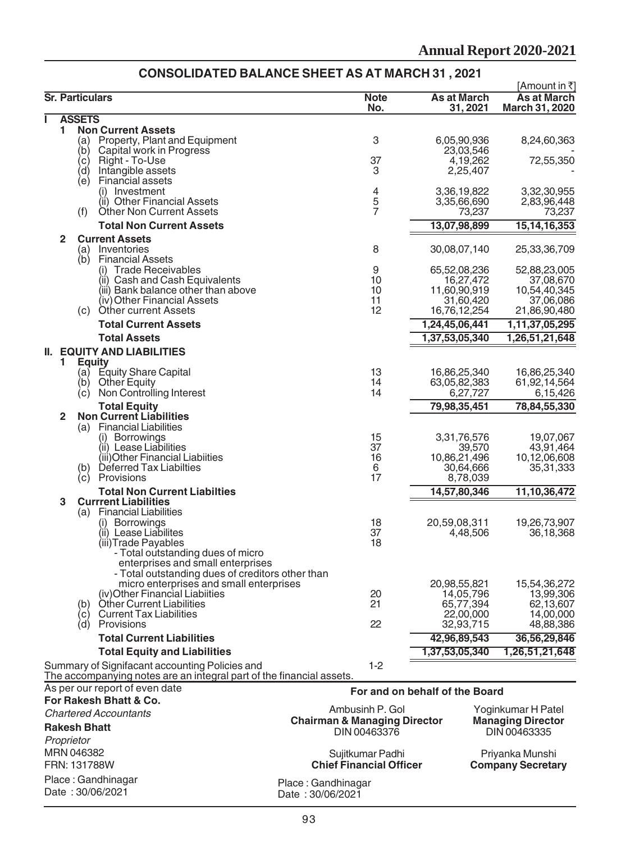#### [Amount in ₹] **Sr. Particulars Note As at March As at March No. 31, 2021 March 31, 2020 I ASSETS Non Current Assets**<br>(a) Property Plant at (a) Property, Plant and Equipment 3 6,05,90,936 8,24,60,363 (b) Capital work in Progress 23,03,546 -<br>(c) Right - To-Use 37 4,19,262 72,55,350 (c) Right - To-Use 37 4,19,262 7 4,19,262 12,25,407 4,19,262 7 4,19,262 7 4,19,262<br>(d) Intangible assets 3 3 2,25,407 Intangible assets (e) Financial assets (i) Investment 4 3,36,19,822 3,32,30,955 (ii) Other Financial Assets 5 3,35,66,690 2,83,96,448 (f) Other Non Current Assets **Total Non Current Assets 13,07,98,899 15,14,16,353 2 Current Assets** (a) Inventories 8 30,08,07,140 25,33,36,709<br>(b) Financial Assets **Financial Assets** Trade Receivables 65,52,08,236 52,88,23,005<br>Cash and Cash Equivalents 65,52,08,236 65,52,08,236 65,52,472 77,08,670 (ii) Cash and Cash Equivalents 10 16,27,472 37,08,670 iii) Bank balance other than above 10 11,60,90,919 10,54,40,345 (أنا) 2016.<br>11 11 31.60.420 11 37.06.086 11 (iv)Other Financial Assets 11 31,60,420 37,06,086 (c) Other current Assets **Total Current Assets 1,24,45,06,441 1,11,37,05,295 Total Assets 1,37,53,05,340 1,26,51,21,648 II. EQUITY AND LIABILITIES 1 Equity** (a) Equity Share Capital 13 13 16,86,25,340 16,86,25,340<br>(b) Other Equity 14 63,05,82,383 61,92,14,564 (b) Other Equity 14 63,05,82,383 61,92,14,564 (b)<br>6.15,426 6.15,426 6.15,426 (c) Non Controlling Interest 14 6.27,727 Non Controlling Interest **Total Equity 79,98,35,451 78,84,55,330 2 Non Current Liabilities** (a) Financial Liabilities (i) Borrowings 15 3,31,76,576 19,07,067 (ii) Lease Liabilities 37 39,570 43,91,464 (iii)Other Financial Liabiities 16 10,86,21,496 10,12,06,608 (b) Deferred Tax Liabilties 6 30,64,666 30,64,666 35,31,339<br>(c) Provisions 8,78,039  $(c)$  Provisions **Total Non Current Liabilties 14,57,80,346 11,10,36,472 3 Currrent Liabilities** (a) Financial Liabilities (i) Borrowings (i) Borrowings 18 20,59,08,311 19,26,73,907<br>(ii) Lease Liabilites (ii) Lease 18,18,368 (ii) Lease Liabilites 37 4,48,506 36,18,368 (iii)Trade Payables 18 - Total outstanding dues of micro enterprises and small enterprises - Total outstanding dues of creditors other than micro enterprises and small enterprises 20,98,55,821 15,54,36,272 (iv)Other Financial Liabiities 20 14,05,796 13,99,306 (b) Other Current Liabilities (b) Other Current Liabilities (c) 21 65,77,394 62,13,607<br>(c) Current Tax Liabilities (c) 22,00,000 14,00,000 (c) Current Tax Liabilities 22,00,000 14,00,000<br>(d) Provisions 22 32.93.715 48.88.386  $\overrightarrow{d}$  Provisions **Total Current Liabilities 42,96,89,543 36,56,29,846 Total Equity and Liabilities 1,37,53,05,340 1,26,51,21,648** Summary of Signifacant accounting Policies and 1-2 The accompanying notes are an integral part of the financial assets. **For and on behalf of the Board** Ambusinh P. Gol **Yoginkumar H Patel**<br> **Ambusing Director** Managing Director **Chairman & Managing Director**<br>DIN 00463376 DIN 00463335 Sujitkumar Padhi **Pritkumar Padhi Priyanka Munshi**<br>**ef Financial Officer Company Secretary Chief Financial Officer** As per our report of even date **For Rakesh Bhatt & Co.** Chartered Accountants **Rakesh Bhatt** Proprietor MRN 046382 FRN: 131788W

# **CONSOLIDATED BALANCE SHEET AS AT MARCH 31 , 2021**

Place : Gandhinagar Date : 30/06/2021

Place : Gandhinagar Date : 30/06/2021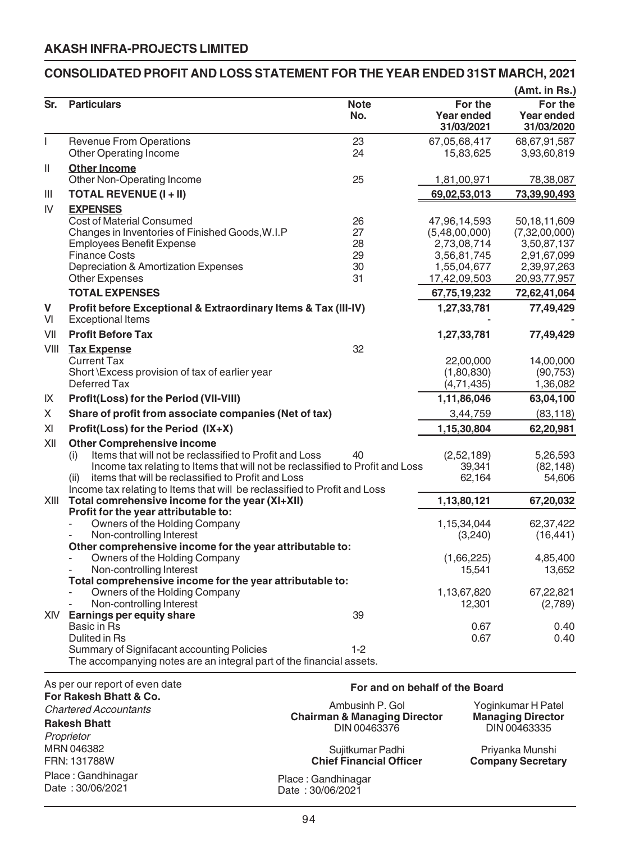# **CONSOLIDATED PROFIT AND LOSS STATEMENT FOR THE YEAR ENDED 31ST MARCH, 2021**

|               |                                                                                                                                                                                                                                                                                                                                |                                                                            |                                                                                            | (Amt. in Rs.)                                                                                 |
|---------------|--------------------------------------------------------------------------------------------------------------------------------------------------------------------------------------------------------------------------------------------------------------------------------------------------------------------------------|----------------------------------------------------------------------------|--------------------------------------------------------------------------------------------|-----------------------------------------------------------------------------------------------|
| Sr.           | <b>Particulars</b>                                                                                                                                                                                                                                                                                                             | <b>Note</b><br>No.                                                         | For the<br><b>Year ended</b><br>31/03/2021                                                 | For the<br>Year ended<br>31/03/2020                                                           |
| L             | Revenue From Operations<br><b>Other Operating Income</b>                                                                                                                                                                                                                                                                       | 23<br>24                                                                   | 67,05,68,417<br>15,83,625                                                                  | 68,67,91,587<br>3,93,60,819                                                                   |
| $\mathop{  }$ | <b>Other Income</b>                                                                                                                                                                                                                                                                                                            |                                                                            |                                                                                            |                                                                                               |
|               | Other Non-Operating Income                                                                                                                                                                                                                                                                                                     | 25                                                                         | 1,81,00,971                                                                                | 78,38,087                                                                                     |
| Ш             | <b>TOTAL REVENUE (I + II)</b>                                                                                                                                                                                                                                                                                                  |                                                                            | 69,02,53,013                                                                               | 73,39,90,493                                                                                  |
| IV            | <b>EXPENSES</b><br>Cost of Material Consumed<br>Changes in Inventories of Finished Goods, W.I.P<br><b>Employees Benefit Expense</b><br><b>Finance Costs</b><br>Depreciation & Amortization Expenses<br>Other Expenses                                                                                                          | 26<br>27<br>28<br>29<br>30<br>31                                           | 47,96,14,593<br>(5,48,00,000)<br>2,73,08,714<br>3,56,81,745<br>1,55,04,677<br>17,42,09,503 | 50, 18, 11, 609<br>(7,32,00,000)<br>3,50,87,137<br>2,91,67,099<br>2,39,97,263<br>20,93,77,957 |
|               | <b>TOTAL EXPENSES</b>                                                                                                                                                                                                                                                                                                          |                                                                            | 67,75,19,232                                                                               | 72,62,41,064                                                                                  |
| V<br>VI       | Profit before Exceptional & Extraordinary Items & Tax (III-IV)<br><b>Exceptional Items</b>                                                                                                                                                                                                                                     |                                                                            | 1,27,33,781                                                                                | 77,49,429                                                                                     |
| VII           | <b>Profit Before Tax</b>                                                                                                                                                                                                                                                                                                       |                                                                            | 1,27,33,781                                                                                | 77,49,429                                                                                     |
| VIII          | <b>Tax Expense</b><br>Current Tax<br>Short \Excess provision of tax of earlier year<br>Deferred Tax                                                                                                                                                                                                                            | 32                                                                         | 22,00,000<br>(1,80,830)<br>(4,71,435)                                                      | 14,00,000<br>(90, 753)<br>1,36,082                                                            |
| IX            | Profit(Loss) for the Period (VII-VIII)                                                                                                                                                                                                                                                                                         |                                                                            | 1,11,86,046                                                                                | 63,04,100                                                                                     |
| X             | Share of profit from associate companies (Net of tax)                                                                                                                                                                                                                                                                          |                                                                            | 3,44,759                                                                                   | (83, 118)                                                                                     |
| XI            | Profit(Loss) for the Period (IX+X)                                                                                                                                                                                                                                                                                             |                                                                            | 1,15,30,804                                                                                | 62,20,981                                                                                     |
| XII           | <b>Other Comprehensive income</b><br>Items that will not be reclassified to Profit and Loss<br>(i)<br>Income tax relating to Items that will not be reclassified to Profit and Loss<br>items that will be reclassified to Profit and Loss<br>(ii)<br>Income tax relating to Items that will be reclassified to Profit and Loss | 40                                                                         | (2,52,189)<br>39,341<br>62,164                                                             | 5,26,593<br>(82, 148)<br>54,606                                                               |
| XIII          | Total comrehensive income for the year (XI+XII)                                                                                                                                                                                                                                                                                |                                                                            | 1,13,80,121                                                                                | 67,20,032                                                                                     |
|               | Profit for the year attributable to:<br>Owners of the Holding Company<br>Non-controlling Interest<br>Other comprehensive income for the year attributable to:                                                                                                                                                                  |                                                                            | 1,15,34,044<br>(3,240)                                                                     | 62,37,422<br>(16, 441)                                                                        |
|               | Owners of the Holding Company<br>Non-controlling Interest                                                                                                                                                                                                                                                                      |                                                                            | (1,66,225)<br>15,541                                                                       | 4,85,400<br>13,652                                                                            |
| XIV           | Total comprehensive income for the year attributable to:<br>Owners of the Holding Company<br>Non-controlling Interest<br><b>Earnings per equity share</b>                                                                                                                                                                      | 39                                                                         | 1,13,67,820<br>12,301                                                                      | 67,22,821<br>(2,789)                                                                          |
|               | Basic in Rs<br>Dulited in Rs                                                                                                                                                                                                                                                                                                   |                                                                            | 0.67<br>0.67                                                                               | 0.40<br>0.40                                                                                  |
|               | Summary of Signifacant accounting Policies<br>The accompanying notes are an integral part of the financial assets.                                                                                                                                                                                                             | $1-2$                                                                      |                                                                                            |                                                                                               |
|               | As per our report of even date<br>For Rakesh Bhatt & Co.                                                                                                                                                                                                                                                                       |                                                                            | For and on behalf of the Board                                                             |                                                                                               |
|               | <b>Chartered Accountants</b><br><b>Rakesh Bhatt</b>                                                                                                                                                                                                                                                                            | Ambusinh P. Gol<br><b>Chairman &amp; Managing Director</b><br>DIN 00463376 |                                                                                            | Yoginkumar H Patel<br><b>Managing Director</b><br>DIN 00463335                                |

Proprietor MRN 046382 FRN: 131788W Place : Gandhinagar Date : 30/06/2021

Sujitkumar Padhi Priyanka Munshi **Chief Financial Officer Company Secretary**

Place : Gandhinagar Date : 30/06/2021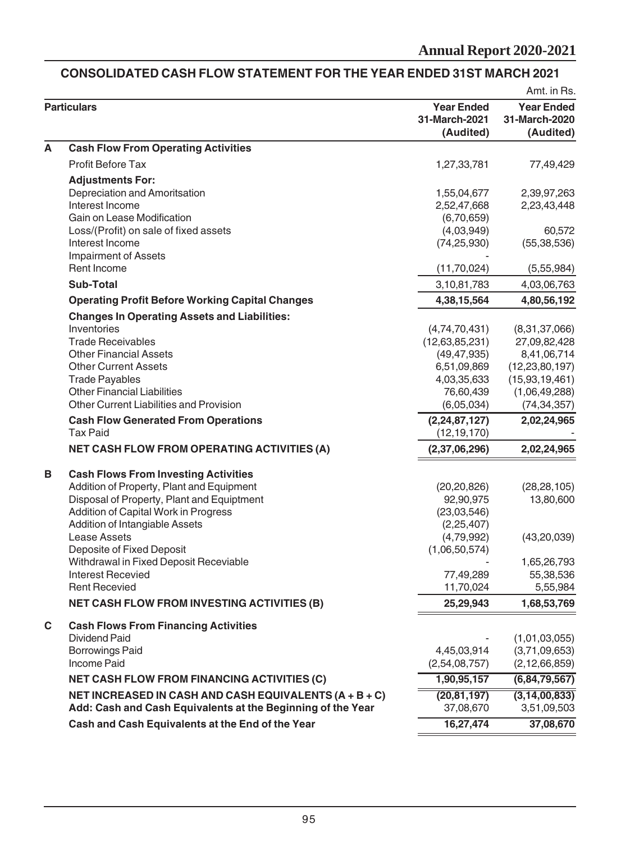# **CONSOLIDATED CASH FLOW STATEMENT FOR THE YEAR ENDED 31ST MARCH 2021**

|   |                                                                                          |                                                 | Amt. in Rs.                                     |
|---|------------------------------------------------------------------------------------------|-------------------------------------------------|-------------------------------------------------|
|   | <b>Particulars</b>                                                                       | <b>Year Ended</b><br>31-March-2021<br>(Audited) | <b>Year Ended</b><br>31-March-2020<br>(Audited) |
| A | <b>Cash Flow From Operating Activities</b>                                               |                                                 |                                                 |
|   | <b>Profit Before Tax</b>                                                                 | 1,27,33,781                                     | 77,49,429                                       |
|   | <b>Adjustments For:</b>                                                                  |                                                 |                                                 |
|   | Depreciation and Amoritsation                                                            | 1,55,04,677                                     | 2,39,97,263                                     |
|   | Interest Income                                                                          | 2,52,47,668                                     | 2,23,43,448                                     |
|   | Gain on Lease Modification                                                               | (6,70,659)                                      |                                                 |
|   | Loss/(Profit) on sale of fixed assets                                                    | (4,03,949)                                      | 60,572                                          |
|   | Interest Income                                                                          | (74, 25, 930)                                   | (55, 38, 536)                                   |
|   | <b>Impairment of Assets</b>                                                              |                                                 |                                                 |
|   | Rent Income                                                                              | (11,70,024)                                     | (5,55,984)                                      |
|   | <b>Sub-Total</b>                                                                         | 3,10,81,783                                     | 4,03,06,763                                     |
|   | <b>Operating Profit Before Working Capital Changes</b>                                   | 4,38,15,564                                     | 4,80,56,192                                     |
|   | <b>Changes In Operating Assets and Liabilities:</b>                                      |                                                 |                                                 |
|   | Inventories                                                                              | (4,74,70,431)                                   | (8,31,37,066)                                   |
|   | <b>Trade Receivables</b>                                                                 | (12,63,85,231)                                  | 27,09,82,428                                    |
|   | <b>Other Financial Assets</b>                                                            | (49, 47, 935)                                   | 8,41,06,714                                     |
|   | <b>Other Current Assets</b>                                                              | 6,51,09,869                                     | (12, 23, 80, 197)                               |
|   | <b>Trade Payables</b>                                                                    | 4,03,35,633                                     | (15, 93, 19, 461)                               |
|   | <b>Other Financial Liabilities</b>                                                       | 76,60,439                                       | (1,06,49,288)                                   |
|   | Other Current Liabilities and Provision                                                  | (6,05,034)                                      | (74, 34, 357)                                   |
|   | <b>Cash Flow Generated From Operations</b><br><b>Tax Paid</b>                            | (2, 24, 87, 127)<br>(12, 19, 170)               | 2,02,24,965                                     |
|   | <b>NET CASH FLOW FROM OPERATING ACTIVITIES (A)</b>                                       | (2,37,06,296)                                   | 2,02,24,965                                     |
| в |                                                                                          |                                                 |                                                 |
|   | <b>Cash Flows From Investing Activities</b><br>Addition of Property, Plant and Equipment | (20, 20, 826)                                   | (28, 28, 105)                                   |
|   | Disposal of Property, Plant and Equiptment                                               | 92,90,975                                       | 13,80,600                                       |
|   | Addition of Capital Work in Progress                                                     | (23.03.546)                                     |                                                 |
|   | <b>Addition of Intangiable Assets</b>                                                    | (2, 25, 407)                                    |                                                 |
|   | <b>Lease Assets</b>                                                                      | (4,79,992)                                      | (43, 20, 039)                                   |
|   | Deposite of Fixed Deposit                                                                | (1,06,50,574)                                   |                                                 |
|   | Withdrawal in Fixed Deposit Receviable                                                   |                                                 | 1,65,26,793                                     |
|   | <b>Interest Recevied</b>                                                                 | 77,49,289                                       | 55,38,536                                       |
|   | <b>Rent Recevied</b>                                                                     | 11,70,024                                       | 5,55,984                                        |
|   | <b>NET CASH FLOW FROM INVESTING ACTIVITIES (B)</b>                                       | 25,29,943                                       | 1,68,53,769                                     |
| C | <b>Cash Flows From Financing Activities</b>                                              |                                                 |                                                 |
|   | <b>Dividend Paid</b>                                                                     |                                                 | (1,01,03,055)                                   |
|   | <b>Borrowings Paid</b><br><b>Income Paid</b>                                             | 4,45,03,914<br>(2,54,08,757)                    | (3,71,09,653)<br>(2, 12, 66, 859)               |
|   | <b>NET CASH FLOW FROM FINANCING ACTIVITIES (C)</b>                                       | 1,90,95,157                                     | (6,84,79,567)                                   |
|   | NET INCREASED IN CASH AND CASH EQUIVALENTS (A + B + C)                                   | (20, 81, 197)                                   | (3, 14, 00, 833)                                |
|   | Add: Cash and Cash Equivalents at the Beginning of the Year                              | 37,08,670                                       | 3,51,09,503                                     |
|   | Cash and Cash Equivalents at the End of the Year                                         | 16,27,474                                       | 37,08,670                                       |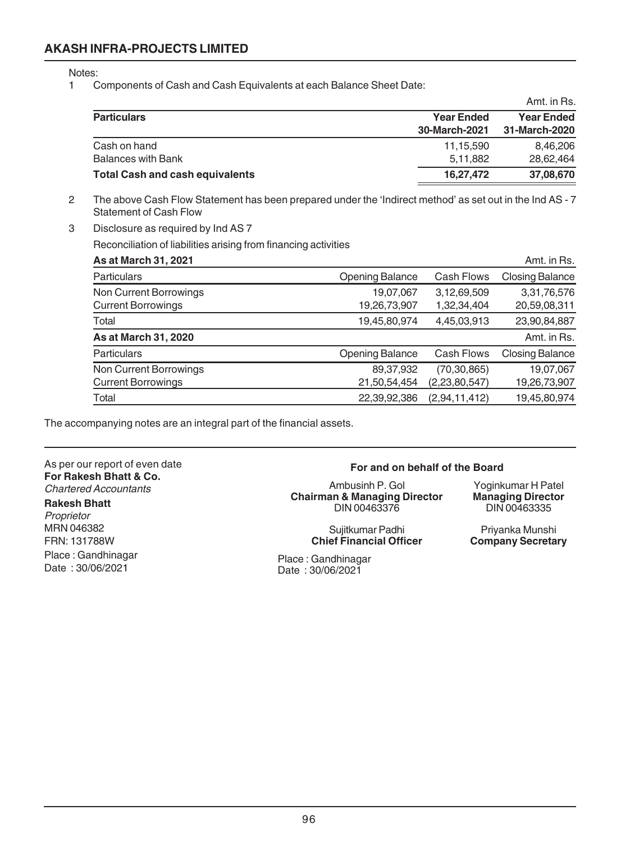# Notes:<br>1 C

1 Components of Cash and Cash Equivalents at each Balance Sheet Date:

|                   | Amt. in Rs.       |
|-------------------|-------------------|
| <b>Year Ended</b> | <b>Year Ended</b> |
| 30-March-2021     | 31-March-2020     |
| 11.15.590         | 8.46.206          |
| 5,11,882          | 28.62.464         |
| 16,27,472         | 37,08,670         |
|                   |                   |

- 2 The above Cash Flow Statement has been prepared under the 'Indirect method' as set out in the Ind AS 7 Statement of Cash Flow
- 3 Disclosure as required by Ind AS 7

Reconciliation of liabilities arising from financing activities

| As at March 31, 2021                                |                           |                                | Amt. in Rs.                 |
|-----------------------------------------------------|---------------------------|--------------------------------|-----------------------------|
| <b>Particulars</b>                                  | <b>Opening Balance</b>    | Cash Flows                     | <b>Closing Balance</b>      |
| Non Current Borrowings<br><b>Current Borrowings</b> | 19,07,067<br>19,26,73,907 | 3,12,69,509<br>1,32,34,404     | 3,31,76,576<br>20,59,08,311 |
| Total                                               | 19,45,80,974              | 4,45,03,913                    | 23,90,84,887                |
| As at March 31, 2020                                |                           |                                | Amt. in Rs.                 |
| <b>Particulars</b>                                  | <b>Opening Balance</b>    | Cash Flows                     | <b>Closing Balance</b>      |
| Non Current Borrowings<br><b>Current Borrowings</b> | 89,37,932<br>21,50,54,454 | (70, 30, 865)<br>(2,23,80,547) | 19.07.067<br>19,26,73,907   |
| Total                                               | 22,39,92,386              | (2,94,11,412)                  | 19,45,80,974                |

The accompanying notes are an integral part of the financial assets.

#### As per our report of even date **For Rakesh Bhatt & Co.** Chartered Accountants **Rakesh Bhatt Proprietor** MRN 046382 FRN: 131788W Place : Gandhinagar Date : 30/06/2021

# **For and on behalf of the Board**

Ambusinh P. Gol Yoginkumar H Patel<br>an & Managing Director Managing Director **Chairman & Managing Director Managing Director**<br>DIN 00463335 DIN 00463335 DIN 00463376

**Chief Financial Officer** 

Place : Gandhinagar Date : 30/06/2021

Sujitkumar Padhi **Priyanka Munshi**<br> **ef Financial Officer** Company Secretary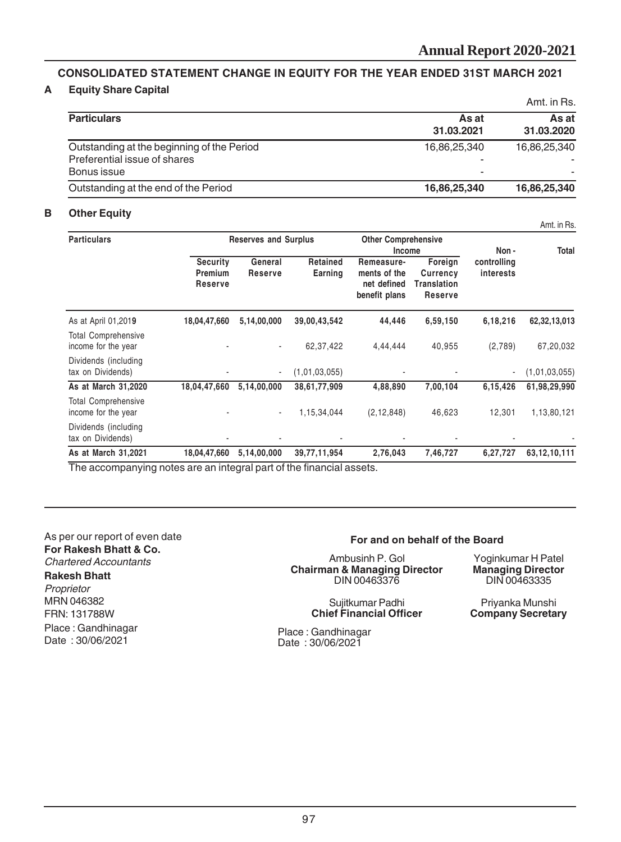Amt. in Rs.

# **CONSOLIDATED STATEMENT CHANGE IN EQUITY FOR THE YEAR ENDED 31ST MARCH 2021**

# **A Equity Share Capital**

|                                                                                           |                     | Amt. in Rs.         |
|-------------------------------------------------------------------------------------------|---------------------|---------------------|
| <b>Particulars</b>                                                                        | As at<br>31.03.2021 | As at<br>31.03.2020 |
| Outstanding at the beginning of the Period<br>Preferential issue of shares<br>Bonus issue | 16.86.25.340<br>۰   | 16.86.25.340        |
| Outstanding at the end of the Period                                                      | 16,86,25,340        | 16,86,25,340        |

# **B Other Equity**

| <b>Particulars</b>                                |                                       | <b>Reserves and Surplus</b> |                     | <b>Other Comprehensive</b><br>Income                       |                                                      | Non-                     | Total         |
|---------------------------------------------------|---------------------------------------|-----------------------------|---------------------|------------------------------------------------------------|------------------------------------------------------|--------------------------|---------------|
|                                                   | <b>Security</b><br>Premium<br>Reserve | General<br>Reserve          | Retained<br>Earning | Remeasure-<br>ments of the<br>net defined<br>benefit plans | Foreign<br>Currency<br><b>Translation</b><br>Reserve | controlling<br>interests |               |
| As at April 01,2019                               | 18,04,47,660                          | 5,14,00,000                 | 39,00,43,542        | 44,446                                                     | 6,59,150                                             | 6,18,216                 | 62,32,13,013  |
| <b>Total Comprehensive</b><br>income for the year |                                       | ٠                           | 62,37,422           | 4,44,444                                                   | 40,955                                               | (2,789)                  | 67,20,032     |
| Dividends (including<br>tax on Dividends)         |                                       | $\overline{\phantom{a}}$    | (1,01,03,055)       |                                                            |                                                      | $\blacksquare$           | (1,01,03,055) |
| As at March 31,2020                               | 18,04,47,660                          | 5,14,00,000                 | 38,61,77,909        | 4,88,890                                                   | 7,00,104                                             | 6,15,426                 | 61,98,29,990  |
| <b>Total Comprehensive</b><br>income for the year |                                       | ٠                           | 1,15,34,044         | (2, 12, 848)                                               | 46,623                                               | 12,301                   | 1,13,80,121   |
| Dividends (including<br>tax on Dividends)         |                                       |                             |                     |                                                            |                                                      |                          |               |
| As at March 31,2021                               | 18,04,47,660                          | 5,14,00,000                 | 39,77,11,954        | 2,76,043                                                   | 7,46,727                                             | 6,27,727                 | 63,12,10,111  |

The accompanying notes are an integral part of the financial assets.

# As per our report of even date **For Rakesh Bhatt & Co.**

Chartered Accountants

# **Rakesh Bhatt**

Proprietor MRN 046382 FRN: 131788W Place : Gandhinagar Date : 30/06/2021

#### **For and on behalf of the Board**

Ambusinh P. Gol Yoginkumar H Patel<br> **an & Managing Director** Managing Director **Chairman & Managing Director Managing Director**<br>DIN 00463335 DIN 00463335 DIN 00463376

**Chief Financial Officer** 

Place : Gandhinagar Date : 30/06/2021

Sujitkumar Padhi **Priyanka Munshi**<br> **ef Financial Officer** Company Secretary

97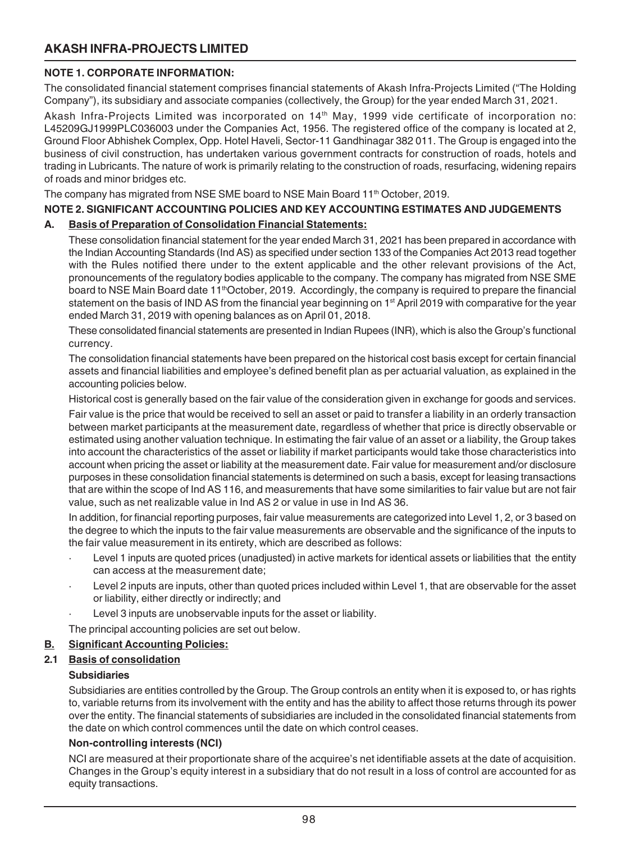# **NOTE 1. CORPORATE INFORMATION:**

The consolidated financial statement comprises financial statements of Akash Infra-Projects Limited ("The Holding Company"), its subsidiary and associate companies (collectively, the Group) for the year ended March 31, 2021.

Akash Infra-Projects Limited was incorporated on 14th May, 1999 vide certificate of incorporation no: L45209GJ1999PLC036003 under the Companies Act, 1956. The registered office of the company is located at 2, Ground Floor Abhishek Complex, Opp. Hotel Haveli, Sector-11 Gandhinagar 382 011. The Group is engaged into the business of civil construction, has undertaken various government contracts for construction of roads, hotels and trading in Lubricants. The nature of work is primarily relating to the construction of roads, resurfacing, widening repairs of roads and minor bridges etc.

The company has migrated from NSE SME board to NSE Main Board 11<sup>th</sup> October, 2019.

# **NOTE 2. SIGNIFICANT ACCOUNTING POLICIES AND KEY ACCOUNTING ESTIMATES AND JUDGEMENTS A. Basis of Preparation of Consolidation Financial Statements:**

#### These consolidation financial statement for the year ended March 31, 2021 has been prepared in accordance with the Indian Accounting Standards (Ind AS) as specified under section 133 of the Companies Act 2013 read together with the Rules notified there under to the extent applicable and the other relevant provisions of the Act, pronouncements of the regulatory bodies applicable to the company. The company has migrated from NSE SME board to NSE Main Board date 11<sup>th</sup>October, 2019. Accordingly, the company is required to prepare the financial statement on the basis of IND AS from the financial year beginning on 1<sup>st</sup> April 2019 with comparative for the year ended March 31, 2019 with opening balances as on April 01, 2018.

These consolidated financial statements are presented in Indian Rupees (INR), which is also the Group's functional currency.

The consolidation financial statements have been prepared on the historical cost basis except for certain financial assets and financial liabilities and employee's defined benefit plan as per actuarial valuation, as explained in the accounting policies below.

Historical cost is generally based on the fair value of the consideration given in exchange for goods and services.

Fair value is the price that would be received to sell an asset or paid to transfer a liability in an orderly transaction between market participants at the measurement date, regardless of whether that price is directly observable or estimated using another valuation technique. In estimating the fair value of an asset or a liability, the Group takes into account the characteristics of the asset or liability if market participants would take those characteristics into account when pricing the asset or liability at the measurement date. Fair value for measurement and/or disclosure purposes in these consolidation financial statements is determined on such a basis, except for leasing transactions that are within the scope of Ind AS 116, and measurements that have some similarities to fair value but are not fair value, such as net realizable value in Ind AS 2 or value in use in Ind AS 36.

In addition, for financial reporting purposes, fair value measurements are categorized into Level 1, 2, or 3 based on the degree to which the inputs to the fair value measurements are observable and the significance of the inputs to the fair value measurement in its entirety, which are described as follows:

- Level 1 inputs are quoted prices (unadjusted) in active markets for identical assets or liabilities that the entity can access at the measurement date;
- Level 2 inputs are inputs, other than quoted prices included within Level 1, that are observable for the asset or liability, either directly or indirectly; and
- Level 3 inputs are unobservable inputs for the asset or liability.
- The principal accounting policies are set out below.

# **B. Significant Accounting Policies:**

# **2.1 Basis of consolidation**

# **Subsidiaries**

Subsidiaries are entities controlled by the Group. The Group controls an entity when it is exposed to, or has rights to, variable returns from its involvement with the entity and has the ability to affect those returns through its power over the entity. The financial statements of subsidiaries are included in the consolidated financial statements from the date on which control commences until the date on which control ceases.

# **Non-controlling interests (NCI)**

NCI are measured at their proportionate share of the acquiree's net identifiable assets at the date of acquisition. Changes in the Group's equity interest in a subsidiary that do not result in a loss of control are accounted for as equity transactions.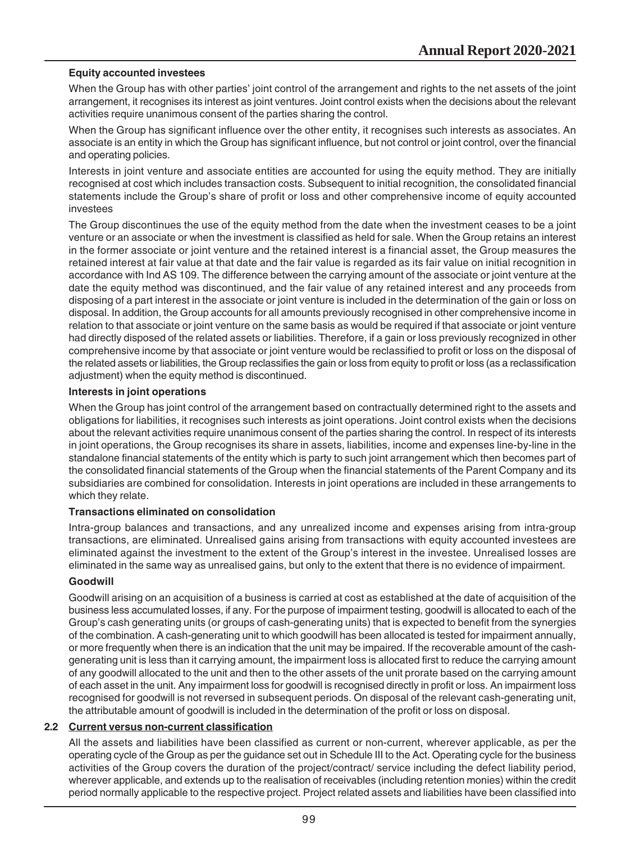# **Equity accounted investees**

When the Group has with other parties' joint control of the arrangement and rights to the net assets of the joint arrangement, it recognises its interest as joint ventures. Joint control exists when the decisions about the relevant activities require unanimous consent of the parties sharing the control.

When the Group has significant influence over the other entity, it recognises such interests as associates. An associate is an entity in which the Group has significant influence, but not control or joint control, over the financial and operating policies.

Interests in joint venture and associate entities are accounted for using the equity method. They are initially recognised at cost which includes transaction costs. Subsequent to initial recognition, the consolidated financial statements include the Group's share of profit or loss and other comprehensive income of equity accounted investees

The Group discontinues the use of the equity method from the date when the investment ceases to be a joint venture or an associate or when the investment is classified as held for sale. When the Group retains an interest in the former associate or joint venture and the retained interest is a financial asset, the Group measures the retained interest at fair value at that date and the fair value is regarded as its fair value on initial recognition in accordance with Ind AS 109. The difference between the carrying amount of the associate or joint venture at the date the equity method was discontinued, and the fair value of any retained interest and any proceeds from disposing of a part interest in the associate or joint venture is included in the determination of the gain or loss on disposal. In addition, the Group accounts for all amounts previously recognised in other comprehensive income in relation to that associate or joint venture on the same basis as would be required if that associate or joint venture had directly disposed of the related assets or liabilities. Therefore, if a gain or loss previously recognized in other comprehensive income by that associate or joint venture would be reclassified to profit or loss on the disposal of the related assets or liabilities, the Group reclassifies the gain or loss from equity to profit or loss (as a reclassification adjustment) when the equity method is discontinued.

#### **Interests in joint operations**

When the Group has joint control of the arrangement based on contractually determined right to the assets and obligations for liabilities, it recognises such interests as joint operations. Joint control exists when the decisions about the relevant activities require unanimous consent of the parties sharing the control. In respect of its interests in joint operations, the Group recognises its share in assets, liabilities, income and expenses line-by-line in the standalone financial statements of the entity which is party to such joint arrangement which then becomes part of the consolidated financial statements of the Group when the financial statements of the Parent Company and its subsidiaries are combined for consolidation. Interests in joint operations are included in these arrangements to which they relate.

# **Transactions eliminated on consolidation**

Intra-group balances and transactions, and any unrealized income and expenses arising from intra-group transactions, are eliminated. Unrealised gains arising from transactions with equity accounted investees are eliminated against the investment to the extent of the Group's interest in the investee. Unrealised losses are eliminated in the same way as unrealised gains, but only to the extent that there is no evidence of impairment.

# **Goodwill**

Goodwill arising on an acquisition of a business is carried at cost as established at the date of acquisition of the business less accumulated losses, if any. For the purpose of impairment testing, goodwill is allocated to each of the Group's cash generating units (or groups of cash-generating units) that is expected to benefit from the synergies of the combination. A cash-generating unit to which goodwill has been allocated is tested for impairment annually, or more frequently when there is an indication that the unit may be impaired. If the recoverable amount of the cashgenerating unit is less than it carrying amount, the impairment loss is allocated first to reduce the carrying amount of any goodwill allocated to the unit and then to the other assets of the unit prorate based on the carrying amount of each asset in the unit. Any impairment loss for goodwill is recognised directly in profit or loss. An impairment loss recognised for goodwill is not reversed in subsequent periods. On disposal of the relevant cash-generating unit, the attributable amount of goodwill is included in the determination of the profit or loss on disposal.

# **2.2 Current versus non-current classification**

All the assets and liabilities have been classified as current or non-current, wherever applicable, as per the operating cycle of the Group as per the guidance set out in Schedule III to the Act. Operating cycle for the business activities of the Group covers the duration of the project/contract/ service including the defect liability period, wherever applicable, and extends up to the realisation of receivables (including retention monies) within the credit period normally applicable to the respective project. Project related assets and liabilities have been classified into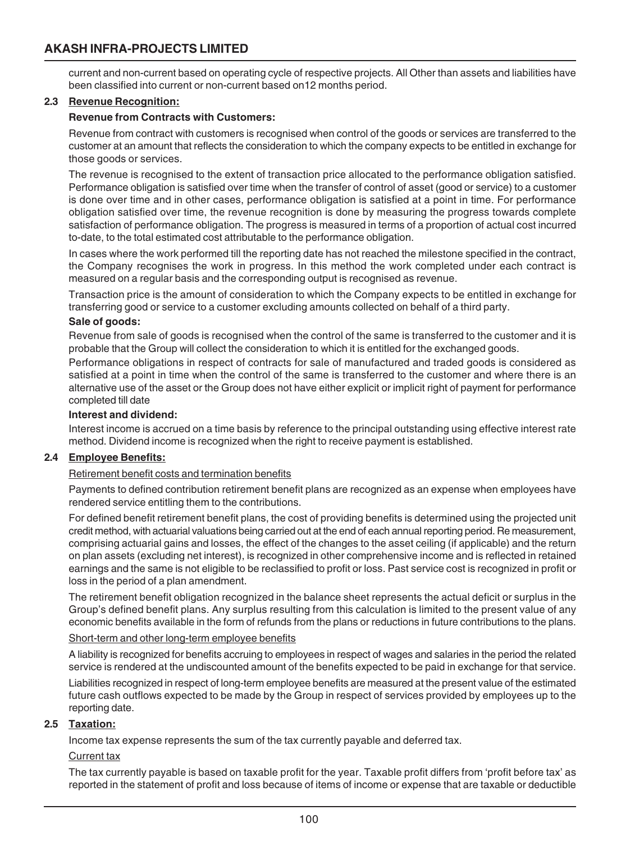current and non-current based on operating cycle of respective projects. All Other than assets and liabilities have been classified into current or non-current based on12 months period.

# **2.3 Revenue Recognition:**

# **Revenue from Contracts with Customers:**

Revenue from contract with customers is recognised when control of the goods or services are transferred to the customer at an amount that reflects the consideration to which the company expects to be entitled in exchange for those goods or services.

The revenue is recognised to the extent of transaction price allocated to the performance obligation satisfied. Performance obligation is satisfied over time when the transfer of control of asset (good or service) to a customer is done over time and in other cases, performance obligation is satisfied at a point in time. For performance obligation satisfied over time, the revenue recognition is done by measuring the progress towards complete satisfaction of performance obligation. The progress is measured in terms of a proportion of actual cost incurred to-date, to the total estimated cost attributable to the performance obligation.

In cases where the work performed till the reporting date has not reached the milestone specified in the contract, the Company recognises the work in progress. In this method the work completed under each contract is measured on a regular basis and the corresponding output is recognised as revenue.

Transaction price is the amount of consideration to which the Company expects to be entitled in exchange for transferring good or service to a customer excluding amounts collected on behalf of a third party.

# **Sale of goods:**

Revenue from sale of goods is recognised when the control of the same is transferred to the customer and it is probable that the Group will collect the consideration to which it is entitled for the exchanged goods.

Performance obligations in respect of contracts for sale of manufactured and traded goods is considered as satisfied at a point in time when the control of the same is transferred to the customer and where there is an alternative use of the asset or the Group does not have either explicit or implicit right of payment for performance completed till date

#### **Interest and dividend:**

Interest income is accrued on a time basis by reference to the principal outstanding using effective interest rate method. Dividend income is recognized when the right to receive payment is established.

# **2.4 Employee Benefits:**

# Retirement benefit costs and termination benefits

Payments to defined contribution retirement benefit plans are recognized as an expense when employees have rendered service entitling them to the contributions.

For defined benefit retirement benefit plans, the cost of providing benefits is determined using the projected unit credit method, with actuarial valuations being carried out at the end of each annual reporting period. Re measurement, comprising actuarial gains and losses, the effect of the changes to the asset ceiling (if applicable) and the return on plan assets (excluding net interest), is recognized in other comprehensive income and is reflected in retained earnings and the same is not eligible to be reclassified to profit or loss. Past service cost is recognized in profit or loss in the period of a plan amendment.

The retirement benefit obligation recognized in the balance sheet represents the actual deficit or surplus in the Group's defined benefit plans. Any surplus resulting from this calculation is limited to the present value of any economic benefits available in the form of refunds from the plans or reductions in future contributions to the plans.

# Short-term and other long-term employee benefits

A liability is recognized for benefits accruing to employees in respect of wages and salaries in the period the related service is rendered at the undiscounted amount of the benefits expected to be paid in exchange for that service.

Liabilities recognized in respect of long-term employee benefits are measured at the present value of the estimated future cash outflows expected to be made by the Group in respect of services provided by employees up to the reporting date.

# **2.5 Taxation:**

Income tax expense represents the sum of the tax currently payable and deferred tax.

# Current tax

The tax currently payable is based on taxable profit for the year. Taxable profit differs from 'profit before tax' as reported in the statement of profit and loss because of items of income or expense that are taxable or deductible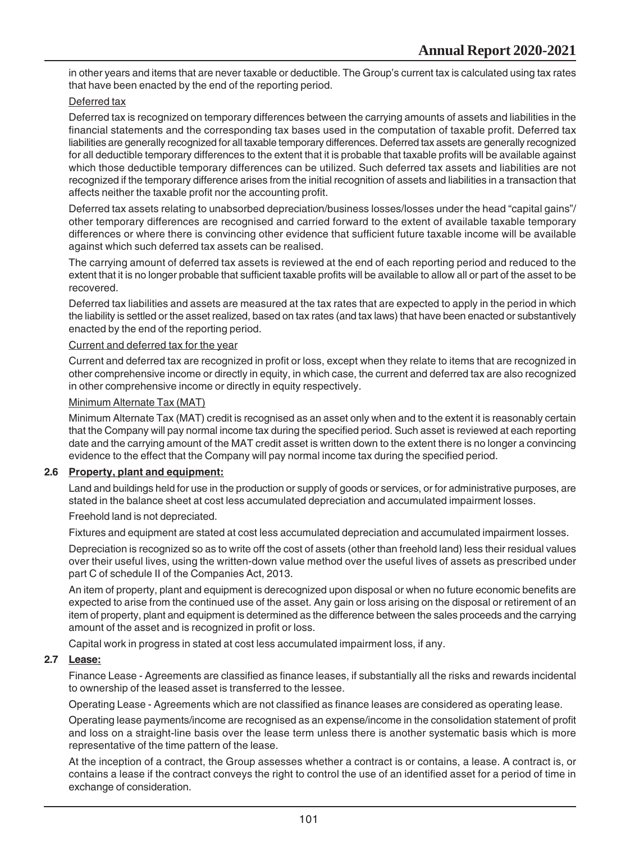in other years and items that are never taxable or deductible. The Group's current tax is calculated using tax rates that have been enacted by the end of the reporting period.

# Deferred tax

Deferred tax is recognized on temporary differences between the carrying amounts of assets and liabilities in the financial statements and the corresponding tax bases used in the computation of taxable profit. Deferred tax liabilities are generally recognized for all taxable temporary differences. Deferred tax assets are generally recognized for all deductible temporary differences to the extent that it is probable that taxable profits will be available against which those deductible temporary differences can be utilized. Such deferred tax assets and liabilities are not recognized if the temporary difference arises from the initial recognition of assets and liabilities in a transaction that affects neither the taxable profit nor the accounting profit.

Deferred tax assets relating to unabsorbed depreciation/business losses/losses under the head "capital gains"/ other temporary differences are recognised and carried forward to the extent of available taxable temporary differences or where there is convincing other evidence that sufficient future taxable income will be available against which such deferred tax assets can be realised.

The carrying amount of deferred tax assets is reviewed at the end of each reporting period and reduced to the extent that it is no longer probable that sufficient taxable profits will be available to allow all or part of the asset to be recovered.

Deferred tax liabilities and assets are measured at the tax rates that are expected to apply in the period in which the liability is settled or the asset realized, based on tax rates (and tax laws) that have been enacted or substantively enacted by the end of the reporting period.

#### Current and deferred tax for the year

Current and deferred tax are recognized in profit or loss, except when they relate to items that are recognized in other comprehensive income or directly in equity, in which case, the current and deferred tax are also recognized in other comprehensive income or directly in equity respectively.

# Minimum Alternate Tax (MAT)

Minimum Alternate Tax (MAT) credit is recognised as an asset only when and to the extent it is reasonably certain that the Company will pay normal income tax during the specified period. Such asset is reviewed at each reporting date and the carrying amount of the MAT credit asset is written down to the extent there is no longer a convincing evidence to the effect that the Company will pay normal income tax during the specified period.

# **2.6 Property, plant and equipment:**

Land and buildings held for use in the production or supply of goods or services, or for administrative purposes, are stated in the balance sheet at cost less accumulated depreciation and accumulated impairment losses.

Freehold land is not depreciated.

Fixtures and equipment are stated at cost less accumulated depreciation and accumulated impairment losses.

Depreciation is recognized so as to write off the cost of assets (other than freehold land) less their residual values over their useful lives, using the written-down value method over the useful lives of assets as prescribed under part C of schedule II of the Companies Act, 2013.

An item of property, plant and equipment is derecognized upon disposal or when no future economic benefits are expected to arise from the continued use of the asset. Any gain or loss arising on the disposal or retirement of an item of property, plant and equipment is determined as the difference between the sales proceeds and the carrying amount of the asset and is recognized in profit or loss.

Capital work in progress in stated at cost less accumulated impairment loss, if any.

# **2.7 Lease:**

Finance Lease - Agreements are classified as finance leases, if substantially all the risks and rewards incidental to ownership of the leased asset is transferred to the lessee.

Operating Lease - Agreements which are not classified as finance leases are considered as operating lease.

Operating lease payments/income are recognised as an expense/income in the consolidation statement of profit and loss on a straight-line basis over the lease term unless there is another systematic basis which is more representative of the time pattern of the lease.

At the inception of a contract, the Group assesses whether a contract is or contains, a lease. A contract is, or contains a lease if the contract conveys the right to control the use of an identified asset for a period of time in exchange of consideration.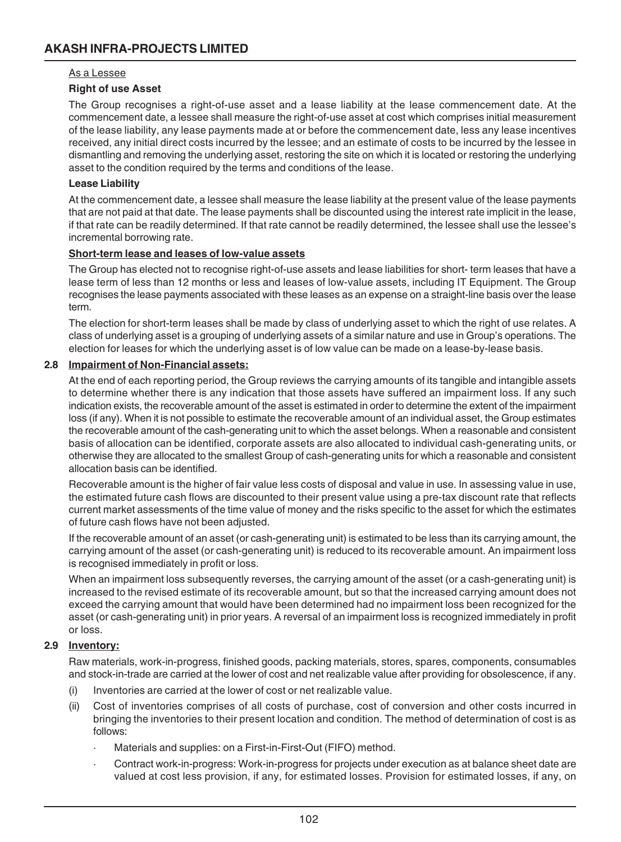# As a Lessee

# **Right of use Asset**

The Group recognises a right-of-use asset and a lease liability at the lease commencement date. At the commencement date, a lessee shall measure the right-of-use asset at cost which comprises initial measurement of the lease liability, any lease payments made at or before the commencement date, less any lease incentives received, any initial direct costs incurred by the lessee; and an estimate of costs to be incurred by the lessee in dismantling and removing the underlying asset, restoring the site on which it is located or restoring the underlying asset to the condition required by the terms and conditions of the lease.

# **Lease Liability**

At the commencement date, a lessee shall measure the lease liability at the present value of the lease payments that are not paid at that date. The lease payments shall be discounted using the interest rate implicit in the lease, if that rate can be readily determined. If that rate cannot be readily determined, the lessee shall use the lessee's incremental borrowing rate.

# **Short-term lease and leases of low-value assets**

The Group has elected not to recognise right-of-use assets and lease liabilities for short- term leases that have a lease term of less than 12 months or less and leases of low-value assets, including IT Equipment. The Group recognises the lease payments associated with these leases as an expense on a straight-line basis over the lease term.

The election for short-term leases shall be made by class of underlying asset to which the right of use relates. A class of underlying asset is a grouping of underlying assets of a similar nature and use in Group's operations. The election for leases for which the underlying asset is of low value can be made on a lease-by-lease basis.

# **2.8 Impairment of Non-Financial assets:**

At the end of each reporting period, the Group reviews the carrying amounts of its tangible and intangible assets to determine whether there is any indication that those assets have suffered an impairment loss. If any such indication exists, the recoverable amount of the asset is estimated in order to determine the extent of the impairment loss (if any). When it is not possible to estimate the recoverable amount of an individual asset, the Group estimates the recoverable amount of the cash-generating unit to which the asset belongs. When a reasonable and consistent basis of allocation can be identified, corporate assets are also allocated to individual cash-generating units, or otherwise they are allocated to the smallest Group of cash-generating units for which a reasonable and consistent allocation basis can be identified.

Recoverable amount is the higher of fair value less costs of disposal and value in use. In assessing value in use, the estimated future cash flows are discounted to their present value using a pre-tax discount rate that reflects current market assessments of the time value of money and the risks specific to the asset for which the estimates of future cash flows have not been adjusted.

If the recoverable amount of an asset (or cash-generating unit) is estimated to be less than its carrying amount, the carrying amount of the asset (or cash-generating unit) is reduced to its recoverable amount. An impairment loss is recognised immediately in profit or loss.

When an impairment loss subsequently reverses, the carrying amount of the asset (or a cash-generating unit) is increased to the revised estimate of its recoverable amount, but so that the increased carrying amount does not exceed the carrying amount that would have been determined had no impairment loss been recognized for the asset (or cash-generating unit) in prior years. A reversal of an impairment loss is recognized immediately in profit or loss.

# **2.9 Inventory:**

Raw materials, work-in-progress, finished goods, packing materials, stores, spares, components, consumables and stock-in-trade are carried at the lower of cost and net realizable value after providing for obsolescence, if any.

- (i) Inventories are carried at the lower of cost or net realizable value.
- (ii) Cost of inventories comprises of all costs of purchase, cost of conversion and other costs incurred in bringing the inventories to their present location and condition. The method of determination of cost is as follows:
	- Materials and supplies: on a First-in-First-Out (FIFO) method.
	- · Contract work-in-progress: Work-in-progress for projects under execution as at balance sheet date are valued at cost less provision, if any, for estimated losses. Provision for estimated losses, if any, on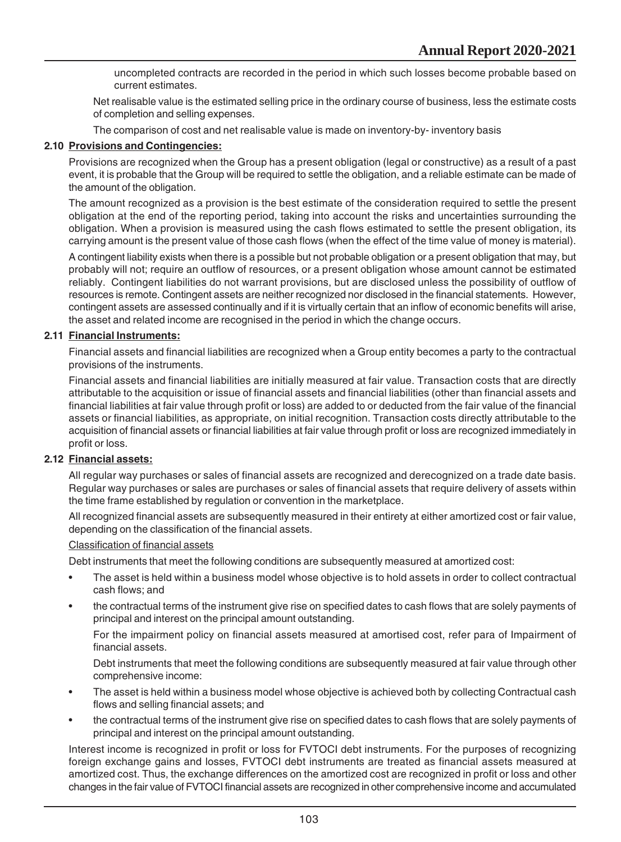uncompleted contracts are recorded in the period in which such losses become probable based on current estimates.

Net realisable value is the estimated selling price in the ordinary course of business, less the estimate costs of completion and selling expenses.

The comparison of cost and net realisable value is made on inventory-by- inventory basis

#### **2.10 Provisions and Contingencies:**

Provisions are recognized when the Group has a present obligation (legal or constructive) as a result of a past event, it is probable that the Group will be required to settle the obligation, and a reliable estimate can be made of the amount of the obligation.

The amount recognized as a provision is the best estimate of the consideration required to settle the present obligation at the end of the reporting period, taking into account the risks and uncertainties surrounding the obligation. When a provision is measured using the cash flows estimated to settle the present obligation, its carrying amount is the present value of those cash flows (when the effect of the time value of money is material).

A contingent liability exists when there is a possible but not probable obligation or a present obligation that may, but probably will not; require an outflow of resources, or a present obligation whose amount cannot be estimated reliably. Contingent liabilities do not warrant provisions, but are disclosed unless the possibility of outflow of resources is remote. Contingent assets are neither recognized nor disclosed in the financial statements. However, contingent assets are assessed continually and if it is virtually certain that an inflow of economic benefits will arise, the asset and related income are recognised in the period in which the change occurs.

# **2.11 Financial Instruments:**

Financial assets and financial liabilities are recognized when a Group entity becomes a party to the contractual provisions of the instruments.

Financial assets and financial liabilities are initially measured at fair value. Transaction costs that are directly attributable to the acquisition or issue of financial assets and financial liabilities (other than financial assets and financial liabilities at fair value through profit or loss) are added to or deducted from the fair value of the financial assets or financial liabilities, as appropriate, on initial recognition. Transaction costs directly attributable to the acquisition of financial assets or financial liabilities at fair value through profit or loss are recognized immediately in profit or loss.

# **2.12 Financial assets:**

All regular way purchases or sales of financial assets are recognized and derecognized on a trade date basis. Regular way purchases or sales are purchases or sales of financial assets that require delivery of assets within the time frame established by regulation or convention in the marketplace.

All recognized financial assets are subsequently measured in their entirety at either amortized cost or fair value, depending on the classification of the financial assets.

#### Classification of financial assets

Debt instruments that meet the following conditions are subsequently measured at amortized cost:

- The asset is held within a business model whose objective is to hold assets in order to collect contractual cash flows; and
- the contractual terms of the instrument give rise on specified dates to cash flows that are solely payments of principal and interest on the principal amount outstanding.

For the impairment policy on financial assets measured at amortised cost, refer para of Impairment of financial assets.

Debt instruments that meet the following conditions are subsequently measured at fair value through other comprehensive income:

- The asset is held within a business model whose objective is achieved both by collecting Contractual cash flows and selling financial assets; and
- the contractual terms of the instrument give rise on specified dates to cash flows that are solely payments of principal and interest on the principal amount outstanding.

Interest income is recognized in profit or loss for FVTOCI debt instruments. For the purposes of recognizing foreign exchange gains and losses, FVTOCI debt instruments are treated as financial assets measured at amortized cost. Thus, the exchange differences on the amortized cost are recognized in profit or loss and other changes in the fair value of FVTOCI financial assets are recognized in other comprehensive income and accumulated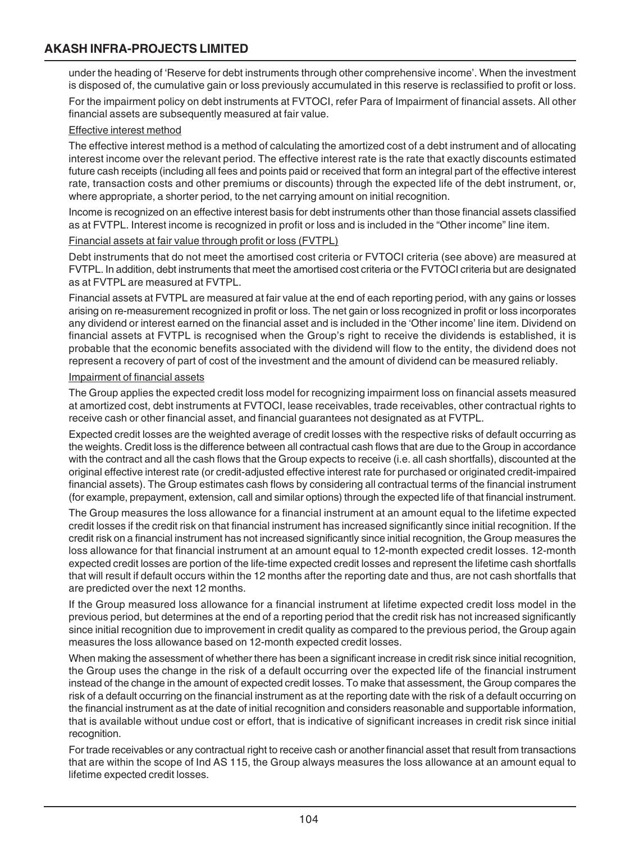under the heading of 'Reserve for debt instruments through other comprehensive income'. When the investment is disposed of, the cumulative gain or loss previously accumulated in this reserve is reclassified to profit or loss.

For the impairment policy on debt instruments at FVTOCI, refer Para of Impairment of financial assets. All other financial assets are subsequently measured at fair value.

#### Effective interest method

The effective interest method is a method of calculating the amortized cost of a debt instrument and of allocating interest income over the relevant period. The effective interest rate is the rate that exactly discounts estimated future cash receipts (including all fees and points paid or received that form an integral part of the effective interest rate, transaction costs and other premiums or discounts) through the expected life of the debt instrument, or, where appropriate, a shorter period, to the net carrying amount on initial recognition.

Income is recognized on an effective interest basis for debt instruments other than those financial assets classified as at FVTPL. Interest income is recognized in profit or loss and is included in the "Other income" line item.

#### Financial assets at fair value through profit or loss (FVTPL)

Debt instruments that do not meet the amortised cost criteria or FVTOCI criteria (see above) are measured at FVTPL. In addition, debt instruments that meet the amortised cost criteria or the FVTOCI criteria but are designated as at FVTPL are measured at FVTPL.

Financial assets at FVTPL are measured at fair value at the end of each reporting period, with any gains or losses arising on re-measurement recognized in profit or loss. The net gain or loss recognized in profit or loss incorporates any dividend or interest earned on the financial asset and is included in the 'Other income' line item. Dividend on financial assets at FVTPL is recognised when the Group's right to receive the dividends is established, it is probable that the economic benefits associated with the dividend will flow to the entity, the dividend does not represent a recovery of part of cost of the investment and the amount of dividend can be measured reliably.

# Impairment of financial assets

The Group applies the expected credit loss model for recognizing impairment loss on financial assets measured at amortized cost, debt instruments at FVTOCI, lease receivables, trade receivables, other contractual rights to receive cash or other financial asset, and financial guarantees not designated as at FVTPL.

Expected credit losses are the weighted average of credit losses with the respective risks of default occurring as the weights. Credit loss is the difference between all contractual cash flows that are due to the Group in accordance with the contract and all the cash flows that the Group expects to receive (i.e. all cash shortfalls), discounted at the original effective interest rate (or credit-adjusted effective interest rate for purchased or originated credit-impaired financial assets). The Group estimates cash flows by considering all contractual terms of the financial instrument (for example, prepayment, extension, call and similar options) through the expected life of that financial instrument.

The Group measures the loss allowance for a financial instrument at an amount equal to the lifetime expected credit losses if the credit risk on that financial instrument has increased significantly since initial recognition. If the credit risk on a financial instrument has not increased significantly since initial recognition, the Group measures the loss allowance for that financial instrument at an amount equal to 12-month expected credit losses. 12-month expected credit losses are portion of the life-time expected credit losses and represent the lifetime cash shortfalls that will result if default occurs within the 12 months after the reporting date and thus, are not cash shortfalls that are predicted over the next 12 months.

If the Group measured loss allowance for a financial instrument at lifetime expected credit loss model in the previous period, but determines at the end of a reporting period that the credit risk has not increased significantly since initial recognition due to improvement in credit quality as compared to the previous period, the Group again measures the loss allowance based on 12-month expected credit losses.

When making the assessment of whether there has been a significant increase in credit risk since initial recognition, the Group uses the change in the risk of a default occurring over the expected life of the financial instrument instead of the change in the amount of expected credit losses. To make that assessment, the Group compares the risk of a default occurring on the financial instrument as at the reporting date with the risk of a default occurring on the financial instrument as at the date of initial recognition and considers reasonable and supportable information, that is available without undue cost or effort, that is indicative of significant increases in credit risk since initial recognition.

For trade receivables or any contractual right to receive cash or another financial asset that result from transactions that are within the scope of Ind AS 115, the Group always measures the loss allowance at an amount equal to lifetime expected credit losses.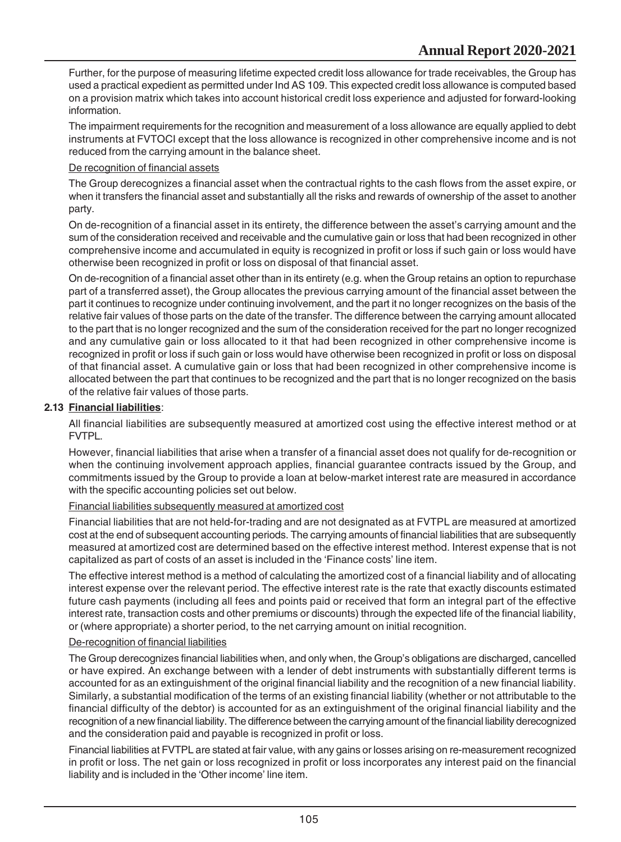Further, for the purpose of measuring lifetime expected credit loss allowance for trade receivables, the Group has used a practical expedient as permitted under Ind AS 109. This expected credit loss allowance is computed based on a provision matrix which takes into account historical credit loss experience and adjusted for forward-looking information.

The impairment requirements for the recognition and measurement of a loss allowance are equally applied to debt instruments at FVTOCI except that the loss allowance is recognized in other comprehensive income and is not reduced from the carrying amount in the balance sheet.

# De recognition of financial assets

The Group derecognizes a financial asset when the contractual rights to the cash flows from the asset expire, or when it transfers the financial asset and substantially all the risks and rewards of ownership of the asset to another party.

On de-recognition of a financial asset in its entirety, the difference between the asset's carrying amount and the sum of the consideration received and receivable and the cumulative gain or loss that had been recognized in other comprehensive income and accumulated in equity is recognized in profit or loss if such gain or loss would have otherwise been recognized in profit or loss on disposal of that financial asset.

On de-recognition of a financial asset other than in its entirety (e.g. when the Group retains an option to repurchase part of a transferred asset), the Group allocates the previous carrying amount of the financial asset between the part it continues to recognize under continuing involvement, and the part it no longer recognizes on the basis of the relative fair values of those parts on the date of the transfer. The difference between the carrying amount allocated to the part that is no longer recognized and the sum of the consideration received for the part no longer recognized and any cumulative gain or loss allocated to it that had been recognized in other comprehensive income is recognized in profit or loss if such gain or loss would have otherwise been recognized in profit or loss on disposal of that financial asset. A cumulative gain or loss that had been recognized in other comprehensive income is allocated between the part that continues to be recognized and the part that is no longer recognized on the basis of the relative fair values of those parts.

# **2.13 Financial liabilities**:

All financial liabilities are subsequently measured at amortized cost using the effective interest method or at FVTPL.

However, financial liabilities that arise when a transfer of a financial asset does not qualify for de-recognition or when the continuing involvement approach applies, financial guarantee contracts issued by the Group, and commitments issued by the Group to provide a loan at below-market interest rate are measured in accordance with the specific accounting policies set out below.

#### Financial liabilities subsequently measured at amortized cost

Financial liabilities that are not held-for-trading and are not designated as at FVTPL are measured at amortized cost at the end of subsequent accounting periods. The carrying amounts of financial liabilities that are subsequently measured at amortized cost are determined based on the effective interest method. Interest expense that is not capitalized as part of costs of an asset is included in the 'Finance costs' line item.

The effective interest method is a method of calculating the amortized cost of a financial liability and of allocating interest expense over the relevant period. The effective interest rate is the rate that exactly discounts estimated future cash payments (including all fees and points paid or received that form an integral part of the effective interest rate, transaction costs and other premiums or discounts) through the expected life of the financial liability, or (where appropriate) a shorter period, to the net carrying amount on initial recognition.

#### De-recognition of financial liabilities

The Group derecognizes financial liabilities when, and only when, the Group's obligations are discharged, cancelled or have expired. An exchange between with a lender of debt instruments with substantially different terms is accounted for as an extinguishment of the original financial liability and the recognition of a new financial liability. Similarly, a substantial modification of the terms of an existing financial liability (whether or not attributable to the financial difficulty of the debtor) is accounted for as an extinguishment of the original financial liability and the recognition of a new financial liability. The difference between the carrying amount of the financial liability derecognized and the consideration paid and payable is recognized in profit or loss.

Financial liabilities at FVTPL are stated at fair value, with any gains or losses arising on re-measurement recognized in profit or loss. The net gain or loss recognized in profit or loss incorporates any interest paid on the financial liability and is included in the 'Other income' line item.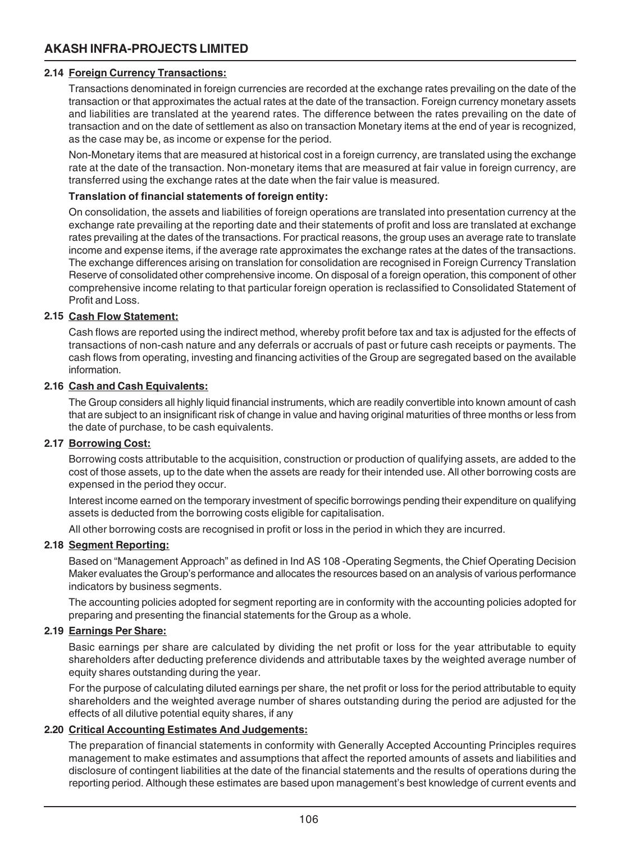# **2.14 Foreign Currency Transactions:**

Transactions denominated in foreign currencies are recorded at the exchange rates prevailing on the date of the transaction or that approximates the actual rates at the date of the transaction. Foreign currency monetary assets and liabilities are translated at the yearend rates. The difference between the rates prevailing on the date of transaction and on the date of settlement as also on transaction Monetary items at the end of year is recognized, as the case may be, as income or expense for the period.

Non-Monetary items that are measured at historical cost in a foreign currency, are translated using the exchange rate at the date of the transaction. Non-monetary items that are measured at fair value in foreign currency, are transferred using the exchange rates at the date when the fair value is measured.

# **Translation of financial statements of foreign entity:**

On consolidation, the assets and liabilities of foreign operations are translated into presentation currency at the exchange rate prevailing at the reporting date and their statements of profit and loss are translated at exchange rates prevailing at the dates of the transactions. For practical reasons, the group uses an average rate to translate income and expense items, if the average rate approximates the exchange rates at the dates of the transactions. The exchange differences arising on translation for consolidation are recognised in Foreign Currency Translation Reserve of consolidated other comprehensive income. On disposal of a foreign operation, this component of other comprehensive income relating to that particular foreign operation is reclassified to Consolidated Statement of Profit and Loss.

# **2.15 Cash Flow Statement:**

Cash flows are reported using the indirect method, whereby profit before tax and tax is adjusted for the effects of transactions of non-cash nature and any deferrals or accruals of past or future cash receipts or payments. The cash flows from operating, investing and financing activities of the Group are segregated based on the available information.

# **2.16 Cash and Cash Equivalents:**

The Group considers all highly liquid financial instruments, which are readily convertible into known amount of cash that are subject to an insignificant risk of change in value and having original maturities of three months or less from the date of purchase, to be cash equivalents.

# **2.17 Borrowing Cost:**

Borrowing costs attributable to the acquisition, construction or production of qualifying assets, are added to the cost of those assets, up to the date when the assets are ready for their intended use. All other borrowing costs are expensed in the period they occur.

Interest income earned on the temporary investment of specific borrowings pending their expenditure on qualifying assets is deducted from the borrowing costs eligible for capitalisation.

All other borrowing costs are recognised in profit or loss in the period in which they are incurred.

# **2.18 Segment Reporting:**

Based on "Management Approach" as defined in Ind AS 108 -Operating Segments, the Chief Operating Decision Maker evaluates the Group's performance and allocates the resources based on an analysis of various performance indicators by business segments.

The accounting policies adopted for segment reporting are in conformity with the accounting policies adopted for preparing and presenting the financial statements for the Group as a whole.

# **2.19 Earnings Per Share:**

Basic earnings per share are calculated by dividing the net profit or loss for the year attributable to equity shareholders after deducting preference dividends and attributable taxes by the weighted average number of equity shares outstanding during the year.

For the purpose of calculating diluted earnings per share, the net profit or loss for the period attributable to equity shareholders and the weighted average number of shares outstanding during the period are adjusted for the effects of all dilutive potential equity shares, if any

# **2.20 Critical Accounting Estimates And Judgements:**

The preparation of financial statements in conformity with Generally Accepted Accounting Principles requires management to make estimates and assumptions that affect the reported amounts of assets and liabilities and disclosure of contingent liabilities at the date of the financial statements and the results of operations during the reporting period. Although these estimates are based upon management's best knowledge of current events and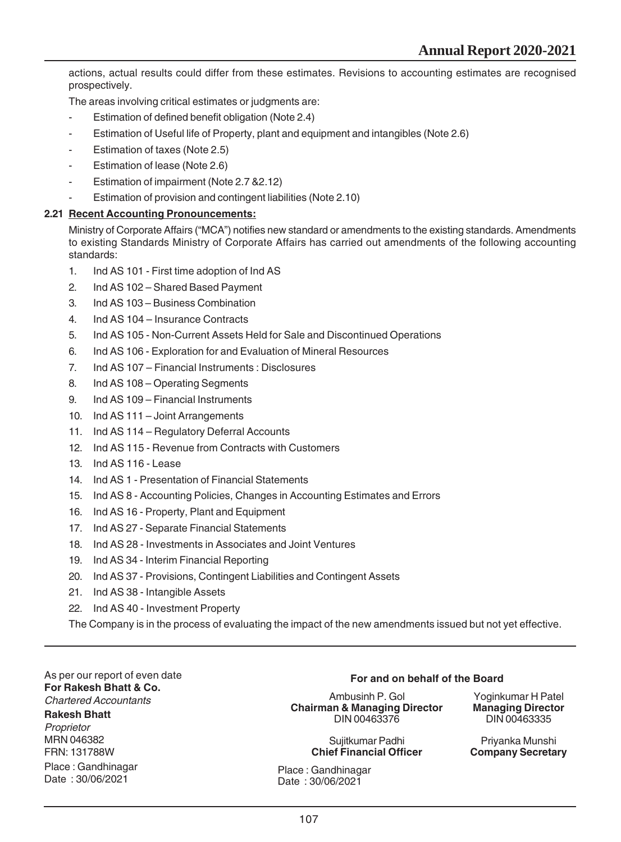actions, actual results could differ from these estimates. Revisions to accounting estimates are recognised prospectively.

The areas involving critical estimates or judgments are:

- Estimation of defined benefit obligation (Note 2.4)
- Estimation of Useful life of Property, plant and equipment and intangibles (Note 2.6)
- Estimation of taxes (Note 2.5)
- Estimation of lease (Note 2.6)
- Estimation of impairment (Note 2.7 & 2.12)
- Estimation of provision and contingent liabilities (Note 2.10)

# **2.21 Recent Accounting Pronouncements:**

Ministry of Corporate Affairs ("MCA") notifies new standard or amendments to the existing standards. Amendments to existing Standards Ministry of Corporate Affairs has carried out amendments of the following accounting standards:

- 1. Ind AS 101 First time adoption of Ind AS
- 2. Ind AS 102 Shared Based Payment
- 3. Ind AS 103 Business Combination
- 4. Ind AS 104 Insurance Contracts
- 5. Ind AS 105 Non-Current Assets Held for Sale and Discontinued Operations
- 6. Ind AS 106 Exploration for and Evaluation of Mineral Resources
- 7. Ind AS 107 Financial Instruments : Disclosures
- 8. Ind AS 108 Operating Segments
- 9. Ind AS 109 Financial Instruments
- 10. Ind AS 111 Joint Arrangements
- 11. Ind AS 114 Regulatory Deferral Accounts
- 12. Ind AS 115 Revenue from Contracts with Customers
- 13. Ind AS 116 Lease
- 14. Ind AS 1 Presentation of Financial Statements
- 15. Ind AS 8 Accounting Policies, Changes in Accounting Estimates and Errors
- 16. Ind AS 16 Property, Plant and Equipment
- 17. Ind AS 27 Separate Financial Statements
- 18. Ind AS 28 Investments in Associates and Joint Ventures
- 19. Ind AS 34 Interim Financial Reporting
- 20. Ind AS 37 Provisions, Contingent Liabilities and Contingent Assets
- 21. Ind AS 38 Intangible Assets
- 22. Ind AS 40 Investment Property

The Company is in the process of evaluating the impact of the new amendments issued but not yet effective.

#### As per our report of even date **For Rakesh Bhatt & Co.**

# Chartered Accountants **Rakesh Bhatt Proprietor**

MRN 046382 FRN: 131788W Place : Gandhinagar Date : 30/06/2021

#### **For and on behalf of the Board**

Ambusinh P. Gol Yoginkumar H Patel **Chairman & Managing Director**<br>DIN 00463376

**Chief Financial Officer** 

Place : Gandhinagar Date : 30/06/2021

DIN 00463335

Sujitkumar Padhi **Priyanka Munshi**<br> **ef Financial Officer** Company Secretary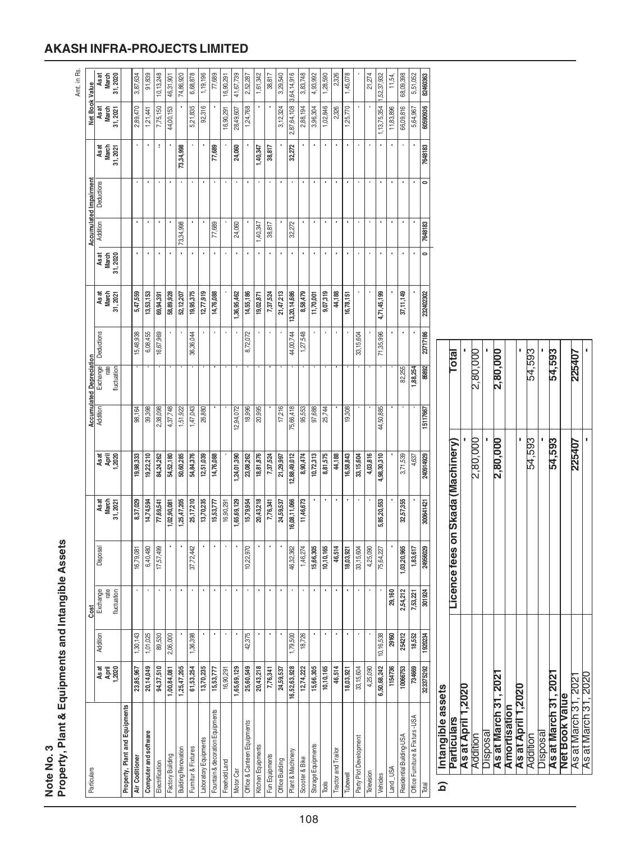| Property, Plant & Equipments and Intangible Assets |                          |             |                     |             |                  |                          |           |                                 |                     |                   |               |           |                        |                  |                  | Amt. in Rs.    |
|----------------------------------------------------|--------------------------|-------------|---------------------|-------------|------------------|--------------------------|-----------|---------------------------------|---------------------|-------------------|---------------|-----------|------------------------|------------------|------------------|----------------|
| Particulars                                        |                          |             | Cost                |             |                  |                          |           | <b>Accumulated Depreciation</b> |                     |                   |               |           | Accumulated Impairment |                  | Net Book         | Value          |
|                                                    |                          | Addition    | Exchange            | Disposal    | Asat             |                          | Addition  |                                 | Exchange Deductions | <b>As at</b>      | Asat<br>March | Addition  | Deductions             | <b>As at</b>     | <b>As at</b>     | As at<br>March |
|                                                    | As at<br>April<br>1,2020 |             | rate<br>fluctuation |             | March<br>31,2021 | As at<br>April<br>1,2020 |           | rate<br>fluctuation             |                     | March<br>31, 2021 | 31,2020       |           |                        | March<br>31,2021 | March<br>31,2021 | 31,2020        |
| Property, Plant and Equipments                     |                          |             |                     |             |                  |                          |           |                                 |                     |                   |               |           |                        |                  |                  |                |
| Air Coditioner                                     | 23,85,967                | 1,30,143    |                     | 16,79,081   | 8,37,029         | 19,98,333                | 98,164    |                                 | 15,48,938           | 5,47,559          |               | ٠         |                        |                  | 2,89,470         | 3,87,634       |
| Computer and software                              | 20, 14, 049              | 1,01,025    |                     | 6,40,480    | 14,74,594        | 19,22,210                | 39,398    |                                 | 6,08,455            | 13,53,153         | ٠             |           |                        |                  | 1,21,441         | 91,839         |
| Electrification                                    | 94,37,510                | 89,530      |                     | 17,57,499   | 77,69,541        | 84,24,262                | 2,38,098  |                                 | 16,67,969           | 69,94,391         |               |           |                        | ŧ                | 7,75,150         | 10, 13, 248    |
| Factory Building                                   | 1,00,84,081              | 2,06,000    |                     |             | 1,02,90,081      | 54,52,180                | 4,37,748  |                                 |                     | 58,89,928         |               |           |                        | í.               | 44,00,153        | 46,31,901      |
| <b>Building Renovation</b>                         | 1,25,47,205              |             |                     |             | 1,25,47,205      | 50,60,285                | 1,51,922  |                                 |                     | 52,12,207         |               | 73,34,998 |                        | 73,34,998        |                  | 74,86,920      |
| Furnitur & Fixtures                                | 61,53,254                | 1,36,398    |                     | 37,72,442   | 25,17,210        | 54,84,376                | 1,47,043  |                                 | 36,36,044           | 19,95,375         | J.            |           |                        |                  | 5,21,835         | 6,68,878       |
| aboratory Equipments                               | 13,70,235                |             |                     |             | 13,70,235        | 12,51,039                | 26,880    |                                 |                     | 12, 77, 919       |               |           |                        | ï                | 92,316           | 1,19,196       |
| Fountain & decoration Equipments                   | 15,53,777                |             |                     | ٠           | 15,53,777        | 14,76,088                |           |                                 | ٠                   | 14,76,088         | Î,            | 77,689    |                        | 77,689           |                  | 77,689         |
| Freehold Land                                      | 16,90,291                |             |                     |             | 16,90,291        |                          |           |                                 |                     |                   |               |           |                        |                  | 16,90,291        | 16,90,291      |
| Motor Car                                          | 1,65,69,129              |             |                     |             | 1,65,69,129      | 1,24,01,390              | 12,94,072 |                                 |                     | 1,36,95,462       |               | 24,060    |                        | 24,060           | 28,49,607        | 41,67,739      |
| Office & Canteen Equipments                        | 25,60,549                | 42,375      | ï                   | 10,22,970   | 15,79,954        | 23,08,262                | 18,996    |                                 | 8,72,072            | 14,55,186         |               |           |                        | í.               | 1,24,768         | 2,52,287       |
| Kitchen Equipments                                 | 20,43,218                |             |                     |             | 20,43,218        | 18,81,876                | 20,995    |                                 |                     | 19,02,871         |               | 1.40,347  |                        | 1,40,347         |                  | 1,61,342       |
| Fun Equipments                                     | 7,76,341                 |             |                     |             | 7,76,341         | 7,37,524                 |           |                                 |                     | 7,37,524          |               | 38,817    |                        | 38,817           |                  | 38,817         |
| Office Building                                    | 24,59,537                |             |                     |             | 24,59,537        | 21,29,997                | 17,216    |                                 |                     | 21,47,213         |               |           |                        |                  | 3,12,324         | 3,29,540       |
| Plant & Machinery                                  | 16,52,63,928             | 1,79,500    |                     | 46,32,362   | 16,08,11,066     | 12,88,49,012             | 75,66,418 |                                 | 44,00,744           | 13,20,14,686      |               | 32,272    |                        | 32,272           | 2,87,64,108      | 3,64,14,916    |
| Scooter & Bike                                     | 12,74,222                | 18,726      |                     | 1,46,274    | 11,46,673        | 8,90,474                 | 95,553    |                                 | 1,27,548            | 8,58,479          |               |           |                        |                  | 2,88,194         | 3,83,748       |
| Storage Equipments                                 | 15,66,305                |             |                     | 15,66,305   |                  | 10,72,313                | 97,688    |                                 |                     | 11,70,001         | ×             | J.        |                        | ï                | 3,96,304         | 4,93,992       |
| Tools                                              | 10,10,165                |             |                     | 10,10,165   |                  | 8,81,575                 | 25,744    |                                 |                     | 9,07,319          | ï             | ı         |                        | ï                | 1,02,846         | 1,28,590       |
| Tractor and Trailor                                | 46,514                   |             |                     | 46,514      |                  | 44,188                   |           |                                 |                     | 44,188            | ٠             | ٠         |                        | J,               | 2326             | 2,326          |
| Tubewell                                           | 18,03,921                |             |                     | 18,03,921   |                  | 16,58,843                | 19,308    |                                 |                     | 16,78,151         | ٠             | ı         |                        | ï                | 1,25,770         | 1,45,078       |
| Party Plot Developmem                              | 33, 15, 604              |             |                     | 33,15,604   |                  | 33,15,604                |           |                                 | 33,15,604           |                   |               | ٠         |                        | ï                |                  |                |
| Television                                         | 4,25,090                 |             |                     | 4,25,090    |                  | 4,03,816                 |           |                                 |                     |                   |               |           |                        |                  |                  | 21,274         |
| Vehicles                                           | 6,50,68,242              | 10, 16, 538 |                     | 75,64,227   | 5,85,20,553      | 4,98,30,310              | 44,50,885 |                                 | 71,35,996           | 4,71,45,199       |               | J.        |                        |                  | 1,13,75,354      | ,52,37,932     |
| Land_USA                                           | 1154736                  | 29160       | 29,160              |             |                  |                          |           |                                 |                     |                   | ٠             | ٠         |                        | ï                | 11,83,896        | 11,54,         |
| Residential Building-USA                           | 10066753                 | 254212      | 2,54,212            | 1,03,20,965 | 32,57,355        | 3,71,539                 |           | 82,255                          |                     | 37,11,149         | ٠             | ٠         |                        |                  | 66,09,816        | 68,09,398      |
| Office Furniture & Fixturs - USA                   | 734669                   | 18,552      | 7,53,221            | 1,83,617    |                  | 4,637                    |           | 1,88,254                        |                     |                   |               |           |                        |                  | 5,64,967         | 5,51,052       |
| Total                                              | 323375292                | 1920234     | 301924              | 24956029    | 300641421        | 240914929                | 15117667  | 86892                           | 23717186            | 232402302         | 0             | 7648183   | $\circ$                | 7648183          | 60590936         | 82460363       |

| <b>Particulars</b>          | Licence fees on Skada (Machinery) | Total T  |
|-----------------------------|-----------------------------------|----------|
| <b>As at April 1,2020</b>   |                                   |          |
| Addition                    | 2,80,000                          | 2,80,000 |
| Disposal                    |                                   |          |
| <b>As at March 31, 2021</b> | 2,80,000                          | 2,80,000 |
| <b>Amortisation</b>         |                                   |          |
| As at April 1,2020          |                                   |          |
| <b>Addition</b>             | 593.593                           | 54,593   |
| Jisposal                    |                                   |          |
| <b>As at March 31, 2021</b> | 54,593                            | 54,593   |
| <b>Net Book Value</b>       |                                   |          |
| As at March 31, 2021        | 225407                            | 225407   |
| As at March 31, 2020        |                                   |          |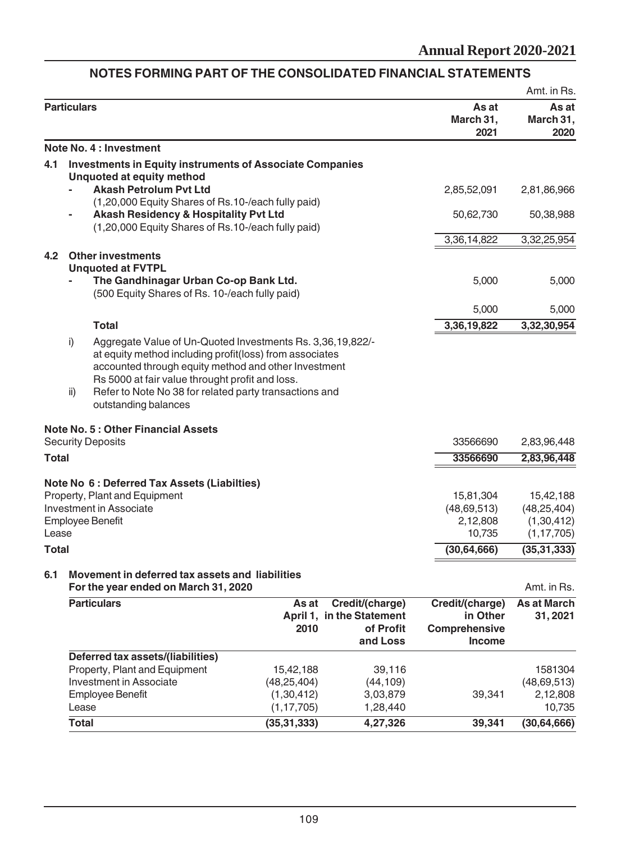## **NOTES FORMING PART OF THE CONSOLIDATED FINANCIAL STATEMENTS**

| <b>Particulars</b> |              |                                                                                                           |                            |                           |                            |                            |
|--------------------|--------------|-----------------------------------------------------------------------------------------------------------|----------------------------|---------------------------|----------------------------|----------------------------|
|                    |              |                                                                                                           |                            |                           | As at<br>March 31,<br>2021 | As at<br>March 31,<br>2020 |
|                    |              | Note No. 4 : Investment                                                                                   |                            |                           |                            |                            |
| 4.1                |              | <b>Investments in Equity instruments of Associate Companies</b>                                           |                            |                           |                            |                            |
|                    |              | Unquoted at equity method                                                                                 |                            |                           |                            |                            |
|                    |              | <b>Akash Petrolum Pvt Ltd</b>                                                                             |                            |                           | 2,85,52,091                | 2,81,86,966                |
|                    | ٠            | (1,20,000 Equity Shares of Rs.10-/each fully paid)<br><b>Akash Residency &amp; Hospitality Pvt Ltd</b>    |                            |                           | 50,62,730                  | 50,38,988                  |
|                    |              | (1,20,000 Equity Shares of Rs.10-/each fully paid)                                                        |                            |                           |                            |                            |
|                    |              |                                                                                                           |                            |                           | 3,36,14,822                | 3,32,25,954                |
| 4.2                |              | <b>Other investments</b>                                                                                  |                            |                           |                            |                            |
|                    |              | <b>Unquoted at FVTPL</b>                                                                                  |                            |                           |                            |                            |
|                    |              | The Gandhinagar Urban Co-op Bank Ltd.                                                                     |                            |                           | 5,000                      | 5,000                      |
|                    |              | (500 Equity Shares of Rs. 10-/each fully paid)                                                            |                            |                           |                            |                            |
|                    |              |                                                                                                           |                            |                           | 5,000                      | 5,000                      |
|                    |              | <b>Total</b>                                                                                              |                            |                           | 3,36,19,822                | 3,32,30,954                |
|                    | i)           | Aggregate Value of Un-Quoted Investments Rs. 3,36,19,822/-                                                |                            |                           |                            |                            |
|                    |              | at equity method including profit(loss) from associates                                                   |                            |                           |                            |                            |
|                    |              | accounted through equity method and other Investment                                                      |                            |                           |                            |                            |
|                    | ii)          | Rs 5000 at fair value throught profit and loss.<br>Refer to Note No 38 for related party transactions and |                            |                           |                            |                            |
|                    |              | outstanding balances                                                                                      |                            |                           |                            |                            |
|                    |              |                                                                                                           |                            |                           |                            |                            |
|                    |              | Note No. 5: Other Financial Assets                                                                        |                            |                           |                            |                            |
|                    |              | <b>Security Deposits</b>                                                                                  |                            |                           | 33566690                   | 2,83,96,448                |
| Total              |              |                                                                                                           |                            |                           | 33566690                   | 2,83,96,448                |
|                    |              | Note No 6 : Deferred Tax Assets (Liabilties)                                                              |                            |                           |                            |                            |
|                    |              | Property, Plant and Equipment                                                                             |                            |                           | 15,81,304                  | 15,42,188                  |
|                    |              | <b>Investment in Associate</b>                                                                            |                            |                           | (48, 69, 513)              | (48, 25, 404)              |
|                    |              | <b>Employee Benefit</b>                                                                                   |                            |                           | 2,12,808                   | (1,30,412)                 |
| Lease              |              |                                                                                                           |                            |                           | 10,735                     | (1, 17, 705)               |
| Total              |              |                                                                                                           |                            |                           | (30, 64, 666)              | (35, 31, 333)              |
| 6.1                |              | Movement in deferred tax assets and liabilities                                                           |                            |                           |                            |                            |
|                    |              | For the year ended on March 31, 2020                                                                      |                            |                           |                            | Amt. in Rs.                |
|                    |              | <b>Particulars</b>                                                                                        | As at                      | Credit/(charge)           | Credit/(charge)            | <b>As at March</b>         |
|                    |              |                                                                                                           |                            | April 1, in the Statement | in Other                   | 31, 2021                   |
|                    |              |                                                                                                           | 2010                       | of Profit                 | Comprehensive              |                            |
|                    |              |                                                                                                           |                            | and Loss                  | Income                     |                            |
|                    |              | Deferred tax assets/(liabilities)                                                                         |                            |                           |                            |                            |
|                    |              | Property, Plant and Equipment                                                                             | 15,42,188                  | 39,116                    |                            | 1581304                    |
|                    |              | Investment in Associate                                                                                   | (48, 25, 404)              | (44, 109)                 |                            | (48, 69, 513)              |
|                    | Lease        | <b>Employee Benefit</b>                                                                                   | (1,30,412)<br>(1, 17, 705) | 3,03,879<br>1,28,440      | 39,341                     | 2,12,808<br>10,735         |
|                    | <b>Total</b> |                                                                                                           |                            | 4,27,326                  |                            |                            |
|                    |              |                                                                                                           | (35, 31, 333)              |                           | 39,341                     | (30, 64, 666)              |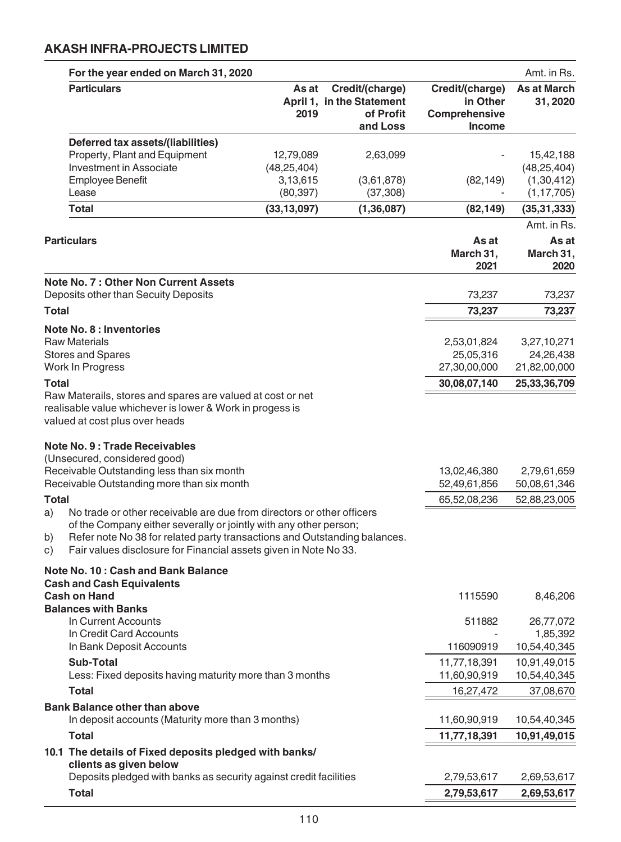|                         | For the year ended on March 31, 2020                                                                                                                                                                                                                                                        |                            |                                                                       |                                                               | Amt. in Rs.                   |
|-------------------------|---------------------------------------------------------------------------------------------------------------------------------------------------------------------------------------------------------------------------------------------------------------------------------------------|----------------------------|-----------------------------------------------------------------------|---------------------------------------------------------------|-------------------------------|
|                         | <b>Particulars</b>                                                                                                                                                                                                                                                                          | As at<br>2019              | Credit/(charge)<br>April 1, in the Statement<br>of Profit<br>and Loss | Credit/(charge)<br>in Other<br>Comprehensive<br><b>Income</b> | <b>As at March</b><br>31,2020 |
|                         | Deferred tax assets/(liabilities)                                                                                                                                                                                                                                                           |                            |                                                                       |                                                               |                               |
|                         | Property, Plant and Equipment<br>Investment in Associate                                                                                                                                                                                                                                    | 12,79,089<br>(48, 25, 404) | 2,63,099                                                              |                                                               | 15,42,188<br>(48, 25, 404)    |
|                         | Employee Benefit<br>Lease                                                                                                                                                                                                                                                                   | 3,13,615<br>(80, 397)      | (3,61,878)<br>(37,308)                                                | (82, 149)                                                     | (1,30,412)<br>(1, 17, 705)    |
|                         | Total                                                                                                                                                                                                                                                                                       | (33, 13, 097)              | (1, 36, 087)                                                          | (82, 149)                                                     | (35, 31, 333)                 |
|                         |                                                                                                                                                                                                                                                                                             |                            |                                                                       |                                                               | Amt. in Rs.                   |
|                         | <b>Particulars</b>                                                                                                                                                                                                                                                                          |                            |                                                                       | As at<br>March 31,<br>2021                                    | As at<br>March 31,<br>2020    |
|                         | Note No. 7: Other Non Current Assets                                                                                                                                                                                                                                                        |                            |                                                                       |                                                               |                               |
|                         | Deposits other than Secuity Deposits                                                                                                                                                                                                                                                        |                            |                                                                       | 73,237                                                        | 73,237                        |
| Total                   |                                                                                                                                                                                                                                                                                             |                            |                                                                       | 73,237                                                        | 73,237                        |
|                         | <b>Note No. 8 : Inventories</b>                                                                                                                                                                                                                                                             |                            |                                                                       |                                                               |                               |
|                         | <b>Raw Materials</b>                                                                                                                                                                                                                                                                        |                            |                                                                       | 2,53,01,824                                                   | 3,27,10,271                   |
|                         | Stores and Spares                                                                                                                                                                                                                                                                           |                            |                                                                       | 25,05,316                                                     | 24,26,438                     |
|                         | Work In Progress                                                                                                                                                                                                                                                                            |                            |                                                                       | 27,30,00,000                                                  | 21,82,00,000                  |
| Total                   | Raw Materails, stores and spares are valued at cost or net<br>realisable value whichever is lower & Work in progess is<br>valued at cost plus over heads                                                                                                                                    |                            |                                                                       | 30,08,07,140                                                  | 25,33,36,709                  |
|                         | Note No. 9 : Trade Receivables<br>(Unsecured, considered good)<br>Receivable Outstanding less than six month                                                                                                                                                                                |                            |                                                                       | 13,02,46,380                                                  | 2,79,61,659                   |
|                         | Receivable Outstanding more than six month                                                                                                                                                                                                                                                  |                            |                                                                       | 52,49,61,856                                                  | 50,08,61,346                  |
| Total<br>a)<br>b)<br>c) | No trade or other receivable are due from directors or other officers<br>of the Company either severally or jointly with any other person;<br>Refer note No 38 for related party transactions and Outstanding balances.<br>Fair values disclosure for Financial assets given in Note No 33. |                            |                                                                       | 65,52,08,236                                                  | 52,88,23,005                  |
|                         | Note No. 10: Cash and Bank Balance                                                                                                                                                                                                                                                          |                            |                                                                       |                                                               |                               |
|                         | <b>Cash and Cash Equivalents</b><br><b>Cash on Hand</b><br><b>Balances with Banks</b>                                                                                                                                                                                                       |                            |                                                                       | 1115590                                                       | 8,46,206                      |
|                         | In Current Accounts<br>In Credit Card Accounts                                                                                                                                                                                                                                              |                            |                                                                       | 511882                                                        | 26,77,072<br>1,85,392         |
|                         | In Bank Deposit Accounts                                                                                                                                                                                                                                                                    |                            |                                                                       | 116090919                                                     | 10,54,40,345                  |
|                         | Sub-Total<br>Less: Fixed deposits having maturity more than 3 months                                                                                                                                                                                                                        |                            |                                                                       | 11,77,18,391<br>11,60,90,919                                  | 10,91,49,015<br>10,54,40,345  |
|                         | <b>Total</b>                                                                                                                                                                                                                                                                                |                            |                                                                       | 16,27,472                                                     | 37,08,670                     |
|                         | <b>Bank Balance other than above</b><br>In deposit accounts (Maturity more than 3 months)                                                                                                                                                                                                   |                            |                                                                       | 11,60,90,919                                                  | 10,54,40,345                  |
|                         | <b>Total</b>                                                                                                                                                                                                                                                                                |                            |                                                                       | 11,77,18,391                                                  | 10,91,49,015                  |
|                         | 10.1 The details of Fixed deposits pledged with banks/<br>clients as given below                                                                                                                                                                                                            |                            |                                                                       |                                                               |                               |
|                         | Deposits pledged with banks as security against credit facilities                                                                                                                                                                                                                           |                            |                                                                       | 2,79,53,617                                                   | 2,69,53,617                   |
|                         | <b>Total</b>                                                                                                                                                                                                                                                                                |                            |                                                                       | 2,79,53,617                                                   | 2,69,53,617                   |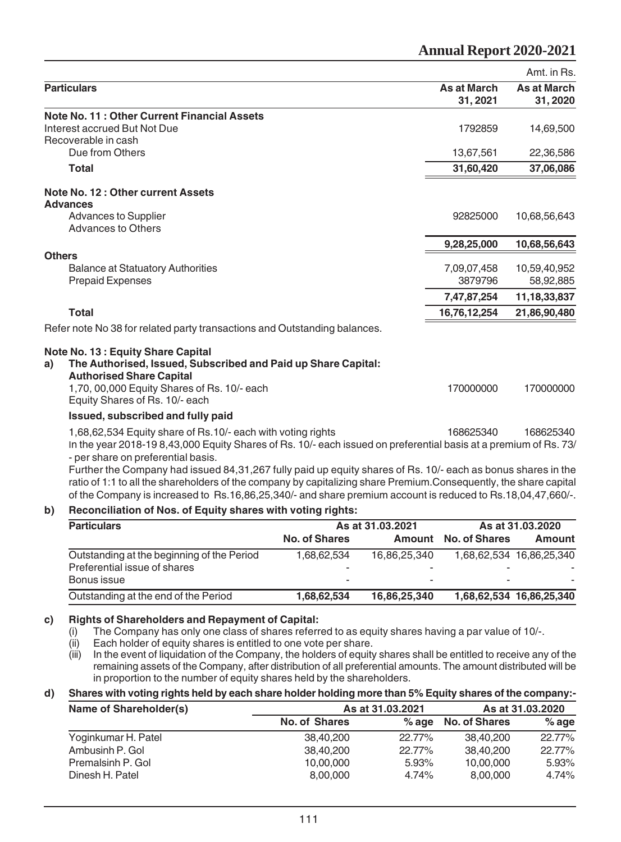## **Annual Report 2020-2021**

|                                                                                                                                                                                                                       |              | Amt. in Rs.     |
|-----------------------------------------------------------------------------------------------------------------------------------------------------------------------------------------------------------------------|--------------|-----------------|
| <b>Particulars</b>                                                                                                                                                                                                    | As at March  | As at March     |
|                                                                                                                                                                                                                       | 31, 2021     | 31, 2020        |
| Note No. 11: Other Current Financial Assets                                                                                                                                                                           |              |                 |
| Interest accrued But Not Due                                                                                                                                                                                          | 1792859      | 14,69,500       |
| Recoverable in cash                                                                                                                                                                                                   |              |                 |
| Due from Others                                                                                                                                                                                                       | 13,67,561    | 22,36,586       |
| <b>Total</b>                                                                                                                                                                                                          | 31,60,420    | 37,06,086       |
| Note No. 12: Other current Assets                                                                                                                                                                                     |              |                 |
| <b>Advances</b>                                                                                                                                                                                                       |              |                 |
| <b>Advances to Supplier</b><br><b>Advances to Others</b>                                                                                                                                                              | 92825000     | 10,68,56,643    |
|                                                                                                                                                                                                                       |              |                 |
| <b>Others</b>                                                                                                                                                                                                         | 9,28,25,000  | 10,68,56,643    |
| <b>Balance at Statuatory Authorities</b>                                                                                                                                                                              | 7,09,07,458  | 10,59,40,952    |
| <b>Prepaid Expenses</b>                                                                                                                                                                                               | 3879796      | 58,92,885       |
|                                                                                                                                                                                                                       | 7,47,87,254  | 11, 18, 33, 837 |
| <b>Total</b>                                                                                                                                                                                                          |              |                 |
|                                                                                                                                                                                                                       | 16,76,12,254 | 21,86,90,480    |
| Refer note No 38 for related party transactions and Outstanding balances.                                                                                                                                             |              |                 |
| Note No. 13: Equity Share Capital<br>The Authorised, Issued, Subscribed and Paid up Share Capital:<br>a)<br><b>Authorised Share Capital</b>                                                                           |              |                 |
| 1,70, 00,000 Equity Shares of Rs. 10/- each<br>Equity Shares of Rs. 10/- each                                                                                                                                         | 170000000    | 170000000       |
| Issued, subscribed and fully paid                                                                                                                                                                                     |              |                 |
| 1,68,62,534 Equity share of Rs.10/- each with voting rights<br>In the year 2018-19 8,43,000 Equity Shares of Rs. 10/- each issued on preferential basis at a premium of Rs. 73/<br>- per share on preferential basis. | 168625340    | 168625340       |

Further the Company had issued 84,31,267 fully paid up equity shares of Rs. 10/- each as bonus shares in the ratio of 1:1 to all the shareholders of the company by capitalizing share Premium.Consequently, the share capital of the Company is increased to Rs.16,86,25,340/- and share premium account is reduced to Rs.18,04,47,660/-.

#### **b) Reconciliation of Nos. of Equity shares with voting rights:**

| <b>Particulars</b>                         |               | As at 31.03.2021         | As at 31.03.2020         |                          |  |
|--------------------------------------------|---------------|--------------------------|--------------------------|--------------------------|--|
|                                            | No. of Shares |                          | Amount No. of Shares     | Amount                   |  |
| Outstanding at the beginning of the Period | 1.68.62.534   | 16.86.25.340             |                          | 1,68,62,534 16,86,25,340 |  |
| Preferential issue of shares               | ۰             |                          |                          |                          |  |
| Bonus issue                                | -             | $\overline{\phantom{a}}$ | $\overline{\phantom{a}}$ |                          |  |
| Outstanding at the end of the Period       | 1,68,62,534   | 16,86,25,340             |                          | 1,68,62,534 16,86,25,340 |  |

#### **c) Rights of Shareholders and Repayment of Capital:**

- (i) The Company has only one class of shares referred to as equity shares having a par value of 10/-.<br>(ii) Each holder of equity shares is entitled to one vote per share.
- Each holder of equity shares is entitled to one vote per share.
- (iii) In the event of liquidation of the Company, the holders of equity shares shall be entitled to receive any of the remaining assets of the Company, after distribution of all preferential amounts. The amount distributed will be in proportion to the number of equity shares held by the shareholders.

#### **d) Shares with voting rights held by each share holder holding more than 5% Equity shares of the company:-**

| Name of Shareholder(s) | As at 31.03.2021 | As at 31.03.2020 |                     |         |
|------------------------|------------------|------------------|---------------------|---------|
|                        | No. of Shares    |                  | % age No. of Shares | $%$ age |
| Yoginkumar H. Patel    | 38.40.200        | 22.77%           | 38.40.200           | 22.77%  |
| Ambusinh P. Gol        | 38.40.200        | 22.77%           | 38.40.200           | 22.77%  |
| Premalsinh P. Gol      | 10.00.000        | 5.93%            | 10.00.000           | 5.93%   |
| Dinesh H. Patel        | 8.00.000         | 4.74%            | 8.00.000            | 4.74%   |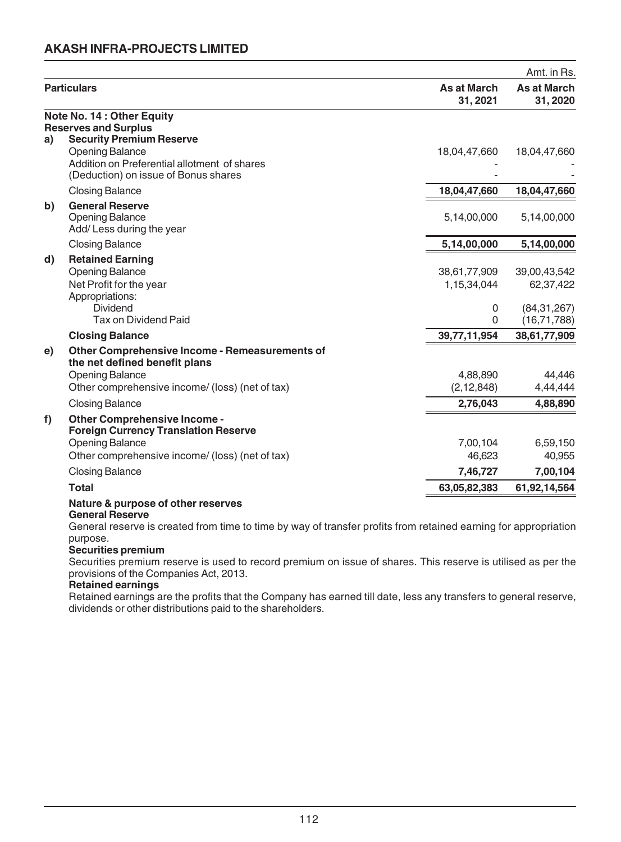|    |                                                                                 |                         | Amt. in Rs.            |
|----|---------------------------------------------------------------------------------|-------------------------|------------------------|
|    | <b>Particulars</b>                                                              | As at March<br>31, 2021 | As at March<br>31,2020 |
|    | Note No. 14 : Other Equity                                                      |                         |                        |
|    | <b>Reserves and Surplus</b>                                                     |                         |                        |
| a) | <b>Security Premium Reserve</b>                                                 |                         |                        |
|    | <b>Opening Balance</b>                                                          | 18,04,47,660            | 18,04,47,660           |
|    | Addition on Preferential allotment of shares                                    |                         |                        |
|    | (Deduction) on issue of Bonus shares                                            |                         |                        |
|    | <b>Closing Balance</b>                                                          | 18,04,47,660            | 18,04,47,660           |
| b) | <b>General Reserve</b>                                                          |                         |                        |
|    | <b>Opening Balance</b>                                                          | 5,14,00,000             | 5,14,00,000            |
|    | Add/Less during the year                                                        |                         |                        |
|    | <b>Closing Balance</b>                                                          | 5,14,00,000             | 5,14,00,000            |
| d) | <b>Retained Earning</b>                                                         |                         |                        |
|    | Opening Balance                                                                 | 38,61,77,909            | 39,00,43,542           |
|    | Net Profit for the year                                                         | 1,15,34,044             | 62,37,422              |
|    | Appropriations:                                                                 |                         |                        |
|    | Dividend<br><b>Tax on Dividend Paid</b>                                         | 0<br>$\Omega$           | (84, 31, 267)          |
|    |                                                                                 |                         | (16, 71, 788)          |
|    | <b>Closing Balance</b>                                                          | 39,77,11,954            | 38,61,77,909           |
| e) | Other Comprehensive Income - Remeasurements of<br>the net defined benefit plans |                         |                        |
|    | <b>Opening Balance</b>                                                          | 4,88,890                | 44.446                 |
|    | Other comprehensive income/ (loss) (net of tax)                                 | (2, 12, 848)            | 4,44,444               |
|    | <b>Closing Balance</b>                                                          | 2,76,043                | 4,88,890               |
| f) | <b>Other Comprehensive Income -</b>                                             |                         |                        |
|    | <b>Foreign Currency Translation Reserve</b>                                     |                         |                        |
|    | Opening Balance                                                                 | 7,00,104                | 6,59,150               |
|    | Other comprehensive income/ (loss) (net of tax)                                 | 46,623                  | 40,955                 |
|    | <b>Closing Balance</b>                                                          | 7,46,727                | 7,00,104               |
|    | <b>Total</b>                                                                    | 63,05,82,383            | 61,92,14,564           |
|    | Nature & purpose of other reserves                                              |                         |                        |

## **General Reserve**

General reserve is created from time to time by way of transfer profits from retained earning for appropriation purpose.

#### **Securities premium**

Securities premium reserve is used to record premium on issue of shares. This reserve is utilised as per the provisions of the Companies Act, 2013.

#### **Retained earnings**

Retained earnings are the profits that the Company has earned till date, less any transfers to general reserve, dividends or other distributions paid to the shareholders.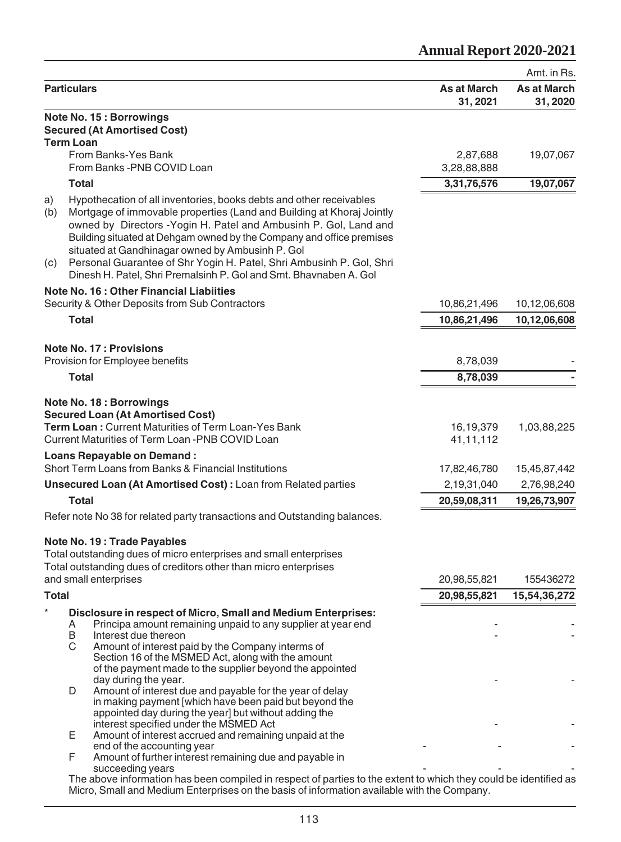|                  |                                                                                                                                                                                                                                                                                                                                                |                                | Amt. in Rs.            |
|------------------|------------------------------------------------------------------------------------------------------------------------------------------------------------------------------------------------------------------------------------------------------------------------------------------------------------------------------------------------|--------------------------------|------------------------|
|                  | <b>Particulars</b>                                                                                                                                                                                                                                                                                                                             | <b>As at March</b><br>31, 2021 | As at March<br>31,2020 |
|                  | Note No. 15: Borrowings                                                                                                                                                                                                                                                                                                                        |                                |                        |
|                  | <b>Secured (At Amortised Cost)</b>                                                                                                                                                                                                                                                                                                             |                                |                        |
|                  | <b>Term Loan</b><br>From Banks-Yes Bank                                                                                                                                                                                                                                                                                                        | 2,87,688                       | 19,07,067              |
|                  | From Banks - PNB COVID Loan                                                                                                                                                                                                                                                                                                                    | 3,28,88,888                    |                        |
|                  | <b>Total</b>                                                                                                                                                                                                                                                                                                                                   | 3,31,76,576                    | 19,07,067              |
|                  | Hypothecation of all inventories, books debts and other receivables                                                                                                                                                                                                                                                                            |                                |                        |
| a)<br>(b)<br>(c) | Mortgage of immovable properties (Land and Building at Khoraj Jointly<br>owned by Directors - Yogin H. Patel and Ambusinh P. Gol, Land and<br>Building situated at Dehgam owned by the Company and office premises<br>situated at Gandhinagar owned by Ambusinh P. Gol<br>Personal Guarantee of Shr Yogin H. Patel, Shri Ambusinh P. Gol, Shri |                                |                        |
|                  | Dinesh H. Patel, Shri Premalsinh P. Gol and Smt. Bhavnaben A. Gol                                                                                                                                                                                                                                                                              |                                |                        |
|                  | Note No. 16: Other Financial Liabiities                                                                                                                                                                                                                                                                                                        |                                |                        |
|                  | Security & Other Deposits from Sub Contractors                                                                                                                                                                                                                                                                                                 | 10,86,21,496                   | 10,12,06,608           |
|                  | <b>Total</b>                                                                                                                                                                                                                                                                                                                                   | 10,86,21,496                   | 10,12,06,608           |
|                  |                                                                                                                                                                                                                                                                                                                                                |                                |                        |
|                  | Note No. 17 : Provisions                                                                                                                                                                                                                                                                                                                       |                                |                        |
|                  | Provision for Employee benefits                                                                                                                                                                                                                                                                                                                | 8,78,039                       |                        |
|                  | <b>Total</b>                                                                                                                                                                                                                                                                                                                                   | 8,78,039                       |                        |
|                  | Note No. 18: Borrowings                                                                                                                                                                                                                                                                                                                        |                                |                        |
|                  | <b>Secured Loan (At Amortised Cost)</b>                                                                                                                                                                                                                                                                                                        |                                |                        |
|                  | Term Loan: Current Maturities of Term Loan-Yes Bank                                                                                                                                                                                                                                                                                            | 16,19,379                      | 1,03,88,225            |
|                  | Current Maturities of Term Loan -PNB COVID Loan                                                                                                                                                                                                                                                                                                | 41, 11, 112                    |                        |
|                  | Loans Repayable on Demand:<br>Short Term Loans from Banks & Financial Institutions                                                                                                                                                                                                                                                             |                                |                        |
|                  |                                                                                                                                                                                                                                                                                                                                                | 17,82,46,780                   | 15,45,87,442           |
|                  | <b>Unsecured Loan (At Amortised Cost):</b> Loan from Related parties                                                                                                                                                                                                                                                                           | 2, 19, 31, 040                 | 2,76,98,240            |
|                  | <b>Total</b>                                                                                                                                                                                                                                                                                                                                   | 20,59,08,311                   | 19,26,73,907           |
|                  | Refer note No 38 for related party transactions and Outstanding balances.                                                                                                                                                                                                                                                                      |                                |                        |
|                  | Note No. 19: Trade Payables                                                                                                                                                                                                                                                                                                                    |                                |                        |
|                  | Total outstanding dues of micro enterprises and small enterprises                                                                                                                                                                                                                                                                              |                                |                        |
|                  | Total outstanding dues of creditors other than micro enterprises                                                                                                                                                                                                                                                                               |                                |                        |
|                  | and small enterprises                                                                                                                                                                                                                                                                                                                          | 20,98,55,821                   | 155436272              |
| <b>Total</b>     |                                                                                                                                                                                                                                                                                                                                                | 20,98,55,821                   | 15,54,36,272           |
| $\star$          | Disclosure in respect of Micro, Small and Medium Enterprises:<br>A<br>Principa amount remaining unpaid to any supplier at year end                                                                                                                                                                                                             |                                |                        |
|                  | B<br>Interest due thereon                                                                                                                                                                                                                                                                                                                      |                                |                        |
|                  | C<br>Amount of interest paid by the Company interms of                                                                                                                                                                                                                                                                                         |                                |                        |
|                  | Section 16 of the MSMED Act, along with the amount<br>of the payment made to the supplier beyond the appointed                                                                                                                                                                                                                                 |                                |                        |
|                  | day during the year.                                                                                                                                                                                                                                                                                                                           |                                |                        |
|                  | D<br>Amount of interest due and payable for the year of delay                                                                                                                                                                                                                                                                                  |                                |                        |
|                  | in making payment [which have been paid but beyond the<br>appointed day during the year] but without adding the                                                                                                                                                                                                                                |                                |                        |
|                  | interest specified under the MSMED Act                                                                                                                                                                                                                                                                                                         |                                |                        |
|                  | Amount of interest accrued and remaining unpaid at the<br>E.                                                                                                                                                                                                                                                                                   |                                |                        |
|                  | end of the accounting year<br>F<br>Amount of further interest remaining due and payable in                                                                                                                                                                                                                                                     |                                |                        |
|                  | succeeding years                                                                                                                                                                                                                                                                                                                               |                                |                        |
|                  | The above information has been compiled in respect of parties to the extent to which they could be identified as                                                                                                                                                                                                                               |                                |                        |

Micro, Small and Medium Enterprises on the basis of information available with the Company.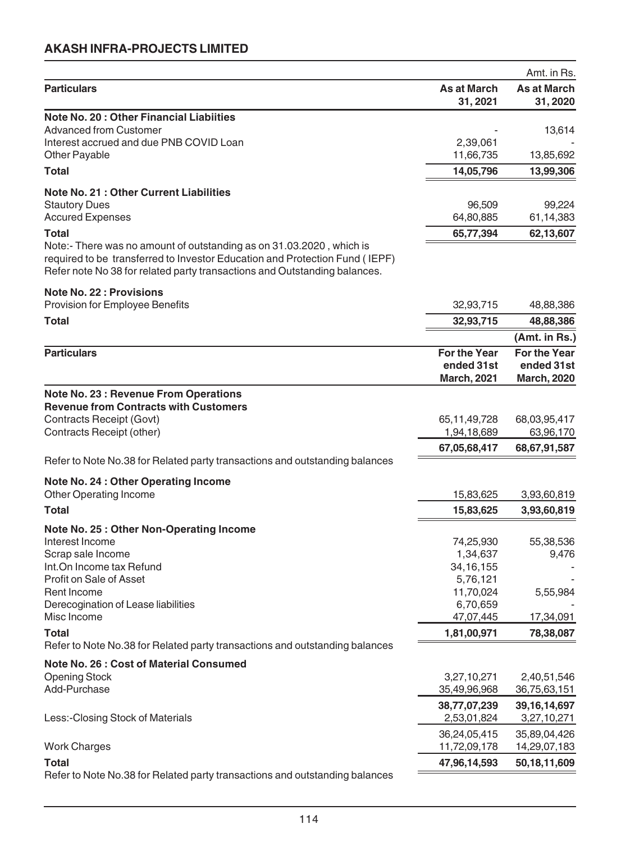|                                                                                                                                                                                                                                  |                                                         | Amt. in Rs.                                             |
|----------------------------------------------------------------------------------------------------------------------------------------------------------------------------------------------------------------------------------|---------------------------------------------------------|---------------------------------------------------------|
| <b>Particulars</b>                                                                                                                                                                                                               | <b>As at March</b><br>31, 2021                          | <b>As at March</b><br>31,2020                           |
| Note No. 20: Other Financial Liabiities                                                                                                                                                                                          |                                                         |                                                         |
| <b>Advanced from Customer</b>                                                                                                                                                                                                    |                                                         | 13,614                                                  |
| Interest accrued and due PNB COVID Loan                                                                                                                                                                                          | 2,39,061                                                |                                                         |
| <b>Other Payable</b><br><b>Total</b>                                                                                                                                                                                             | 11,66,735<br>14,05,796                                  | 13,85,692                                               |
|                                                                                                                                                                                                                                  |                                                         | 13,99,306                                               |
| Note No. 21: Other Current Liabilities                                                                                                                                                                                           |                                                         |                                                         |
| <b>Stautory Dues</b>                                                                                                                                                                                                             | 96,509                                                  | 99,224                                                  |
| <b>Accured Expenses</b><br>Total                                                                                                                                                                                                 | 64,80,885                                               | 61,14,383<br>62,13,607                                  |
| Note:- There was no amount of outstanding as on 31.03.2020, which is<br>required to be transferred to Investor Education and Protection Fund (IEPF)<br>Refer note No 38 for related party transactions and Outstanding balances. | 65,77,394                                               |                                                         |
| Note No. 22 : Provisions                                                                                                                                                                                                         |                                                         |                                                         |
| Provision for Employee Benefits                                                                                                                                                                                                  | 32,93,715                                               | 48,88,386                                               |
| <b>Total</b>                                                                                                                                                                                                                     | 32,93,715                                               | 48,88,386                                               |
|                                                                                                                                                                                                                                  |                                                         | (Amt. in Rs.)                                           |
| <b>Particulars</b>                                                                                                                                                                                                               | <b>For the Year</b><br>ended 31st<br><b>March, 2021</b> | <b>For the Year</b><br>ended 31st<br><b>March, 2020</b> |
| <b>Note No. 23: Revenue From Operations</b>                                                                                                                                                                                      |                                                         |                                                         |
| <b>Revenue from Contracts with Customers</b>                                                                                                                                                                                     |                                                         |                                                         |
| Contracts Receipt (Govt)                                                                                                                                                                                                         | 65, 11, 49, 728                                         | 68,03,95,417                                            |
| Contracts Receipt (other)                                                                                                                                                                                                        | 1,94,18,689                                             | 63,96,170                                               |
| Refer to Note No.38 for Related party transactions and outstanding balances                                                                                                                                                      | 67,05,68,417                                            | 68, 67, 91, 587                                         |
| Note No. 24 : Other Operating Income                                                                                                                                                                                             |                                                         |                                                         |
| Other Operating Income                                                                                                                                                                                                           | 15,83,625                                               | 3,93,60,819                                             |
| Total                                                                                                                                                                                                                            | 15,83,625                                               | 3,93,60,819                                             |
| Note No. 25 : Other Non-Operating Income                                                                                                                                                                                         |                                                         |                                                         |
| Interest Income                                                                                                                                                                                                                  | 74,25,930                                               | 55,38,536                                               |
| Scrap sale Income                                                                                                                                                                                                                | 1,34,637                                                | 9,476                                                   |
| Int.On Income tax Refund                                                                                                                                                                                                         | 34, 16, 155                                             |                                                         |
| Profit on Sale of Asset                                                                                                                                                                                                          | 5,76,121                                                |                                                         |
| Rent Income                                                                                                                                                                                                                      | 11,70,024                                               | 5,55,984                                                |
| Derecogination of Lease liabilities                                                                                                                                                                                              | 6,70,659<br>47,07,445                                   | 17,34,091                                               |
| Misc Income                                                                                                                                                                                                                      |                                                         |                                                         |
| Total<br>Refer to Note No.38 for Related party transactions and outstanding balances                                                                                                                                             | 1,81,00,971                                             | 78,38,087                                               |
| Note No. 26 : Cost of Material Consumed                                                                                                                                                                                          |                                                         |                                                         |
| <b>Opening Stock</b>                                                                                                                                                                                                             | 3,27,10,271                                             | 2,40,51,546                                             |
| Add-Purchase                                                                                                                                                                                                                     | 35,49,96,968                                            | 36,75,63,151                                            |
|                                                                                                                                                                                                                                  | 38,77,07,239                                            | 39, 16, 14, 697                                         |
| Less:-Closing Stock of Materials                                                                                                                                                                                                 | 2,53,01,824                                             | 3,27,10,271                                             |
|                                                                                                                                                                                                                                  | 36,24,05,415                                            | 35,89,04,426                                            |
| <b>Work Charges</b>                                                                                                                                                                                                              | 11,72,09,178                                            | 14,29,07,183                                            |
| Total                                                                                                                                                                                                                            | 47,96,14,593                                            | 50, 18, 11, 609                                         |
| Refer to Note No.38 for Related party transactions and outstanding balances                                                                                                                                                      |                                                         |                                                         |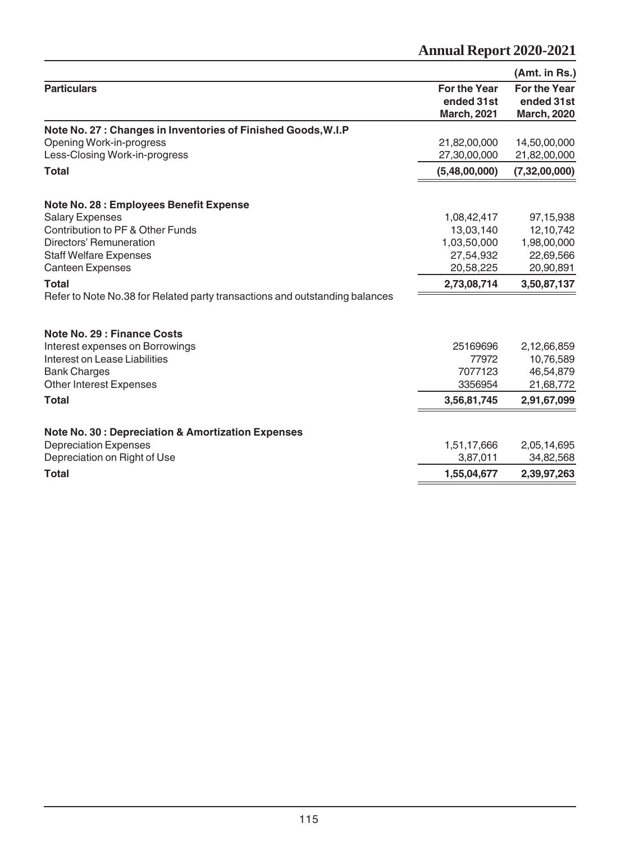|                                                                             |                                                         | (Amt. in Rs.)                                           |
|-----------------------------------------------------------------------------|---------------------------------------------------------|---------------------------------------------------------|
| <b>Particulars</b>                                                          | <b>For the Year</b><br>ended 31st<br><b>March, 2021</b> | <b>For the Year</b><br>ended 31st<br><b>March, 2020</b> |
| Note No. 27: Changes in Inventories of Finished Goods, W.I.P                |                                                         |                                                         |
| Opening Work-in-progress                                                    | 21,82,00,000                                            | 14,50,00,000                                            |
| Less-Closing Work-in-progress                                               | 27,30,00,000                                            | 21,82,00,000                                            |
| Total                                                                       | (5,48,00,000)                                           | (7, 32, 00, 000)                                        |
| Note No. 28 : Employees Benefit Expense                                     |                                                         |                                                         |
| <b>Salary Expenses</b>                                                      | 1,08,42,417                                             | 97,15,938                                               |
| Contribution to PF & Other Funds                                            | 13,03,140                                               | 12,10,742                                               |
| Directors' Remuneration                                                     | 1,03,50,000                                             | 1,98,00,000                                             |
| <b>Staff Welfare Expenses</b>                                               | 27,54,932                                               | 22,69,566                                               |
| <b>Canteen Expenses</b>                                                     | 20,58,225                                               | 20,90,891                                               |
| Total                                                                       | 2,73,08,714                                             | 3,50,87,137                                             |
| Refer to Note No.38 for Related party transactions and outstanding balances |                                                         |                                                         |
| Note No. 29 : Finance Costs                                                 |                                                         |                                                         |
| Interest expenses on Borrowings                                             | 25169696                                                | 2,12,66,859                                             |
| Interest on Lease Liabilities                                               | 77972                                                   | 10,76,589                                               |
| <b>Bank Charges</b>                                                         | 7077123                                                 | 46,54,879                                               |
| <b>Other Interest Expenses</b>                                              | 3356954                                                 | 21,68,772                                               |
| Total                                                                       | 3,56,81,745                                             | 2,91,67,099                                             |
| <b>Note No. 30: Depreciation &amp; Amortization Expenses</b>                |                                                         |                                                         |
| <b>Depreciation Expenses</b>                                                | 1,51,17,666                                             | 2,05,14,695                                             |
| Depreciation on Right of Use                                                | 3,87,011                                                | 34,82,568                                               |
| Total                                                                       | 1,55,04,677                                             | 2,39,97,263                                             |
|                                                                             |                                                         |                                                         |

# **Annual Report 2020-2021**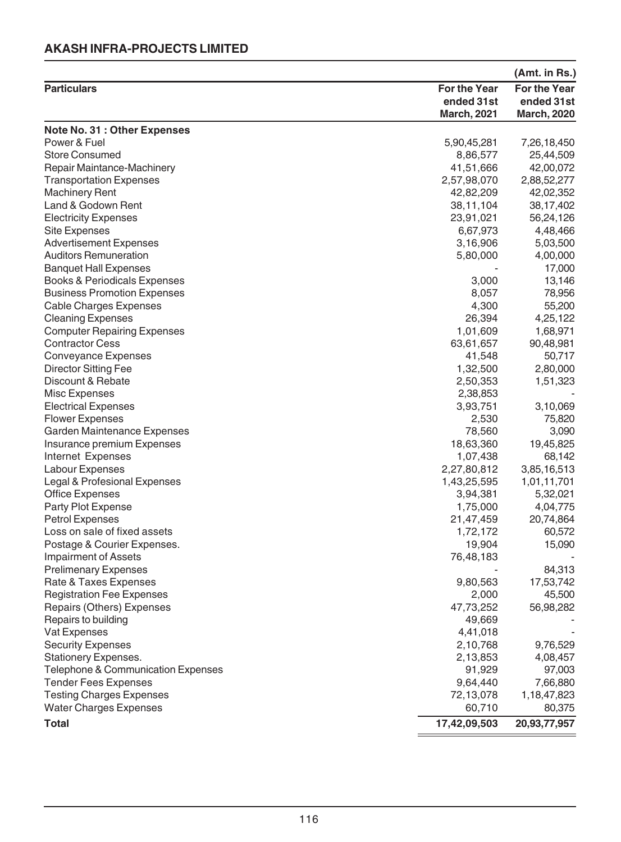|                                         |                    | (Amt. in Rs.)       |
|-----------------------------------------|--------------------|---------------------|
| <b>Particulars</b>                      | For the Year       | <b>For the Year</b> |
|                                         | ended 31st         | ended 31st          |
|                                         | <b>March, 2021</b> | <b>March, 2020</b>  |
| Note No. 31 : Other Expenses            |                    |                     |
| Power & Fuel                            | 5,90,45,281        | 7,26,18,450         |
| <b>Store Consumed</b>                   | 8,86,577           | 25,44,509           |
| Repair Maintance-Machinery              | 41,51,666          | 42,00,072           |
| <b>Transportation Expenses</b>          | 2,57,98,070        | 2,88,52,277         |
| <b>Machinery Rent</b>                   | 42,82,209          | 42,02,352           |
| Land & Godown Rent                      | 38,11,104          | 38,17,402           |
| <b>Electricity Expenses</b>             | 23,91,021          | 56,24,126           |
| <b>Site Expenses</b>                    | 6,67,973           | 4,48,466            |
| <b>Advertisement Expenses</b>           | 3,16,906           | 5,03,500            |
| <b>Auditors Remuneration</b>            | 5,80,000           | 4,00,000            |
| <b>Banquet Hall Expenses</b>            |                    | 17,000              |
| <b>Books &amp; Periodicals Expenses</b> | 3,000              | 13,146              |
| <b>Business Promotion Expenses</b>      | 8,057              | 78,956              |
| Cable Charges Expenses                  | 4,300              | 55,200              |
| <b>Cleaning Expenses</b>                | 26,394             | 4,25,122            |
| <b>Computer Repairing Expenses</b>      | 1,01,609           | 1,68,971            |
| <b>Contractor Cess</b>                  | 63,61,657          | 90,48,981           |
| Conveyance Expenses                     | 41,548             | 50,717              |
| <b>Director Sitting Fee</b>             | 1,32,500           | 2,80,000            |
| Discount & Rebate                       | 2,50,353           | 1,51,323            |
| Misc Expenses                           | 2,38,853           |                     |
| <b>Electrical Expenses</b>              | 3,93,751           | 3,10,069            |
| <b>Flower Expenses</b>                  | 2,530              | 75,820              |
| Garden Maintenance Expenses             | 78,560             | 3,090               |
| Insurance premium Expenses              | 18,63,360          | 19,45,825           |
| Internet Expenses                       | 1,07,438           | 68,142              |
| Labour Expenses                         | 2,27,80,812        | 3,85,16,513         |
| Legal & Profesional Expenses            | 1,43,25,595        | 1,01,11,701         |
| <b>Office Expenses</b>                  | 3,94,381           | 5,32,021            |
| Party Plot Expense                      | 1,75,000           | 4,04,775            |
| <b>Petrol Expenses</b>                  | 21,47,459          | 20,74,864           |
| Loss on sale of fixed assets            | 1,72,172           | 60,572              |
| Postage & Courier Expenses.             | 19,904             | 15,090              |
| <b>Impairment of Assets</b>             | 76,48,183          |                     |
| <b>Prelimenary Expenses</b>             |                    | 84,313              |
| Rate & Taxes Expenses                   | 9,80,563           | 17,53,742           |
| <b>Registration Fee Expenses</b>        | 2,000              | 45,500              |
| Repairs (Others) Expenses               | 47,73,252          | 56,98,282           |
| Repairs to building                     | 49,669             |                     |
| Vat Expenses                            | 4,41,018           |                     |
| <b>Security Expenses</b>                | 2,10,768           | 9,76,529            |
| Stationery Expenses.                    | 2,13,853           | 4,08,457            |
| Telephone & Communication Expenses      | 91,929             | 97,003              |
| <b>Tender Fees Expenses</b>             | 9,64,440           | 7,66,880            |
| <b>Testing Charges Expenses</b>         | 72,13,078          | 1,18,47,823         |
| <b>Water Charges Expenses</b>           | 60,710             | 80,375              |
| <b>Total</b>                            | 17,42,09,503       | 20,93,77,957        |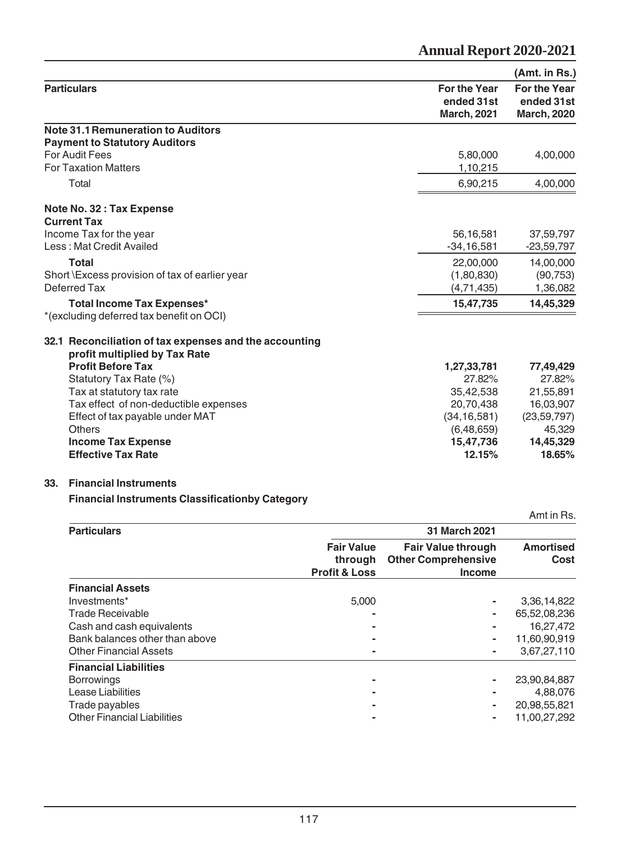|                                                                                         |                                                         | (Amt. in Rs.)                                           |
|-----------------------------------------------------------------------------------------|---------------------------------------------------------|---------------------------------------------------------|
| <b>Particulars</b>                                                                      | <b>For the Year</b><br>ended 31st<br><b>March, 2021</b> | <b>For the Year</b><br>ended 31st<br><b>March, 2020</b> |
| <b>Note 31.1 Remuneration to Auditors</b>                                               |                                                         |                                                         |
| <b>Payment to Statutory Auditors</b>                                                    |                                                         |                                                         |
| For Audit Fees                                                                          | 5,80,000                                                | 4,00,000                                                |
| <b>For Taxation Matters</b>                                                             | 1,10,215                                                |                                                         |
| Total                                                                                   | 6,90,215                                                | 4.00.000                                                |
| Note No. 32 : Tax Expense                                                               |                                                         |                                                         |
| <b>Current Tax</b>                                                                      |                                                         |                                                         |
| Income Tax for the year                                                                 | 56,16,581                                               | 37,59,797                                               |
| Less: Mat Credit Availed                                                                | $-34, 16, 581$                                          | $-23,59,797$                                            |
| Total                                                                                   | 22,00,000                                               | 14,00,000                                               |
| Short \Excess provision of tax of earlier year                                          | (1,80,830)                                              | (90, 753)                                               |
| Deferred Tax                                                                            | (4,71,435)                                              | 1,36,082                                                |
| <b>Total Income Tax Expenses*</b>                                                       | 15,47,735                                               | 14,45,329                                               |
| *(excluding deferred tax benefit on OCI)                                                |                                                         |                                                         |
| 32.1 Reconciliation of tax expenses and the accounting<br>profit multiplied by Tax Rate |                                                         |                                                         |
| <b>Profit Before Tax</b>                                                                | 1,27,33,781                                             | 77,49,429                                               |
| Statutory Tax Rate (%)                                                                  | 27.82%                                                  | 27.82%                                                  |
| Tax at statutory tax rate                                                               | 35,42,538                                               | 21,55,891                                               |
| Tax effect of non-deductible expenses                                                   | 20,70,438                                               | 16,03,907                                               |
| Effect of tax payable under MAT                                                         | (34, 16, 581)                                           | (23, 59, 797)                                           |
| Others                                                                                  | (6,48,659)                                              | 45,329                                                  |
| <b>Income Tax Expense</b>                                                               | 15,47,736                                               | 14,45,329                                               |
| <b>Effective Tax Rate</b>                                                               | 12.15%                                                  | 18.65%                                                  |
| <b>Financial Instruments</b><br>33.                                                     |                                                         |                                                         |

# **Annual Report 2020-2021**

**Financial Instruments Classificationby Category**

Amt in Rs. **Particulars 31 March 2021 Fair Value Fair Value through Amortised through** Other Comprehensive **Profit & Loss Income Financial Assets** Investments\* 5,000 **-** 3,36,14,822 Trade Receivable **- -** 65,52,08,236 Cash and cash equivalents **- -** 16,27,472 Bank balances other than above **- -** 11,60,90,919 Other Financial Assets **- -** 3,67,27,110 **Financial Liabilities** Borrowings **- -** 23,90,84,887 Lease Liabilities **- -** 4,88,076 Trade payables **- -** 20,98,55,821 Other Financial Liabilities **- -** 11,00,27,292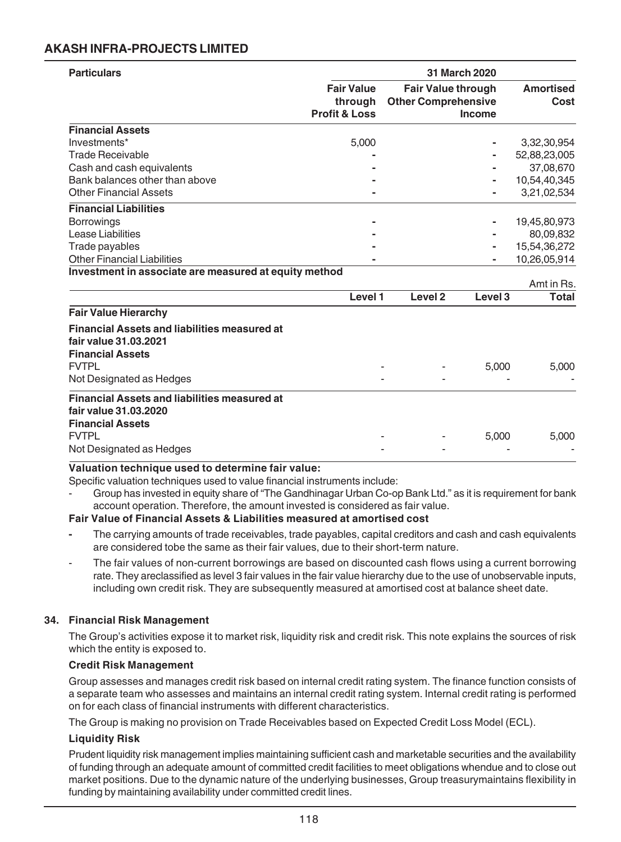| <b>Particulars</b>                                                                                      |                                                          |                                                         | 31 March 2020      |                          |
|---------------------------------------------------------------------------------------------------------|----------------------------------------------------------|---------------------------------------------------------|--------------------|--------------------------|
|                                                                                                         | <b>Fair Value</b><br>through<br><b>Profit &amp; Loss</b> | <b>Fair Value through</b><br><b>Other Comprehensive</b> | <b>Income</b>      | <b>Amortised</b><br>Cost |
| <b>Financial Assets</b>                                                                                 |                                                          |                                                         |                    |                          |
| Investments*                                                                                            | 5,000                                                    |                                                         |                    | 3,32,30,954              |
| <b>Trade Receivable</b>                                                                                 |                                                          |                                                         |                    | 52,88,23,005             |
| Cash and cash equivalents                                                                               |                                                          |                                                         |                    | 37,08,670                |
| Bank balances other than above                                                                          |                                                          |                                                         | ۰                  | 10,54,40,345             |
| <b>Other Financial Assets</b>                                                                           |                                                          |                                                         |                    | 3,21,02,534              |
| <b>Financial Liabilities</b>                                                                            |                                                          |                                                         |                    |                          |
| <b>Borrowings</b>                                                                                       |                                                          |                                                         |                    | 19,45,80,973             |
| Lease Liabilities                                                                                       |                                                          |                                                         |                    | 80,09,832                |
| Trade payables                                                                                          |                                                          |                                                         |                    | 15,54,36,272             |
| <b>Other Financial Liabilities</b>                                                                      |                                                          |                                                         |                    | 10,26,05,914             |
| Investment in associate are measured at equity method                                                   |                                                          |                                                         |                    |                          |
|                                                                                                         |                                                          |                                                         |                    | Amt in Rs.               |
|                                                                                                         | Level 1                                                  | Level <sub>2</sub>                                      | Level <sub>3</sub> | Total                    |
| <b>Fair Value Hierarchy</b>                                                                             |                                                          |                                                         |                    |                          |
| <b>Financial Assets and liabilities measured at</b><br>fair value 31.03.2021<br><b>Financial Assets</b> |                                                          |                                                         |                    |                          |
| <b>FVTPL</b>                                                                                            |                                                          |                                                         | 5,000              | 5,000                    |
| Not Designated as Hedges                                                                                |                                                          |                                                         |                    |                          |
| <b>Financial Assets and liabilities measured at</b><br>fair value 31.03.2020<br><b>Financial Assets</b> |                                                          |                                                         |                    |                          |
| <b>FVTPI</b>                                                                                            |                                                          |                                                         | 5,000              | 5,000                    |
| Not Designated as Hedges                                                                                |                                                          |                                                         |                    |                          |

#### **Valuation technique used to determine fair value:**

Specific valuation techniques used to value financial instruments include:

Group has invested in equity share of "The Gandhinagar Urban Co-op Bank Ltd." as it is requirement for bank account operation. Therefore, the amount invested is considered as fair value.

#### **Fair Value of Financial Assets & Liabilities measured at amortised cost**

- **-** The carrying amounts of trade receivables, trade payables, capital creditors and cash and cash equivalents are considered tobe the same as their fair values, due to their short-term nature.
- The fair values of non-current borrowings are based on discounted cash flows using a current borrowing rate. They areclassified as level 3 fair values in the fair value hierarchy due to the use of unobservable inputs, including own credit risk. They are subsequently measured at amortised cost at balance sheet date.

#### **34. Financial Risk Management**

The Group's activities expose it to market risk, liquidity risk and credit risk. This note explains the sources of risk which the entity is exposed to.

#### **Credit Risk Management**

Group assesses and manages credit risk based on internal credit rating system. The finance function consists of a separate team who assesses and maintains an internal credit rating system. Internal credit rating is performed on for each class of financial instruments with different characteristics.

The Group is making no provision on Trade Receivables based on Expected Credit Loss Model (ECL).

#### **Liquidity Risk**

Prudent liquidity risk management implies maintaining sufficient cash and marketable securities and the availability of funding through an adequate amount of committed credit facilities to meet obligations whendue and to close out market positions. Due to the dynamic nature of the underlying businesses, Group treasurymaintains flexibility in funding by maintaining availability under committed credit lines.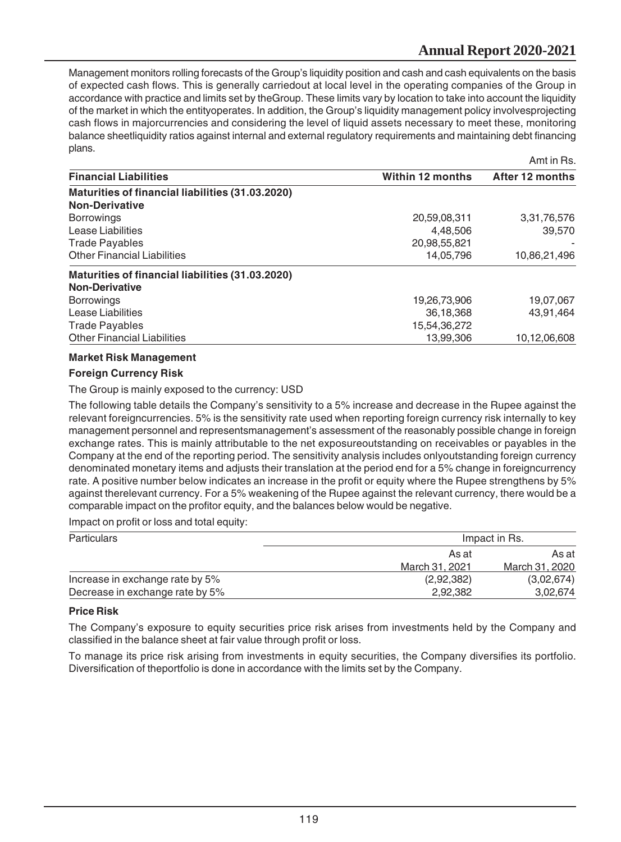## **Annual Report 2020-2021**

Management monitors rolling forecasts of the Group's liquidity position and cash and cash equivalents on the basis of expected cash flows. This is generally carriedout at local level in the operating companies of the Group in accordance with practice and limits set by theGroup. These limits vary by location to take into account the liquidity of the market in which the entityoperates. In addition, the Group's liquidity management policy involvesprojecting cash flows in majorcurrencies and considering the level of liquid assets necessary to meet these, monitoring balance sheetliquidity ratios against internal and external regulatory requirements and maintaining debt financing plans.

|                                                  |                  | Amt in Rs.      |
|--------------------------------------------------|------------------|-----------------|
| <b>Financial Liabilities</b>                     | Within 12 months | After 12 months |
| Maturities of financial liabilities (31.03.2020) |                  |                 |
| <b>Non-Derivative</b>                            |                  |                 |
| <b>Borrowings</b>                                | 20,59,08,311     | 3,31,76,576     |
| Lease Liabilities                                | 4.48.506         | 39.570          |
| <b>Trade Payables</b>                            | 20,98,55,821     |                 |
| <b>Other Financial Liabilities</b>               | 14,05,796        | 10,86,21,496    |
| Maturities of financial liabilities (31.03.2020) |                  |                 |
| <b>Non-Derivative</b>                            |                  |                 |
| <b>Borrowings</b>                                | 19,26,73,906     | 19,07,067       |
| Lease Liabilities                                | 36,18,368        | 43.91.464       |
| <b>Trade Payables</b>                            | 15,54,36,272     |                 |
| <b>Other Financial Liabilities</b>               | 13.99.306        | 10.12.06.608    |

#### **Market Risk Management**

#### **Foreign Currency Risk**

The Group is mainly exposed to the currency: USD

The following table details the Company's sensitivity to a 5% increase and decrease in the Rupee against the relevant foreigncurrencies. 5% is the sensitivity rate used when reporting foreign currency risk internally to key management personnel and representsmanagement's assessment of the reasonably possible change in foreign exchange rates. This is mainly attributable to the net exposureoutstanding on receivables or payables in the Company at the end of the reporting period. The sensitivity analysis includes onlyoutstanding foreign currency denominated monetary items and adjusts their translation at the period end for a 5% change in foreigncurrency rate. A positive number below indicates an increase in the profit or equity where the Rupee strengthens by 5% against therelevant currency. For a 5% weakening of the Rupee against the relevant currency, there would be a comparable impact on the profitor equity, and the balances below would be negative.

Impact on profit or loss and total equity:

| <b>Particulars</b>              |                | Impact in Rs.  |
|---------------------------------|----------------|----------------|
|                                 | As at          | As at          |
|                                 | March 31, 2021 | March 31, 2020 |
| Increase in exchange rate by 5% | (2,92,382)     | (3,02,674)     |
| Decrease in exchange rate by 5% | 2.92.382       | 3,02,674       |

#### **Price Risk**

The Company's exposure to equity securities price risk arises from investments held by the Company and classified in the balance sheet at fair value through profit or loss.

To manage its price risk arising from investments in equity securities, the Company diversifies its portfolio. Diversification of theportfolio is done in accordance with the limits set by the Company.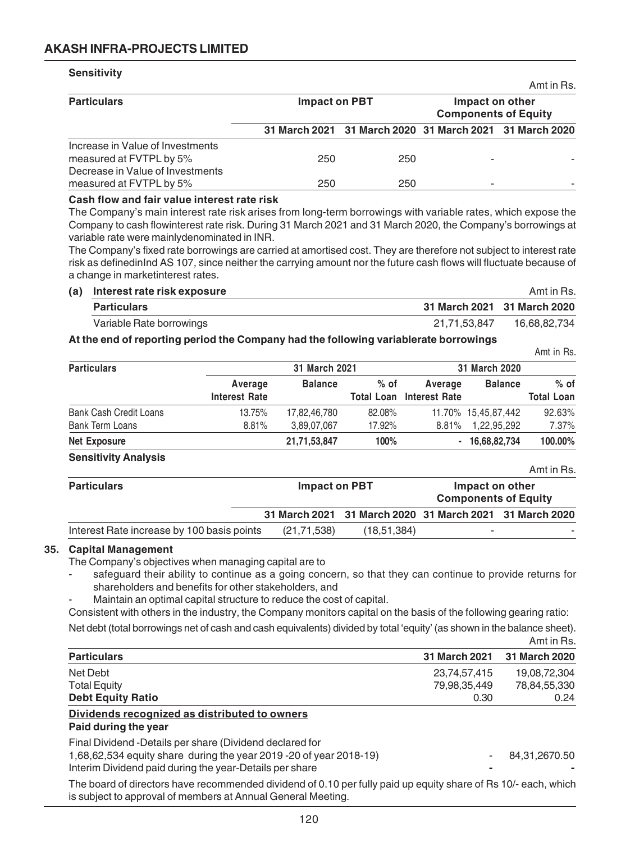#### **Sensitivity**

|                                  |                                                                        |                                                         |  | AMI IN RS. |
|----------------------------------|------------------------------------------------------------------------|---------------------------------------------------------|--|------------|
| <b>Particulars</b>               | <b>Impact on PBT</b><br>Impact on other<br><b>Components of Equity</b> |                                                         |  |            |
|                                  |                                                                        | 31 March 2021 31 March 2020 31 March 2021 31 March 2020 |  |            |
| Increase in Value of Investments |                                                                        |                                                         |  |            |
| measured at FVTPL by 5%          | 250                                                                    | 250                                                     |  |            |
| Decrease in Value of Investments |                                                                        |                                                         |  |            |
| measured at FVTPL by 5%          | 250                                                                    | 250                                                     |  |            |

#### **Cash flow and fair value interest rate risk**

The Company's main interest rate risk arises from long-term borrowings with variable rates, which expose the Company to cash flowinterest rate risk. During 31 March 2021 and 31 March 2020, the Company's borrowings at variable rate were mainlydenominated in INR.

The Company's fixed rate borrowings are carried at amortised cost. They are therefore not subject to interest rate risk as definedinInd AS 107, since neither the carrying amount nor the future cash flows will fluctuate because of a change in marketinterest rates.

| (a) Interest rate risk exposure |                             | Amt in Rs.   |
|---------------------------------|-----------------------------|--------------|
| <b>Particulars</b>              | 31 March 2021 31 March 2020 |              |
| Variable Rate borrowings        | 21.71.53.847                | 16.68.82.734 |

**At the end of reporting period the Company had the following variablerate borrowings**

| <b>Particulars</b>            |                                 | 31 March 2021  |                             |                                 | 31 March 2020       |                             |
|-------------------------------|---------------------------------|----------------|-----------------------------|---------------------------------|---------------------|-----------------------------|
|                               | Average<br><b>Interest Rate</b> | <b>Balance</b> | $%$ of<br><b>Total Loan</b> | Average<br><b>Interest Rate</b> | <b>Balance</b>      | $%$ of<br><b>Total Loan</b> |
| <b>Bank Cash Credit Loans</b> | 13.75%                          | 17.82.46.780   | 82.08%                      |                                 | 11.70% 15.45,87,442 | 92.63%                      |
| <b>Bank Term Loans</b>        | 8.81%                           | 3.89.07.067    | 17.92%                      | 8.81%                           | 1.22.95.292         | 7.37%                       |
| <b>Net Exposure</b>           |                                 | 21,71,53,847   | 100%                        | ٠                               | 16.68.82.734        | 100.00%                     |

| <b>Particulars</b><br><b>Impact on PBT</b> |             | Impact on other<br><b>Components of Equity</b>          | .                        |  |
|--------------------------------------------|-------------|---------------------------------------------------------|--------------------------|--|
|                                            |             | 31 March 2021 31 March 2020 31 March 2021 31 March 2020 |                          |  |
| Interest Rate increase by 100 basis points | (21,71,538) | (18,51,384)                                             | $\overline{\phantom{a}}$ |  |

#### **35. Capital Management**

The Company's objectives when managing capital are to

- safeguard their ability to continue as a going concern, so that they can continue to provide returns for shareholders and benefits for other stakeholders, and
- Maintain an optimal capital structure to reduce the cost of capital.

Consistent with others in the industry, the Company monitors capital on the basis of the following gearing ratio:

Net debt (total borrowings net of cash and cash equivalents) divided by total 'equity' (as shown in the balance sheet).

|                                                                                                                                                                                           |                      | Amt in Rs.      |
|-------------------------------------------------------------------------------------------------------------------------------------------------------------------------------------------|----------------------|-----------------|
| <b>Particulars</b>                                                                                                                                                                        | <b>31 March 2021</b> | 31 March 2020   |
| Net Debt                                                                                                                                                                                  | 23,74,57,415         | 19,08,72,304    |
| Total Equity                                                                                                                                                                              | 79,98,35,449         | 78,84,55,330    |
| <b>Debt Equity Ratio</b>                                                                                                                                                                  | 0.30                 | 0.24            |
| Dividends recognized as distributed to owners<br>Paid during the year                                                                                                                     |                      |                 |
| Final Dividend -Details per share (Dividend declared for<br>1,68,62,534 equity share during the year 2019 -20 of year 2018-19)<br>Interim Dividend paid during the year-Details per share |                      | 84, 31, 2670.50 |
| The board of directors have recommended dividend of 0.10 per fully paid up equity share of Rs 10/- each, which<br>is subject to approval of members at Annual General Meeting.            |                      |                 |

 $\ldots$  m

Amt in Rs.

Amt in Rs.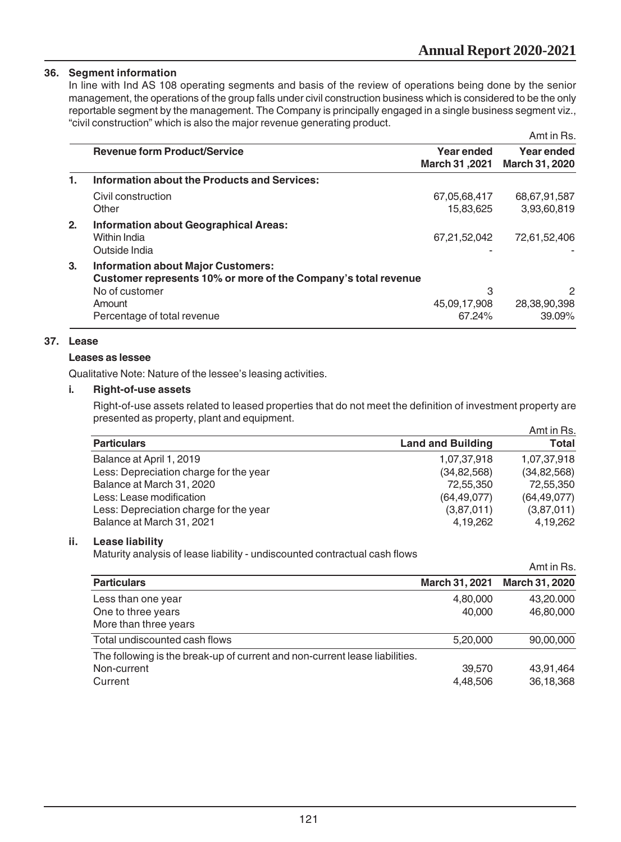#### **36. Segment information**

In line with Ind AS 108 operating segments and basis of the review of operations being done by the senior management, the operations of the group falls under civil construction business which is considered to be the only reportable segment by the management. The Company is principally engaged in a single business segment viz., "civil construction" which is also the major revenue generating product. Amt in Rs.

|    |                                                                |                       | AIIIL III NS.  |
|----|----------------------------------------------------------------|-----------------------|----------------|
|    | <b>Revenue form Product/Service</b>                            | Year ended            | Year ended     |
|    |                                                                | <b>March 31, 2021</b> | March 31, 2020 |
| 1. | Information about the Products and Services:                   |                       |                |
|    | Civil construction                                             | 67,05,68,417          | 68,67,91,587   |
|    | Other                                                          | 15,83,625             | 3,93,60,819    |
| 2. | <b>Information about Geographical Areas:</b>                   |                       |                |
|    | Within India                                                   | 67,21,52,042          | 72,61,52,406   |
|    | Outside India                                                  |                       |                |
| 3. | <b>Information about Major Customers:</b>                      |                       |                |
|    | Customer represents 10% or more of the Company's total revenue |                       |                |
|    | No of customer                                                 | 3                     | $\mathcal{P}$  |
|    | Amount                                                         | 45,09,17,908          | 28,38,90,398   |
|    | Percentage of total revenue                                    | 67.24%                | 39.09%         |
|    |                                                                |                       |                |

#### **37. Lease**

#### **Leases as lessee**

Qualitative Note: Nature of the lessee's leasing activities.

#### **i. Right-of-use assets**

Right-of-use assets related to leased properties that do not meet the definition of investment property are presented as property, plant and equipment.

|                                        |                          | Amt in Rs.    |
|----------------------------------------|--------------------------|---------------|
| <b>Particulars</b>                     | <b>Land and Building</b> | Total         |
| Balance at April 1, 2019               | 1,07,37,918              | 1,07,37,918   |
| Less: Depreciation charge for the year | (34, 82, 568)            | (34, 82, 568) |
| Balance at March 31, 2020              | 72,55,350                | 72,55,350     |
| Less: Lease modification               | (64, 49, 077)            | (64, 49, 077) |
| Less: Depreciation charge for the year | (3,87,011)               | (3,87,011)    |
| Balance at March 31, 2021              | 4.19.262                 | 4,19,262      |

#### **ii. Lease liability**

Maturity analysis of lease liability - undiscounted contractual cash flows

|                                                                             |                | Amt in Rs.     |
|-----------------------------------------------------------------------------|----------------|----------------|
| <b>Particulars</b>                                                          | March 31, 2021 | March 31, 2020 |
| Less than one year                                                          | 4,80,000       | 43,20.000      |
| One to three years                                                          | 40.000         | 46,80,000      |
| More than three years                                                       |                |                |
| Total undiscounted cash flows                                               | 5,20,000       | 90,00,000      |
| The following is the break-up of current and non-current lease liabilities. |                |                |
| Non-current                                                                 | 39,570         | 43.91.464      |
| Current                                                                     | 4,48,506       | 36,18,368      |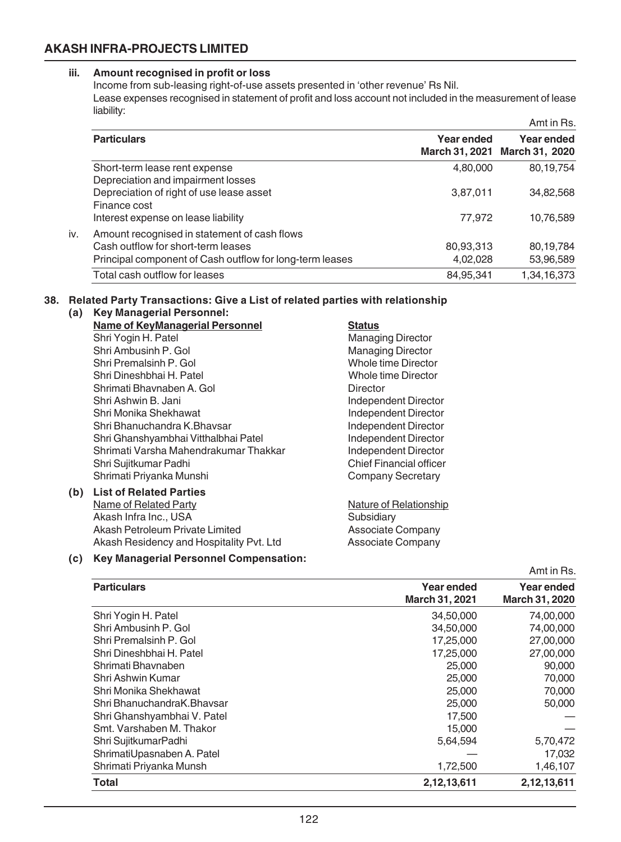## **iii. Amount recognised in profit or loss**

Income from sub-leasing right-of-use assets presented in 'other revenue' Rs Nil. Lease expenses recognised in statement of profit and loss account not included in the measurement of lease liability:

|                                                          |            | Amt in Rs.                                  |
|----------------------------------------------------------|------------|---------------------------------------------|
| <b>Particulars</b>                                       | Year ended | Year ended<br>March 31, 2021 March 31, 2020 |
| Short-term lease rent expense                            | 4,80,000   | 80,19,754                                   |
| Depreciation and impairment losses                       |            |                                             |
| Depreciation of right of use lease asset                 | 3,87,011   | 34,82,568                                   |
| Finance cost                                             |            |                                             |
| Interest expense on lease liability                      | 77,972     | 10,76,589                                   |
| Amount recognised in statement of cash flows             |            |                                             |
| Cash outflow for short-term leases                       | 80,93,313  | 80,19,784                                   |
| Principal component of Cash outflow for long-term leases | 4,02,028   | 53,96,589                                   |
| Total cash outflow for leases                            | 84.95.341  | 1,34,16,373                                 |

# **38. Related Party Transactions: Give a List of related parties with relationship**

| (a) | <b>Key Managerial Personnel:</b>       |                                |
|-----|----------------------------------------|--------------------------------|
|     | <b>Name of KeyManagerial Personnel</b> | <b>Status</b>                  |
|     | Shri Yogin H. Patel                    | <b>Managing Director</b>       |
|     | Shri Ambusinh P. Gol                   | <b>Managing Director</b>       |
|     | Shri Premalsinh P. Gol                 | Whole time Director            |
|     | Shri Dineshbhai H. Patel               | Whole time Director            |
|     | Shrimati Bhavnaben A. Gol              | Director                       |
|     | Shri Ashwin B. Jani                    | Independent Director           |
|     | Shri Monika Shekhawat                  | Independent Director           |
|     | Shri Bhanuchandra K.Bhavsar            | Independent Director           |
|     | Shri Ghanshyambhai Vitthalbhai Patel   | <b>Independent Director</b>    |
|     | Shrimati Varsha Mahendrakumar Thakkar  | Independent Director           |
|     | Shri Sujitkumar Padhi                  | <b>Chief Financial officer</b> |
|     | Shrimati Priyanka Munshi               | Company Secretary              |
| (b) | <b>List of Related Parties</b>         |                                |
|     | Name of Related Party                  | Nature of Relationship         |
|     | Akash Infra Inc., USA                  | Subsidiary                     |
|     | Akash Petroleum Private Limited        | Associate Company              |

Akash Residency and Hospitality Pvt. Ltd Associate Company

#### **(c) Key Managerial Personnel Compensation:**

|                             |                              | Amt in Rs.                   |
|-----------------------------|------------------------------|------------------------------|
| <b>Particulars</b>          | Year ended<br>March 31, 2021 | Year ended<br>March 31, 2020 |
| Shri Yogin H. Patel         | 34,50,000                    | 74,00,000                    |
| Shri Ambusinh P. Gol        | 34,50,000                    | 74,00,000                    |
| Shri Premalsinh P. Gol      | 17,25,000                    | 27,00,000                    |
| Shri Dineshbhai H. Patel    | 17,25,000                    | 27,00,000                    |
| Shrimati Bhavnaben          | 25,000                       | 90,000                       |
| Shri Ashwin Kumar           | 25,000                       | 70,000                       |
| Shri Monika Shekhawat       | 25,000                       | 70,000                       |
| Shri BhanuchandraK.Bhaysar  | 25,000                       | 50,000                       |
| Shri Ghanshyambhai V. Patel | 17,500                       |                              |
| Smt. Varshaben M. Thakor    | 15,000                       |                              |
| Shri SujitkumarPadhi        | 5,64,594                     | 5,70,472                     |
| ShrimatiUpasnaben A. Patel  |                              | 17,032                       |
| Shrimati Priyanka Munsh     | 1,72,500                     | 1,46,107                     |
| Total                       | 2,12,13,611                  | 2,12,13,611                  |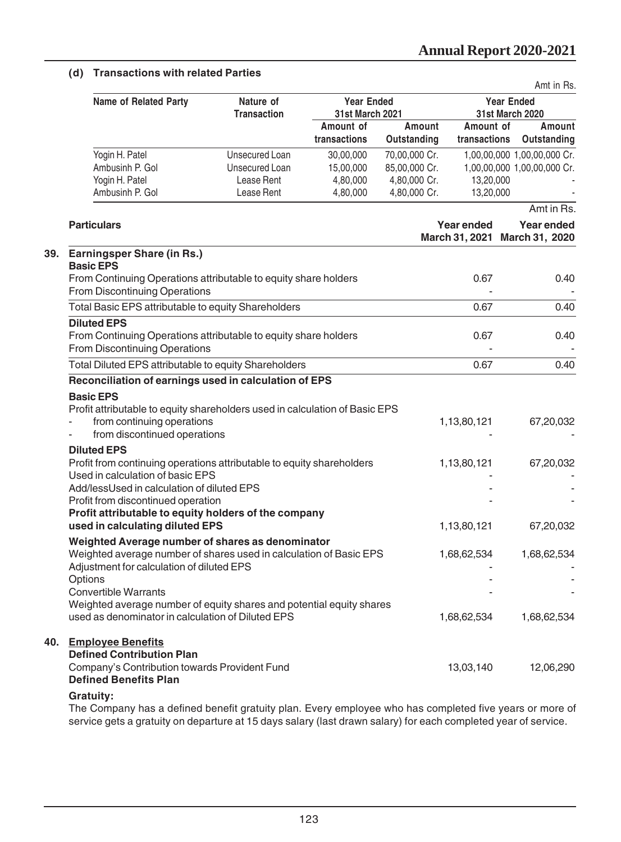#### **(d) Transactions with related Parties**

|                                                                                                           |                    |                           |                        |                           | Amt in Rs.                                  |  |
|-----------------------------------------------------------------------------------------------------------|--------------------|---------------------------|------------------------|---------------------------|---------------------------------------------|--|
| Name of Related Party                                                                                     | Nature of          | <b>Year Ended</b>         |                        |                           | <b>Year Ended</b>                           |  |
|                                                                                                           | <b>Transaction</b> |                           | <b>31st March 2021</b> |                           | <b>31st March 2020</b>                      |  |
|                                                                                                           |                    | Amount of<br>transactions | Amount<br>Outstanding  | Amount of<br>transactions | Amount<br>Outstanding                       |  |
| Yogin H. Patel                                                                                            | Unsecured Loan     | 30,00,000                 | 70,00,000 Cr.          |                           | 1,00,00,000 1,00,00,000 Cr.                 |  |
| Ambusinh P. Gol                                                                                           | Unsecured Loan     | 15,00,000                 | 85,00,000 Cr.          |                           | 1,00,00,000 1,00,00,000 Cr.                 |  |
| Yogin H. Patel                                                                                            | Lease Rent         | 4,80,000                  | 4,80,000 Cr.           | 13,20,000                 |                                             |  |
| Ambusinh P. Gol                                                                                           | Lease Rent         | 4,80,000                  | 4,80,000 Cr.           | 13,20,000                 |                                             |  |
|                                                                                                           |                    |                           |                        |                           | Amt in Rs.                                  |  |
| <b>Particulars</b>                                                                                        |                    |                           |                        | Year ended                | Year ended<br>March 31, 2021 March 31, 2020 |  |
| 39. Earningsper Share (in Rs.)                                                                            |                    |                           |                        |                           |                                             |  |
| <b>Basic EPS</b>                                                                                          |                    |                           |                        | 0.67                      | 0.40                                        |  |
| From Continuing Operations attributable to equity share holders<br>From Discontinuing Operations          |                    |                           |                        |                           |                                             |  |
| Total Basic EPS attributable to equity Shareholders                                                       |                    |                           |                        | 0.67                      | 0.40                                        |  |
| <b>Diluted EPS</b>                                                                                        |                    |                           |                        |                           |                                             |  |
| From Continuing Operations attributable to equity share holders<br>From Discontinuing Operations          |                    |                           |                        | 0.67                      | 0.40                                        |  |
| Total Diluted EPS attributable to equity Shareholders                                                     |                    |                           |                        | 0.67                      | 0.40                                        |  |
| Reconciliation of earnings used in calculation of EPS                                                     |                    |                           |                        |                           |                                             |  |
| <b>Basic EPS</b>                                                                                          |                    |                           |                        |                           |                                             |  |
| Profit attributable to equity shareholders used in calculation of Basic EPS                               |                    |                           |                        |                           |                                             |  |
| from continuing operations                                                                                |                    |                           |                        | 1,13,80,121               | 67,20,032                                   |  |
| from discontinued operations<br>$\overline{a}$                                                            |                    |                           |                        |                           |                                             |  |
| <b>Diluted EPS</b>                                                                                        |                    |                           |                        |                           |                                             |  |
| Profit from continuing operations attributable to equity shareholders<br>Used in calculation of basic EPS |                    |                           |                        | 1,13,80,121               | 67,20,032                                   |  |
| Add/lessUsed in calculation of diluted EPS                                                                |                    |                           |                        |                           |                                             |  |
| Profit from discontinued operation                                                                        |                    |                           |                        |                           |                                             |  |
| Profit attributable to equity holders of the company                                                      |                    |                           |                        |                           |                                             |  |
| used in calculating diluted EPS                                                                           |                    |                           |                        | 1,13,80,121               | 67,20,032                                   |  |
| Weighted Average number of shares as denominator                                                          |                    |                           |                        |                           |                                             |  |
| Weighted average number of shares used in calculation of Basic EPS                                        |                    |                           |                        | 1,68,62,534               | 1,68,62,534                                 |  |
| Adjustment for calculation of diluted EPS                                                                 |                    |                           |                        |                           |                                             |  |
| Options<br><b>Convertible Warrants</b>                                                                    |                    |                           |                        |                           |                                             |  |
| Weighted average number of equity shares and potential equity shares                                      |                    |                           |                        |                           |                                             |  |
| used as denominator in calculation of Diluted EPS                                                         |                    |                           |                        | 1,68,62,534               | 1,68,62,534                                 |  |
| 40. Employee Benefits                                                                                     |                    |                           |                        |                           |                                             |  |
| <b>Defined Contribution Plan</b>                                                                          |                    |                           |                        |                           |                                             |  |
| Company's Contribution towards Provident Fund<br><b>Defined Benefits Plan</b>                             |                    |                           |                        | 13,03,140                 | 12,06,290                                   |  |

## **Gratuity:**

The Company has a defined benefit gratuity plan. Every employee who has completed five years or more of service gets a gratuity on departure at 15 days salary (last drawn salary) for each completed year of service.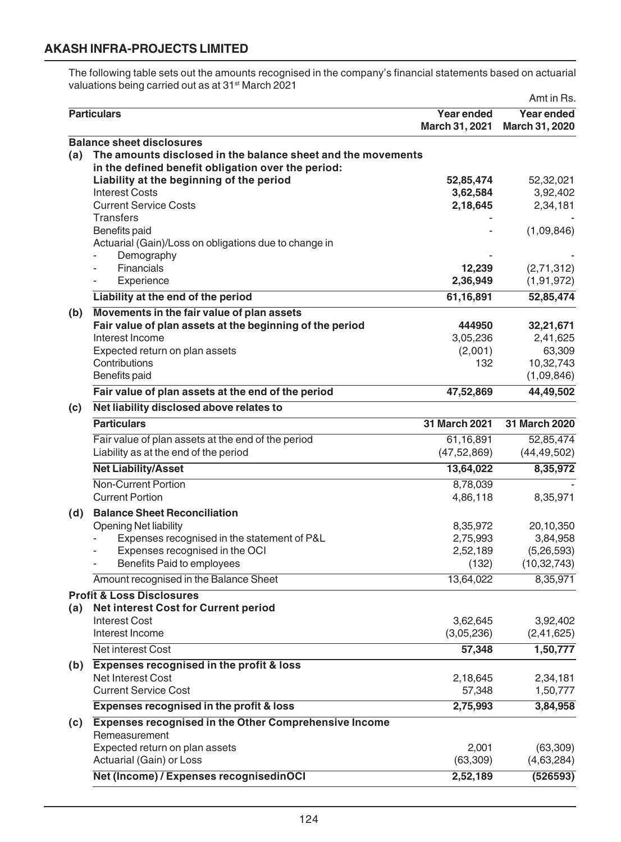The following table sets out the amounts recognised in the company's financial statements based on actuarial valuations being carried out as at 31<sup>st</sup> March 2021

|     |                                                              |                              | Amt in Rs.                   |
|-----|--------------------------------------------------------------|------------------------------|------------------------------|
|     | <b>Particulars</b>                                           | Year ended<br>March 31, 2021 | Year ended<br>March 31, 2020 |
|     | <b>Balance sheet disclosures</b>                             |                              |                              |
| (a) | The amounts disclosed in the balance sheet and the movements |                              |                              |
|     | in the defined benefit obligation over the period:           |                              |                              |
|     | Liability at the beginning of the period                     | 52,85,474                    | 52,32,021                    |
|     | <b>Interest Costs</b>                                        | 3,62,584                     | 3,92,402                     |
|     | <b>Current Service Costs</b>                                 | 2,18,645                     | 2,34,181                     |
|     | Transfers                                                    |                              |                              |
|     | Benefits paid                                                |                              | (1,09,846)                   |
|     | Actuarial (Gain)/Loss on obligations due to change in        |                              |                              |
|     | Demography<br>Financials                                     | 12,239                       | (2,71,312)                   |
|     | Experience                                                   | 2,36,949                     | (1, 91, 972)                 |
|     |                                                              |                              |                              |
|     | Liability at the end of the period                           | 61,16,891                    | 52,85,474                    |
| (b) | Movements in the fair value of plan assets                   |                              |                              |
|     | Fair value of plan assets at the beginning of the period     | 444950                       | 32,21,671                    |
|     | Interest Income                                              | 3,05,236                     | 2,41,625                     |
|     | Expected return on plan assets                               | (2,001)                      | 63,309                       |
|     | Contributions                                                | 132                          | 10,32,743                    |
|     | Benefits paid                                                |                              | (1,09,846)                   |
|     | Fair value of plan assets at the end of the period           | 47,52,869                    | 44,49,502                    |
| (c) | Net liability disclosed above relates to                     |                              |                              |
|     | <b>Particulars</b>                                           | 31 March 2021                | 31 March 2020                |
|     | Fair value of plan assets at the end of the period           | 61,16,891                    | 52,85,474                    |
|     | Liability as at the end of the period                        | (47, 52, 869)                | (44, 49, 502)                |
|     | <b>Net Liability/Asset</b>                                   | 13,64,022                    | 8,35,972                     |
|     | Non-Current Portion                                          | 8,78,039                     |                              |
|     | <b>Current Portion</b>                                       | 4,86,118                     | 8,35,971                     |
| (d) | <b>Balance Sheet Reconciliation</b>                          |                              |                              |
|     | <b>Opening Net liability</b>                                 | 8,35,972                     | 20,10,350                    |
|     | Expenses recognised in the statement of P&L                  | 2,75,993                     | 3,84,958                     |
|     | Expenses recognised in the OCI                               | 2,52,189                     | (5, 26, 593)                 |
|     | Benefits Paid to employees                                   | (132)                        | (10, 32, 743)                |
|     | Amount recognised in the Balance Sheet                       | 13,64,022                    | 8,35,971                     |
|     | <b>Profit &amp; Loss Disclosures</b>                         |                              |                              |
| (a) | <b>Net interest Cost for Current period</b>                  |                              |                              |
|     | <b>Interest Cost</b>                                         | 3,62,645                     | 3,92,402                     |
|     | Interest Income                                              | (3,05,236)                   | (2, 41, 625)                 |
|     | Net interest Cost                                            | 57,348                       | 1,50,777                     |
| (b) | Expenses recognised in the profit & loss                     |                              |                              |
|     | Net Interest Cost                                            | 2,18,645                     | 2,34,181                     |
|     | <b>Current Service Cost</b>                                  | 57,348                       | 1,50,777                     |
|     | <b>Expenses recognised in the profit &amp; loss</b>          | 2,75,993                     | 3,84,958                     |
| (c) | <b>Expenses recognised in the Other Comprehensive Income</b> |                              |                              |
|     | Remeasurement                                                |                              |                              |
|     | Expected return on plan assets                               | 2,001                        | (63, 309)                    |
|     | Actuarial (Gain) or Loss                                     | (63, 309)                    | (4,63,284)                   |
|     | Net (Income) / Expenses recognisedinOCI                      | 2,52,189                     | (526593)                     |
|     |                                                              |                              |                              |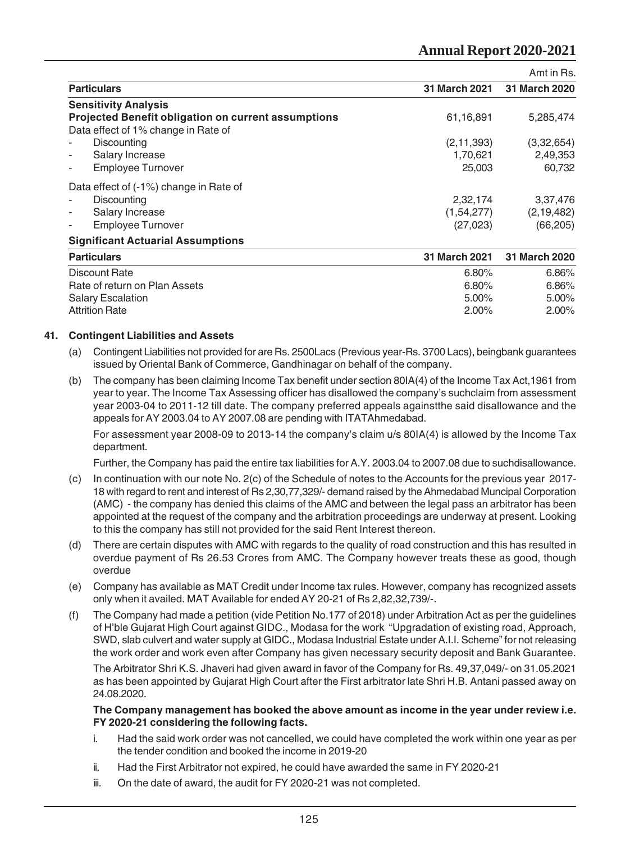|                                                            |               | Amt in Rs.    |
|------------------------------------------------------------|---------------|---------------|
| <b>Particulars</b>                                         | 31 March 2021 | 31 March 2020 |
| <b>Sensitivity Analysis</b>                                |               |               |
| <b>Projected Benefit obligation on current assumptions</b> | 61,16,891     | 5,285,474     |
| Data effect of 1% change in Rate of                        |               |               |
| Discounting                                                | (2, 11, 393)  | (3,32,654)    |
| Salary Increase                                            | 1.70.621      | 2,49,353      |
| Employee Turnover                                          | 25,003        | 60.732        |
| Data effect of (-1%) change in Rate of                     |               |               |
| Discounting                                                | 2,32,174      | 3,37,476      |
| Salary Increase                                            | (1,54,277)    | (2, 19, 482)  |
| Employee Turnover                                          | (27, 023)     | (66, 205)     |
| <b>Significant Actuarial Assumptions</b>                   |               |               |

| <b>Particulars</b>            | 31 March 2021 | 31 March 2020 |
|-------------------------------|---------------|---------------|
| Discount Rate                 | 6.80%         | 6.86%         |
| Rate of return on Plan Assets | 6.80%         | 6.86%         |
| <b>Salary Escalation</b>      | $5.00\%$      | 5.00%         |
| <b>Attrition Rate</b>         | $2.00\%$      | 2.00%         |

#### **41. Contingent Liabilities and Assets**

- (a) Contingent Liabilities not provided for are Rs. 2500Lacs (Previous year-Rs. 3700 Lacs), beingbank guarantees issued by Oriental Bank of Commerce, Gandhinagar on behalf of the company.
- (b) The company has been claiming Income Tax benefit under section 80IA(4) of the Income Tax Act,1961 from year to year. The Income Tax Assessing officer has disallowed the company's suchclaim from assessment year 2003-04 to 2011-12 till date. The company preferred appeals againstthe said disallowance and the appeals for AY 2003.04 to AY 2007.08 are pending with ITATAhmedabad.

For assessment year 2008-09 to 2013-14 the company's claim u/s 80IA(4) is allowed by the Income Tax department.

Further, the Company has paid the entire tax liabilities for A.Y. 2003.04 to 2007.08 due to suchdisallowance.

- (c) In continuation with our note No. 2(c) of the Schedule of notes to the Accounts for the previous year 2017- 18 with regard to rent and interest of Rs 2,30,77,329/- demand raised by the Ahmedabad Muncipal Corporation (AMC) - the company has denied this claims of the AMC and between the legal pass an arbitrator has been appointed at the request of the company and the arbitration proceedings are underway at present. Looking to this the company has still not provided for the said Rent Interest thereon.
- (d) There are certain disputes with AMC with regards to the quality of road construction and this has resulted in overdue payment of Rs 26.53 Crores from AMC. The Company however treats these as good, though overdue
- (e) Company has available as MAT Credit under Income tax rules. However, company has recognized assets only when it availed. MAT Available for ended AY 20-21 of Rs 2,82,32,739/-.
- (f) The Company had made a petition (vide Petition No.177 of 2018) under Arbitration Act as per the guidelines of H'ble Gujarat High Court against GIDC., Modasa for the work "Upgradation of existing road, Approach, SWD, slab culvert and water supply at GIDC., Modasa Industrial Estate under A.I.I. Scheme" for not releasing the work order and work even after Company has given necessary security deposit and Bank Guarantee.

The Arbitrator Shri K.S. Jhaveri had given award in favor of the Company for Rs. 49,37,049/- on 31.05.2021 as has been appointed by Gujarat High Court after the First arbitrator late Shri H.B. Antani passed away on 24.08.2020.

#### **The Company management has booked the above amount as income in the year under review i.e. FY 2020-21 considering the following facts.**

- i. Had the said work order was not cancelled, we could have completed the work within one year as per the tender condition and booked the income in 2019-20
- ii. Had the First Arbitrator not expired, he could have awarded the same in FY 2020-21
- iii. On the date of award, the audit for FY 2020-21 was not completed.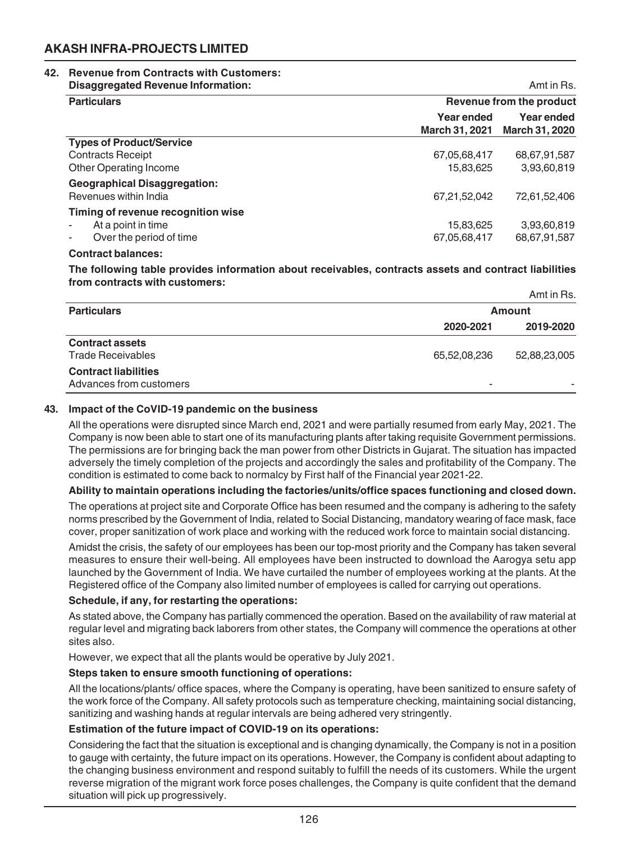## **42. Revenue from Contracts with Customers:**

**Disaggregated Revenue Information:** American control of the state of the state of the state of the state of the state of the state of the state of the state of the state of the state of the state of the state of the state **Particulars Revenue from the product Revenue from the product Year ended Year ended March 31, 2021 March 31, 2020 Types of Product/Service** Contracts Receipt 67,05,68,417 68,67,91,587 Other Operating Income 15,83,625 3,93,60,819 **Geographical Disaggregation:** Revenues within India **67,21,52,042** 72,61,52,406 **Timing of revenue recognition wise** - At a point in time 15,83,625 3,93,60,819 Over the period of time 67,05,68,417

## **Contract balances:**

**The following table provides information about receivables, contracts assets and contract liabilities from contracts with customers:**

|                                                        |                          | Amt in Rs.   |  |  |  |
|--------------------------------------------------------|--------------------------|--------------|--|--|--|
| <b>Particulars</b>                                     |                          | Amount       |  |  |  |
|                                                        | 2020-2021                | 2019-2020    |  |  |  |
| <b>Contract assets</b><br><b>Trade Receivables</b>     | 65,52,08,236             | 52,88,23,005 |  |  |  |
| <b>Contract liabilities</b><br>Advances from customers | $\overline{\phantom{a}}$ |              |  |  |  |

#### **43. Impact of the CoVID-19 pandemic on the business**

All the operations were disrupted since March end, 2021 and were partially resumed from early May, 2021. The Company is now been able to start one of its manufacturing plants after taking requisite Government permissions. The permissions are for bringing back the man power from other Districts in Gujarat. The situation has impacted adversely the timely completion of the projects and accordingly the sales and profitability of the Company. The condition is estimated to come back to normalcy by First half of the Financial year 2021-22.

#### **Ability to maintain operations including the factories/units/office spaces functioning and closed down.**

The operations at project site and Corporate Office has been resumed and the company is adhering to the safety norms prescribed by the Government of India, related to Social Distancing, mandatory wearing of face mask, face cover, proper sanitization of work place and working with the reduced work force to maintain social distancing.

Amidst the crisis, the safety of our employees has been our top-most priority and the Company has taken several measures to ensure their well-being. All employees have been instructed to download the Aarogya setu app launched by the Government of India. We have curtailed the number of employees working at the plants. At the Registered office of the Company also limited number of employees is called for carrying out operations.

#### **Schedule, if any, for restarting the operations:**

As stated above, the Company has partially commenced the operation. Based on the availability of raw material at regular level and migrating back laborers from other states, the Company will commence the operations at other sites also.

However, we expect that all the plants would be operative by July 2021.

#### **Steps taken to ensure smooth functioning of operations:**

All the locations/plants/ office spaces, where the Company is operating, have been sanitized to ensure safety of the work force of the Company. All safety protocols such as temperature checking, maintaining social distancing, sanitizing and washing hands at regular intervals are being adhered very stringently.

#### **Estimation of the future impact of COVID-19 on its operations:**

Considering the fact that the situation is exceptional and is changing dynamically, the Company is not in a position to gauge with certainty, the future impact on its operations. However, the Company is confident about adapting to the changing business environment and respond suitably to fulfill the needs of its customers. While the urgent reverse migration of the migrant work force poses challenges, the Company is quite confident that the demand situation will pick up progressively.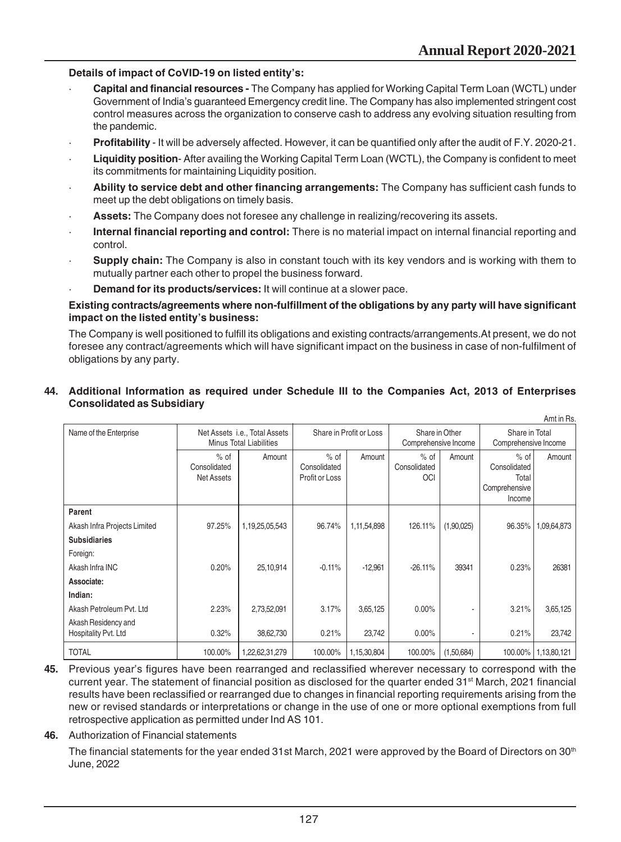Amt in Rs.

#### **Details of impact of CoVID-19 on listed entity's:**

- · **Capital and financial resources -** The Company has applied for Working Capital Term Loan (WCTL) under Government of India's guaranteed Emergency credit line. The Company has also implemented stringent cost control measures across the organization to conserve cash to address any evolving situation resulting from the pandemic.
- · **Profitability** It will be adversely affected. However, it can be quantified only after the audit of F.Y. 2020-21.
- · **Liquidity position** After availing the Working Capital Term Loan (WCTL), the Company is confident to meet its commitments for maintaining Liquidity position.
- · **Ability to service debt and other financing arrangements:** The Company has sufficient cash funds to meet up the debt obligations on timely basis.
- · **Assets:** The Company does not foresee any challenge in realizing/recovering its assets.
- · **Internal financial reporting and control:** There is no material impact on internal financial reporting and control.
- · **Supply chain:** The Company is also in constant touch with its key vendors and is working with them to mutually partner each other to propel the business forward.
- **Demand for its products/services:** It will continue at a slower pace.

#### **Existing contracts/agreements where non-fulfillment of the obligations by any party will have significant impact on the listed entity's business:**

The Company is well positioned to fulfill its obligations and existing contracts/arrangements.At present, we do not foresee any contract/agreements which will have significant impact on the business in case of non-fulfilment of obligations by any party.

#### **44. Additional Information as required under Schedule III to the Companies Act, 2013 of Enterprises Consolidated as Subsidiary**

| Name of the Enterprise                      |                                      | Net Assets i.e., Total Assets<br><b>Minus Total Liabilities</b> |                                          | Share in Profit or Loss | Share in Other<br>Comprehensive Income |            | Share in Total<br>Comprehensive Income                     |             |
|---------------------------------------------|--------------------------------------|-----------------------------------------------------------------|------------------------------------------|-------------------------|----------------------------------------|------------|------------------------------------------------------------|-------------|
|                                             | $%$ of<br>Consolidated<br>Net Assets | Amount                                                          | $%$ of<br>Consolidated<br>Profit or Loss | Amount                  | $%$ of<br>Consolidated<br>OCI          | Amount     | $%$ of<br>Consolidated<br>Total<br>Comprehensive<br>Income | Amount      |
| Parent                                      |                                      |                                                                 |                                          |                         |                                        |            |                                                            |             |
| Akash Infra Projects Limited                | 97.25%                               | 1,19,25,05,543                                                  | 96.74%                                   | 1,11,54,898             | 126.11%                                | (1,90,025) | 96.35%                                                     | 1,09,64,873 |
| <b>Subsidiaries</b>                         |                                      |                                                                 |                                          |                         |                                        |            |                                                            |             |
| Foreign:                                    |                                      |                                                                 |                                          |                         |                                        |            |                                                            |             |
| Akash Infra INC                             | 0.20%                                | 25,10,914                                                       | $-0.11%$                                 | $-12.961$               | $-26.11%$                              | 39341      | 0.23%                                                      | 26381       |
| Associate:                                  |                                      |                                                                 |                                          |                         |                                        |            |                                                            |             |
| Indian:                                     |                                      |                                                                 |                                          |                         |                                        |            |                                                            |             |
| Akash Petroleum Pvt. Ltd.                   | 2.23%                                | 2,73,52,091                                                     | 3.17%                                    | 3,65,125                | $0.00\%$                               |            | 3.21%                                                      | 3,65,125    |
| Akash Residency and<br>Hospitality Pvt. Ltd | 0.32%                                | 38,62,730                                                       | 0.21%                                    | 23,742                  | $0.00\%$                               | ۰          | 0.21%                                                      | 23,742      |
| <b>TOTAL</b>                                | 100.00%                              | 1,22,62,31,279                                                  | 100.00%                                  | 1,15,30,804             | 100.00%                                | (1,50,684) | 100.00%                                                    | 1,13,80,121 |

- **45.** Previous year's figures have been rearranged and reclassified wherever necessary to correspond with the current year. The statement of financial position as disclosed for the quarter ended  $31<sup>st</sup>$  March, 2021 financial results have been reclassified or rearranged due to changes in financial reporting requirements arising from the new or revised standards or interpretations or change in the use of one or more optional exemptions from full retrospective application as permitted under Ind AS 101.
- **46.** Authorization of Financial statements

The financial statements for the year ended 31st March, 2021 were approved by the Board of Directors on 30<sup>th</sup> June, 2022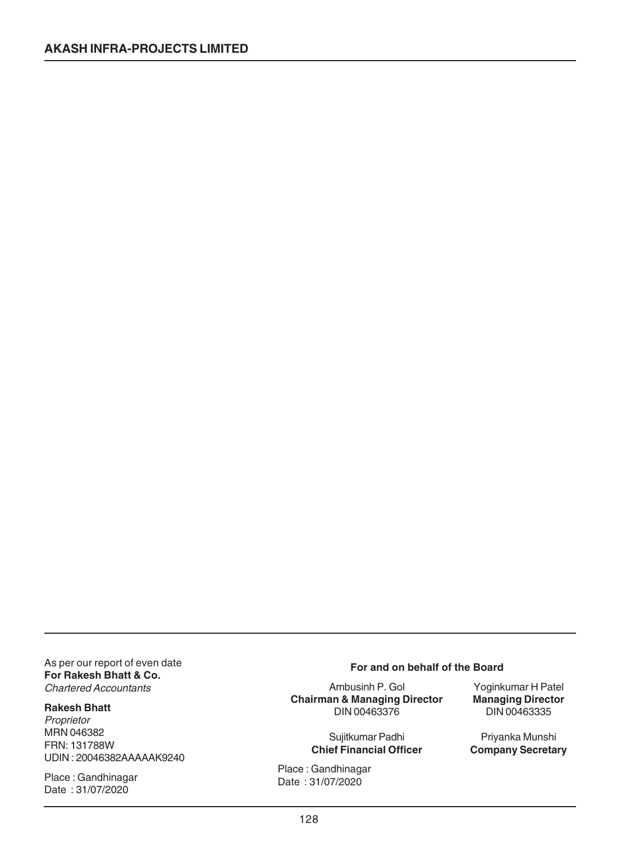As per our report of even date **For Rakesh Bhatt & Co.** Chartered Accountants

#### **Rakesh Bhatt**

Proprietor MRN 046382 FRN: 131788W UDIN : 20046382AAAAAK9240

Place : Gandhinagar Date : 31/07/2020

#### **For and on behalf of the Board**

**Chairman & Managing Director Managing Director**<br>DIN 00463335 DIN 00463376 DIN 00463376

**Chief Financial Officer Company Secretary**

Place : Gandhinagar Date : 31/07/2020

Ambusinh P. Gol Yoginkumar H Patel

Sujitkumar Padhi Priyanka Munshi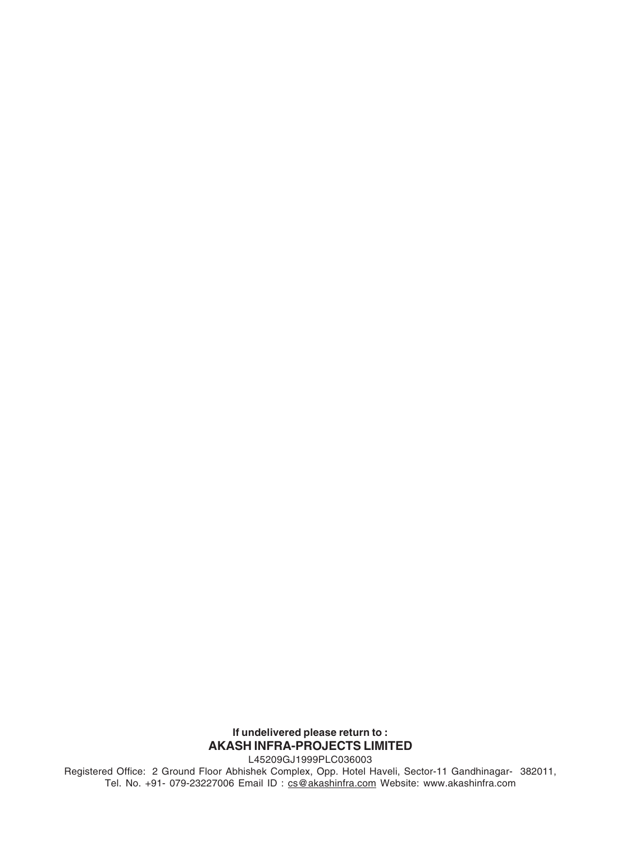### **If undelivered please return to : AKASH INFRA-PROJECTS LIMITED**

L45209GJ1999PLC036003 Registered Office: 2 Ground Floor Abhishek Complex, Opp. Hotel Haveli, Sector-11 Gandhinagar- 382011, Tel. No. +91- 079-23227006 Email ID : <u>cs@akashinfra.com</u> Website: www.akashinfra.com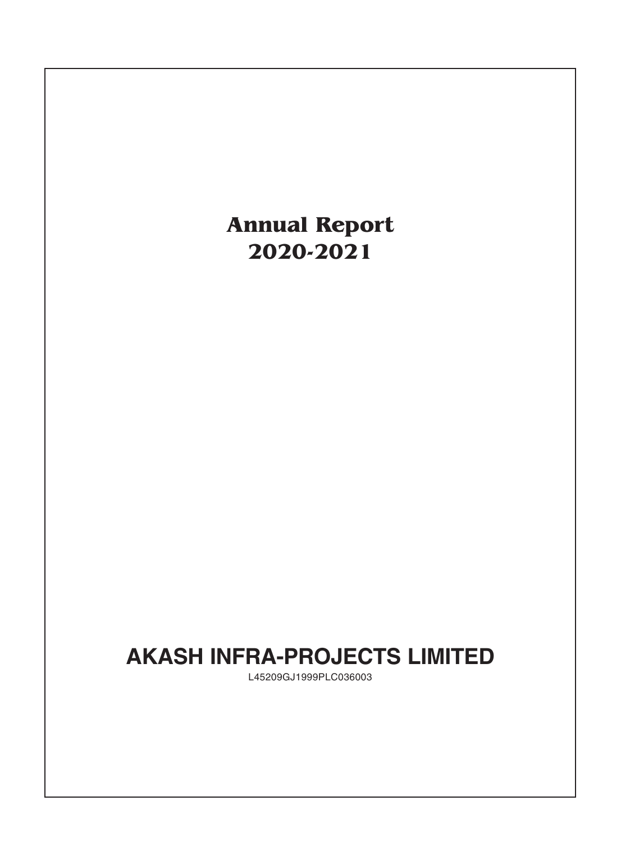# **Annual Report 2020-2021**

# **AKASH INFRA-PROJECTS LIMITED**

L45209GJ1999PLC036003